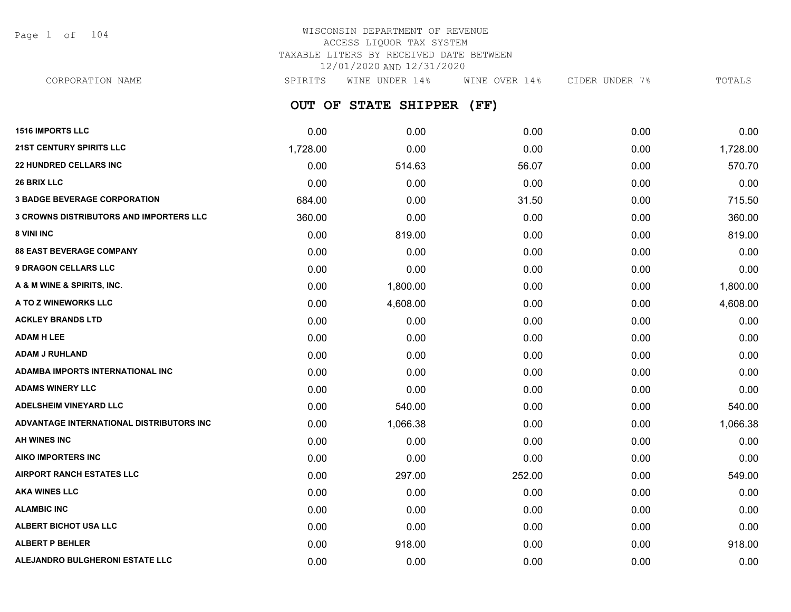Page 1 of 104

## WISCONSIN DEPARTMENT OF REVENUE ACCESS LIQUOR TAX SYSTEM TAXABLE LITERS BY RECEIVED DATE BETWEEN 12/01/2020 AND 12/31/2020

CORPORATION NAME SPIRITS WINE UNDER 14% WINE OVER 14% CIDER UNDER 7% TOTALS

**OUT OF STATE SHIPPER (FF)**

| <b>1516 IMPORTS LLC</b>                        | 0.00     | 0.00     | 0.00   | 0.00 | 0.00     |
|------------------------------------------------|----------|----------|--------|------|----------|
| <b>21ST CENTURY SPIRITS LLC</b>                | 1,728.00 | 0.00     | 0.00   | 0.00 | 1,728.00 |
| <b>22 HUNDRED CELLARS INC</b>                  | 0.00     | 514.63   | 56.07  | 0.00 | 570.70   |
| <b>26 BRIX LLC</b>                             | 0.00     | 0.00     | 0.00   | 0.00 | 0.00     |
| <b>3 BADGE BEVERAGE CORPORATION</b>            | 684.00   | 0.00     | 31.50  | 0.00 | 715.50   |
| <b>3 CROWNS DISTRIBUTORS AND IMPORTERS LLC</b> | 360.00   | 0.00     | 0.00   | 0.00 | 360.00   |
| 8 VINI INC                                     | 0.00     | 819.00   | 0.00   | 0.00 | 819.00   |
| <b>88 EAST BEVERAGE COMPANY</b>                | 0.00     | 0.00     | 0.00   | 0.00 | 0.00     |
| <b>9 DRAGON CELLARS LLC</b>                    | 0.00     | 0.00     | 0.00   | 0.00 | 0.00     |
| A & M WINE & SPIRITS, INC.                     | 0.00     | 1,800.00 | 0.00   | 0.00 | 1,800.00 |
| A TO Z WINEWORKS LLC                           | 0.00     | 4,608.00 | 0.00   | 0.00 | 4,608.00 |
| <b>ACKLEY BRANDS LTD</b>                       | 0.00     | 0.00     | 0.00   | 0.00 | 0.00     |
| <b>ADAM H LEE</b>                              | 0.00     | 0.00     | 0.00   | 0.00 | 0.00     |
| <b>ADAM J RUHLAND</b>                          | 0.00     | 0.00     | 0.00   | 0.00 | 0.00     |
| ADAMBA IMPORTS INTERNATIONAL INC               | 0.00     | 0.00     | 0.00   | 0.00 | 0.00     |
| <b>ADAMS WINERY LLC</b>                        | 0.00     | 0.00     | 0.00   | 0.00 | 0.00     |
| <b>ADELSHEIM VINEYARD LLC</b>                  | 0.00     | 540.00   | 0.00   | 0.00 | 540.00   |
| ADVANTAGE INTERNATIONAL DISTRIBUTORS INC       | 0.00     | 1,066.38 | 0.00   | 0.00 | 1,066.38 |
| AH WINES INC                                   | 0.00     | 0.00     | 0.00   | 0.00 | 0.00     |
| <b>AIKO IMPORTERS INC</b>                      | 0.00     | 0.00     | 0.00   | 0.00 | 0.00     |
| <b>AIRPORT RANCH ESTATES LLC</b>               | 0.00     | 297.00   | 252.00 | 0.00 | 549.00   |
| <b>AKA WINES LLC</b>                           | 0.00     | 0.00     | 0.00   | 0.00 | 0.00     |
| <b>ALAMBIC INC</b>                             | 0.00     | 0.00     | 0.00   | 0.00 | 0.00     |
| <b>ALBERT BICHOT USA LLC</b>                   | 0.00     | 0.00     | 0.00   | 0.00 | 0.00     |
| <b>ALBERT P BEHLER</b>                         | 0.00     | 918.00   | 0.00   | 0.00 | 918.00   |
| ALEJANDRO BULGHERONI ESTATE LLC                | 0.00     | 0.00     | 0.00   | 0.00 | 0.00     |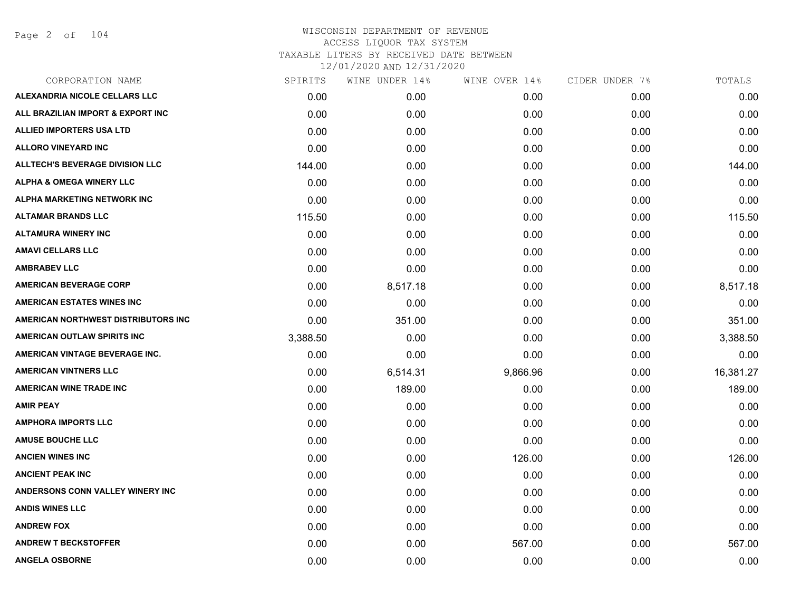| CORPORATION NAME                       | SPIRITS  | WINE UNDER 14% | WINE OVER 14% | CIDER UNDER 7% | TOTALS    |
|----------------------------------------|----------|----------------|---------------|----------------|-----------|
| ALEXANDRIA NICOLE CELLARS LLC          | 0.00     | 0.00           | 0.00          | 0.00           | 0.00      |
| ALL BRAZILIAN IMPORT & EXPORT INC      | 0.00     | 0.00           | 0.00          | 0.00           | 0.00      |
| <b>ALLIED IMPORTERS USA LTD</b>        | 0.00     | 0.00           | 0.00          | 0.00           | 0.00      |
| <b>ALLORO VINEYARD INC</b>             | 0.00     | 0.00           | 0.00          | 0.00           | 0.00      |
| <b>ALLTECH'S BEVERAGE DIVISION LLC</b> | 144.00   | 0.00           | 0.00          | 0.00           | 144.00    |
| <b>ALPHA &amp; OMEGA WINERY LLC</b>    | 0.00     | 0.00           | 0.00          | 0.00           | 0.00      |
| ALPHA MARKETING NETWORK INC            | 0.00     | 0.00           | 0.00          | 0.00           | 0.00      |
| <b>ALTAMAR BRANDS LLC</b>              | 115.50   | 0.00           | 0.00          | 0.00           | 115.50    |
| <b>ALTAMURA WINERY INC</b>             | 0.00     | 0.00           | 0.00          | 0.00           | 0.00      |
| <b>AMAVI CELLARS LLC</b>               | 0.00     | 0.00           | 0.00          | 0.00           | 0.00      |
| <b>AMBRABEV LLC</b>                    | 0.00     | 0.00           | 0.00          | 0.00           | 0.00      |
| <b>AMERICAN BEVERAGE CORP</b>          | 0.00     | 8,517.18       | 0.00          | 0.00           | 8,517.18  |
| <b>AMERICAN ESTATES WINES INC</b>      | 0.00     | 0.00           | 0.00          | 0.00           | 0.00      |
| AMERICAN NORTHWEST DISTRIBUTORS INC    | 0.00     | 351.00         | 0.00          | 0.00           | 351.00    |
| AMERICAN OUTLAW SPIRITS INC            | 3,388.50 | 0.00           | 0.00          | 0.00           | 3,388.50  |
| AMERICAN VINTAGE BEVERAGE INC.         | 0.00     | 0.00           | 0.00          | 0.00           | 0.00      |
| <b>AMERICAN VINTNERS LLC</b>           | 0.00     | 6,514.31       | 9,866.96      | 0.00           | 16,381.27 |
| <b>AMERICAN WINE TRADE INC</b>         | 0.00     | 189.00         | 0.00          | 0.00           | 189.00    |
| <b>AMIR PEAY</b>                       | 0.00     | 0.00           | 0.00          | 0.00           | 0.00      |
| <b>AMPHORA IMPORTS LLC</b>             | 0.00     | 0.00           | 0.00          | 0.00           | 0.00      |
| <b>AMUSE BOUCHE LLC</b>                | 0.00     | 0.00           | 0.00          | 0.00           | 0.00      |
| <b>ANCIEN WINES INC</b>                | 0.00     | 0.00           | 126.00        | 0.00           | 126.00    |
| <b>ANCIENT PEAK INC</b>                | 0.00     | 0.00           | 0.00          | 0.00           | 0.00      |
| ANDERSONS CONN VALLEY WINERY INC       | 0.00     | 0.00           | 0.00          | 0.00           | 0.00      |
| <b>ANDIS WINES LLC</b>                 | 0.00     | 0.00           | 0.00          | 0.00           | 0.00      |
| <b>ANDREW FOX</b>                      | 0.00     | 0.00           | 0.00          | 0.00           | 0.00      |
| <b>ANDREW T BECKSTOFFER</b>            | 0.00     | 0.00           | 567.00        | 0.00           | 567.00    |
| <b>ANGELA OSBORNE</b>                  | 0.00     | 0.00           | 0.00          | 0.00           | 0.00      |
|                                        |          |                |               |                |           |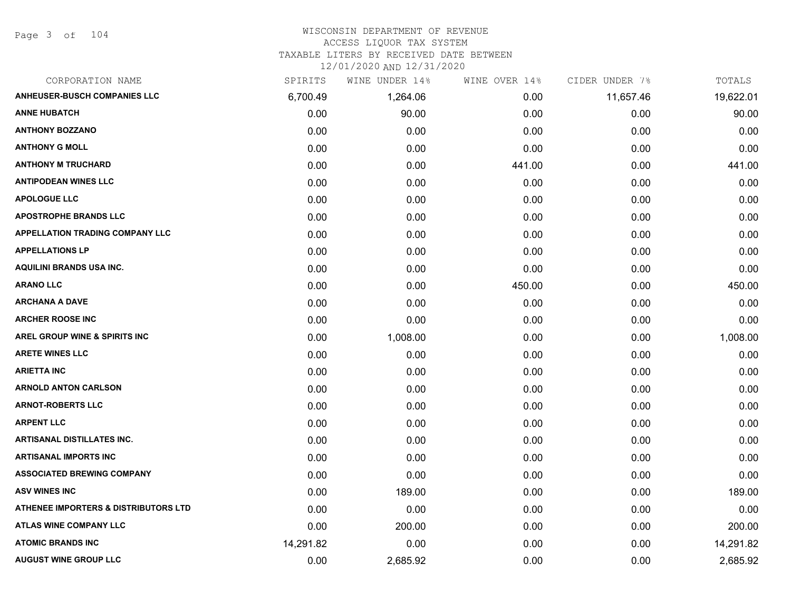#### WISCONSIN DEPARTMENT OF REVENUE ACCESS LIQUOR TAX SYSTEM

TAXABLE LITERS BY RECEIVED DATE BETWEEN

| CORPORATION NAME                                | SPIRITS   | WINE UNDER 14% | WINE OVER 14% | CIDER UNDER 7% | TOTALS    |
|-------------------------------------------------|-----------|----------------|---------------|----------------|-----------|
| <b>ANHEUSER-BUSCH COMPANIES LLC</b>             | 6,700.49  | 1,264.06       | 0.00          | 11,657.46      | 19,622.01 |
| <b>ANNE HUBATCH</b>                             | 0.00      | 90.00          | 0.00          | 0.00           | 90.00     |
| <b>ANTHONY BOZZANO</b>                          | 0.00      | 0.00           | 0.00          | 0.00           | 0.00      |
| <b>ANTHONY G MOLL</b>                           | 0.00      | 0.00           | 0.00          | 0.00           | 0.00      |
| <b>ANTHONY M TRUCHARD</b>                       | 0.00      | 0.00           | 441.00        | 0.00           | 441.00    |
| <b>ANTIPODEAN WINES LLC</b>                     | 0.00      | 0.00           | 0.00          | 0.00           | 0.00      |
| <b>APOLOGUE LLC</b>                             | 0.00      | 0.00           | 0.00          | 0.00           | 0.00      |
| <b>APOSTROPHE BRANDS LLC</b>                    | 0.00      | 0.00           | 0.00          | 0.00           | 0.00      |
| <b>APPELLATION TRADING COMPANY LLC</b>          | 0.00      | 0.00           | 0.00          | 0.00           | 0.00      |
| <b>APPELLATIONS LP</b>                          | 0.00      | 0.00           | 0.00          | 0.00           | 0.00      |
| <b>AQUILINI BRANDS USA INC.</b>                 | 0.00      | 0.00           | 0.00          | 0.00           | 0.00      |
| <b>ARANO LLC</b>                                | 0.00      | 0.00           | 450.00        | 0.00           | 450.00    |
| <b>ARCHANA A DAVE</b>                           | 0.00      | 0.00           | 0.00          | 0.00           | 0.00      |
| <b>ARCHER ROOSE INC</b>                         | 0.00      | 0.00           | 0.00          | 0.00           | 0.00      |
| AREL GROUP WINE & SPIRITS INC                   | 0.00      | 1,008.00       | 0.00          | 0.00           | 1,008.00  |
| <b>ARETE WINES LLC</b>                          | 0.00      | 0.00           | 0.00          | 0.00           | 0.00      |
| <b>ARIETTA INC</b>                              | 0.00      | 0.00           | 0.00          | 0.00           | 0.00      |
| <b>ARNOLD ANTON CARLSON</b>                     | 0.00      | 0.00           | 0.00          | 0.00           | 0.00      |
| <b>ARNOT-ROBERTS LLC</b>                        | 0.00      | 0.00           | 0.00          | 0.00           | 0.00      |
| <b>ARPENT LLC</b>                               | 0.00      | 0.00           | 0.00          | 0.00           | 0.00      |
| ARTISANAL DISTILLATES INC.                      | 0.00      | 0.00           | 0.00          | 0.00           | 0.00      |
| <b>ARTISANAL IMPORTS INC</b>                    | 0.00      | 0.00           | 0.00          | 0.00           | 0.00      |
| <b>ASSOCIATED BREWING COMPANY</b>               | 0.00      | 0.00           | 0.00          | 0.00           | 0.00      |
| <b>ASV WINES INC</b>                            | 0.00      | 189.00         | 0.00          | 0.00           | 189.00    |
| <b>ATHENEE IMPORTERS &amp; DISTRIBUTORS LTD</b> | 0.00      | 0.00           | 0.00          | 0.00           | 0.00      |
| <b>ATLAS WINE COMPANY LLC</b>                   | 0.00      | 200.00         | 0.00          | 0.00           | 200.00    |
| <b>ATOMIC BRANDS INC</b>                        | 14,291.82 | 0.00           | 0.00          | 0.00           | 14,291.82 |
| <b>AUGUST WINE GROUP LLC</b>                    | 0.00      | 2,685.92       | 0.00          | 0.00           | 2,685.92  |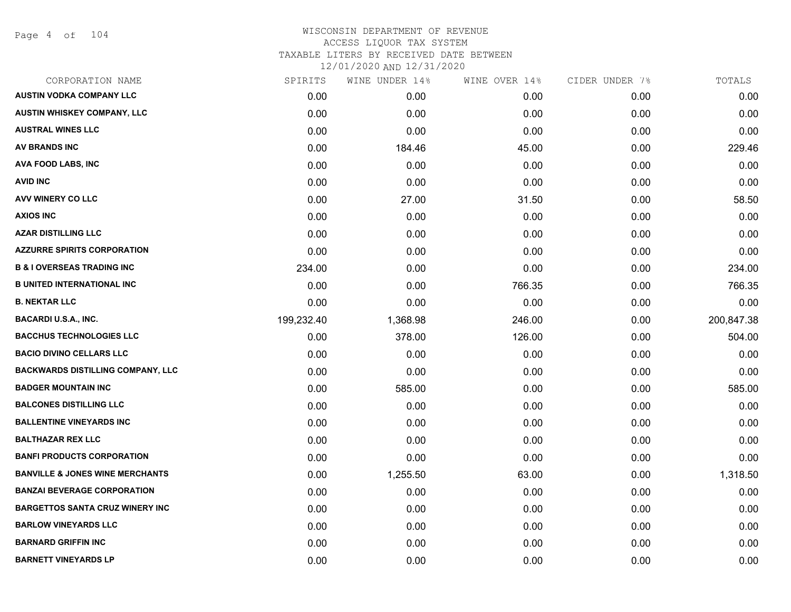Page 4 of 104

# WISCONSIN DEPARTMENT OF REVENUE ACCESS LIQUOR TAX SYSTEM TAXABLE LITERS BY RECEIVED DATE BETWEEN

| CORPORATION NAME                           | SPIRITS    | WINE UNDER 14% | WINE OVER 14% | CIDER UNDER 7% | TOTALS     |
|--------------------------------------------|------------|----------------|---------------|----------------|------------|
| <b>AUSTIN VODKA COMPANY LLC</b>            | 0.00       | 0.00           | 0.00          | 0.00           | 0.00       |
| AUSTIN WHISKEY COMPANY, LLC                | 0.00       | 0.00           | 0.00          | 0.00           | 0.00       |
| <b>AUSTRAL WINES LLC</b>                   | 0.00       | 0.00           | 0.00          | 0.00           | 0.00       |
| <b>AV BRANDS INC</b>                       | 0.00       | 184.46         | 45.00         | 0.00           | 229.46     |
| <b>AVA FOOD LABS, INC</b>                  | 0.00       | 0.00           | 0.00          | 0.00           | 0.00       |
| <b>AVID INC</b>                            | 0.00       | 0.00           | 0.00          | 0.00           | 0.00       |
| AVV WINERY CO LLC                          | 0.00       | 27.00          | 31.50         | 0.00           | 58.50      |
| <b>AXIOS INC</b>                           | 0.00       | 0.00           | 0.00          | 0.00           | 0.00       |
| <b>AZAR DISTILLING LLC</b>                 | 0.00       | 0.00           | 0.00          | 0.00           | 0.00       |
| <b>AZZURRE SPIRITS CORPORATION</b>         | 0.00       | 0.00           | 0.00          | 0.00           | 0.00       |
| <b>B &amp; I OVERSEAS TRADING INC</b>      | 234.00     | 0.00           | 0.00          | 0.00           | 234.00     |
| <b>B UNITED INTERNATIONAL INC</b>          | 0.00       | 0.00           | 766.35        | 0.00           | 766.35     |
| <b>B. NEKTAR LLC</b>                       | 0.00       | 0.00           | 0.00          | 0.00           | 0.00       |
| <b>BACARDI U.S.A., INC.</b>                | 199,232.40 | 1,368.98       | 246.00        | 0.00           | 200,847.38 |
| <b>BACCHUS TECHNOLOGIES LLC</b>            | 0.00       | 378.00         | 126.00        | 0.00           | 504.00     |
| <b>BACIO DIVINO CELLARS LLC</b>            | 0.00       | 0.00           | 0.00          | 0.00           | 0.00       |
| <b>BACKWARDS DISTILLING COMPANY, LLC</b>   | 0.00       | 0.00           | 0.00          | 0.00           | 0.00       |
| <b>BADGER MOUNTAIN INC</b>                 | 0.00       | 585.00         | 0.00          | 0.00           | 585.00     |
| <b>BALCONES DISTILLING LLC</b>             | 0.00       | 0.00           | 0.00          | 0.00           | 0.00       |
| <b>BALLENTINE VINEYARDS INC</b>            | 0.00       | 0.00           | 0.00          | 0.00           | 0.00       |
| <b>BALTHAZAR REX LLC</b>                   | 0.00       | 0.00           | 0.00          | 0.00           | 0.00       |
| <b>BANFI PRODUCTS CORPORATION</b>          | 0.00       | 0.00           | 0.00          | 0.00           | 0.00       |
| <b>BANVILLE &amp; JONES WINE MERCHANTS</b> | 0.00       | 1,255.50       | 63.00         | 0.00           | 1,318.50   |
| <b>BANZAI BEVERAGE CORPORATION</b>         | 0.00       | 0.00           | 0.00          | 0.00           | 0.00       |
| <b>BARGETTOS SANTA CRUZ WINERY INC</b>     | 0.00       | 0.00           | 0.00          | 0.00           | 0.00       |
| <b>BARLOW VINEYARDS LLC</b>                | 0.00       | 0.00           | 0.00          | 0.00           | 0.00       |
| <b>BARNARD GRIFFIN INC</b>                 | 0.00       | 0.00           | 0.00          | 0.00           | 0.00       |
| <b>BARNETT VINEYARDS LP</b>                | 0.00       | 0.00           | 0.00          | 0.00           | 0.00       |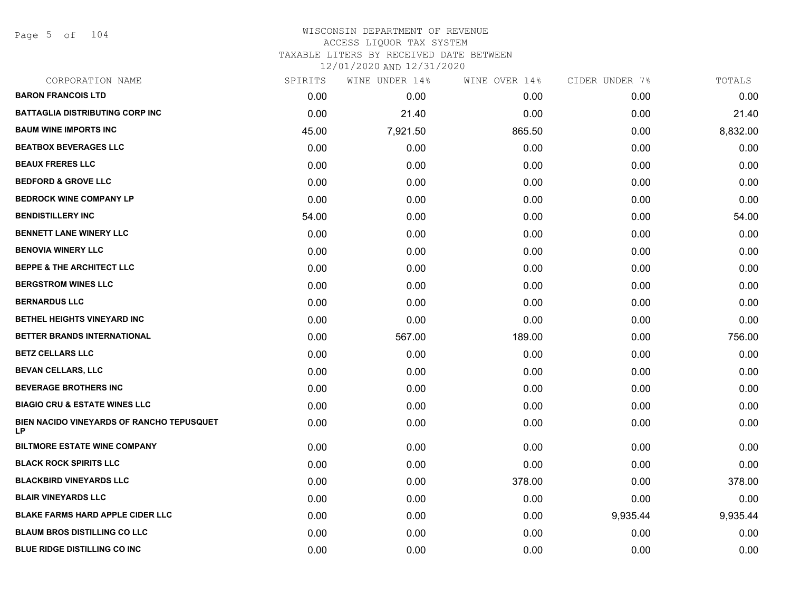Page 5 of 104

| CORPORATION NAME                                       | SPIRITS | WINE UNDER 14% | WINE OVER 14% | CIDER UNDER 7% | TOTALS   |
|--------------------------------------------------------|---------|----------------|---------------|----------------|----------|
| <b>BARON FRANCOIS LTD</b>                              | 0.00    | 0.00           | 0.00          | 0.00           | 0.00     |
| <b>BATTAGLIA DISTRIBUTING CORP INC</b>                 | 0.00    | 21.40          | 0.00          | 0.00           | 21.40    |
| <b>BAUM WINE IMPORTS INC</b>                           | 45.00   | 7,921.50       | 865.50        | 0.00           | 8,832.00 |
| <b>BEATBOX BEVERAGES LLC</b>                           | 0.00    | 0.00           | 0.00          | 0.00           | 0.00     |
| <b>BEAUX FRERES LLC</b>                                | 0.00    | 0.00           | 0.00          | 0.00           | 0.00     |
| <b>BEDFORD &amp; GROVE LLC</b>                         | 0.00    | 0.00           | 0.00          | 0.00           | 0.00     |
| <b>BEDROCK WINE COMPANY LP</b>                         | 0.00    | 0.00           | 0.00          | 0.00           | 0.00     |
| <b>BENDISTILLERY INC</b>                               | 54.00   | 0.00           | 0.00          | 0.00           | 54.00    |
| <b>BENNETT LANE WINERY LLC</b>                         | 0.00    | 0.00           | 0.00          | 0.00           | 0.00     |
| <b>BENOVIA WINERY LLC</b>                              | 0.00    | 0.00           | 0.00          | 0.00           | 0.00     |
| <b>BEPPE &amp; THE ARCHITECT LLC</b>                   | 0.00    | 0.00           | 0.00          | 0.00           | 0.00     |
| <b>BERGSTROM WINES LLC</b>                             | 0.00    | 0.00           | 0.00          | 0.00           | 0.00     |
| <b>BERNARDUS LLC</b>                                   | 0.00    | 0.00           | 0.00          | 0.00           | 0.00     |
| <b>BETHEL HEIGHTS VINEYARD INC</b>                     | 0.00    | 0.00           | 0.00          | 0.00           | 0.00     |
| BETTER BRANDS INTERNATIONAL                            | 0.00    | 567.00         | 189.00        | 0.00           | 756.00   |
| <b>BETZ CELLARS LLC</b>                                | 0.00    | 0.00           | 0.00          | 0.00           | 0.00     |
| <b>BEVAN CELLARS, LLC</b>                              | 0.00    | 0.00           | 0.00          | 0.00           | 0.00     |
| <b>BEVERAGE BROTHERS INC</b>                           | 0.00    | 0.00           | 0.00          | 0.00           | 0.00     |
| <b>BIAGIO CRU &amp; ESTATE WINES LLC</b>               | 0.00    | 0.00           | 0.00          | 0.00           | 0.00     |
| BIEN NACIDO VINEYARDS OF RANCHO TEPUSQUET<br><b>LP</b> | 0.00    | 0.00           | 0.00          | 0.00           | 0.00     |
| <b>BILTMORE ESTATE WINE COMPANY</b>                    | 0.00    | 0.00           | 0.00          | 0.00           | 0.00     |
| <b>BLACK ROCK SPIRITS LLC</b>                          | 0.00    | 0.00           | 0.00          | 0.00           | 0.00     |
| <b>BLACKBIRD VINEYARDS LLC</b>                         | 0.00    | 0.00           | 378.00        | 0.00           | 378.00   |
| <b>BLAIR VINEYARDS LLC</b>                             | 0.00    | 0.00           | 0.00          | 0.00           | 0.00     |
| <b>BLAKE FARMS HARD APPLE CIDER LLC</b>                | 0.00    | 0.00           | 0.00          | 9,935.44       | 9,935.44 |
| <b>BLAUM BROS DISTILLING CO LLC</b>                    | 0.00    | 0.00           | 0.00          | 0.00           | 0.00     |
| <b>BLUE RIDGE DISTILLING CO INC</b>                    | 0.00    | 0.00           | 0.00          | 0.00           | 0.00     |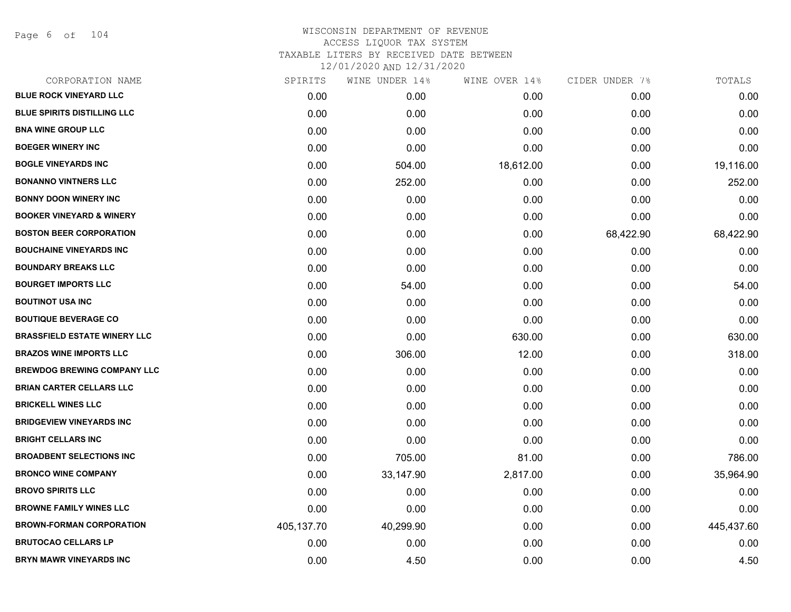Page 6 of 104

| CORPORATION NAME                    | SPIRITS    | WINE UNDER 14% | WINE OVER 14% | CIDER UNDER 7% | TOTALS     |
|-------------------------------------|------------|----------------|---------------|----------------|------------|
| <b>BLUE ROCK VINEYARD LLC</b>       | 0.00       | 0.00           | 0.00          | 0.00           | 0.00       |
| <b>BLUE SPIRITS DISTILLING LLC</b>  | 0.00       | 0.00           | 0.00          | 0.00           | 0.00       |
| <b>BNA WINE GROUP LLC</b>           | 0.00       | 0.00           | 0.00          | 0.00           | 0.00       |
| <b>BOEGER WINERY INC</b>            | 0.00       | 0.00           | 0.00          | 0.00           | 0.00       |
| <b>BOGLE VINEYARDS INC</b>          | 0.00       | 504.00         | 18,612.00     | 0.00           | 19,116.00  |
| <b>BONANNO VINTNERS LLC</b>         | 0.00       | 252.00         | 0.00          | 0.00           | 252.00     |
| <b>BONNY DOON WINERY INC</b>        | 0.00       | 0.00           | 0.00          | 0.00           | 0.00       |
| <b>BOOKER VINEYARD &amp; WINERY</b> | 0.00       | 0.00           | 0.00          | 0.00           | 0.00       |
| <b>BOSTON BEER CORPORATION</b>      | 0.00       | 0.00           | 0.00          | 68,422.90      | 68,422.90  |
| <b>BOUCHAINE VINEYARDS INC</b>      | 0.00       | 0.00           | 0.00          | 0.00           | 0.00       |
| <b>BOUNDARY BREAKS LLC</b>          | 0.00       | 0.00           | 0.00          | 0.00           | 0.00       |
| <b>BOURGET IMPORTS LLC</b>          | 0.00       | 54.00          | 0.00          | 0.00           | 54.00      |
| <b>BOUTINOT USA INC</b>             | 0.00       | 0.00           | 0.00          | 0.00           | 0.00       |
| <b>BOUTIQUE BEVERAGE CO</b>         | 0.00       | 0.00           | 0.00          | 0.00           | 0.00       |
| <b>BRASSFIELD ESTATE WINERY LLC</b> | 0.00       | 0.00           | 630.00        | 0.00           | 630.00     |
| <b>BRAZOS WINE IMPORTS LLC</b>      | 0.00       | 306.00         | 12.00         | 0.00           | 318.00     |
| <b>BREWDOG BREWING COMPANY LLC</b>  | 0.00       | 0.00           | 0.00          | 0.00           | 0.00       |
| <b>BRIAN CARTER CELLARS LLC</b>     | 0.00       | 0.00           | 0.00          | 0.00           | 0.00       |
| <b>BRICKELL WINES LLC</b>           | 0.00       | 0.00           | 0.00          | 0.00           | 0.00       |
| <b>BRIDGEVIEW VINEYARDS INC</b>     | 0.00       | 0.00           | 0.00          | 0.00           | 0.00       |
| <b>BRIGHT CELLARS INC</b>           | 0.00       | 0.00           | 0.00          | 0.00           | 0.00       |
| <b>BROADBENT SELECTIONS INC</b>     | 0.00       | 705.00         | 81.00         | 0.00           | 786.00     |
| <b>BRONCO WINE COMPANY</b>          | 0.00       | 33,147.90      | 2,817.00      | 0.00           | 35,964.90  |
| <b>BROVO SPIRITS LLC</b>            | 0.00       | 0.00           | 0.00          | 0.00           | 0.00       |
| <b>BROWNE FAMILY WINES LLC</b>      | 0.00       | 0.00           | 0.00          | 0.00           | 0.00       |
| <b>BROWN-FORMAN CORPORATION</b>     | 405,137.70 | 40,299.90      | 0.00          | 0.00           | 445,437.60 |
| <b>BRUTOCAO CELLARS LP</b>          | 0.00       | 0.00           | 0.00          | 0.00           | 0.00       |
| <b>BRYN MAWR VINEYARDS INC</b>      | 0.00       | 4.50           | 0.00          | 0.00           | 4.50       |
|                                     |            |                |               |                |            |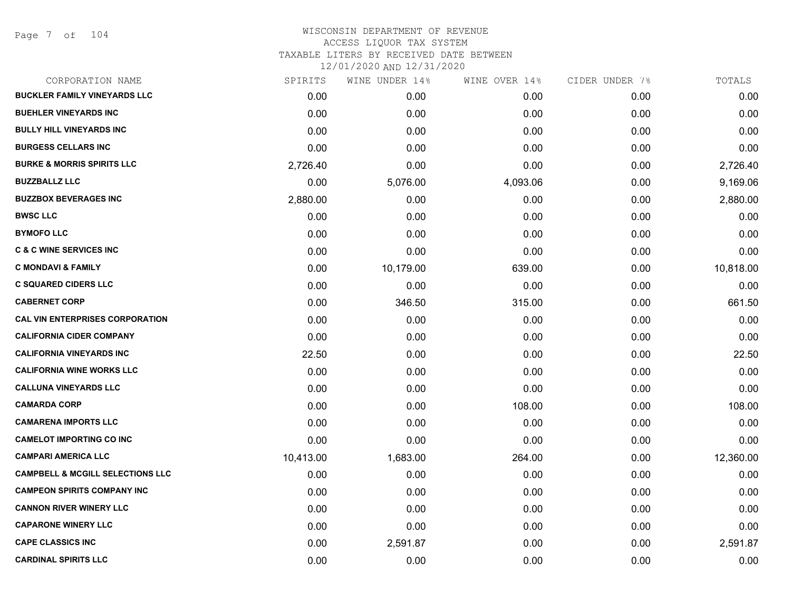Page 7 of 104

| SPIRITS   | WINE UNDER 14% | WINE OVER 14% | CIDER UNDER 7% | TOTALS    |
|-----------|----------------|---------------|----------------|-----------|
| 0.00      | 0.00           | 0.00          | 0.00           | 0.00      |
| 0.00      | 0.00           | 0.00          | 0.00           | 0.00      |
| 0.00      | 0.00           | 0.00          | 0.00           | 0.00      |
| 0.00      | 0.00           | 0.00          | 0.00           | 0.00      |
| 2,726.40  | 0.00           | 0.00          | 0.00           | 2,726.40  |
| 0.00      | 5,076.00       | 4,093.06      | 0.00           | 9,169.06  |
| 2,880.00  | 0.00           | 0.00          | 0.00           | 2,880.00  |
| 0.00      | 0.00           | 0.00          | 0.00           | 0.00      |
| 0.00      | 0.00           | 0.00          | 0.00           | 0.00      |
| 0.00      | 0.00           | 0.00          | 0.00           | 0.00      |
| 0.00      | 10,179.00      | 639.00        | 0.00           | 10,818.00 |
| 0.00      | 0.00           | 0.00          | 0.00           | 0.00      |
| 0.00      | 346.50         | 315.00        | 0.00           | 661.50    |
| 0.00      | 0.00           | 0.00          | 0.00           | 0.00      |
| 0.00      | 0.00           | 0.00          | 0.00           | 0.00      |
| 22.50     | 0.00           | 0.00          | 0.00           | 22.50     |
| 0.00      | 0.00           | 0.00          | 0.00           | 0.00      |
| 0.00      | 0.00           | 0.00          | 0.00           | 0.00      |
| 0.00      | 0.00           | 108.00        | 0.00           | 108.00    |
| 0.00      | 0.00           | 0.00          | 0.00           | 0.00      |
| 0.00      | 0.00           | 0.00          | 0.00           | 0.00      |
| 10,413.00 | 1,683.00       | 264.00        | 0.00           | 12,360.00 |
| 0.00      | 0.00           | 0.00          | 0.00           | 0.00      |
| 0.00      | 0.00           | 0.00          | 0.00           | 0.00      |
| 0.00      | 0.00           | 0.00          | 0.00           | 0.00      |
| 0.00      | 0.00           | 0.00          | 0.00           | 0.00      |
| 0.00      | 2,591.87       | 0.00          | 0.00           | 2,591.87  |
| 0.00      | 0.00           | 0.00          | 0.00           | 0.00      |
|           |                |               |                |           |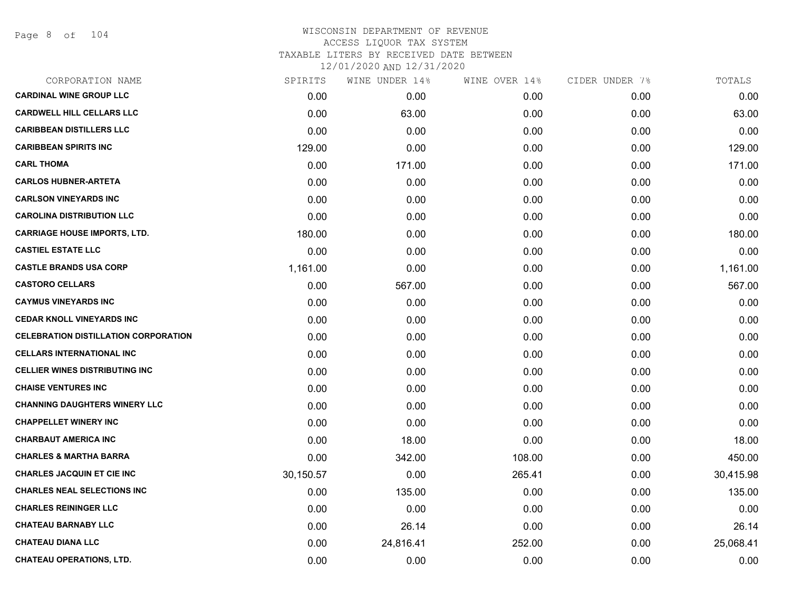Page 8 of 104

| SPIRITS   | WINE UNDER 14% | WINE OVER 14% | CIDER UNDER 7%    | TOTALS    |
|-----------|----------------|---------------|-------------------|-----------|
| 0.00      | 0.00           | 0.00          | 0.00              | 0.00      |
| 0.00      | 63.00          | 0.00          | 0.00              | 63.00     |
| 0.00      | 0.00           | 0.00          | 0.00              | 0.00      |
| 129.00    | 0.00           | 0.00          | 0.00 <sub>1</sub> | 129.00    |
| 0.00      | 171.00         | 0.00          | 0.00              | 171.00    |
| 0.00      | 0.00           | 0.00          | 0.00              | 0.00      |
| 0.00      | 0.00           | 0.00          | 0.00              | 0.00      |
| 0.00      | 0.00           | 0.00          | 0.00              | 0.00      |
| 180.00    | 0.00           | 0.00          | 0.00              | 180.00    |
| 0.00      | 0.00           | 0.00          | 0.00              | 0.00      |
| 1,161.00  | 0.00           | 0.00          | 0.00              | 1,161.00  |
| 0.00      | 567.00         | 0.00          | 0.00              | 567.00    |
| 0.00      | 0.00           | 0.00          | 0.00              | 0.00      |
| 0.00      | 0.00           | 0.00          | 0.00              | 0.00      |
| 0.00      | 0.00           | 0.00          | 0.00              | 0.00      |
| 0.00      | 0.00           | 0.00          | 0.00              | 0.00      |
| 0.00      | 0.00           | 0.00          | 0.00              | 0.00      |
| 0.00      | 0.00           | 0.00          | 0.00              | 0.00      |
| 0.00      | 0.00           | 0.00          | 0.00              | 0.00      |
| 0.00      | 0.00           | 0.00          | 0.00              | 0.00      |
| 0.00      | 18.00          | 0.00          | 0.00              | 18.00     |
| 0.00      | 342.00         | 108.00        | 0.00              | 450.00    |
| 30,150.57 | 0.00           | 265.41        | 0.00              | 30,415.98 |
| 0.00      | 135.00         | 0.00          | 0.00              | 135.00    |
| 0.00      | 0.00           | 0.00          | 0.00              | 0.00      |
| 0.00      | 26.14          | 0.00          | 0.00              | 26.14     |
| 0.00      | 24,816.41      | 252.00        | 0.00              | 25,068.41 |
| 0.00      | 0.00           | 0.00          | 0.00              | 0.00      |
|           |                |               |                   |           |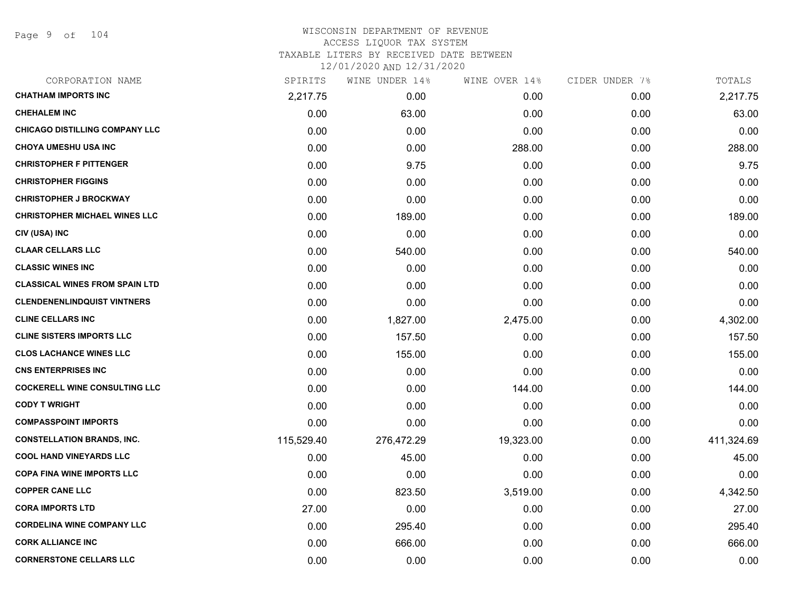Page 9 of 104

| CORPORATION NAME                      | SPIRITS    | WINE UNDER 14% | WINE OVER 14% | CIDER UNDER 7% | TOTALS     |
|---------------------------------------|------------|----------------|---------------|----------------|------------|
| <b>CHATHAM IMPORTS INC</b>            | 2,217.75   | 0.00           | 0.00          | 0.00           | 2,217.75   |
| <b>CHEHALEM INC</b>                   | 0.00       | 63.00          | 0.00          | 0.00           | 63.00      |
| <b>CHICAGO DISTILLING COMPANY LLC</b> | 0.00       | 0.00           | 0.00          | 0.00           | 0.00       |
| <b>CHOYA UMESHU USA INC</b>           | 0.00       | 0.00           | 288.00        | 0.00           | 288.00     |
| <b>CHRISTOPHER F PITTENGER</b>        | 0.00       | 9.75           | 0.00          | 0.00           | 9.75       |
| <b>CHRISTOPHER FIGGINS</b>            | 0.00       | 0.00           | 0.00          | 0.00           | 0.00       |
| <b>CHRISTOPHER J BROCKWAY</b>         | 0.00       | 0.00           | 0.00          | 0.00           | 0.00       |
| <b>CHRISTOPHER MICHAEL WINES LLC</b>  | 0.00       | 189.00         | 0.00          | 0.00           | 189.00     |
| CIV (USA) INC                         | 0.00       | 0.00           | 0.00          | 0.00           | 0.00       |
| <b>CLAAR CELLARS LLC</b>              | 0.00       | 540.00         | 0.00          | 0.00           | 540.00     |
| <b>CLASSIC WINES INC</b>              | 0.00       | 0.00           | 0.00          | 0.00           | 0.00       |
| <b>CLASSICAL WINES FROM SPAIN LTD</b> | 0.00       | 0.00           | 0.00          | 0.00           | 0.00       |
| <b>CLENDENENLINDQUIST VINTNERS</b>    | 0.00       | 0.00           | 0.00          | 0.00           | 0.00       |
| <b>CLINE CELLARS INC</b>              | 0.00       | 1,827.00       | 2,475.00      | 0.00           | 4,302.00   |
| <b>CLINE SISTERS IMPORTS LLC</b>      | 0.00       | 157.50         | 0.00          | 0.00           | 157.50     |
| <b>CLOS LACHANCE WINES LLC</b>        | 0.00       | 155.00         | 0.00          | 0.00           | 155.00     |
| <b>CNS ENTERPRISES INC</b>            | 0.00       | 0.00           | 0.00          | 0.00           | 0.00       |
| <b>COCKERELL WINE CONSULTING LLC</b>  | 0.00       | 0.00           | 144.00        | 0.00           | 144.00     |
| <b>CODY T WRIGHT</b>                  | 0.00       | 0.00           | 0.00          | 0.00           | 0.00       |
| <b>COMPASSPOINT IMPORTS</b>           | 0.00       | 0.00           | 0.00          | 0.00           | 0.00       |
| <b>CONSTELLATION BRANDS, INC.</b>     | 115,529.40 | 276,472.29     | 19,323.00     | 0.00           | 411,324.69 |
| <b>COOL HAND VINEYARDS LLC</b>        | 0.00       | 45.00          | 0.00          | 0.00           | 45.00      |
| <b>COPA FINA WINE IMPORTS LLC</b>     | 0.00       | 0.00           | 0.00          | 0.00           | 0.00       |
| <b>COPPER CANE LLC</b>                | 0.00       | 823.50         | 3,519.00      | 0.00           | 4,342.50   |
| <b>CORA IMPORTS LTD</b>               | 27.00      | 0.00           | 0.00          | 0.00           | 27.00      |
| <b>CORDELINA WINE COMPANY LLC</b>     | 0.00       | 295.40         | 0.00          | 0.00           | 295.40     |
| <b>CORK ALLIANCE INC</b>              | 0.00       | 666.00         | 0.00          | 0.00           | 666.00     |
| <b>CORNERSTONE CELLARS LLC</b>        | 0.00       | 0.00           | 0.00          | 0.00           | 0.00       |
|                                       |            |                |               |                |            |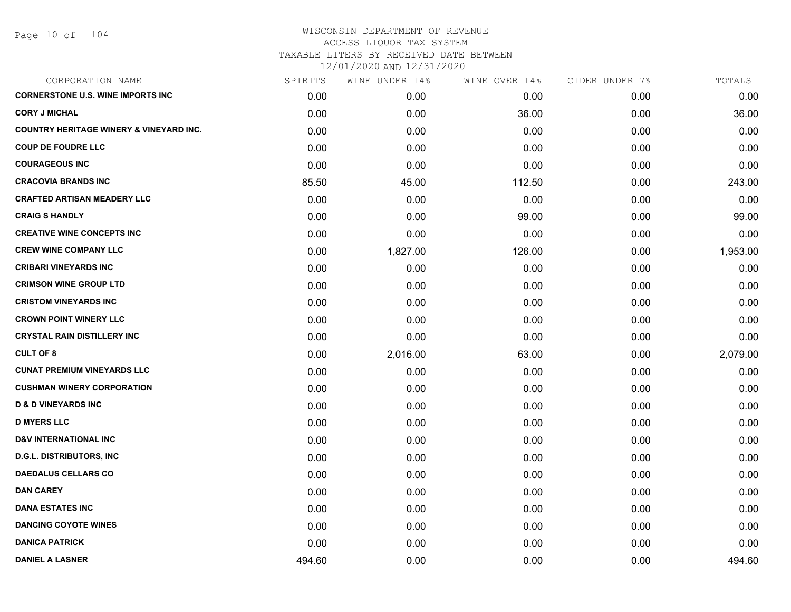Page 10 of 104

| CORPORATION NAME                                   | SPIRITS | WINE UNDER 14% | WINE OVER 14% | CIDER UNDER 7% | TOTALS   |
|----------------------------------------------------|---------|----------------|---------------|----------------|----------|
| <b>CORNERSTONE U.S. WINE IMPORTS INC</b>           | 0.00    | 0.00           | 0.00          | 0.00           | 0.00     |
| <b>CORY J MICHAL</b>                               | 0.00    | 0.00           | 36.00         | 0.00           | 36.00    |
| <b>COUNTRY HERITAGE WINERY &amp; VINEYARD INC.</b> | 0.00    | 0.00           | 0.00          | 0.00           | 0.00     |
| <b>COUP DE FOUDRE LLC</b>                          | 0.00    | 0.00           | 0.00          | 0.00           | 0.00     |
| <b>COURAGEOUS INC</b>                              | 0.00    | 0.00           | 0.00          | 0.00           | 0.00     |
| <b>CRACOVIA BRANDS INC</b>                         | 85.50   | 45.00          | 112.50        | 0.00           | 243.00   |
| <b>CRAFTED ARTISAN MEADERY LLC</b>                 | 0.00    | 0.00           | 0.00          | 0.00           | 0.00     |
| <b>CRAIG S HANDLY</b>                              | 0.00    | 0.00           | 99.00         | 0.00           | 99.00    |
| <b>CREATIVE WINE CONCEPTS INC</b>                  | 0.00    | 0.00           | 0.00          | 0.00           | 0.00     |
| <b>CREW WINE COMPANY LLC</b>                       | 0.00    | 1,827.00       | 126.00        | 0.00           | 1,953.00 |
| <b>CRIBARI VINEYARDS INC</b>                       | 0.00    | 0.00           | 0.00          | 0.00           | 0.00     |
| <b>CRIMSON WINE GROUP LTD</b>                      | 0.00    | 0.00           | 0.00          | 0.00           | 0.00     |
| <b>CRISTOM VINEYARDS INC</b>                       | 0.00    | 0.00           | 0.00          | 0.00           | 0.00     |
| <b>CROWN POINT WINERY LLC</b>                      | 0.00    | 0.00           | 0.00          | 0.00           | 0.00     |
| <b>CRYSTAL RAIN DISTILLERY INC</b>                 | 0.00    | 0.00           | 0.00          | 0.00           | 0.00     |
| <b>CULT OF 8</b>                                   | 0.00    | 2,016.00       | 63.00         | 0.00           | 2,079.00 |
| <b>CUNAT PREMIUM VINEYARDS LLC</b>                 | 0.00    | 0.00           | 0.00          | 0.00           | 0.00     |
| <b>CUSHMAN WINERY CORPORATION</b>                  | 0.00    | 0.00           | 0.00          | 0.00           | 0.00     |
| <b>D &amp; D VINEYARDS INC</b>                     | 0.00    | 0.00           | 0.00          | 0.00           | 0.00     |
| <b>D MYERS LLC</b>                                 | 0.00    | 0.00           | 0.00          | 0.00           | 0.00     |
| <b>D&amp;V INTERNATIONAL INC</b>                   | 0.00    | 0.00           | 0.00          | 0.00           | 0.00     |
| <b>D.G.L. DISTRIBUTORS, INC</b>                    | 0.00    | 0.00           | 0.00          | 0.00           | 0.00     |
| <b>DAEDALUS CELLARS CO</b>                         | 0.00    | 0.00           | 0.00          | 0.00           | 0.00     |
| <b>DAN CAREY</b>                                   | 0.00    | 0.00           | 0.00          | 0.00           | 0.00     |
| <b>DANA ESTATES INC</b>                            | 0.00    | 0.00           | 0.00          | 0.00           | 0.00     |
| <b>DANCING COYOTE WINES</b>                        | 0.00    | 0.00           | 0.00          | 0.00           | 0.00     |
| <b>DANICA PATRICK</b>                              | 0.00    | 0.00           | 0.00          | 0.00           | 0.00     |
| <b>DANIEL A LASNER</b>                             | 494.60  | 0.00           | 0.00          | 0.00           | 494.60   |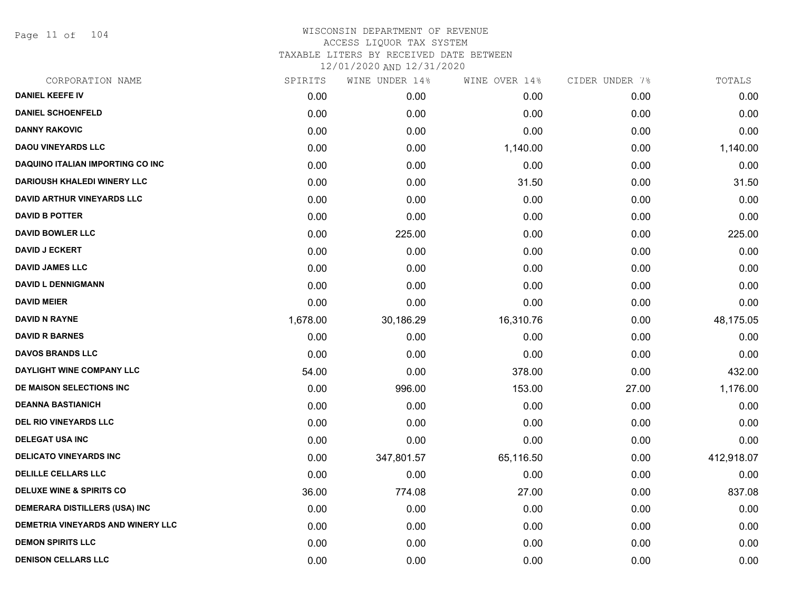Page 11 of 104

| SPIRITS  | WINE UNDER 14% | WINE OVER 14% | CIDER UNDER 7% | TOTALS     |
|----------|----------------|---------------|----------------|------------|
| 0.00     | 0.00           | 0.00          | 0.00           | 0.00       |
| 0.00     | 0.00           | 0.00          | 0.00           | 0.00       |
| 0.00     | 0.00           | 0.00          | 0.00           | 0.00       |
| 0.00     | 0.00           | 1,140.00      | 0.00           | 1,140.00   |
| 0.00     | 0.00           | 0.00          | 0.00           | 0.00       |
| 0.00     | 0.00           | 31.50         | 0.00           | 31.50      |
| 0.00     | 0.00           | 0.00          | 0.00           | 0.00       |
| 0.00     | 0.00           | 0.00          | 0.00           | 0.00       |
| 0.00     | 225.00         | 0.00          | 0.00           | 225.00     |
| 0.00     | 0.00           | 0.00          | 0.00           | 0.00       |
| 0.00     | 0.00           | 0.00          | 0.00           | 0.00       |
| 0.00     | 0.00           | 0.00          | 0.00           | 0.00       |
| 0.00     | 0.00           | 0.00          | 0.00           | 0.00       |
| 1,678.00 | 30,186.29      | 16,310.76     | 0.00           | 48,175.05  |
| 0.00     | 0.00           | 0.00          | 0.00           | 0.00       |
| 0.00     | 0.00           | 0.00          | 0.00           | 0.00       |
| 54.00    | 0.00           | 378.00        | 0.00           | 432.00     |
| 0.00     | 996.00         | 153.00        | 27.00          | 1,176.00   |
| 0.00     | 0.00           | 0.00          | 0.00           | 0.00       |
| 0.00     | 0.00           | 0.00          | 0.00           | 0.00       |
| 0.00     | 0.00           | 0.00          | 0.00           | 0.00       |
| 0.00     | 347,801.57     | 65,116.50     | 0.00           | 412,918.07 |
| 0.00     | 0.00           | 0.00          | 0.00           | 0.00       |
| 36.00    | 774.08         | 27.00         | 0.00           | 837.08     |
| 0.00     | 0.00           | 0.00          | 0.00           | 0.00       |
| 0.00     | 0.00           | 0.00          | 0.00           | 0.00       |
| 0.00     | 0.00           | 0.00          | 0.00           | 0.00       |
| 0.00     | 0.00           | 0.00          | 0.00           | 0.00       |
|          |                |               |                |            |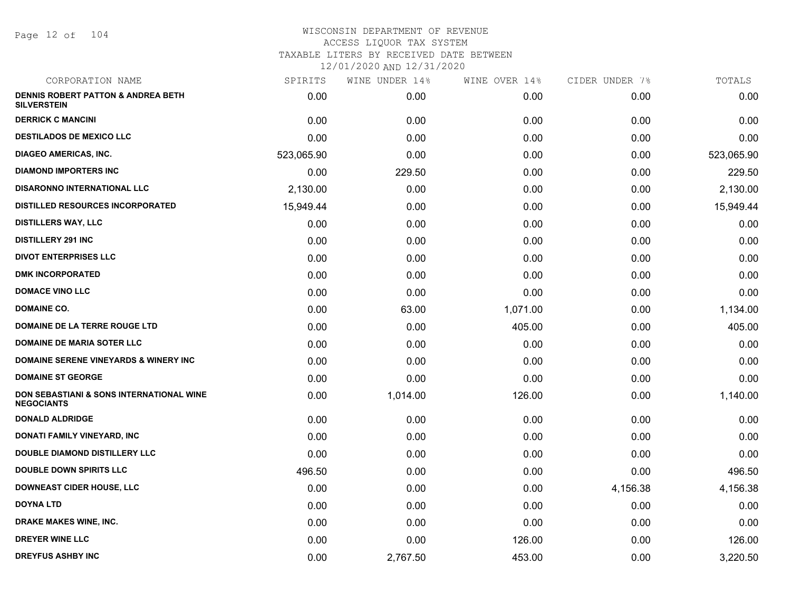Page 12 of 104

| CORPORATION NAME                                                         | SPIRITS    | WINE UNDER 14% | WINE OVER 14% | CIDER UNDER 7% | TOTALS     |
|--------------------------------------------------------------------------|------------|----------------|---------------|----------------|------------|
| <b>DENNIS ROBERT PATTON &amp; ANDREA BETH</b><br><b>SILVERSTEIN</b>      | 0.00       | 0.00           | 0.00          | 0.00           | 0.00       |
| <b>DERRICK C MANCINI</b>                                                 | 0.00       | 0.00           | 0.00          | 0.00           | 0.00       |
| <b>DESTILADOS DE MEXICO LLC</b>                                          | 0.00       | 0.00           | 0.00          | 0.00           | 0.00       |
| <b>DIAGEO AMERICAS, INC.</b>                                             | 523,065.90 | 0.00           | 0.00          | 0.00           | 523,065.90 |
| <b>DIAMOND IMPORTERS INC</b>                                             | 0.00       | 229.50         | 0.00          | 0.00           | 229.50     |
| <b>DISARONNO INTERNATIONAL LLC</b>                                       | 2,130.00   | 0.00           | 0.00          | 0.00           | 2,130.00   |
| <b>DISTILLED RESOURCES INCORPORATED</b>                                  | 15,949.44  | 0.00           | 0.00          | 0.00           | 15,949.44  |
| <b>DISTILLERS WAY, LLC</b>                                               | 0.00       | 0.00           | 0.00          | 0.00           | 0.00       |
| <b>DISTILLERY 291 INC</b>                                                | 0.00       | 0.00           | 0.00          | 0.00           | 0.00       |
| <b>DIVOT ENTERPRISES LLC</b>                                             | 0.00       | 0.00           | 0.00          | 0.00           | 0.00       |
| <b>DMK INCORPORATED</b>                                                  | 0.00       | 0.00           | 0.00          | 0.00           | 0.00       |
| <b>DOMACE VINO LLC</b>                                                   | 0.00       | 0.00           | 0.00          | 0.00           | 0.00       |
| <b>DOMAINE CO.</b>                                                       | 0.00       | 63.00          | 1,071.00      | 0.00           | 1,134.00   |
| DOMAINE DE LA TERRE ROUGE LTD                                            | 0.00       | 0.00           | 405.00        | 0.00           | 405.00     |
| <b>DOMAINE DE MARIA SOTER LLC</b>                                        | 0.00       | 0.00           | 0.00          | 0.00           | 0.00       |
| DOMAINE SERENE VINEYARDS & WINERY INC                                    | 0.00       | 0.00           | 0.00          | 0.00           | 0.00       |
| <b>DOMAINE ST GEORGE</b>                                                 | 0.00       | 0.00           | 0.00          | 0.00           | 0.00       |
| <b>DON SEBASTIANI &amp; SONS INTERNATIONAL WINE</b><br><b>NEGOCIANTS</b> | 0.00       | 1,014.00       | 126.00        | 0.00           | 1,140.00   |
| <b>DONALD ALDRIDGE</b>                                                   | 0.00       | 0.00           | 0.00          | 0.00           | 0.00       |
| DONATI FAMILY VINEYARD, INC                                              | 0.00       | 0.00           | 0.00          | 0.00           | 0.00       |
| <b>DOUBLE DIAMOND DISTILLERY LLC</b>                                     | 0.00       | 0.00           | 0.00          | 0.00           | 0.00       |
| <b>DOUBLE DOWN SPIRITS LLC</b>                                           | 496.50     | 0.00           | 0.00          | 0.00           | 496.50     |
| <b>DOWNEAST CIDER HOUSE, LLC</b>                                         | 0.00       | 0.00           | 0.00          | 4,156.38       | 4,156.38   |
| <b>DOYNA LTD</b>                                                         | 0.00       | 0.00           | 0.00          | 0.00           | 0.00       |
| <b>DRAKE MAKES WINE, INC.</b>                                            | 0.00       | 0.00           | 0.00          | 0.00           | 0.00       |
| <b>DREYER WINE LLC</b>                                                   | 0.00       | 0.00           | 126.00        | 0.00           | 126.00     |
| <b>DREYFUS ASHBY INC</b>                                                 | 0.00       | 2,767.50       | 453.00        | 0.00           | 3,220.50   |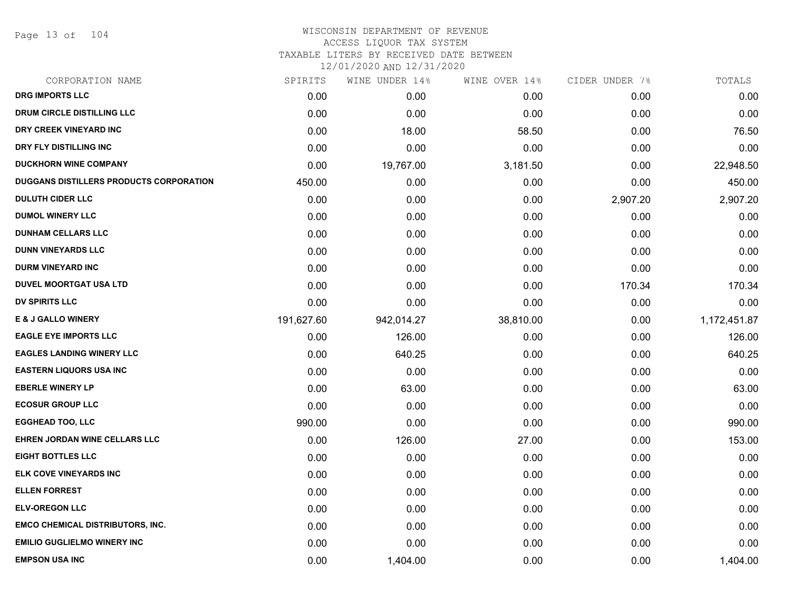Page 13 of 104

#### WISCONSIN DEPARTMENT OF REVENUE ACCESS LIQUOR TAX SYSTEM

TAXABLE LITERS BY RECEIVED DATE BETWEEN

| CORPORATION NAME                        | SPIRITS    | WINE UNDER 14% | WINE OVER 14% | CIDER UNDER 7% | TOTALS       |
|-----------------------------------------|------------|----------------|---------------|----------------|--------------|
| <b>DRG IMPORTS LLC</b>                  | 0.00       | 0.00           | 0.00          | 0.00           | 0.00         |
| <b>DRUM CIRCLE DISTILLING LLC</b>       | 0.00       | 0.00           | 0.00          | 0.00           | 0.00         |
| DRY CREEK VINEYARD INC                  | 0.00       | 18.00          | 58.50         | 0.00           | 76.50        |
| DRY FLY DISTILLING INC                  | 0.00       | 0.00           | 0.00          | 0.00           | 0.00         |
| <b>DUCKHORN WINE COMPANY</b>            | 0.00       | 19,767.00      | 3,181.50      | 0.00           | 22,948.50    |
| DUGGANS DISTILLERS PRODUCTS CORPORATION | 450.00     | 0.00           | 0.00          | 0.00           | 450.00       |
| <b>DULUTH CIDER LLC</b>                 | 0.00       | 0.00           | 0.00          | 2,907.20       | 2,907.20     |
| <b>DUMOL WINERY LLC</b>                 | 0.00       | 0.00           | 0.00          | 0.00           | 0.00         |
| <b>DUNHAM CELLARS LLC</b>               | 0.00       | 0.00           | 0.00          | 0.00           | 0.00         |
| <b>DUNN VINEYARDS LLC</b>               | 0.00       | 0.00           | 0.00          | 0.00           | 0.00         |
| <b>DURM VINEYARD INC</b>                | 0.00       | 0.00           | 0.00          | 0.00           | 0.00         |
| <b>DUVEL MOORTGAT USA LTD</b>           | 0.00       | 0.00           | 0.00          | 170.34         | 170.34       |
| <b>DV SPIRITS LLC</b>                   | 0.00       | 0.00           | 0.00          | 0.00           | 0.00         |
| <b>E &amp; J GALLO WINERY</b>           | 191,627.60 | 942,014.27     | 38,810.00     | 0.00           | 1,172,451.87 |
| <b>EAGLE EYE IMPORTS LLC</b>            | 0.00       | 126.00         | 0.00          | 0.00           | 126.00       |
| <b>EAGLES LANDING WINERY LLC</b>        | 0.00       | 640.25         | 0.00          | 0.00           | 640.25       |
| <b>EASTERN LIQUORS USA INC</b>          | 0.00       | 0.00           | 0.00          | 0.00           | 0.00         |
| <b>EBERLE WINERY LP</b>                 | 0.00       | 63.00          | 0.00          | 0.00           | 63.00        |
| <b>ECOSUR GROUP LLC</b>                 | 0.00       | 0.00           | 0.00          | 0.00           | 0.00         |
| <b>EGGHEAD TOO, LLC</b>                 | 990.00     | 0.00           | 0.00          | 0.00           | 990.00       |
| EHREN JORDAN WINE CELLARS LLC           | 0.00       | 126.00         | 27.00         | 0.00           | 153.00       |
| <b>EIGHT BOTTLES LLC</b>                | 0.00       | 0.00           | 0.00          | 0.00           | 0.00         |
| ELK COVE VINEYARDS INC                  | 0.00       | 0.00           | 0.00          | 0.00           | 0.00         |
| <b>ELLEN FORREST</b>                    | 0.00       | 0.00           | 0.00          | 0.00           | 0.00         |
| <b>ELV-OREGON LLC</b>                   | 0.00       | 0.00           | 0.00          | 0.00           | 0.00         |
| <b>EMCO CHEMICAL DISTRIBUTORS, INC.</b> | 0.00       | 0.00           | 0.00          | 0.00           | 0.00         |
| <b>EMILIO GUGLIELMO WINERY INC</b>      | 0.00       | 0.00           | 0.00          | 0.00           | 0.00         |
| <b>EMPSON USA INC</b>                   | 0.00       | 1,404.00       | 0.00          | 0.00           | 1,404.00     |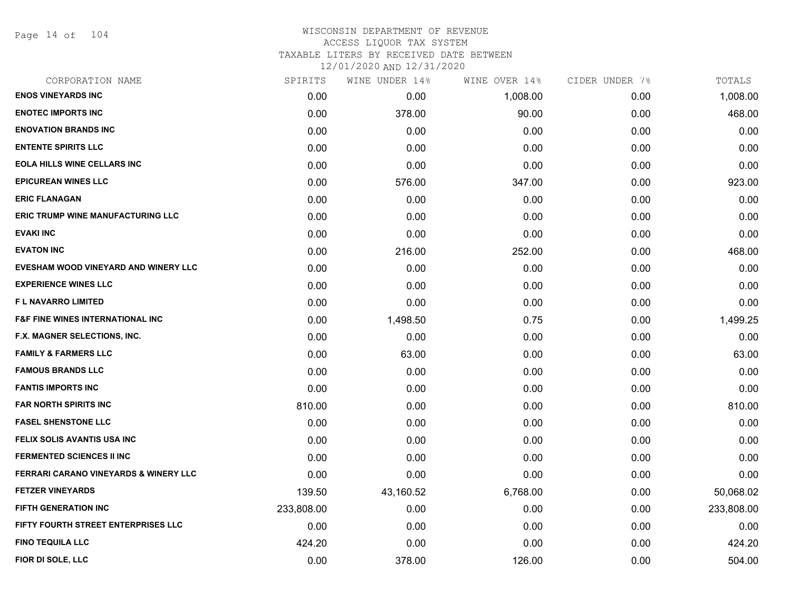Page 14 of 104

#### WISCONSIN DEPARTMENT OF REVENUE ACCESS LIQUOR TAX SYSTEM TAXABLE LITERS BY RECEIVED DATE BETWEEN

| CORPORATION NAME                            | SPIRITS    | WINE UNDER 14% | WINE OVER 14% | CIDER UNDER 7% | TOTALS     |
|---------------------------------------------|------------|----------------|---------------|----------------|------------|
| <b>ENOS VINEYARDS INC</b>                   | 0.00       | 0.00           | 1,008.00      | 0.00           | 1,008.00   |
| <b>ENOTEC IMPORTS INC</b>                   | 0.00       | 378.00         | 90.00         | 0.00           | 468.00     |
| <b>ENOVATION BRANDS INC</b>                 | 0.00       | 0.00           | 0.00          | 0.00           | 0.00       |
| <b>ENTENTE SPIRITS LLC</b>                  | 0.00       | 0.00           | 0.00          | 0.00           | 0.00       |
| <b>EOLA HILLS WINE CELLARS INC</b>          | 0.00       | 0.00           | 0.00          | 0.00           | 0.00       |
| <b>EPICUREAN WINES LLC</b>                  | 0.00       | 576.00         | 347.00        | 0.00           | 923.00     |
| <b>ERIC FLANAGAN</b>                        | 0.00       | 0.00           | 0.00          | 0.00           | 0.00       |
| <b>ERIC TRUMP WINE MANUFACTURING LLC</b>    | 0.00       | 0.00           | 0.00          | 0.00           | 0.00       |
| <b>EVAKI INC</b>                            | 0.00       | 0.00           | 0.00          | 0.00           | 0.00       |
| <b>EVATON INC</b>                           | 0.00       | 216.00         | 252.00        | 0.00           | 468.00     |
| EVESHAM WOOD VINEYARD AND WINERY LLC        | 0.00       | 0.00           | 0.00          | 0.00           | 0.00       |
| <b>EXPERIENCE WINES LLC</b>                 | 0.00       | 0.00           | 0.00          | 0.00           | 0.00       |
| <b>FL NAVARRO LIMITED</b>                   | 0.00       | 0.00           | 0.00          | 0.00           | 0.00       |
| <b>F&amp;F FINE WINES INTERNATIONAL INC</b> | 0.00       | 1,498.50       | 0.75          | 0.00           | 1,499.25   |
| <b>F.X. MAGNER SELECTIONS, INC.</b>         | 0.00       | 0.00           | 0.00          | 0.00           | 0.00       |
| <b>FAMILY &amp; FARMERS LLC</b>             | 0.00       | 63.00          | 0.00          | 0.00           | 63.00      |
| <b>FAMOUS BRANDS LLC</b>                    | 0.00       | 0.00           | 0.00          | 0.00           | 0.00       |
| <b>FANTIS IMPORTS INC</b>                   | 0.00       | 0.00           | 0.00          | 0.00           | 0.00       |
| <b>FAR NORTH SPIRITS INC</b>                | 810.00     | 0.00           | 0.00          | 0.00           | 810.00     |
| <b>FASEL SHENSTONE LLC</b>                  | 0.00       | 0.00           | 0.00          | 0.00           | 0.00       |
| FELIX SOLIS AVANTIS USA INC                 | 0.00       | 0.00           | 0.00          | 0.00           | 0.00       |
| <b>FERMENTED SCIENCES II INC</b>            | 0.00       | 0.00           | 0.00          | 0.00           | 0.00       |
| FERRARI CARANO VINEYARDS & WINERY LLC       | 0.00       | 0.00           | 0.00          | 0.00           | 0.00       |
| <b>FETZER VINEYARDS</b>                     | 139.50     | 43,160.52      | 6,768.00      | 0.00           | 50,068.02  |
| <b>FIFTH GENERATION INC</b>                 | 233,808.00 | 0.00           | 0.00          | 0.00           | 233,808.00 |
| FIFTY FOURTH STREET ENTERPRISES LLC         | 0.00       | 0.00           | 0.00          | 0.00           | 0.00       |
| <b>FINO TEQUILA LLC</b>                     | 424.20     | 0.00           | 0.00          | 0.00           | 424.20     |
| FIOR DI SOLE, LLC                           | 0.00       | 378.00         | 126.00        | 0.00           | 504.00     |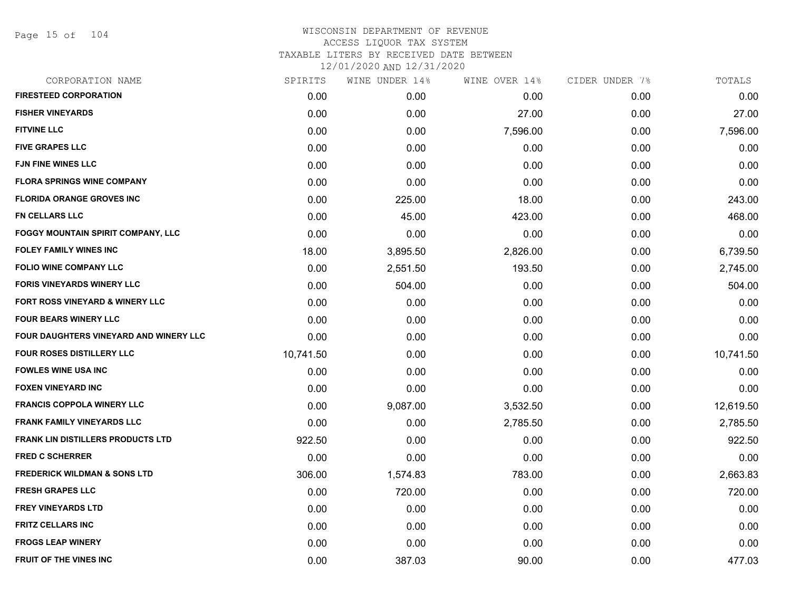Page 15 of 104

| CORPORATION NAME                          | SPIRITS   | WINE UNDER 14%    | WINE OVER 14% | CIDER UNDER 7% | TOTALS    |
|-------------------------------------------|-----------|-------------------|---------------|----------------|-----------|
| <b>FIRESTEED CORPORATION</b>              | 0.00      | 0.00 <sub>1</sub> | 0.00          | 0.00           | 0.00      |
| <b>FISHER VINEYARDS</b>                   | 0.00      | 0.00              | 27.00         | 0.00           | 27.00     |
| <b>FITVINE LLC</b>                        | 0.00      | 0.00              | 7,596.00      | 0.00           | 7,596.00  |
| <b>FIVE GRAPES LLC</b>                    | 0.00      | 0.00              | 0.00          | 0.00           | 0.00      |
| <b>FJN FINE WINES LLC</b>                 | 0.00      | 0.00              | 0.00          | 0.00           | 0.00      |
| <b>FLORA SPRINGS WINE COMPANY</b>         | 0.00      | 0.00              | 0.00          | 0.00           | 0.00      |
| <b>FLORIDA ORANGE GROVES INC</b>          | 0.00      | 225.00            | 18.00         | 0.00           | 243.00    |
| FN CELLARS LLC                            | 0.00      | 45.00             | 423.00        | 0.00           | 468.00    |
| <b>FOGGY MOUNTAIN SPIRIT COMPANY, LLC</b> | 0.00      | 0.00              | 0.00          | 0.00           | 0.00      |
| <b>FOLEY FAMILY WINES INC</b>             | 18.00     | 3,895.50          | 2,826.00      | 0.00           | 6,739.50  |
| <b>FOLIO WINE COMPANY LLC</b>             | 0.00      | 2,551.50          | 193.50        | 0.00           | 2,745.00  |
| <b>FORIS VINEYARDS WINERY LLC</b>         | 0.00      | 504.00            | 0.00          | 0.00           | 504.00    |
| FORT ROSS VINEYARD & WINERY LLC           | 0.00      | 0.00              | 0.00          | 0.00           | 0.00      |
| <b>FOUR BEARS WINERY LLC</b>              | 0.00      | 0.00              | 0.00          | 0.00           | 0.00      |
| FOUR DAUGHTERS VINEYARD AND WINERY LLC    | 0.00      | 0.00              | 0.00          | 0.00           | 0.00      |
| <b>FOUR ROSES DISTILLERY LLC</b>          | 10,741.50 | 0.00              | 0.00          | 0.00           | 10,741.50 |
| <b>FOWLES WINE USA INC</b>                | 0.00      | 0.00              | 0.00          | 0.00           | 0.00      |
| <b>FOXEN VINEYARD INC</b>                 | 0.00      | 0.00              | 0.00          | 0.00           | 0.00      |
| <b>FRANCIS COPPOLA WINERY LLC</b>         | 0.00      | 9,087.00          | 3,532.50      | 0.00           | 12,619.50 |
| <b>FRANK FAMILY VINEYARDS LLC</b>         | 0.00      | 0.00              | 2,785.50      | 0.00           | 2,785.50  |
| <b>FRANK LIN DISTILLERS PRODUCTS LTD</b>  | 922.50    | 0.00              | 0.00          | 0.00           | 922.50    |
| <b>FRED C SCHERRER</b>                    | 0.00      | 0.00              | 0.00          | 0.00           | 0.00      |
| <b>FREDERICK WILDMAN &amp; SONS LTD</b>   | 306.00    | 1,574.83          | 783.00        | 0.00           | 2,663.83  |
| <b>FRESH GRAPES LLC</b>                   | 0.00      | 720.00            | 0.00          | 0.00           | 720.00    |
| <b>FREY VINEYARDS LTD</b>                 | 0.00      | 0.00              | 0.00          | 0.00           | 0.00      |
| <b>FRITZ CELLARS INC</b>                  | 0.00      | 0.00              | 0.00          | 0.00           | 0.00      |
| <b>FROGS LEAP WINERY</b>                  | 0.00      | 0.00              | 0.00          | 0.00           | 0.00      |
| <b>FRUIT OF THE VINES INC</b>             | 0.00      | 387.03            | 90.00         | 0.00           | 477.03    |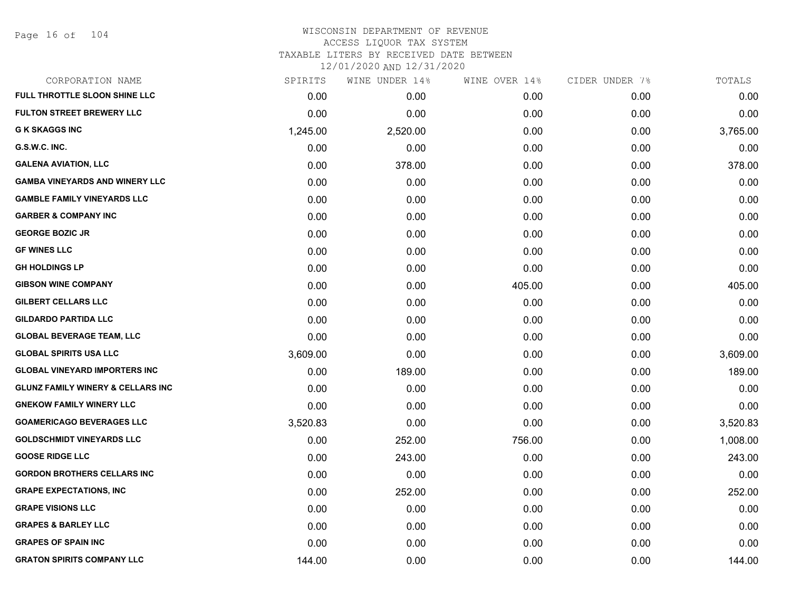| CORPORATION NAME                             | SPIRITS  | WINE UNDER 14% | WINE OVER 14% | CIDER UNDER 7% | TOTALS   |
|----------------------------------------------|----------|----------------|---------------|----------------|----------|
| FULL THROTTLE SLOON SHINE LLC                | 0.00     | 0.00           | 0.00          | 0.00           | 0.00     |
| <b>FULTON STREET BREWERY LLC</b>             | 0.00     | 0.00           | 0.00          | 0.00           | 0.00     |
| <b>G K SKAGGS INC</b>                        | 1,245.00 | 2,520.00       | 0.00          | 0.00           | 3,765.00 |
| G.S.W.C. INC.                                | 0.00     | 0.00           | 0.00          | 0.00           | 0.00     |
| <b>GALENA AVIATION, LLC</b>                  | 0.00     | 378.00         | 0.00          | 0.00           | 378.00   |
| <b>GAMBA VINEYARDS AND WINERY LLC</b>        | 0.00     | 0.00           | 0.00          | 0.00           | 0.00     |
| <b>GAMBLE FAMILY VINEYARDS LLC</b>           | 0.00     | 0.00           | 0.00          | 0.00           | 0.00     |
| <b>GARBER &amp; COMPANY INC</b>              | 0.00     | 0.00           | 0.00          | 0.00           | 0.00     |
| <b>GEORGE BOZIC JR</b>                       | 0.00     | 0.00           | 0.00          | 0.00           | 0.00     |
| <b>GF WINES LLC</b>                          | 0.00     | 0.00           | 0.00          | 0.00           | 0.00     |
| <b>GH HOLDINGS LP</b>                        | 0.00     | 0.00           | 0.00          | 0.00           | 0.00     |
| <b>GIBSON WINE COMPANY</b>                   | 0.00     | 0.00           | 405.00        | 0.00           | 405.00   |
| <b>GILBERT CELLARS LLC</b>                   | 0.00     | 0.00           | 0.00          | 0.00           | 0.00     |
| <b>GILDARDO PARTIDA LLC</b>                  | 0.00     | 0.00           | 0.00          | 0.00           | 0.00     |
| <b>GLOBAL BEVERAGE TEAM, LLC</b>             | 0.00     | 0.00           | 0.00          | 0.00           | 0.00     |
| <b>GLOBAL SPIRITS USA LLC</b>                | 3,609.00 | 0.00           | 0.00          | 0.00           | 3,609.00 |
| <b>GLOBAL VINEYARD IMPORTERS INC</b>         | 0.00     | 189.00         | 0.00          | 0.00           | 189.00   |
| <b>GLUNZ FAMILY WINERY &amp; CELLARS INC</b> | 0.00     | 0.00           | 0.00          | 0.00           | 0.00     |
| <b>GNEKOW FAMILY WINERY LLC</b>              | 0.00     | 0.00           | 0.00          | 0.00           | 0.00     |
| <b>GOAMERICAGO BEVERAGES LLC</b>             | 3,520.83 | 0.00           | 0.00          | 0.00           | 3,520.83 |
| <b>GOLDSCHMIDT VINEYARDS LLC</b>             | 0.00     | 252.00         | 756.00        | 0.00           | 1,008.00 |
| <b>GOOSE RIDGE LLC</b>                       | 0.00     | 243.00         | 0.00          | 0.00           | 243.00   |
| <b>GORDON BROTHERS CELLARS INC</b>           | 0.00     | 0.00           | 0.00          | 0.00           | 0.00     |
| <b>GRAPE EXPECTATIONS, INC.</b>              | 0.00     | 252.00         | 0.00          | 0.00           | 252.00   |
| <b>GRAPE VISIONS LLC</b>                     | 0.00     | 0.00           | 0.00          | 0.00           | 0.00     |
| <b>GRAPES &amp; BARLEY LLC</b>               | 0.00     | 0.00           | 0.00          | 0.00           | 0.00     |
| <b>GRAPES OF SPAIN INC</b>                   | 0.00     | 0.00           | 0.00          | 0.00           | 0.00     |
| <b>GRATON SPIRITS COMPANY LLC</b>            | 144.00   | 0.00           | 0.00          | 0.00           | 144.00   |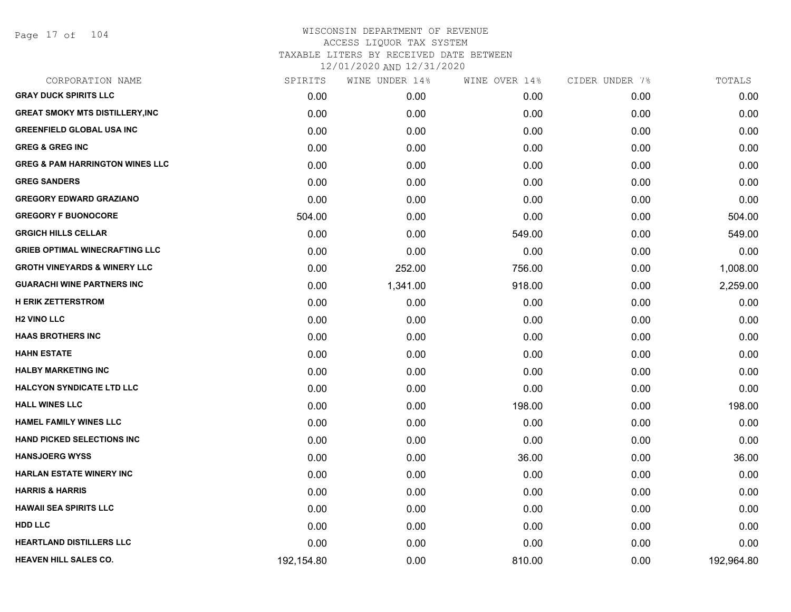Page 17 of 104

| CORPORATION NAME                           | SPIRITS    | WINE UNDER 14% | WINE OVER 14% | CIDER UNDER 7% | TOTALS     |
|--------------------------------------------|------------|----------------|---------------|----------------|------------|
| <b>GRAY DUCK SPIRITS LLC</b>               | 0.00       | 0.00           | 0.00          | 0.00           | 0.00       |
| <b>GREAT SMOKY MTS DISTILLERY, INC</b>     | 0.00       | 0.00           | 0.00          | 0.00           | 0.00       |
| <b>GREENFIELD GLOBAL USA INC</b>           | 0.00       | 0.00           | 0.00          | 0.00           | 0.00       |
| <b>GREG &amp; GREG INC</b>                 | 0.00       | 0.00           | 0.00          | 0.00           | 0.00       |
| <b>GREG &amp; PAM HARRINGTON WINES LLC</b> | 0.00       | 0.00           | 0.00          | 0.00           | 0.00       |
| <b>GREG SANDERS</b>                        | 0.00       | 0.00           | 0.00          | 0.00           | 0.00       |
| <b>GREGORY EDWARD GRAZIANO</b>             | 0.00       | 0.00           | 0.00          | 0.00           | 0.00       |
| <b>GREGORY F BUONOCORE</b>                 | 504.00     | 0.00           | 0.00          | 0.00           | 504.00     |
| <b>GRGICH HILLS CELLAR</b>                 | 0.00       | 0.00           | 549.00        | 0.00           | 549.00     |
| <b>GRIEB OPTIMAL WINECRAFTING LLC</b>      | 0.00       | 0.00           | 0.00          | 0.00           | 0.00       |
| <b>GROTH VINEYARDS &amp; WINERY LLC</b>    | 0.00       | 252.00         | 756.00        | 0.00           | 1,008.00   |
| <b>GUARACHI WINE PARTNERS INC</b>          | 0.00       | 1,341.00       | 918.00        | 0.00           | 2,259.00   |
| <b>H ERIK ZETTERSTROM</b>                  | 0.00       | 0.00           | 0.00          | 0.00           | 0.00       |
| <b>H2 VINO LLC</b>                         | 0.00       | 0.00           | 0.00          | 0.00           | 0.00       |
| <b>HAAS BROTHERS INC</b>                   | 0.00       | 0.00           | 0.00          | 0.00           | 0.00       |
| <b>HAHN ESTATE</b>                         | 0.00       | 0.00           | 0.00          | 0.00           | 0.00       |
| <b>HALBY MARKETING INC</b>                 | 0.00       | 0.00           | 0.00          | 0.00           | 0.00       |
| <b>HALCYON SYNDICATE LTD LLC</b>           | 0.00       | 0.00           | 0.00          | 0.00           | 0.00       |
| <b>HALL WINES LLC</b>                      | 0.00       | 0.00           | 198.00        | 0.00           | 198.00     |
| <b>HAMEL FAMILY WINES LLC</b>              | 0.00       | 0.00           | 0.00          | 0.00           | 0.00       |
| <b>HAND PICKED SELECTIONS INC</b>          | 0.00       | 0.00           | 0.00          | 0.00           | 0.00       |
| <b>HANSJOERG WYSS</b>                      | 0.00       | 0.00           | 36.00         | 0.00           | 36.00      |
| <b>HARLAN ESTATE WINERY INC</b>            | 0.00       | 0.00           | 0.00          | 0.00           | 0.00       |
| <b>HARRIS &amp; HARRIS</b>                 | 0.00       | 0.00           | 0.00          | 0.00           | 0.00       |
| <b>HAWAII SEA SPIRITS LLC</b>              | 0.00       | 0.00           | 0.00          | 0.00           | 0.00       |
| <b>HDD LLC</b>                             | 0.00       | 0.00           | 0.00          | 0.00           | 0.00       |
| <b>HEARTLAND DISTILLERS LLC</b>            | 0.00       | 0.00           | 0.00          | 0.00           | 0.00       |
| <b>HEAVEN HILL SALES CO.</b>               | 192,154.80 | 0.00           | 810.00        | 0.00           | 192,964.80 |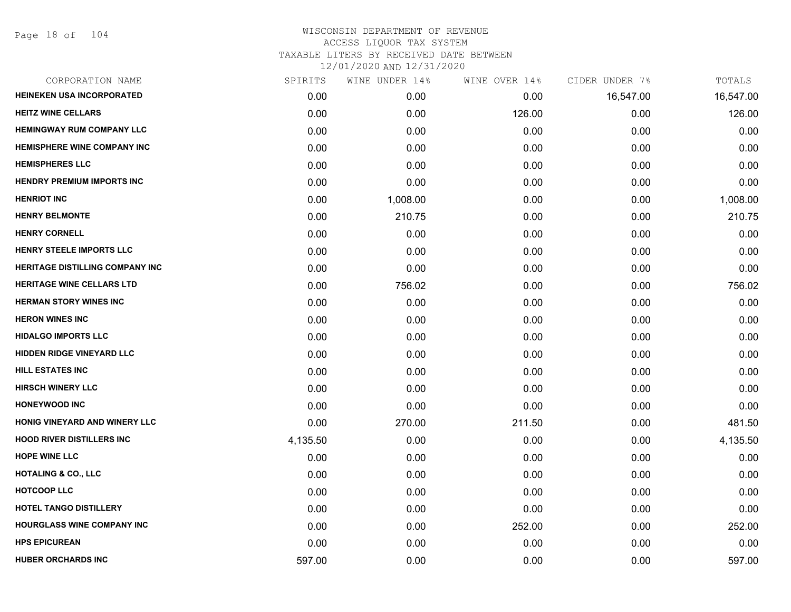| CORPORATION NAME                       | SPIRITS  | WINE UNDER 14% | WINE OVER 14% | CIDER UNDER 7% | TOTALS    |
|----------------------------------------|----------|----------------|---------------|----------------|-----------|
| <b>HEINEKEN USA INCORPORATED</b>       | 0.00     | 0.00           | 0.00          | 16,547.00      | 16,547.00 |
| <b>HEITZ WINE CELLARS</b>              | 0.00     | 0.00           | 126.00        | 0.00           | 126.00    |
| <b>HEMINGWAY RUM COMPANY LLC</b>       | 0.00     | 0.00           | 0.00          | 0.00           | 0.00      |
| <b>HEMISPHERE WINE COMPANY INC</b>     | 0.00     | 0.00           | 0.00          | 0.00           | 0.00      |
| <b>HEMISPHERES LLC</b>                 | 0.00     | 0.00           | 0.00          | 0.00           | 0.00      |
| <b>HENDRY PREMIUM IMPORTS INC</b>      | 0.00     | 0.00           | 0.00          | 0.00           | 0.00      |
| <b>HENRIOT INC</b>                     | 0.00     | 1,008.00       | 0.00          | 0.00           | 1,008.00  |
| <b>HENRY BELMONTE</b>                  | 0.00     | 210.75         | 0.00          | 0.00           | 210.75    |
| <b>HENRY CORNELL</b>                   | 0.00     | 0.00           | 0.00          | 0.00           | 0.00      |
| HENRY STEELE IMPORTS LLC               | 0.00     | 0.00           | 0.00          | 0.00           | 0.00      |
| <b>HERITAGE DISTILLING COMPANY INC</b> | 0.00     | 0.00           | 0.00          | 0.00           | 0.00      |
| <b>HERITAGE WINE CELLARS LTD</b>       | 0.00     | 756.02         | 0.00          | 0.00           | 756.02    |
| <b>HERMAN STORY WINES INC</b>          | 0.00     | 0.00           | 0.00          | 0.00           | 0.00      |
| <b>HERON WINES INC</b>                 | 0.00     | 0.00           | 0.00          | 0.00           | 0.00      |
| <b>HIDALGO IMPORTS LLC</b>             | 0.00     | 0.00           | 0.00          | 0.00           | 0.00      |
| HIDDEN RIDGE VINEYARD LLC              | 0.00     | 0.00           | 0.00          | 0.00           | 0.00      |
| <b>HILL ESTATES INC</b>                | 0.00     | 0.00           | 0.00          | 0.00           | 0.00      |
| <b>HIRSCH WINERY LLC</b>               | 0.00     | 0.00           | 0.00          | 0.00           | 0.00      |
| <b>HONEYWOOD INC</b>                   | 0.00     | 0.00           | 0.00          | 0.00           | 0.00      |
| HONIG VINEYARD AND WINERY LLC          | 0.00     | 270.00         | 211.50        | 0.00           | 481.50    |
| <b>HOOD RIVER DISTILLERS INC</b>       | 4,135.50 | 0.00           | 0.00          | 0.00           | 4,135.50  |
| <b>HOPE WINE LLC</b>                   | 0.00     | 0.00           | 0.00          | 0.00           | 0.00      |
| <b>HOTALING &amp; CO., LLC</b>         | 0.00     | 0.00           | 0.00          | 0.00           | 0.00      |
| <b>HOTCOOP LLC</b>                     | 0.00     | 0.00           | 0.00          | 0.00           | 0.00      |
| HOTEL TANGO DISTILLERY                 | 0.00     | 0.00           | 0.00          | 0.00           | 0.00      |
| HOURGLASS WINE COMPANY INC             | 0.00     | 0.00           | 252.00        | 0.00           | 252.00    |
| <b>HPS EPICUREAN</b>                   | 0.00     | 0.00           | 0.00          | 0.00           | 0.00      |
| <b>HUBER ORCHARDS INC</b>              | 597.00   | 0.00           | 0.00          | 0.00           | 597.00    |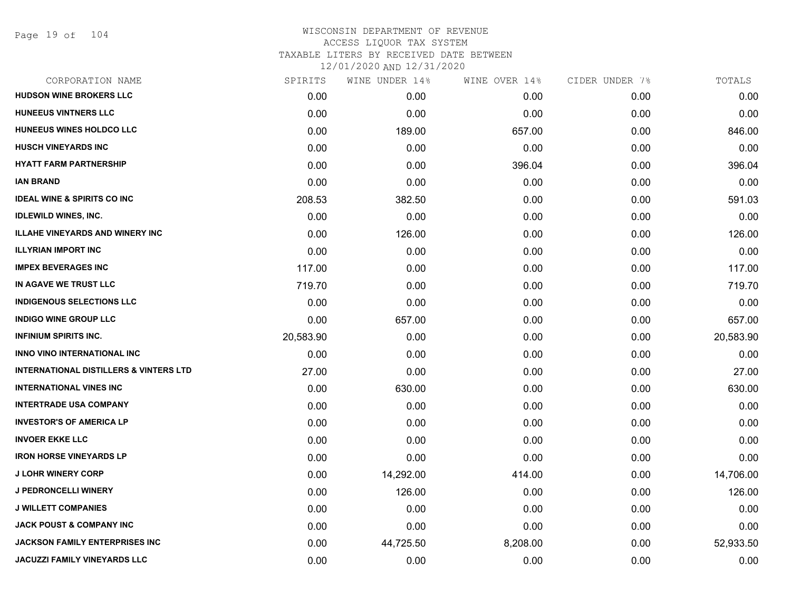Page 19 of 104

|           | WINE UNDER 14% | WINE OVER 14% | CIDER UNDER 7% | TOTALS    |
|-----------|----------------|---------------|----------------|-----------|
| 0.00      | 0.00           | 0.00          | 0.00           | 0.00      |
| 0.00      | 0.00           | 0.00          | 0.00           | 0.00      |
| 0.00      | 189.00         | 657.00        | 0.00           | 846.00    |
| 0.00      | 0.00           | 0.00          | 0.00           | 0.00      |
| 0.00      | 0.00           | 396.04        | 0.00           | 396.04    |
| 0.00      | 0.00           | 0.00          | 0.00           | 0.00      |
| 208.53    | 382.50         | 0.00          | 0.00           | 591.03    |
| 0.00      | 0.00           | 0.00          | 0.00           | 0.00      |
| 0.00      | 126.00         | 0.00          | 0.00           | 126.00    |
| 0.00      | 0.00           | 0.00          | 0.00           | 0.00      |
| 117.00    | 0.00           | 0.00          | 0.00           | 117.00    |
| 719.70    | 0.00           | 0.00          | 0.00           | 719.70    |
| 0.00      | 0.00           | 0.00          | 0.00           | 0.00      |
| 0.00      | 657.00         | 0.00          | 0.00           | 657.00    |
| 20,583.90 | 0.00           | 0.00          | 0.00           | 20,583.90 |
| 0.00      | 0.00           | 0.00          | 0.00           | 0.00      |
| 27.00     | 0.00           | 0.00          | 0.00           | 27.00     |
| 0.00      | 630.00         | 0.00          | 0.00           | 630.00    |
| 0.00      | 0.00           | 0.00          | 0.00           | 0.00      |
| 0.00      | 0.00           | 0.00          | 0.00           | 0.00      |
| 0.00      | 0.00           | 0.00          | 0.00           | 0.00      |
| 0.00      | 0.00           | 0.00          | 0.00           | 0.00      |
| 0.00      | 14,292.00      | 414.00        | 0.00           | 14,706.00 |
| 0.00      | 126.00         | 0.00          | 0.00           | 126.00    |
| 0.00      | 0.00           | 0.00          | 0.00           | 0.00      |
| 0.00      | 0.00           | 0.00          | 0.00           | 0.00      |
| 0.00      | 44,725.50      | 8,208.00      | 0.00           | 52,933.50 |
| 0.00      | 0.00           | 0.00          | 0.00           | 0.00      |
|           | SPIRITS        |               |                |           |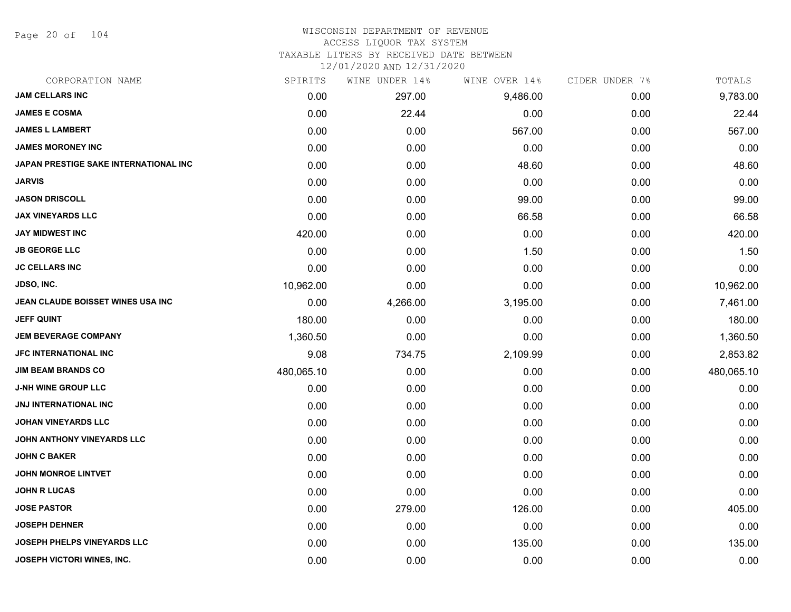Page 20 of 104

#### WISCONSIN DEPARTMENT OF REVENUE ACCESS LIQUOR TAX SYSTEM

TAXABLE LITERS BY RECEIVED DATE BETWEEN

| CORPORATION NAME                      | SPIRITS    | WINE UNDER 14% | WINE OVER 14% | CIDER UNDER 7% | TOTALS     |
|---------------------------------------|------------|----------------|---------------|----------------|------------|
| <b>JAM CELLARS INC</b>                | 0.00       | 297.00         | 9,486.00      | 0.00           | 9,783.00   |
| <b>JAMES E COSMA</b>                  | 0.00       | 22.44          | 0.00          | 0.00           | 22.44      |
| <b>JAMES L LAMBERT</b>                | 0.00       | 0.00           | 567.00        | 0.00           | 567.00     |
| <b>JAMES MORONEY INC</b>              | 0.00       | 0.00           | 0.00          | 0.00           | 0.00       |
| JAPAN PRESTIGE SAKE INTERNATIONAL INC | 0.00       | 0.00           | 48.60         | 0.00           | 48.60      |
| <b>JARVIS</b>                         | 0.00       | 0.00           | 0.00          | 0.00           | 0.00       |
| <b>JASON DRISCOLL</b>                 | 0.00       | 0.00           | 99.00         | 0.00           | 99.00      |
| <b>JAX VINEYARDS LLC</b>              | 0.00       | 0.00           | 66.58         | 0.00           | 66.58      |
| <b>JAY MIDWEST INC</b>                | 420.00     | 0.00           | 0.00          | 0.00           | 420.00     |
| <b>JB GEORGE LLC</b>                  | 0.00       | 0.00           | 1.50          | 0.00           | 1.50       |
| <b>JC CELLARS INC</b>                 | 0.00       | 0.00           | 0.00          | 0.00           | 0.00       |
| <b>JDSO, INC.</b>                     | 10,962.00  | 0.00           | 0.00          | 0.00           | 10,962.00  |
| JEAN CLAUDE BOISSET WINES USA INC     | 0.00       | 4,266.00       | 3,195.00      | 0.00           | 7,461.00   |
| <b>JEFF QUINT</b>                     | 180.00     | 0.00           | 0.00          | 0.00           | 180.00     |
| <b>JEM BEVERAGE COMPANY</b>           | 1,360.50   | 0.00           | 0.00          | 0.00           | 1,360.50   |
| <b>JFC INTERNATIONAL INC</b>          | 9.08       | 734.75         | 2,109.99      | 0.00           | 2,853.82   |
| <b>JIM BEAM BRANDS CO</b>             | 480,065.10 | 0.00           | 0.00          | 0.00           | 480,065.10 |
| <b>J-NH WINE GROUP LLC</b>            | 0.00       | 0.00           | 0.00          | 0.00           | 0.00       |
| <b>JNJ INTERNATIONAL INC</b>          | 0.00       | 0.00           | 0.00          | 0.00           | 0.00       |
| <b>JOHAN VINEYARDS LLC</b>            | 0.00       | 0.00           | 0.00          | 0.00           | 0.00       |
| <b>JOHN ANTHONY VINEYARDS LLC</b>     | 0.00       | 0.00           | 0.00          | 0.00           | 0.00       |
| <b>JOHN C BAKER</b>                   | 0.00       | 0.00           | 0.00          | 0.00           | 0.00       |
| <b>JOHN MONROE LINTVET</b>            | 0.00       | 0.00           | 0.00          | 0.00           | 0.00       |
| <b>JOHN R LUCAS</b>                   | 0.00       | 0.00           | 0.00          | 0.00           | 0.00       |
| <b>JOSE PASTOR</b>                    | 0.00       | 279.00         | 126.00        | 0.00           | 405.00     |
| <b>JOSEPH DEHNER</b>                  | 0.00       | 0.00           | 0.00          | 0.00           | 0.00       |
| JOSEPH PHELPS VINEYARDS LLC           | 0.00       | 0.00           | 135.00        | 0.00           | 135.00     |
| JOSEPH VICTORI WINES, INC.            | 0.00       | 0.00           | 0.00          | 0.00           | 0.00       |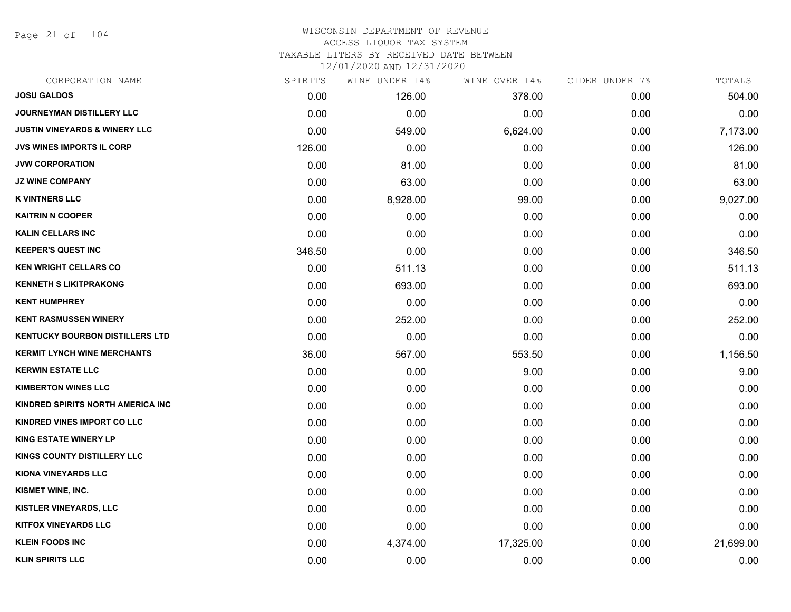Page 21 of 104

| CORPORATION NAME                         | SPIRITS | WINE UNDER 14% | WINE OVER 14% | CIDER UNDER 7% | TOTALS    |
|------------------------------------------|---------|----------------|---------------|----------------|-----------|
| <b>JOSU GALDOS</b>                       | 0.00    | 126.00         | 378.00        | 0.00           | 504.00    |
| JOURNEYMAN DISTILLERY LLC                | 0.00    | 0.00           | 0.00          | 0.00           | 0.00      |
| <b>JUSTIN VINEYARDS &amp; WINERY LLC</b> | 0.00    | 549.00         | 6,624.00      | 0.00           | 7,173.00  |
| <b>JVS WINES IMPORTS IL CORP</b>         | 126.00  | 0.00           | 0.00          | 0.00           | 126.00    |
| <b>JVW CORPORATION</b>                   | 0.00    | 81.00          | 0.00          | 0.00           | 81.00     |
| <b>JZ WINE COMPANY</b>                   | 0.00    | 63.00          | 0.00          | 0.00           | 63.00     |
| <b>K VINTNERS LLC</b>                    | 0.00    | 8,928.00       | 99.00         | 0.00           | 9,027.00  |
| <b>KAITRIN N COOPER</b>                  | 0.00    | 0.00           | 0.00          | 0.00           | 0.00      |
| <b>KALIN CELLARS INC</b>                 | 0.00    | 0.00           | 0.00          | 0.00           | 0.00      |
| <b>KEEPER'S QUEST INC</b>                | 346.50  | 0.00           | 0.00          | 0.00           | 346.50    |
| <b>KEN WRIGHT CELLARS CO</b>             | 0.00    | 511.13         | 0.00          | 0.00           | 511.13    |
| <b>KENNETH S LIKITPRAKONG</b>            | 0.00    | 693.00         | 0.00          | 0.00           | 693.00    |
| <b>KENT HUMPHREY</b>                     | 0.00    | 0.00           | 0.00          | 0.00           | 0.00      |
| <b>KENT RASMUSSEN WINERY</b>             | 0.00    | 252.00         | 0.00          | 0.00           | 252.00    |
| <b>KENTUCKY BOURBON DISTILLERS LTD</b>   | 0.00    | 0.00           | 0.00          | 0.00           | 0.00      |
| <b>KERMIT LYNCH WINE MERCHANTS</b>       | 36.00   | 567.00         | 553.50        | 0.00           | 1,156.50  |
| <b>KERWIN ESTATE LLC</b>                 | 0.00    | 0.00           | 9.00          | 0.00           | 9.00      |
| <b>KIMBERTON WINES LLC</b>               | 0.00    | 0.00           | 0.00          | 0.00           | 0.00      |
| KINDRED SPIRITS NORTH AMERICA INC        | 0.00    | 0.00           | 0.00          | 0.00           | 0.00      |
| KINDRED VINES IMPORT CO LLC              | 0.00    | 0.00           | 0.00          | 0.00           | 0.00      |
| <b>KING ESTATE WINERY LP</b>             | 0.00    | 0.00           | 0.00          | 0.00           | 0.00      |
| <b>KINGS COUNTY DISTILLERY LLC</b>       | 0.00    | 0.00           | 0.00          | 0.00           | 0.00      |
| <b>KIONA VINEYARDS LLC</b>               | 0.00    | 0.00           | 0.00          | 0.00           | 0.00      |
| KISMET WINE, INC.                        | 0.00    | 0.00           | 0.00          | 0.00           | 0.00      |
| <b>KISTLER VINEYARDS, LLC</b>            | 0.00    | 0.00           | 0.00          | 0.00           | 0.00      |
| <b>KITFOX VINEYARDS LLC</b>              | 0.00    | 0.00           | 0.00          | 0.00           | 0.00      |
| <b>KLEIN FOODS INC</b>                   | 0.00    | 4,374.00       | 17,325.00     | 0.00           | 21,699.00 |
| <b>KLIN SPIRITS LLC</b>                  | 0.00    | 0.00           | 0.00          | 0.00           | 0.00      |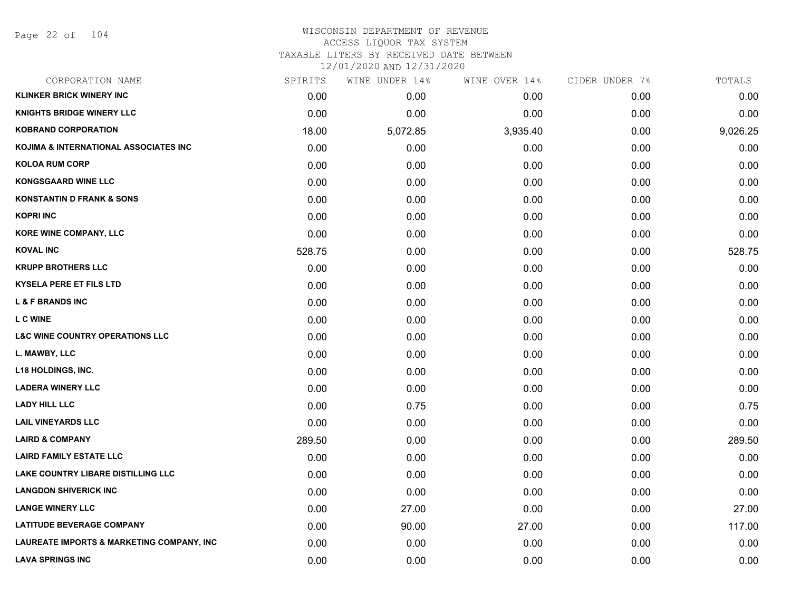| CORPORATION NAME                                     | SPIRITS | WINE UNDER 14% | WINE OVER 14% | CIDER UNDER 7% | TOTALS   |
|------------------------------------------------------|---------|----------------|---------------|----------------|----------|
| <b>KLINKER BRICK WINERY INC</b>                      | 0.00    | 0.00           | 0.00          | 0.00           | 0.00     |
| <b>KNIGHTS BRIDGE WINERY LLC</b>                     | 0.00    | 0.00           | 0.00          | 0.00           | 0.00     |
| <b>KOBRAND CORPORATION</b>                           | 18.00   | 5,072.85       | 3,935.40      | 0.00           | 9,026.25 |
| KOJIMA & INTERNATIONAL ASSOCIATES INC                | 0.00    | 0.00           | 0.00          | 0.00           | 0.00     |
| <b>KOLOA RUM CORP</b>                                | 0.00    | 0.00           | 0.00          | 0.00           | 0.00     |
| <b>KONGSGAARD WINE LLC</b>                           | 0.00    | 0.00           | 0.00          | 0.00           | 0.00     |
| <b>KONSTANTIN D FRANK &amp; SONS</b>                 | 0.00    | 0.00           | 0.00          | 0.00           | 0.00     |
| <b>KOPRI INC</b>                                     | 0.00    | 0.00           | 0.00          | 0.00           | 0.00     |
| <b>KORE WINE COMPANY, LLC</b>                        | 0.00    | 0.00           | 0.00          | 0.00           | 0.00     |
| <b>KOVAL INC</b>                                     | 528.75  | 0.00           | 0.00          | 0.00           | 528.75   |
| <b>KRUPP BROTHERS LLC</b>                            | 0.00    | 0.00           | 0.00          | 0.00           | 0.00     |
| <b>KYSELA PERE ET FILS LTD</b>                       | 0.00    | 0.00           | 0.00          | 0.00           | 0.00     |
| <b>L &amp; F BRANDS INC</b>                          | 0.00    | 0.00           | 0.00          | 0.00           | 0.00     |
| <b>L C WINE</b>                                      | 0.00    | 0.00           | 0.00          | 0.00           | 0.00     |
| <b>L&amp;C WINE COUNTRY OPERATIONS LLC</b>           | 0.00    | 0.00           | 0.00          | 0.00           | 0.00     |
| L. MAWBY, LLC                                        | 0.00    | 0.00           | 0.00          | 0.00           | 0.00     |
| <b>L18 HOLDINGS, INC.</b>                            | 0.00    | 0.00           | 0.00          | 0.00           | 0.00     |
| <b>LADERA WINERY LLC</b>                             | 0.00    | 0.00           | 0.00          | 0.00           | 0.00     |
| <b>LADY HILL LLC</b>                                 | 0.00    | 0.75           | 0.00          | 0.00           | 0.75     |
| <b>LAIL VINEYARDS LLC</b>                            | 0.00    | 0.00           | 0.00          | 0.00           | 0.00     |
| <b>LAIRD &amp; COMPANY</b>                           | 289.50  | 0.00           | 0.00          | 0.00           | 289.50   |
| <b>LAIRD FAMILY ESTATE LLC</b>                       | 0.00    | 0.00           | 0.00          | 0.00           | 0.00     |
| <b>LAKE COUNTRY LIBARE DISTILLING LLC</b>            | 0.00    | 0.00           | 0.00          | 0.00           | 0.00     |
| <b>LANGDON SHIVERICK INC</b>                         | 0.00    | 0.00           | 0.00          | 0.00           | 0.00     |
| <b>LANGE WINERY LLC</b>                              | 0.00    | 27.00          | 0.00          | 0.00           | 27.00    |
| <b>LATITUDE BEVERAGE COMPANY</b>                     | 0.00    | 90.00          | 27.00         | 0.00           | 117.00   |
| <b>LAUREATE IMPORTS &amp; MARKETING COMPANY, INC</b> | 0.00    | 0.00           | 0.00          | 0.00           | 0.00     |
| <b>LAVA SPRINGS INC</b>                              | 0.00    | 0.00           | 0.00          | 0.00           | 0.00     |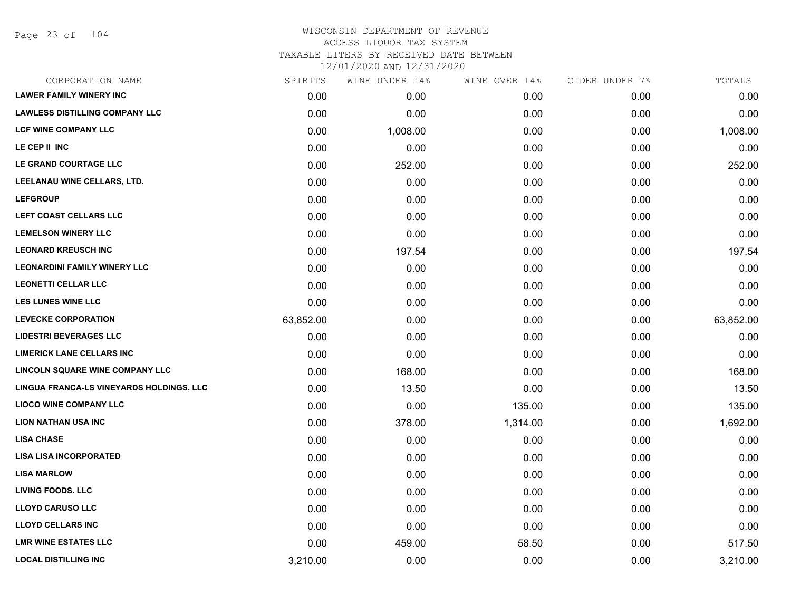Page 23 of 104

# WISCONSIN DEPARTMENT OF REVENUE ACCESS LIQUOR TAX SYSTEM TAXABLE LITERS BY RECEIVED DATE BETWEEN

| CORPORATION NAME                         | SPIRITS   | WINE UNDER 14% | WINE OVER 14% | CIDER UNDER 7% | TOTALS    |
|------------------------------------------|-----------|----------------|---------------|----------------|-----------|
| <b>LAWER FAMILY WINERY INC</b>           | 0.00      | 0.00           | 0.00          | 0.00           | 0.00      |
| <b>LAWLESS DISTILLING COMPANY LLC</b>    | 0.00      | 0.00           | 0.00          | 0.00           | 0.00      |
| <b>LCF WINE COMPANY LLC</b>              | 0.00      | 1,008.00       | 0.00          | 0.00           | 1,008.00  |
| LE CEP II INC                            | 0.00      | 0.00           | 0.00          | 0.00           | 0.00      |
| LE GRAND COURTAGE LLC                    | 0.00      | 252.00         | 0.00          | 0.00           | 252.00    |
| LEELANAU WINE CELLARS, LTD.              | 0.00      | 0.00           | 0.00          | 0.00           | 0.00      |
| <b>LEFGROUP</b>                          | 0.00      | 0.00           | 0.00          | 0.00           | 0.00      |
| LEFT COAST CELLARS LLC                   | 0.00      | 0.00           | 0.00          | 0.00           | 0.00      |
| <b>LEMELSON WINERY LLC</b>               | 0.00      | 0.00           | 0.00          | 0.00           | 0.00      |
| <b>LEONARD KREUSCH INC</b>               | 0.00      | 197.54         | 0.00          | 0.00           | 197.54    |
| <b>LEONARDINI FAMILY WINERY LLC</b>      | 0.00      | 0.00           | 0.00          | 0.00           | 0.00      |
| <b>LEONETTI CELLAR LLC</b>               | 0.00      | 0.00           | 0.00          | 0.00           | 0.00      |
| LES LUNES WINE LLC                       | 0.00      | 0.00           | 0.00          | 0.00           | 0.00      |
| <b>LEVECKE CORPORATION</b>               | 63,852.00 | 0.00           | 0.00          | 0.00           | 63,852.00 |
| <b>LIDESTRI BEVERAGES LLC</b>            | 0.00      | 0.00           | 0.00          | 0.00           | 0.00      |
| <b>LIMERICK LANE CELLARS INC</b>         | 0.00      | 0.00           | 0.00          | 0.00           | 0.00      |
| LINCOLN SQUARE WINE COMPANY LLC          | 0.00      | 168.00         | 0.00          | 0.00           | 168.00    |
| LINGUA FRANCA-LS VINEYARDS HOLDINGS, LLC | 0.00      | 13.50          | 0.00          | 0.00           | 13.50     |
| <b>LIOCO WINE COMPANY LLC</b>            | 0.00      | 0.00           | 135.00        | 0.00           | 135.00    |
| <b>LION NATHAN USA INC</b>               | 0.00      | 378.00         | 1,314.00      | 0.00           | 1,692.00  |
| <b>LISA CHASE</b>                        | 0.00      | 0.00           | 0.00          | 0.00           | 0.00      |
| <b>LISA LISA INCORPORATED</b>            | 0.00      | 0.00           | 0.00          | 0.00           | 0.00      |
| <b>LISA MARLOW</b>                       | 0.00      | 0.00           | 0.00          | 0.00           | 0.00      |
| <b>LIVING FOODS. LLC</b>                 | 0.00      | 0.00           | 0.00          | 0.00           | 0.00      |
| <b>LLOYD CARUSO LLC</b>                  | 0.00      | 0.00           | 0.00          | 0.00           | 0.00      |
| <b>LLOYD CELLARS INC</b>                 | 0.00      | 0.00           | 0.00          | 0.00           | 0.00      |
| <b>LMR WINE ESTATES LLC</b>              | 0.00      | 459.00         | 58.50         | 0.00           | 517.50    |
| <b>LOCAL DISTILLING INC</b>              | 3,210.00  | 0.00           | 0.00          | 0.00           | 3,210.00  |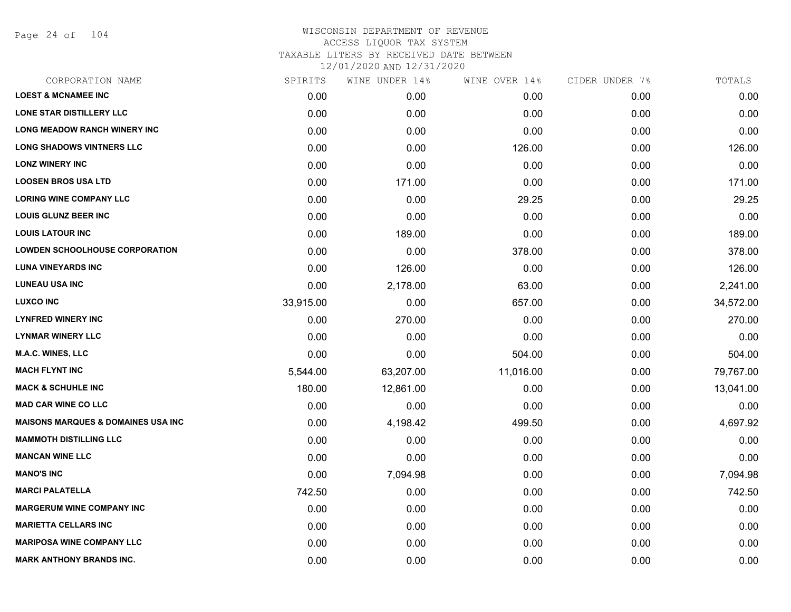Page 24 of 104

| CORPORATION NAME                               | SPIRITS   | WINE UNDER 14% | WINE OVER 14% | CIDER UNDER 7% | TOTALS    |
|------------------------------------------------|-----------|----------------|---------------|----------------|-----------|
| <b>LOEST &amp; MCNAMEE INC</b>                 | 0.00      | 0.00           | 0.00          | 0.00           | 0.00      |
| LONE STAR DISTILLERY LLC                       | 0.00      | 0.00           | 0.00          | 0.00           | 0.00      |
| <b>LONG MEADOW RANCH WINERY INC</b>            | 0.00      | 0.00           | 0.00          | 0.00           | 0.00      |
| <b>LONG SHADOWS VINTNERS LLC</b>               | 0.00      | 0.00           | 126.00        | 0.00           | 126.00    |
| <b>LONZ WINERY INC</b>                         | 0.00      | 0.00           | 0.00          | 0.00           | 0.00      |
| <b>LOOSEN BROS USA LTD</b>                     | 0.00      | 171.00         | 0.00          | 0.00           | 171.00    |
| <b>LORING WINE COMPANY LLC</b>                 | 0.00      | 0.00           | 29.25         | 0.00           | 29.25     |
| <b>LOUIS GLUNZ BEER INC</b>                    | 0.00      | 0.00           | 0.00          | 0.00           | 0.00      |
| <b>LOUIS LATOUR INC</b>                        | 0.00      | 189.00         | 0.00          | 0.00           | 189.00    |
| <b>LOWDEN SCHOOLHOUSE CORPORATION</b>          | 0.00      | 0.00           | 378.00        | 0.00           | 378.00    |
| <b>LUNA VINEYARDS INC</b>                      | 0.00      | 126.00         | 0.00          | 0.00           | 126.00    |
| <b>LUNEAU USA INC</b>                          | 0.00      | 2,178.00       | 63.00         | 0.00           | 2,241.00  |
| <b>LUXCO INC</b>                               | 33,915.00 | 0.00           | 657.00        | 0.00           | 34,572.00 |
| <b>LYNFRED WINERY INC</b>                      | 0.00      | 270.00         | 0.00          | 0.00           | 270.00    |
| <b>LYNMAR WINERY LLC</b>                       | 0.00      | 0.00           | 0.00          | 0.00           | 0.00      |
| M.A.C. WINES, LLC                              | 0.00      | 0.00           | 504.00        | 0.00           | 504.00    |
| <b>MACH FLYNT INC</b>                          | 5,544.00  | 63,207.00      | 11,016.00     | 0.00           | 79,767.00 |
| <b>MACK &amp; SCHUHLE INC</b>                  | 180.00    | 12,861.00      | 0.00          | 0.00           | 13,041.00 |
| <b>MAD CAR WINE CO LLC</b>                     | 0.00      | 0.00           | 0.00          | 0.00           | 0.00      |
| <b>MAISONS MARQUES &amp; DOMAINES USA INC.</b> | 0.00      | 4,198.42       | 499.50        | 0.00           | 4,697.92  |
| <b>MAMMOTH DISTILLING LLC</b>                  | 0.00      | 0.00           | 0.00          | 0.00           | 0.00      |
| <b>MANCAN WINE LLC</b>                         | 0.00      | 0.00           | 0.00          | 0.00           | 0.00      |
| <b>MANO'S INC</b>                              | 0.00      | 7,094.98       | 0.00          | 0.00           | 7,094.98  |
| <b>MARCI PALATELLA</b>                         | 742.50    | 0.00           | 0.00          | 0.00           | 742.50    |
| <b>MARGERUM WINE COMPANY INC</b>               | 0.00      | 0.00           | 0.00          | 0.00           | 0.00      |
| <b>MARIETTA CELLARS INC</b>                    | 0.00      | 0.00           | 0.00          | 0.00           | 0.00      |
| <b>MARIPOSA WINE COMPANY LLC</b>               | 0.00      | 0.00           | 0.00          | 0.00           | 0.00      |
| <b>MARK ANTHONY BRANDS INC.</b>                | 0.00      | 0.00           | 0.00          | 0.00           | 0.00      |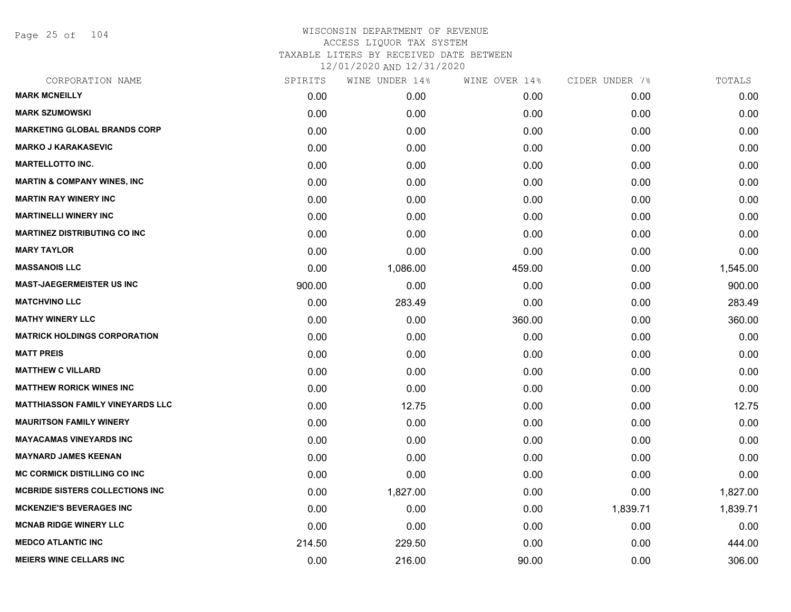Page 25 of 104

| CORPORATION NAME                        | SPIRITS | WINE UNDER 14% | WINE OVER 14% | CIDER UNDER 7% | TOTALS   |
|-----------------------------------------|---------|----------------|---------------|----------------|----------|
| <b>MARK MCNEILLY</b>                    | 0.00    | 0.00           | 0.00          | 0.00           | 0.00     |
| <b>MARK SZUMOWSKI</b>                   | 0.00    | 0.00           | 0.00          | 0.00           | 0.00     |
| <b>MARKETING GLOBAL BRANDS CORP</b>     | 0.00    | 0.00           | 0.00          | 0.00           | 0.00     |
| <b>MARKO J KARAKASEVIC</b>              | 0.00    | 0.00           | 0.00          | 0.00           | 0.00     |
| <b>MARTELLOTTO INC.</b>                 | 0.00    | 0.00           | 0.00          | 0.00           | 0.00     |
| <b>MARTIN &amp; COMPANY WINES, INC</b>  | 0.00    | 0.00           | 0.00          | 0.00           | 0.00     |
| <b>MARTIN RAY WINERY INC</b>            | 0.00    | 0.00           | 0.00          | 0.00           | 0.00     |
| <b>MARTINELLI WINERY INC</b>            | 0.00    | 0.00           | 0.00          | 0.00           | 0.00     |
| <b>MARTINEZ DISTRIBUTING CO INC</b>     | 0.00    | 0.00           | 0.00          | 0.00           | 0.00     |
| <b>MARY TAYLOR</b>                      | 0.00    | 0.00           | 0.00          | 0.00           | 0.00     |
| <b>MASSANOIS LLC</b>                    | 0.00    | 1,086.00       | 459.00        | 0.00           | 1,545.00 |
| <b>MAST-JAEGERMEISTER US INC</b>        | 900.00  | 0.00           | 0.00          | 0.00           | 900.00   |
| <b>MATCHVINO LLC</b>                    | 0.00    | 283.49         | 0.00          | 0.00           | 283.49   |
| <b>MATHY WINERY LLC</b>                 | 0.00    | 0.00           | 360.00        | 0.00           | 360.00   |
| <b>MATRICK HOLDINGS CORPORATION</b>     | 0.00    | 0.00           | 0.00          | 0.00           | 0.00     |
| <b>MATT PREIS</b>                       | 0.00    | 0.00           | 0.00          | 0.00           | 0.00     |
| <b>MATTHEW C VILLARD</b>                | 0.00    | 0.00           | 0.00          | 0.00           | 0.00     |
| <b>MATTHEW RORICK WINES INC</b>         | 0.00    | 0.00           | 0.00          | 0.00           | 0.00     |
| <b>MATTHIASSON FAMILY VINEYARDS LLC</b> | 0.00    | 12.75          | 0.00          | 0.00           | 12.75    |
| <b>MAURITSON FAMILY WINERY</b>          | 0.00    | 0.00           | 0.00          | 0.00           | 0.00     |
| <b>MAYACAMAS VINEYARDS INC</b>          | 0.00    | 0.00           | 0.00          | 0.00           | 0.00     |
| <b>MAYNARD JAMES KEENAN</b>             | 0.00    | 0.00           | 0.00          | 0.00           | 0.00     |
| <b>MC CORMICK DISTILLING CO INC</b>     | 0.00    | 0.00           | 0.00          | 0.00           | 0.00     |
| <b>MCBRIDE SISTERS COLLECTIONS INC</b>  | 0.00    | 1,827.00       | 0.00          | 0.00           | 1,827.00 |
| <b>MCKENZIE'S BEVERAGES INC</b>         | 0.00    | 0.00           | 0.00          | 1,839.71       | 1,839.71 |
| <b>MCNAB RIDGE WINERY LLC</b>           | 0.00    | 0.00           | 0.00          | 0.00           | 0.00     |
| <b>MEDCO ATLANTIC INC</b>               | 214.50  | 229.50         | 0.00          | 0.00           | 444.00   |
| <b>MEIERS WINE CELLARS INC</b>          | 0.00    | 216.00         | 90.00         | 0.00           | 306.00   |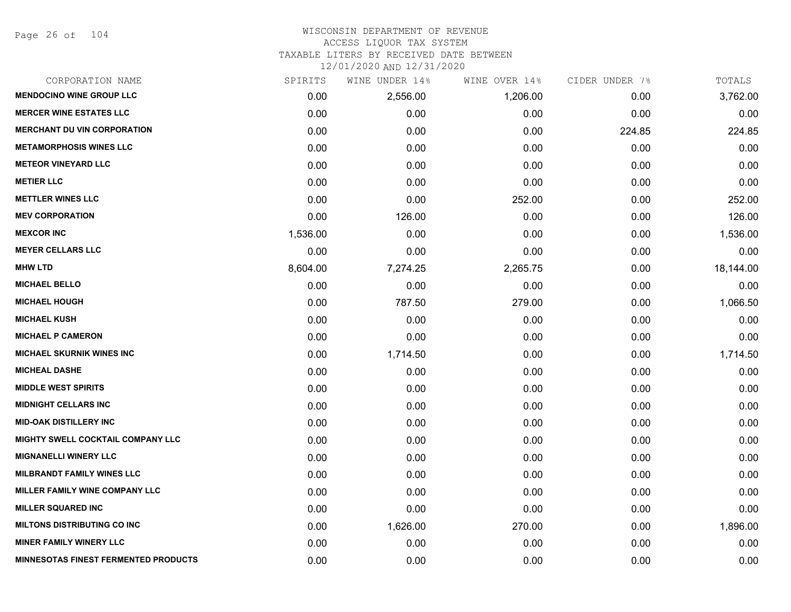Page 26 of 104

#### WISCONSIN DEPARTMENT OF REVENUE ACCESS LIQUOR TAX SYSTEM TAXABLE LITERS BY RECEIVED DATE BETWEEN

| CORPORATION NAME                            | SPIRITS  | WINE UNDER 14% | WINE OVER 14% | CIDER UNDER 7% | TOTALS    |
|---------------------------------------------|----------|----------------|---------------|----------------|-----------|
| <b>MENDOCINO WINE GROUP LLC</b>             | 0.00     | 2,556.00       | 1,206.00      | 0.00           | 3,762.00  |
| <b>MERCER WINE ESTATES LLC</b>              | 0.00     | 0.00           | 0.00          | 0.00           | 0.00      |
| <b>MERCHANT DU VIN CORPORATION</b>          | 0.00     | 0.00           | 0.00          | 224.85         | 224.85    |
| <b>METAMORPHOSIS WINES LLC</b>              | 0.00     | 0.00           | 0.00          | 0.00           | 0.00      |
| <b>METEOR VINEYARD LLC</b>                  | 0.00     | 0.00           | 0.00          | 0.00           | 0.00      |
| <b>METIER LLC</b>                           | 0.00     | 0.00           | 0.00          | 0.00           | 0.00      |
| <b>METTLER WINES LLC</b>                    | 0.00     | 0.00           | 252.00        | 0.00           | 252.00    |
| <b>MEV CORPORATION</b>                      | 0.00     | 126.00         | 0.00          | 0.00           | 126.00    |
| <b>MEXCOR INC</b>                           | 1,536.00 | 0.00           | 0.00          | 0.00           | 1,536.00  |
| <b>MEYER CELLARS LLC</b>                    | 0.00     | 0.00           | 0.00          | 0.00           | 0.00      |
| <b>MHW LTD</b>                              | 8,604.00 | 7,274.25       | 2,265.75      | 0.00           | 18,144.00 |
| <b>MICHAEL BELLO</b>                        | 0.00     | 0.00           | 0.00          | 0.00           | 0.00      |
| <b>MICHAEL HOUGH</b>                        | 0.00     | 787.50         | 279.00        | 0.00           | 1,066.50  |
| <b>MICHAEL KUSH</b>                         | 0.00     | 0.00           | 0.00          | 0.00           | 0.00      |
| <b>MICHAEL P CAMERON</b>                    | 0.00     | 0.00           | 0.00          | 0.00           | 0.00      |
| <b>MICHAEL SKURNIK WINES INC</b>            | 0.00     | 1,714.50       | 0.00          | 0.00           | 1,714.50  |
| <b>MICHEAL DASHE</b>                        | 0.00     | 0.00           | 0.00          | 0.00           | 0.00      |
| <b>MIDDLE WEST SPIRITS</b>                  | 0.00     | 0.00           | 0.00          | 0.00           | 0.00      |
| <b>MIDNIGHT CELLARS INC</b>                 | 0.00     | 0.00           | 0.00          | 0.00           | 0.00      |
| <b>MID-OAK DISTILLERY INC</b>               | 0.00     | 0.00           | 0.00          | 0.00           | 0.00      |
| MIGHTY SWELL COCKTAIL COMPANY LLC           | 0.00     | 0.00           | 0.00          | 0.00           | 0.00      |
| <b>MIGNANELLI WINERY LLC</b>                | 0.00     | 0.00           | 0.00          | 0.00           | 0.00      |
| <b>MILBRANDT FAMILY WINES LLC</b>           | 0.00     | 0.00           | 0.00          | 0.00           | 0.00      |
| MILLER FAMILY WINE COMPANY LLC              | 0.00     | 0.00           | 0.00          | 0.00           | 0.00      |
| <b>MILLER SQUARED INC</b>                   | 0.00     | 0.00           | 0.00          | 0.00           | 0.00      |
| <b>MILTONS DISTRIBUTING CO INC</b>          | 0.00     | 1,626.00       | 270.00        | 0.00           | 1,896.00  |
| <b>MINER FAMILY WINERY LLC</b>              | 0.00     | 0.00           | 0.00          | 0.00           | 0.00      |
| <b>MINNESOTAS FINEST FERMENTED PRODUCTS</b> | 0.00     | 0.00           | 0.00          | 0.00           | 0.00      |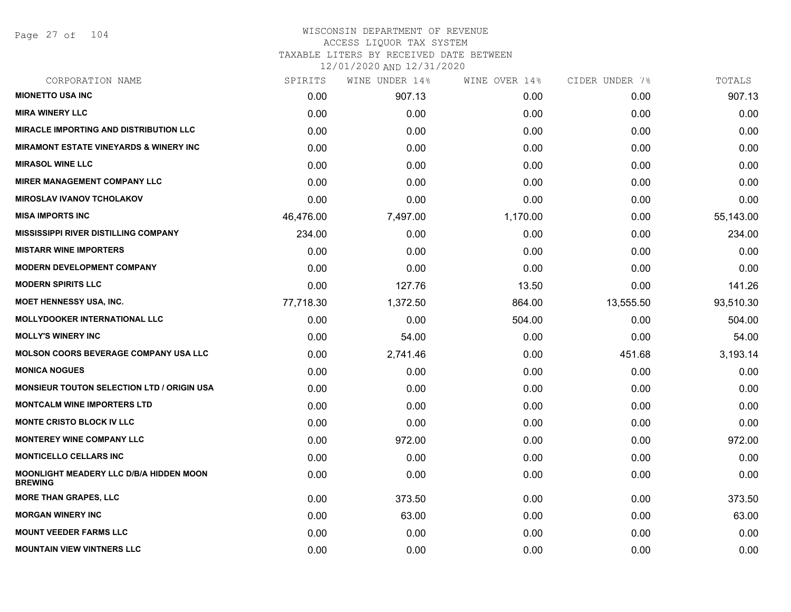Page 27 of 104

## WISCONSIN DEPARTMENT OF REVENUE ACCESS LIQUOR TAX SYSTEM TAXABLE LITERS BY RECEIVED DATE BETWEEN

| CORPORATION NAME                                                 | SPIRITS   | WINE UNDER 14% | WINE OVER 14% | CIDER UNDER 7% | TOTALS    |
|------------------------------------------------------------------|-----------|----------------|---------------|----------------|-----------|
| <b>MIONETTO USA INC</b>                                          | 0.00      | 907.13         | 0.00          | 0.00           | 907.13    |
| <b>MIRA WINERY LLC</b>                                           | 0.00      | 0.00           | 0.00          | 0.00           | 0.00      |
| <b>MIRACLE IMPORTING AND DISTRIBUTION LLC</b>                    | 0.00      | 0.00           | 0.00          | 0.00           | 0.00      |
| <b>MIRAMONT ESTATE VINEYARDS &amp; WINERY INC</b>                | 0.00      | 0.00           | 0.00          | 0.00           | 0.00      |
| <b>MIRASOL WINE LLC</b>                                          | 0.00      | 0.00           | 0.00          | 0.00           | 0.00      |
| <b>MIRER MANAGEMENT COMPANY LLC</b>                              | 0.00      | 0.00           | 0.00          | 0.00           | 0.00      |
| <b>MIROSLAV IVANOV TCHOLAKOV</b>                                 | 0.00      | 0.00           | 0.00          | 0.00           | 0.00      |
| <b>MISA IMPORTS INC</b>                                          | 46,476.00 | 7,497.00       | 1,170.00      | 0.00           | 55,143.00 |
| <b>MISSISSIPPI RIVER DISTILLING COMPANY</b>                      | 234.00    | 0.00           | 0.00          | 0.00           | 234.00    |
| <b>MISTARR WINE IMPORTERS</b>                                    | 0.00      | 0.00           | 0.00          | 0.00           | 0.00      |
| <b>MODERN DEVELOPMENT COMPANY</b>                                | 0.00      | 0.00           | 0.00          | 0.00           | 0.00      |
| <b>MODERN SPIRITS LLC</b>                                        | 0.00      | 127.76         | 13.50         | 0.00           | 141.26    |
| <b>MOET HENNESSY USA, INC.</b>                                   | 77,718.30 | 1,372.50       | 864.00        | 13,555.50      | 93,510.30 |
| <b>MOLLYDOOKER INTERNATIONAL LLC</b>                             | 0.00      | 0.00           | 504.00        | 0.00           | 504.00    |
| <b>MOLLY'S WINERY INC</b>                                        | 0.00      | 54.00          | 0.00          | 0.00           | 54.00     |
| <b>MOLSON COORS BEVERAGE COMPANY USA LLC</b>                     | 0.00      | 2,741.46       | 0.00          | 451.68         | 3,193.14  |
| <b>MONICA NOGUES</b>                                             | 0.00      | 0.00           | 0.00          | 0.00           | 0.00      |
| <b>MONSIEUR TOUTON SELECTION LTD / ORIGIN USA</b>                | 0.00      | 0.00           | 0.00          | 0.00           | 0.00      |
| <b>MONTCALM WINE IMPORTERS LTD</b>                               | 0.00      | 0.00           | 0.00          | 0.00           | 0.00      |
| <b>MONTE CRISTO BLOCK IV LLC</b>                                 | 0.00      | 0.00           | 0.00          | 0.00           | 0.00      |
| <b>MONTEREY WINE COMPANY LLC</b>                                 | 0.00      | 972.00         | 0.00          | 0.00           | 972.00    |
| <b>MONTICELLO CELLARS INC</b>                                    | 0.00      | 0.00           | 0.00          | 0.00           | 0.00      |
| <b>MOONLIGHT MEADERY LLC D/B/A HIDDEN MOON</b><br><b>BREWING</b> | 0.00      | 0.00           | 0.00          | 0.00           | 0.00      |
| <b>MORE THAN GRAPES, LLC</b>                                     | 0.00      | 373.50         | 0.00          | 0.00           | 373.50    |
| <b>MORGAN WINERY INC</b>                                         | 0.00      | 63.00          | 0.00          | 0.00           | 63.00     |
| <b>MOUNT VEEDER FARMS LLC</b>                                    | 0.00      | 0.00           | 0.00          | 0.00           | 0.00      |
| <b>MOUNTAIN VIEW VINTNERS LLC</b>                                | 0.00      | 0.00           | 0.00          | 0.00           | 0.00      |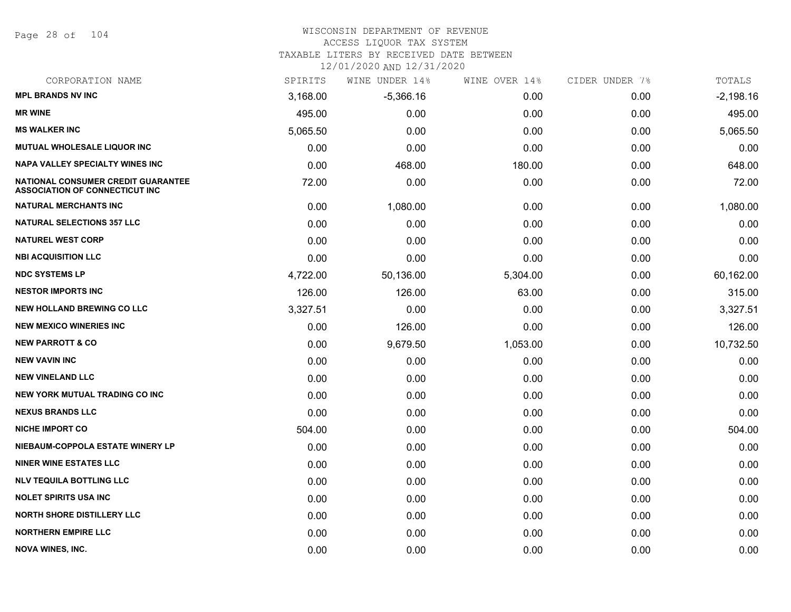Page 28 of 104

#### WISCONSIN DEPARTMENT OF REVENUE ACCESS LIQUOR TAX SYSTEM

TAXABLE LITERS BY RECEIVED DATE BETWEEN

| CORPORATION NAME                                                            | SPIRITS  | WINE UNDER 14% | WINE OVER 14% | CIDER UNDER 7% | TOTALS      |
|-----------------------------------------------------------------------------|----------|----------------|---------------|----------------|-------------|
| <b>MPL BRANDS NV INC</b>                                                    | 3,168.00 | $-5,366.16$    | 0.00          | 0.00           | $-2,198.16$ |
| <b>MR WINE</b>                                                              | 495.00   | 0.00           | 0.00          | 0.00           | 495.00      |
| <b>MS WALKER INC</b>                                                        | 5,065.50 | 0.00           | 0.00          | 0.00           | 5,065.50    |
| <b>MUTUAL WHOLESALE LIQUOR INC</b>                                          | 0.00     | 0.00           | 0.00          | 0.00           | 0.00        |
| <b>NAPA VALLEY SPECIALTY WINES INC</b>                                      | 0.00     | 468.00         | 180.00        | 0.00           | 648.00      |
| NATIONAL CONSUMER CREDIT GUARANTEE<br><b>ASSOCIATION OF CONNECTICUT INC</b> | 72.00    | 0.00           | 0.00          | 0.00           | 72.00       |
| <b>NATURAL MERCHANTS INC</b>                                                | 0.00     | 1,080.00       | 0.00          | 0.00           | 1,080.00    |
| <b>NATURAL SELECTIONS 357 LLC</b>                                           | 0.00     | 0.00           | 0.00          | 0.00           | 0.00        |
| <b>NATUREL WEST CORP</b>                                                    | 0.00     | 0.00           | 0.00          | 0.00           | 0.00        |
| <b>NBI ACQUISITION LLC</b>                                                  | 0.00     | 0.00           | 0.00          | 0.00           | 0.00        |
| <b>NDC SYSTEMS LP</b>                                                       | 4,722.00 | 50,136.00      | 5,304.00      | 0.00           | 60,162.00   |
| <b>NESTOR IMPORTS INC</b>                                                   | 126.00   | 126.00         | 63.00         | 0.00           | 315.00      |
| <b>NEW HOLLAND BREWING CO LLC</b>                                           | 3,327.51 | 0.00           | 0.00          | 0.00           | 3,327.51    |
| <b>NEW MEXICO WINERIES INC.</b>                                             | 0.00     | 126.00         | 0.00          | 0.00           | 126.00      |
| <b>NEW PARROTT &amp; CO</b>                                                 | 0.00     | 9,679.50       | 1,053.00      | 0.00           | 10,732.50   |
| <b>NEW VAVIN INC</b>                                                        | 0.00     | 0.00           | 0.00          | 0.00           | 0.00        |
| <b>NEW VINELAND LLC</b>                                                     | 0.00     | 0.00           | 0.00          | 0.00           | 0.00        |
| <b>NEW YORK MUTUAL TRADING CO INC</b>                                       | 0.00     | 0.00           | 0.00          | 0.00           | 0.00        |
| <b>NEXUS BRANDS LLC</b>                                                     | 0.00     | 0.00           | 0.00          | 0.00           | 0.00        |
| <b>NICHE IMPORT CO</b>                                                      | 504.00   | 0.00           | 0.00          | 0.00           | 504.00      |
| NIEBAUM-COPPOLA ESTATE WINERY LP                                            | 0.00     | 0.00           | 0.00          | 0.00           | 0.00        |
| <b>NINER WINE ESTATES LLC</b>                                               | 0.00     | 0.00           | 0.00          | 0.00           | 0.00        |
| <b>NLV TEQUILA BOTTLING LLC</b>                                             | 0.00     | 0.00           | 0.00          | 0.00           | 0.00        |
| <b>NOLET SPIRITS USA INC</b>                                                | 0.00     | 0.00           | 0.00          | 0.00           | 0.00        |
| <b>NORTH SHORE DISTILLERY LLC</b>                                           | 0.00     | 0.00           | 0.00          | 0.00           | 0.00        |
| <b>NORTHERN EMPIRE LLC</b>                                                  | 0.00     | 0.00           | 0.00          | 0.00           | 0.00        |
| <b>NOVA WINES, INC.</b>                                                     | 0.00     | 0.00           | 0.00          | 0.00           | 0.00        |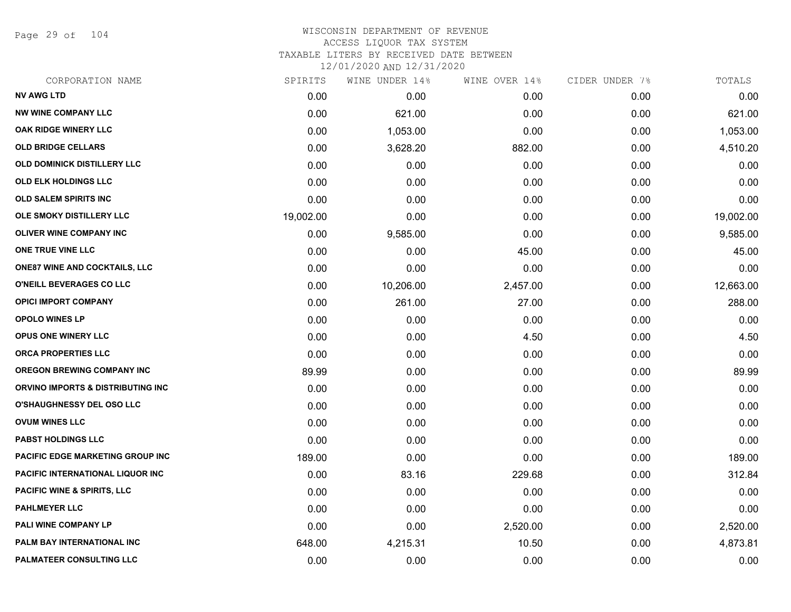Page 29 of 104

## WISCONSIN DEPARTMENT OF REVENUE ACCESS LIQUOR TAX SYSTEM TAXABLE LITERS BY RECEIVED DATE BETWEEN

| CORPORATION NAME                       | SPIRITS   | WINE UNDER 14% | WINE OVER 14% | CIDER UNDER 7% | TOTALS    |
|----------------------------------------|-----------|----------------|---------------|----------------|-----------|
| <b>NV AWG LTD</b>                      | 0.00      | 0.00           | 0.00          | 0.00           | 0.00      |
| <b>NW WINE COMPANY LLC</b>             | 0.00      | 621.00         | 0.00          | 0.00           | 621.00    |
| OAK RIDGE WINERY LLC                   | 0.00      | 1,053.00       | 0.00          | 0.00           | 1,053.00  |
| <b>OLD BRIDGE CELLARS</b>              | 0.00      | 3,628.20       | 882.00        | 0.00           | 4,510.20  |
| <b>OLD DOMINICK DISTILLERY LLC</b>     | 0.00      | 0.00           | 0.00          | 0.00           | 0.00      |
| OLD ELK HOLDINGS LLC                   | 0.00      | 0.00           | 0.00          | 0.00           | 0.00      |
| OLD SALEM SPIRITS INC                  | 0.00      | 0.00           | 0.00          | 0.00           | 0.00      |
| OLE SMOKY DISTILLERY LLC               | 19,002.00 | 0.00           | 0.00          | 0.00           | 19,002.00 |
| <b>OLIVER WINE COMPANY INC</b>         | 0.00      | 9,585.00       | 0.00          | 0.00           | 9,585.00  |
| ONE TRUE VINE LLC                      | 0.00      | 0.00           | 45.00         | 0.00           | 45.00     |
| <b>ONE87 WINE AND COCKTAILS, LLC</b>   | 0.00      | 0.00           | 0.00          | 0.00           | 0.00      |
| O'NEILL BEVERAGES CO LLC               | 0.00      | 10,206.00      | 2,457.00      | 0.00           | 12,663.00 |
| <b>OPICI IMPORT COMPANY</b>            | 0.00      | 261.00         | 27.00         | 0.00           | 288.00    |
| <b>OPOLO WINES LP</b>                  | 0.00      | 0.00           | 0.00          | 0.00           | 0.00      |
| <b>OPUS ONE WINERY LLC</b>             | 0.00      | 0.00           | 4.50          | 0.00           | 4.50      |
| ORCA PROPERTIES LLC                    | 0.00      | 0.00           | 0.00          | 0.00           | 0.00      |
| <b>OREGON BREWING COMPANY INC</b>      | 89.99     | 0.00           | 0.00          | 0.00           | 89.99     |
| ORVINO IMPORTS & DISTRIBUTING INC      | 0.00      | 0.00           | 0.00          | 0.00           | 0.00      |
| <b>O'SHAUGHNESSY DEL OSO LLC</b>       | 0.00      | 0.00           | 0.00          | 0.00           | 0.00      |
| <b>OVUM WINES LLC</b>                  | 0.00      | 0.00           | 0.00          | 0.00           | 0.00      |
| <b>PABST HOLDINGS LLC</b>              | 0.00      | 0.00           | 0.00          | 0.00           | 0.00      |
| PACIFIC EDGE MARKETING GROUP INC       | 189.00    | 0.00           | 0.00          | 0.00           | 189.00    |
| PACIFIC INTERNATIONAL LIQUOR INC       | 0.00      | 83.16          | 229.68        | 0.00           | 312.84    |
| <b>PACIFIC WINE &amp; SPIRITS, LLC</b> | 0.00      | 0.00           | 0.00          | 0.00           | 0.00      |
| <b>PAHLMEYER LLC</b>                   | 0.00      | 0.00           | 0.00          | 0.00           | 0.00      |
| PALI WINE COMPANY LP                   | 0.00      | 0.00           | 2,520.00      | 0.00           | 2,520.00  |
| PALM BAY INTERNATIONAL INC             | 648.00    | 4,215.31       | 10.50         | 0.00           | 4,873.81  |
| PALMATEER CONSULTING LLC               | 0.00      | 0.00           | 0.00          | 0.00           | 0.00      |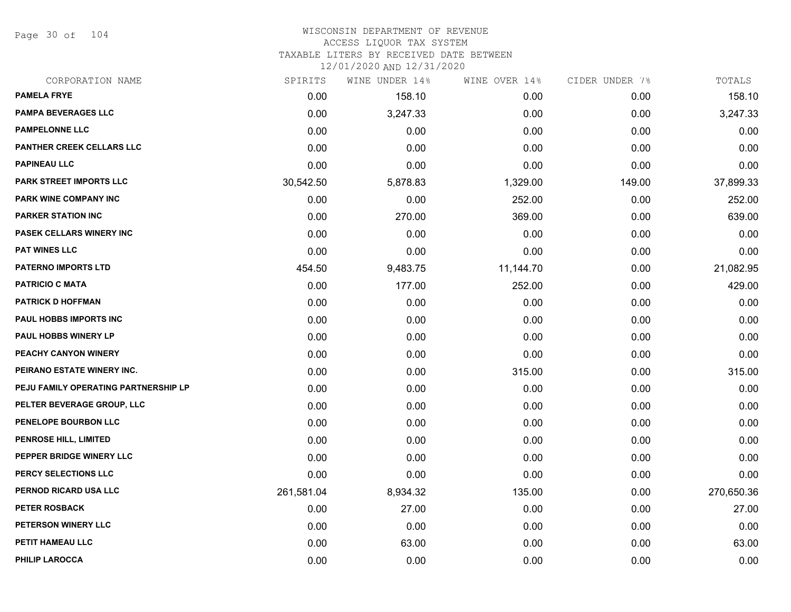Page 30 of 104

## WISCONSIN DEPARTMENT OF REVENUE ACCESS LIQUOR TAX SYSTEM

TAXABLE LITERS BY RECEIVED DATE BETWEEN

| CORPORATION NAME                     | SPIRITS    | WINE UNDER 14% | WINE OVER 14% | CIDER UNDER 7% | TOTALS     |
|--------------------------------------|------------|----------------|---------------|----------------|------------|
| <b>PAMELA FRYE</b>                   | 0.00       | 158.10         | 0.00          | 0.00           | 158.10     |
| <b>PAMPA BEVERAGES LLC</b>           | 0.00       | 3,247.33       | 0.00          | 0.00           | 3,247.33   |
| <b>PAMPELONNE LLC</b>                | 0.00       | 0.00           | 0.00          | 0.00           | 0.00       |
| PANTHER CREEK CELLARS LLC            | 0.00       | 0.00           | 0.00          | 0.00           | 0.00       |
| <b>PAPINEAU LLC</b>                  | 0.00       | 0.00           | 0.00          | 0.00           | 0.00       |
| <b>PARK STREET IMPORTS LLC</b>       | 30,542.50  | 5,878.83       | 1,329.00      | 149.00         | 37,899.33  |
| PARK WINE COMPANY INC                | 0.00       | 0.00           | 252.00        | 0.00           | 252.00     |
| <b>PARKER STATION INC</b>            | 0.00       | 270.00         | 369.00        | 0.00           | 639.00     |
| PASEK CELLARS WINERY INC             | 0.00       | 0.00           | 0.00          | 0.00           | 0.00       |
| <b>PAT WINES LLC</b>                 | 0.00       | 0.00           | 0.00          | 0.00           | 0.00       |
| <b>PATERNO IMPORTS LTD</b>           | 454.50     | 9,483.75       | 11,144.70     | 0.00           | 21,082.95  |
| <b>PATRICIO C MATA</b>               | 0.00       | 177.00         | 252.00        | 0.00           | 429.00     |
| <b>PATRICK D HOFFMAN</b>             | 0.00       | 0.00           | 0.00          | 0.00           | 0.00       |
| <b>PAUL HOBBS IMPORTS INC</b>        | 0.00       | 0.00           | 0.00          | 0.00           | 0.00       |
| <b>PAUL HOBBS WINERY LP</b>          | 0.00       | 0.00           | 0.00          | 0.00           | 0.00       |
| PEACHY CANYON WINERY                 | 0.00       | 0.00           | 0.00          | 0.00           | 0.00       |
| PEIRANO ESTATE WINERY INC.           | 0.00       | 0.00           | 315.00        | 0.00           | 315.00     |
| PEJU FAMILY OPERATING PARTNERSHIP LP | 0.00       | 0.00           | 0.00          | 0.00           | 0.00       |
| PELTER BEVERAGE GROUP, LLC           | 0.00       | 0.00           | 0.00          | 0.00           | 0.00       |
| PENELOPE BOURBON LLC                 | 0.00       | 0.00           | 0.00          | 0.00           | 0.00       |
| <b>PENROSE HILL, LIMITED</b>         | 0.00       | 0.00           | 0.00          | 0.00           | 0.00       |
| PEPPER BRIDGE WINERY LLC             | 0.00       | 0.00           | 0.00          | 0.00           | 0.00       |
| PERCY SELECTIONS LLC                 | 0.00       | 0.00           | 0.00          | 0.00           | 0.00       |
| PERNOD RICARD USA LLC                | 261,581.04 | 8,934.32       | 135.00        | 0.00           | 270,650.36 |
| PETER ROSBACK                        | 0.00       | 27.00          | 0.00          | 0.00           | 27.00      |
| PETERSON WINERY LLC                  | 0.00       | 0.00           | 0.00          | 0.00           | 0.00       |
| PETIT HAMEAU LLC                     | 0.00       | 63.00          | 0.00          | 0.00           | 63.00      |
| PHILIP LAROCCA                       | 0.00       | 0.00           | 0.00          | 0.00           | 0.00       |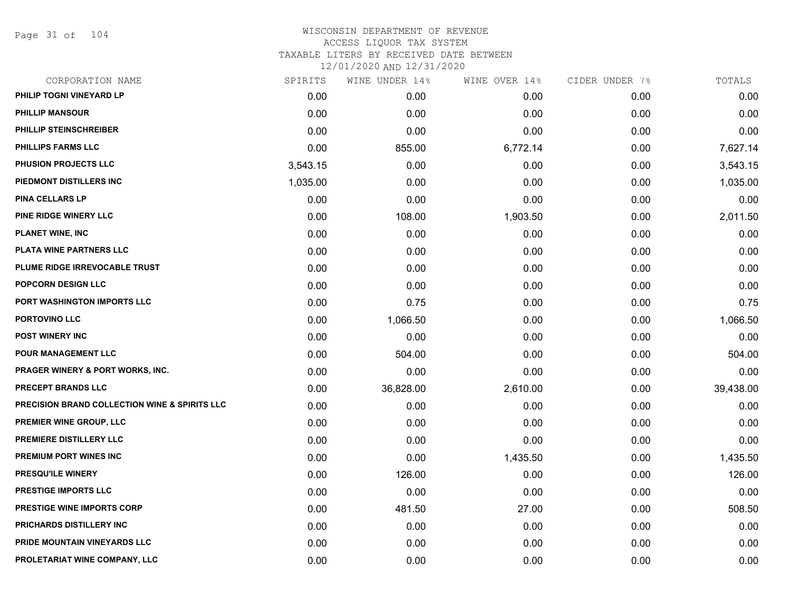Page 31 of 104

| CORPORATION NAME                                         | SPIRITS  | WINE UNDER 14% | WINE OVER 14% | CIDER UNDER 7% | TOTALS    |
|----------------------------------------------------------|----------|----------------|---------------|----------------|-----------|
| PHILIP TOGNI VINEYARD LP                                 | 0.00     | 0.00           | 0.00          | 0.00           | 0.00      |
| <b>PHILLIP MANSOUR</b>                                   | 0.00     | 0.00           | 0.00          | 0.00           | 0.00      |
| PHILLIP STEINSCHREIBER                                   | 0.00     | 0.00           | 0.00          | 0.00           | 0.00      |
| PHILLIPS FARMS LLC                                       | 0.00     | 855.00         | 6,772.14      | 0.00           | 7,627.14  |
| PHUSION PROJECTS LLC                                     | 3,543.15 | 0.00           | 0.00          | 0.00           | 3,543.15  |
| PIEDMONT DISTILLERS INC                                  | 1,035.00 | 0.00           | 0.00          | 0.00           | 1,035.00  |
| <b>PINA CELLARS LP</b>                                   | 0.00     | 0.00           | 0.00          | 0.00           | 0.00      |
| PINE RIDGE WINERY LLC                                    | 0.00     | 108.00         | 1,903.50      | 0.00           | 2,011.50  |
| <b>PLANET WINE, INC</b>                                  | 0.00     | 0.00           | 0.00          | 0.00           | 0.00      |
| PLATA WINE PARTNERS LLC                                  | 0.00     | 0.00           | 0.00          | 0.00           | 0.00      |
| PLUME RIDGE IRREVOCABLE TRUST                            | 0.00     | 0.00           | 0.00          | 0.00           | 0.00      |
| <b>POPCORN DESIGN LLC</b>                                | 0.00     | 0.00           | 0.00          | 0.00           | 0.00      |
| PORT WASHINGTON IMPORTS LLC                              | 0.00     | 0.75           | 0.00          | 0.00           | 0.75      |
| PORTOVINO LLC                                            | 0.00     | 1,066.50       | 0.00          | 0.00           | 1,066.50  |
| <b>POST WINERY INC</b>                                   | 0.00     | 0.00           | 0.00          | 0.00           | 0.00      |
| <b>POUR MANAGEMENT LLC</b>                               | 0.00     | 504.00         | 0.00          | 0.00           | 504.00    |
| <b>PRAGER WINERY &amp; PORT WORKS, INC.</b>              | 0.00     | 0.00           | 0.00          | 0.00           | 0.00      |
| PRECEPT BRANDS LLC                                       | 0.00     | 36,828.00      | 2,610.00      | 0.00           | 39,438.00 |
| <b>PRECISION BRAND COLLECTION WINE &amp; SPIRITS LLC</b> | 0.00     | 0.00           | 0.00          | 0.00           | 0.00      |
| <b>PREMIER WINE GROUP, LLC</b>                           | 0.00     | 0.00           | 0.00          | 0.00           | 0.00      |
| PREMIERE DISTILLERY LLC                                  | 0.00     | 0.00           | 0.00          | 0.00           | 0.00      |
| PREMIUM PORT WINES INC                                   | 0.00     | 0.00           | 1,435.50      | 0.00           | 1,435.50  |
| <b>PRESQU'ILE WINERY</b>                                 | 0.00     | 126.00         | 0.00          | 0.00           | 126.00    |
| <b>PRESTIGE IMPORTS LLC</b>                              | 0.00     | 0.00           | 0.00          | 0.00           | 0.00      |
| PRESTIGE WINE IMPORTS CORP                               | 0.00     | 481.50         | 27.00         | 0.00           | 508.50    |
| PRICHARDS DISTILLERY INC                                 | 0.00     | 0.00           | 0.00          | 0.00           | 0.00      |
| PRIDE MOUNTAIN VINEYARDS LLC                             | 0.00     | 0.00           | 0.00          | 0.00           | 0.00      |
| PROLETARIAT WINE COMPANY, LLC                            | 0.00     | 0.00           | 0.00          | 0.00           | 0.00      |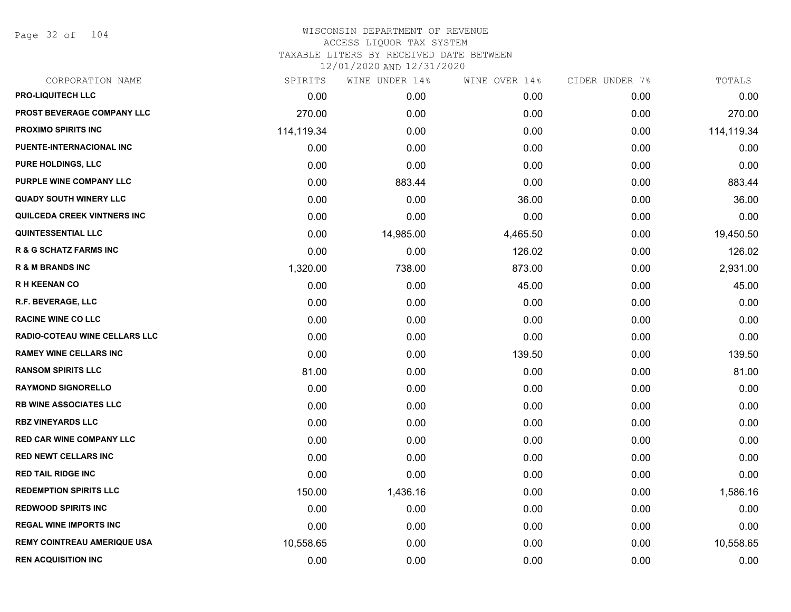Page 32 of 104

| CORPORATION NAME                   | SPIRITS    | WINE UNDER 14% | WINE OVER 14% | CIDER UNDER 7% | TOTALS     |
|------------------------------------|------------|----------------|---------------|----------------|------------|
| <b>PRO-LIQUITECH LLC</b>           | 0.00       | 0.00           | 0.00          | 0.00           | 0.00       |
| PROST BEVERAGE COMPANY LLC         | 270.00     | 0.00           | 0.00          | 0.00           | 270.00     |
| <b>PROXIMO SPIRITS INC</b>         | 114,119.34 | 0.00           | 0.00          | 0.00           | 114,119.34 |
| PUENTE-INTERNACIONAL INC           | 0.00       | 0.00           | 0.00          | 0.00           | 0.00       |
| <b>PURE HOLDINGS, LLC</b>          | 0.00       | 0.00           | 0.00          | 0.00           | 0.00       |
| PURPLE WINE COMPANY LLC            | 0.00       | 883.44         | 0.00          | 0.00           | 883.44     |
| <b>QUADY SOUTH WINERY LLC</b>      | 0.00       | 0.00           | 36.00         | 0.00           | 36.00      |
| QUILCEDA CREEK VINTNERS INC        | 0.00       | 0.00           | 0.00          | 0.00           | 0.00       |
| <b>QUINTESSENTIAL LLC</b>          | 0.00       | 14,985.00      | 4,465.50      | 0.00           | 19,450.50  |
| <b>R &amp; G SCHATZ FARMS INC</b>  | 0.00       | 0.00           | 126.02        | 0.00           | 126.02     |
| <b>R &amp; M BRANDS INC</b>        | 1,320.00   | 738.00         | 873.00        | 0.00           | 2,931.00   |
| <b>RH KEENAN CO</b>                | 0.00       | 0.00           | 45.00         | 0.00           | 45.00      |
| <b>R.F. BEVERAGE, LLC</b>          | 0.00       | 0.00           | 0.00          | 0.00           | 0.00       |
| <b>RACINE WINE CO LLC</b>          | 0.00       | 0.00           | 0.00          | 0.00           | 0.00       |
| RADIO-COTEAU WINE CELLARS LLC      | 0.00       | 0.00           | 0.00          | 0.00           | 0.00       |
| <b>RAMEY WINE CELLARS INC</b>      | 0.00       | 0.00           | 139.50        | 0.00           | 139.50     |
| <b>RANSOM SPIRITS LLC</b>          | 81.00      | 0.00           | 0.00          | 0.00           | 81.00      |
| <b>RAYMOND SIGNORELLO</b>          | 0.00       | 0.00           | 0.00          | 0.00           | 0.00       |
| <b>RB WINE ASSOCIATES LLC</b>      | 0.00       | 0.00           | 0.00          | 0.00           | 0.00       |
| <b>RBZ VINEYARDS LLC</b>           | 0.00       | 0.00           | 0.00          | 0.00           | 0.00       |
| <b>RED CAR WINE COMPANY LLC</b>    | 0.00       | 0.00           | 0.00          | 0.00           | 0.00       |
| <b>RED NEWT CELLARS INC</b>        | 0.00       | 0.00           | 0.00          | 0.00           | 0.00       |
| <b>RED TAIL RIDGE INC</b>          | 0.00       | 0.00           | 0.00          | 0.00           | 0.00       |
| <b>REDEMPTION SPIRITS LLC</b>      | 150.00     | 1,436.16       | 0.00          | 0.00           | 1,586.16   |
| <b>REDWOOD SPIRITS INC</b>         | 0.00       | 0.00           | 0.00          | 0.00           | 0.00       |
| <b>REGAL WINE IMPORTS INC</b>      | 0.00       | 0.00           | 0.00          | 0.00           | 0.00       |
| <b>REMY COINTREAU AMERIQUE USA</b> | 10,558.65  | 0.00           | 0.00          | 0.00           | 10,558.65  |
| <b>REN ACQUISITION INC</b>         | 0.00       | 0.00           | 0.00          | 0.00           | 0.00       |
|                                    |            |                |               |                |            |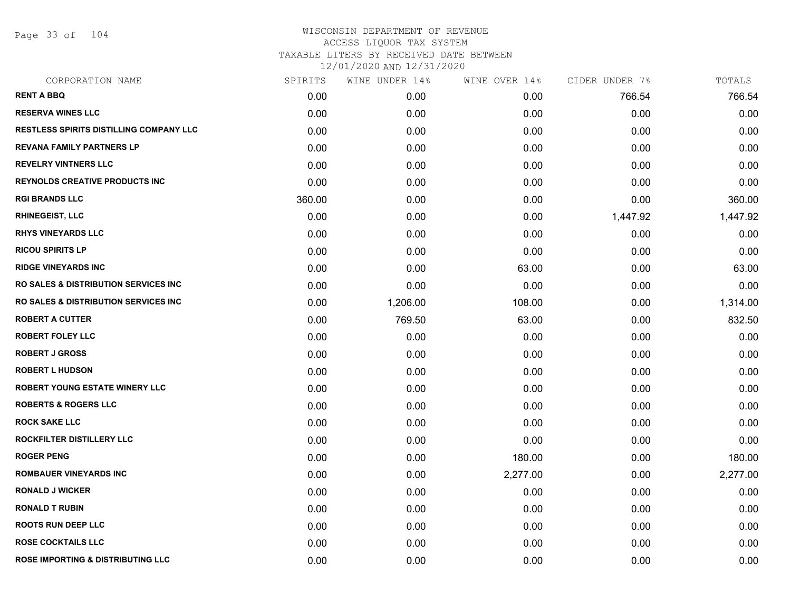Page 33 of 104

| CORPORATION NAME                                 | SPIRITS | WINE UNDER 14% | WINE OVER 14% | CIDER UNDER 7% | TOTALS   |
|--------------------------------------------------|---------|----------------|---------------|----------------|----------|
| <b>RENT A BBQ</b>                                | 0.00    | 0.00           | 0.00          | 766.54         | 766.54   |
| <b>RESERVA WINES LLC</b>                         | 0.00    | 0.00           | 0.00          | 0.00           | 0.00     |
| <b>RESTLESS SPIRITS DISTILLING COMPANY LLC</b>   | 0.00    | 0.00           | 0.00          | 0.00           | 0.00     |
| <b>REVANA FAMILY PARTNERS LP</b>                 | 0.00    | 0.00           | 0.00          | 0.00           | 0.00     |
| <b>REVELRY VINTNERS LLC</b>                      | 0.00    | 0.00           | 0.00          | 0.00           | 0.00     |
| <b>REYNOLDS CREATIVE PRODUCTS INC</b>            | 0.00    | 0.00           | 0.00          | 0.00           | 0.00     |
| <b>RGI BRANDS LLC</b>                            | 360.00  | 0.00           | 0.00          | 0.00           | 360.00   |
| <b>RHINEGEIST, LLC</b>                           | 0.00    | 0.00           | 0.00          | 1,447.92       | 1,447.92 |
| <b>RHYS VINEYARDS LLC</b>                        | 0.00    | 0.00           | 0.00          | 0.00           | 0.00     |
| <b>RICOU SPIRITS LP</b>                          | 0.00    | 0.00           | 0.00          | 0.00           | 0.00     |
| <b>RIDGE VINEYARDS INC</b>                       | 0.00    | 0.00           | 63.00         | 0.00           | 63.00    |
| <b>RO SALES &amp; DISTRIBUTION SERVICES INC.</b> | 0.00    | 0.00           | 0.00          | 0.00           | 0.00     |
| <b>RO SALES &amp; DISTRIBUTION SERVICES INC.</b> | 0.00    | 1,206.00       | 108.00        | 0.00           | 1,314.00 |
| <b>ROBERT A CUTTER</b>                           | 0.00    | 769.50         | 63.00         | 0.00           | 832.50   |
| <b>ROBERT FOLEY LLC</b>                          | 0.00    | 0.00           | 0.00          | 0.00           | 0.00     |
| <b>ROBERT J GROSS</b>                            | 0.00    | 0.00           | 0.00          | 0.00           | 0.00     |
| <b>ROBERT L HUDSON</b>                           | 0.00    | 0.00           | 0.00          | 0.00           | 0.00     |
| <b>ROBERT YOUNG ESTATE WINERY LLC</b>            | 0.00    | 0.00           | 0.00          | 0.00           | 0.00     |
| <b>ROBERTS &amp; ROGERS LLC</b>                  | 0.00    | 0.00           | 0.00          | 0.00           | 0.00     |
| <b>ROCK SAKE LLC</b>                             | 0.00    | 0.00           | 0.00          | 0.00           | 0.00     |
| ROCKFILTER DISTILLERY LLC                        | 0.00    | 0.00           | 0.00          | 0.00           | 0.00     |
| <b>ROGER PENG</b>                                | 0.00    | 0.00           | 180.00        | 0.00           | 180.00   |
| <b>ROMBAUER VINEYARDS INC</b>                    | 0.00    | 0.00           | 2,277.00      | 0.00           | 2,277.00 |
| <b>RONALD J WICKER</b>                           | 0.00    | 0.00           | 0.00          | 0.00           | 0.00     |
| <b>RONALD T RUBIN</b>                            | 0.00    | 0.00           | 0.00          | 0.00           | 0.00     |
| <b>ROOTS RUN DEEP LLC</b>                        | 0.00    | 0.00           | 0.00          | 0.00           | 0.00     |
| <b>ROSE COCKTAILS LLC</b>                        | 0.00    | 0.00           | 0.00          | 0.00           | 0.00     |
| <b>ROSE IMPORTING &amp; DISTRIBUTING LLC</b>     | 0.00    | 0.00           | 0.00          | 0.00           | 0.00     |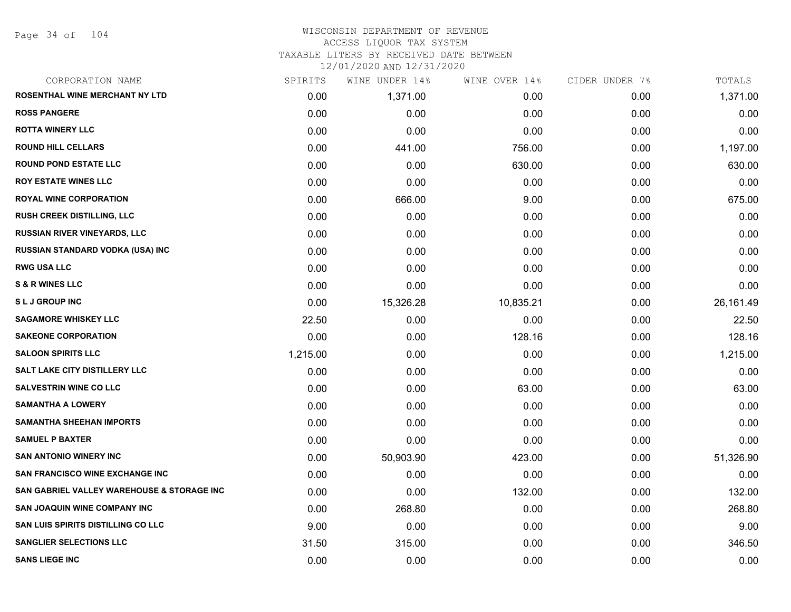Page 34 of 104

| CORPORATION NAME                           | SPIRITS  | WINE UNDER 14% | WINE OVER 14% | CIDER UNDER 7% | TOTALS    |
|--------------------------------------------|----------|----------------|---------------|----------------|-----------|
| ROSENTHAL WINE MERCHANT NY LTD             | 0.00     | 1,371.00       | 0.00          | 0.00           | 1,371.00  |
| <b>ROSS PANGERE</b>                        | 0.00     | 0.00           | 0.00          | 0.00           | 0.00      |
| <b>ROTTA WINERY LLC</b>                    | 0.00     | 0.00           | 0.00          | 0.00           | 0.00      |
| <b>ROUND HILL CELLARS</b>                  | 0.00     | 441.00         | 756.00        | 0.00           | 1,197.00  |
| <b>ROUND POND ESTATE LLC</b>               | 0.00     | 0.00           | 630.00        | 0.00           | 630.00    |
| <b>ROY ESTATE WINES LLC</b>                | 0.00     | 0.00           | 0.00          | 0.00           | 0.00      |
| <b>ROYAL WINE CORPORATION</b>              | 0.00     | 666.00         | 9.00          | 0.00           | 675.00    |
| <b>RUSH CREEK DISTILLING, LLC</b>          | 0.00     | 0.00           | 0.00          | 0.00           | 0.00      |
| <b>RUSSIAN RIVER VINEYARDS, LLC</b>        | 0.00     | 0.00           | 0.00          | 0.00           | 0.00      |
| RUSSIAN STANDARD VODKA (USA) INC           | 0.00     | 0.00           | 0.00          | 0.00           | 0.00      |
| <b>RWG USA LLC</b>                         | 0.00     | 0.00           | 0.00          | 0.00           | 0.00      |
| <b>S &amp; R WINES LLC</b>                 | 0.00     | 0.00           | 0.00          | 0.00           | 0.00      |
| <b>SLJ GROUP INC</b>                       | 0.00     | 15,326.28      | 10,835.21     | 0.00           | 26,161.49 |
| <b>SAGAMORE WHISKEY LLC</b>                | 22.50    | 0.00           | 0.00          | 0.00           | 22.50     |
| <b>SAKEONE CORPORATION</b>                 | 0.00     | 0.00           | 128.16        | 0.00           | 128.16    |
| <b>SALOON SPIRITS LLC</b>                  | 1,215.00 | 0.00           | 0.00          | 0.00           | 1,215.00  |
| SALT LAKE CITY DISTILLERY LLC              | 0.00     | 0.00           | 0.00          | 0.00           | 0.00      |
| <b>SALVESTRIN WINE CO LLC</b>              | 0.00     | 0.00           | 63.00         | 0.00           | 63.00     |
| <b>SAMANTHA A LOWERY</b>                   | 0.00     | 0.00           | 0.00          | 0.00           | 0.00      |
| <b>SAMANTHA SHEEHAN IMPORTS</b>            | 0.00     | 0.00           | 0.00          | 0.00           | 0.00      |
| <b>SAMUEL P BAXTER</b>                     | 0.00     | 0.00           | 0.00          | 0.00           | 0.00      |
| <b>SAN ANTONIO WINERY INC</b>              | 0.00     | 50,903.90      | 423.00        | 0.00           | 51,326.90 |
| <b>SAN FRANCISCO WINE EXCHANGE INC</b>     | 0.00     | 0.00           | 0.00          | 0.00           | 0.00      |
| SAN GABRIEL VALLEY WAREHOUSE & STORAGE INC | 0.00     | 0.00           | 132.00        | 0.00           | 132.00    |
| <b>SAN JOAQUIN WINE COMPANY INC</b>        | 0.00     | 268.80         | 0.00          | 0.00           | 268.80    |
| <b>SAN LUIS SPIRITS DISTILLING CO LLC</b>  | 9.00     | 0.00           | 0.00          | 0.00           | 9.00      |
| <b>SANGLIER SELECTIONS LLC</b>             | 31.50    | 315.00         | 0.00          | 0.00           | 346.50    |
| <b>SANS LIEGE INC</b>                      | 0.00     | 0.00           | 0.00          | 0.00           | 0.00      |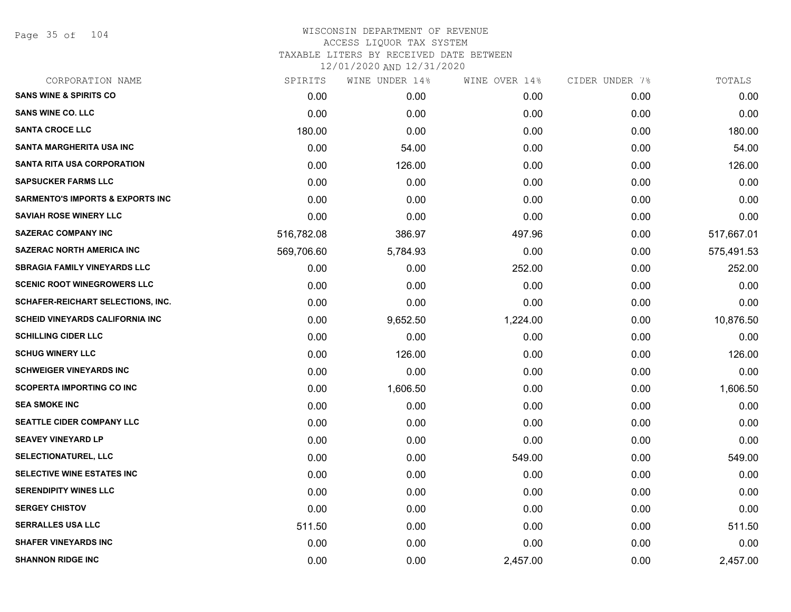Page 35 of 104

| CORPORATION NAME                            | SPIRITS    | WINE UNDER 14% | WINE OVER 14% | CIDER UNDER 7% | TOTALS     |
|---------------------------------------------|------------|----------------|---------------|----------------|------------|
| <b>SANS WINE &amp; SPIRITS CO</b>           | 0.00       | 0.00           | 0.00          | 0.00           | 0.00       |
| <b>SANS WINE CO. LLC</b>                    | 0.00       | 0.00           | 0.00          | 0.00           | 0.00       |
| <b>SANTA CROCE LLC</b>                      | 180.00     | 0.00           | 0.00          | 0.00           | 180.00     |
| SANTA MARGHERITA USA INC                    | 0.00       | 54.00          | 0.00          | 0.00           | 54.00      |
| <b>SANTA RITA USA CORPORATION</b>           | 0.00       | 126.00         | 0.00          | 0.00           | 126.00     |
| <b>SAPSUCKER FARMS LLC</b>                  | 0.00       | 0.00           | 0.00          | 0.00           | 0.00       |
| <b>SARMENTO'S IMPORTS &amp; EXPORTS INC</b> | 0.00       | 0.00           | 0.00          | 0.00           | 0.00       |
| <b>SAVIAH ROSE WINERY LLC</b>               | 0.00       | 0.00           | 0.00          | 0.00           | 0.00       |
| <b>SAZERAC COMPANY INC</b>                  | 516,782.08 | 386.97         | 497.96        | 0.00           | 517,667.01 |
| <b>SAZERAC NORTH AMERICA INC</b>            | 569,706.60 | 5,784.93       | 0.00          | 0.00           | 575,491.53 |
| <b>SBRAGIA FAMILY VINEYARDS LLC</b>         | 0.00       | 0.00           | 252.00        | 0.00           | 252.00     |
| <b>SCENIC ROOT WINEGROWERS LLC</b>          | 0.00       | 0.00           | 0.00          | 0.00           | 0.00       |
| SCHAFER-REICHART SELECTIONS, INC.           | 0.00       | 0.00           | 0.00          | 0.00           | 0.00       |
| <b>SCHEID VINEYARDS CALIFORNIA INC</b>      | 0.00       | 9,652.50       | 1,224.00      | 0.00           | 10,876.50  |
| <b>SCHILLING CIDER LLC</b>                  | 0.00       | 0.00           | 0.00          | 0.00           | 0.00       |
| <b>SCHUG WINERY LLC</b>                     | 0.00       | 126.00         | 0.00          | 0.00           | 126.00     |
| <b>SCHWEIGER VINEYARDS INC</b>              | 0.00       | 0.00           | 0.00          | 0.00           | 0.00       |
| <b>SCOPERTA IMPORTING CO INC</b>            | 0.00       | 1,606.50       | 0.00          | 0.00           | 1,606.50   |
| <b>SEA SMOKE INC</b>                        | 0.00       | 0.00           | 0.00          | 0.00           | 0.00       |
| <b>SEATTLE CIDER COMPANY LLC</b>            | 0.00       | 0.00           | 0.00          | 0.00           | 0.00       |
| <b>SEAVEY VINEYARD LP</b>                   | 0.00       | 0.00           | 0.00          | 0.00           | 0.00       |
| SELECTIONATUREL, LLC                        | 0.00       | 0.00           | 549.00        | 0.00           | 549.00     |
| SELECTIVE WINE ESTATES INC                  | 0.00       | 0.00           | 0.00          | 0.00           | 0.00       |
| <b>SERENDIPITY WINES LLC</b>                | 0.00       | 0.00           | 0.00          | 0.00           | 0.00       |
| <b>SERGEY CHISTOV</b>                       | 0.00       | 0.00           | 0.00          | 0.00           | 0.00       |
| <b>SERRALLES USA LLC</b>                    | 511.50     | 0.00           | 0.00          | 0.00           | 511.50     |
| <b>SHAFER VINEYARDS INC</b>                 | 0.00       | 0.00           | 0.00          | 0.00           | 0.00       |
| <b>SHANNON RIDGE INC</b>                    | 0.00       | 0.00           | 2,457.00      | 0.00           | 2,457.00   |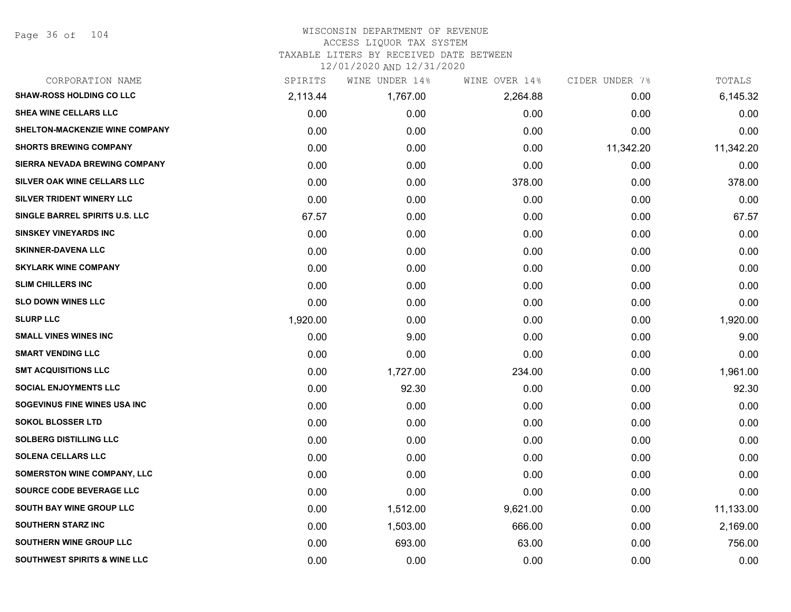Page 36 of 104

| CORPORATION NAME                        | SPIRITS  | WINE UNDER 14% | WINE OVER 14% | CIDER UNDER 7% | TOTALS    |
|-----------------------------------------|----------|----------------|---------------|----------------|-----------|
| <b>SHAW-ROSS HOLDING CO LLC</b>         | 2,113.44 | 1,767.00       | 2,264.88      | 0.00           | 6,145.32  |
| <b>SHEA WINE CELLARS LLC</b>            | 0.00     | 0.00           | 0.00          | 0.00           | 0.00      |
| SHELTON-MACKENZIE WINE COMPANY          | 0.00     | 0.00           | 0.00          | 0.00           | 0.00      |
| <b>SHORTS BREWING COMPANY</b>           | 0.00     | 0.00           | 0.00          | 11,342.20      | 11,342.20 |
| SIERRA NEVADA BREWING COMPANY           | 0.00     | 0.00           | 0.00          | 0.00           | 0.00      |
| SILVER OAK WINE CELLARS LLC             | 0.00     | 0.00           | 378.00        | 0.00           | 378.00    |
| SILVER TRIDENT WINERY LLC               | 0.00     | 0.00           | 0.00          | 0.00           | 0.00      |
| SINGLE BARREL SPIRITS U.S. LLC          | 67.57    | 0.00           | 0.00          | 0.00           | 67.57     |
| <b>SINSKEY VINEYARDS INC</b>            | 0.00     | 0.00           | 0.00          | 0.00           | 0.00      |
| <b>SKINNER-DAVENA LLC</b>               | 0.00     | 0.00           | 0.00          | 0.00           | 0.00      |
| <b>SKYLARK WINE COMPANY</b>             | 0.00     | 0.00           | 0.00          | 0.00           | 0.00      |
| <b>SLIM CHILLERS INC</b>                | 0.00     | 0.00           | 0.00          | 0.00           | 0.00      |
| <b>SLO DOWN WINES LLC</b>               | 0.00     | 0.00           | 0.00          | 0.00           | 0.00      |
| <b>SLURP LLC</b>                        | 1,920.00 | 0.00           | 0.00          | 0.00           | 1,920.00  |
| <b>SMALL VINES WINES INC</b>            | 0.00     | 9.00           | 0.00          | 0.00           | 9.00      |
| <b>SMART VENDING LLC</b>                | 0.00     | 0.00           | 0.00          | 0.00           | 0.00      |
| <b>SMT ACQUISITIONS LLC</b>             | 0.00     | 1,727.00       | 234.00        | 0.00           | 1,961.00  |
| <b>SOCIAL ENJOYMENTS LLC</b>            | 0.00     | 92.30          | 0.00          | 0.00           | 92.30     |
| SOGEVINUS FINE WINES USA INC            | 0.00     | 0.00           | 0.00          | 0.00           | 0.00      |
| <b>SOKOL BLOSSER LTD</b>                | 0.00     | 0.00           | 0.00          | 0.00           | 0.00      |
| <b>SOLBERG DISTILLING LLC</b>           | 0.00     | 0.00           | 0.00          | 0.00           | 0.00      |
| <b>SOLENA CELLARS LLC</b>               | 0.00     | 0.00           | 0.00          | 0.00           | 0.00      |
| SOMERSTON WINE COMPANY, LLC             | 0.00     | 0.00           | 0.00          | 0.00           | 0.00      |
| SOURCE CODE BEVERAGE LLC                | 0.00     | 0.00           | 0.00          | 0.00           | 0.00      |
| SOUTH BAY WINE GROUP LLC                | 0.00     | 1,512.00       | 9,621.00      | 0.00           | 11,133.00 |
| <b>SOUTHERN STARZ INC</b>               | 0.00     | 1,503.00       | 666.00        | 0.00           | 2,169.00  |
| <b>SOUTHERN WINE GROUP LLC</b>          | 0.00     | 693.00         | 63.00         | 0.00           | 756.00    |
| <b>SOUTHWEST SPIRITS &amp; WINE LLC</b> | 0.00     | 0.00           | 0.00          | 0.00           | 0.00      |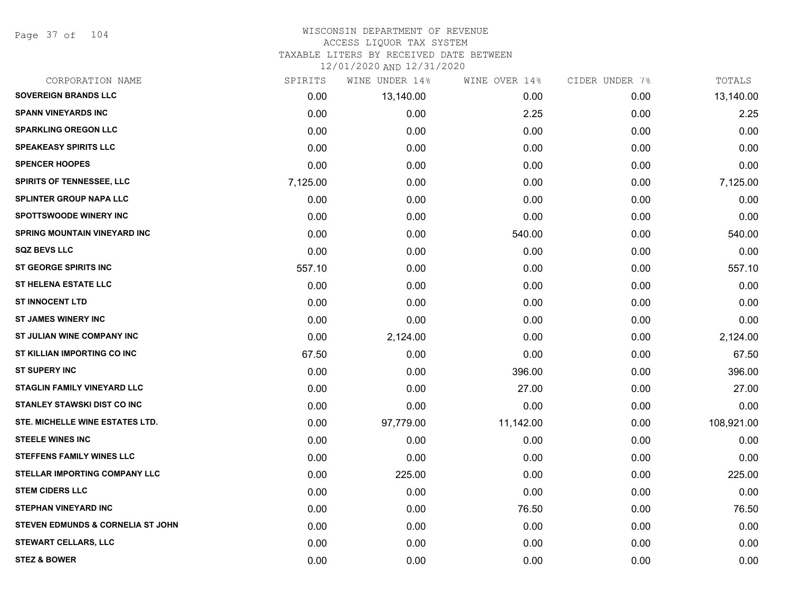Page 37 of 104

#### WISCONSIN DEPARTMENT OF REVENUE ACCESS LIQUOR TAX SYSTEM

TAXABLE LITERS BY RECEIVED DATE BETWEEN

| CORPORATION NAME                    | SPIRITS  | WINE UNDER 14% | WINE OVER 14% | CIDER UNDER 7% | TOTALS     |
|-------------------------------------|----------|----------------|---------------|----------------|------------|
| <b>SOVEREIGN BRANDS LLC</b>         | 0.00     | 13,140.00      | 0.00          | 0.00           | 13,140.00  |
| <b>SPANN VINEYARDS INC</b>          | 0.00     | 0.00           | 2.25          | 0.00           | 2.25       |
| <b>SPARKLING OREGON LLC</b>         | 0.00     | 0.00           | 0.00          | 0.00           | 0.00       |
| <b>SPEAKEASY SPIRITS LLC</b>        | 0.00     | 0.00           | 0.00          | 0.00           | 0.00       |
| <b>SPENCER HOOPES</b>               | 0.00     | 0.00           | 0.00          | 0.00           | 0.00       |
| <b>SPIRITS OF TENNESSEE, LLC</b>    | 7,125.00 | 0.00           | 0.00          | 0.00           | 7,125.00   |
| <b>SPLINTER GROUP NAPA LLC</b>      | 0.00     | 0.00           | 0.00          | 0.00           | 0.00       |
| <b>SPOTTSWOODE WINERY INC</b>       | 0.00     | 0.00           | 0.00          | 0.00           | 0.00       |
| <b>SPRING MOUNTAIN VINEYARD INC</b> | 0.00     | 0.00           | 540.00        | 0.00           | 540.00     |
| <b>SQZ BEVS LLC</b>                 | 0.00     | 0.00           | 0.00          | 0.00           | 0.00       |
| ST GEORGE SPIRITS INC               | 557.10   | 0.00           | 0.00          | 0.00           | 557.10     |
| <b>ST HELENA ESTATE LLC</b>         | 0.00     | 0.00           | 0.00          | 0.00           | 0.00       |
| <b>ST INNOCENT LTD</b>              | 0.00     | 0.00           | 0.00          | 0.00           | 0.00       |
| ST JAMES WINERY INC                 | 0.00     | 0.00           | 0.00          | 0.00           | 0.00       |
| ST JULIAN WINE COMPANY INC          | 0.00     | 2,124.00       | 0.00          | 0.00           | 2,124.00   |
| ST KILLIAN IMPORTING CO INC         | 67.50    | 0.00           | 0.00          | 0.00           | 67.50      |
| <b>ST SUPERY INC</b>                | 0.00     | 0.00           | 396.00        | 0.00           | 396.00     |
| <b>STAGLIN FAMILY VINEYARD LLC</b>  | 0.00     | 0.00           | 27.00         | 0.00           | 27.00      |
| <b>STANLEY STAWSKI DIST CO INC</b>  | 0.00     | 0.00           | 0.00          | 0.00           | 0.00       |
| STE. MICHELLE WINE ESTATES LTD.     | 0.00     | 97,779.00      | 11,142.00     | 0.00           | 108,921.00 |
| <b>STEELE WINES INC</b>             | 0.00     | 0.00           | 0.00          | 0.00           | 0.00       |
| <b>STEFFENS FAMILY WINES LLC</b>    | 0.00     | 0.00           | 0.00          | 0.00           | 0.00       |
| STELLAR IMPORTING COMPANY LLC       | 0.00     | 225.00         | 0.00          | 0.00           | 225.00     |
| <b>STEM CIDERS LLC</b>              | 0.00     | 0.00           | 0.00          | 0.00           | 0.00       |
| <b>STEPHAN VINEYARD INC</b>         | 0.00     | 0.00           | 76.50         | 0.00           | 76.50      |
| STEVEN EDMUNDS & CORNELIA ST JOHN   | 0.00     | 0.00           | 0.00          | 0.00           | 0.00       |
| <b>STEWART CELLARS, LLC</b>         | 0.00     | 0.00           | 0.00          | 0.00           | 0.00       |
| <b>STEZ &amp; BOWER</b>             | 0.00     | 0.00           | 0.00          | 0.00           | 0.00       |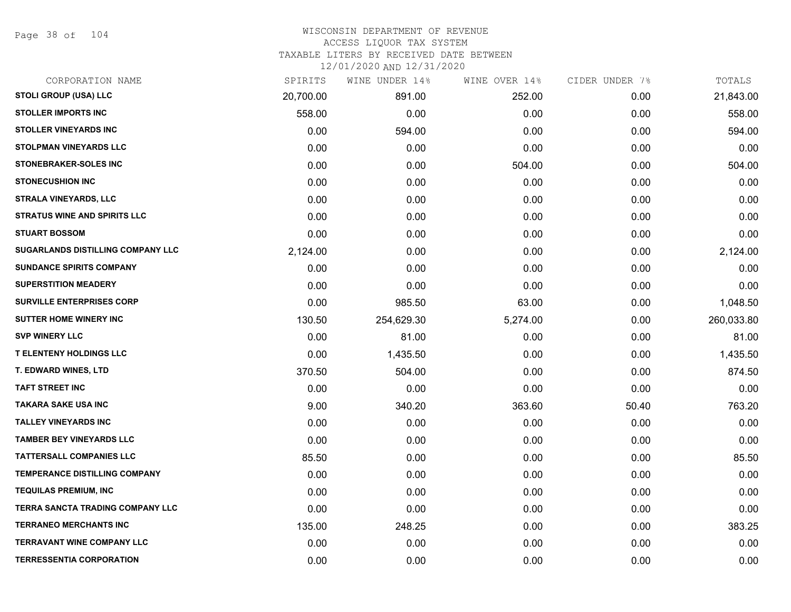Page 38 of 104

#### WISCONSIN DEPARTMENT OF REVENUE ACCESS LIQUOR TAX SYSTEM

TAXABLE LITERS BY RECEIVED DATE BETWEEN

| CORPORATION NAME                        | SPIRITS   | WINE UNDER 14% | WINE OVER 14% | CIDER UNDER 7% | TOTALS     |
|-----------------------------------------|-----------|----------------|---------------|----------------|------------|
| <b>STOLI GROUP (USA) LLC</b>            | 20,700.00 | 891.00         | 252.00        | 0.00           | 21,843.00  |
| <b>STOLLER IMPORTS INC</b>              | 558.00    | 0.00           | 0.00          | 0.00           | 558.00     |
| <b>STOLLER VINEYARDS INC</b>            | 0.00      | 594.00         | 0.00          | 0.00           | 594.00     |
| <b>STOLPMAN VINEYARDS LLC</b>           | 0.00      | 0.00           | 0.00          | 0.00           | 0.00       |
| STONEBRAKER-SOLES INC                   | 0.00      | 0.00           | 504.00        | 0.00           | 504.00     |
| <b>STONECUSHION INC</b>                 | 0.00      | 0.00           | 0.00          | 0.00           | 0.00       |
| STRALA VINEYARDS, LLC                   | 0.00      | 0.00           | 0.00          | 0.00           | 0.00       |
| <b>STRATUS WINE AND SPIRITS LLC</b>     | 0.00      | 0.00           | 0.00          | 0.00           | 0.00       |
| <b>STUART BOSSOM</b>                    | 0.00      | 0.00           | 0.00          | 0.00           | 0.00       |
| SUGARLANDS DISTILLING COMPANY LLC       | 2,124.00  | 0.00           | 0.00          | 0.00           | 2,124.00   |
| <b>SUNDANCE SPIRITS COMPANY</b>         | 0.00      | 0.00           | 0.00          | 0.00           | 0.00       |
| <b>SUPERSTITION MEADERY</b>             | 0.00      | 0.00           | 0.00          | 0.00           | 0.00       |
| <b>SURVILLE ENTERPRISES CORP</b>        | 0.00      | 985.50         | 63.00         | 0.00           | 1,048.50   |
| <b>SUTTER HOME WINERY INC</b>           | 130.50    | 254,629.30     | 5,274.00      | 0.00           | 260,033.80 |
| <b>SVP WINERY LLC</b>                   | 0.00      | 81.00          | 0.00          | 0.00           | 81.00      |
| <b>T ELENTENY HOLDINGS LLC</b>          | 0.00      | 1,435.50       | 0.00          | 0.00           | 1,435.50   |
| <b>T. EDWARD WINES, LTD</b>             | 370.50    | 504.00         | 0.00          | 0.00           | 874.50     |
| <b>TAFT STREET INC</b>                  | 0.00      | 0.00           | 0.00          | 0.00           | 0.00       |
| <b>TAKARA SAKE USA INC</b>              | 9.00      | 340.20         | 363.60        | 50.40          | 763.20     |
| <b>TALLEY VINEYARDS INC</b>             | 0.00      | 0.00           | 0.00          | 0.00           | 0.00       |
| <b>TAMBER BEY VINEYARDS LLC</b>         | 0.00      | 0.00           | 0.00          | 0.00           | 0.00       |
| TATTERSALL COMPANIES LLC                | 85.50     | 0.00           | 0.00          | 0.00           | 85.50      |
| TEMPERANCE DISTILLING COMPANY           | 0.00      | 0.00           | 0.00          | 0.00           | 0.00       |
| <b>TEQUILAS PREMIUM, INC</b>            | 0.00      | 0.00           | 0.00          | 0.00           | 0.00       |
| <b>TERRA SANCTA TRADING COMPANY LLC</b> | 0.00      | 0.00           | 0.00          | 0.00           | 0.00       |
| <b>TERRANEO MERCHANTS INC</b>           | 135.00    | 248.25         | 0.00          | 0.00           | 383.25     |
| <b>TERRAVANT WINE COMPANY LLC</b>       | 0.00      | 0.00           | 0.00          | 0.00           | 0.00       |
| <b>TERRESSENTIA CORPORATION</b>         | 0.00      | 0.00           | 0.00          | 0.00           | 0.00       |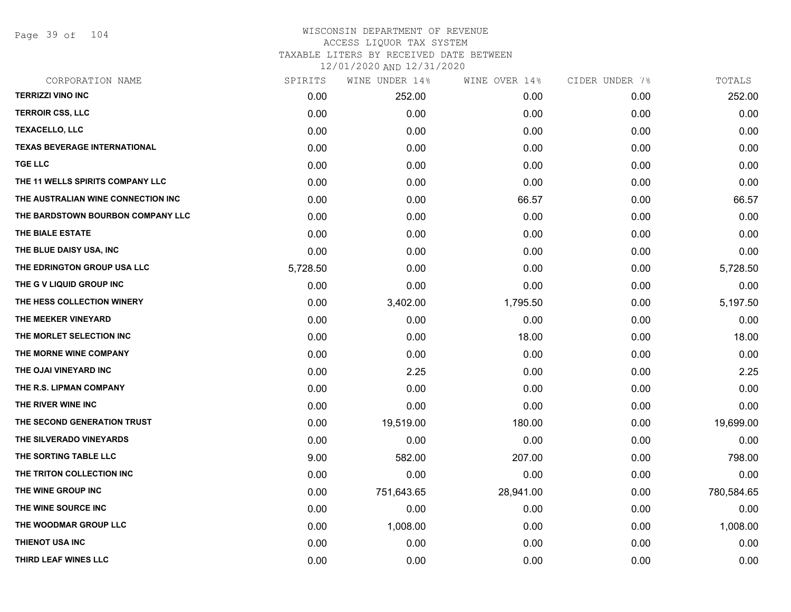Page 39 of 104

| CORPORATION NAME                    | SPIRITS  | WINE UNDER 14% | WINE OVER 14% | CIDER UNDER 7% | TOTALS     |
|-------------------------------------|----------|----------------|---------------|----------------|------------|
| <b>TERRIZZI VINO INC</b>            | 0.00     | 252.00         | 0.00          | 0.00           | 252.00     |
| <b>TERROIR CSS, LLC</b>             | 0.00     | 0.00           | 0.00          | 0.00           | 0.00       |
| <b>TEXACELLO, LLC</b>               | 0.00     | 0.00           | 0.00          | 0.00           | 0.00       |
| <b>TEXAS BEVERAGE INTERNATIONAL</b> | 0.00     | 0.00           | 0.00          | 0.00           | 0.00       |
| <b>TGE LLC</b>                      | 0.00     | 0.00           | 0.00          | 0.00           | 0.00       |
| THE 11 WELLS SPIRITS COMPANY LLC    | 0.00     | 0.00           | 0.00          | 0.00           | 0.00       |
| THE AUSTRALIAN WINE CONNECTION INC  | 0.00     | 0.00           | 66.57         | 0.00           | 66.57      |
| THE BARDSTOWN BOURBON COMPANY LLC   | 0.00     | 0.00           | 0.00          | 0.00           | 0.00       |
| THE BIALE ESTATE                    | 0.00     | 0.00           | 0.00          | 0.00           | 0.00       |
| THE BLUE DAISY USA, INC             | 0.00     | 0.00           | 0.00          | 0.00           | 0.00       |
| THE EDRINGTON GROUP USA LLC         | 5,728.50 | 0.00           | 0.00          | 0.00           | 5,728.50   |
| THE G V LIQUID GROUP INC            | 0.00     | 0.00           | 0.00          | 0.00           | 0.00       |
| THE HESS COLLECTION WINERY          | 0.00     | 3,402.00       | 1,795.50      | 0.00           | 5,197.50   |
| THE MEEKER VINEYARD                 | 0.00     | 0.00           | 0.00          | 0.00           | 0.00       |
| THE MORLET SELECTION INC            | 0.00     | 0.00           | 18.00         | 0.00           | 18.00      |
| THE MORNE WINE COMPANY              | 0.00     | 0.00           | 0.00          | 0.00           | 0.00       |
| THE OJAI VINEYARD INC               | 0.00     | 2.25           | 0.00          | 0.00           | 2.25       |
| THE R.S. LIPMAN COMPANY             | 0.00     | 0.00           | 0.00          | 0.00           | 0.00       |
| THE RIVER WINE INC                  | 0.00     | 0.00           | 0.00          | 0.00           | 0.00       |
| THE SECOND GENERATION TRUST         | 0.00     | 19,519.00      | 180.00        | 0.00           | 19,699.00  |
| THE SILVERADO VINEYARDS             | 0.00     | 0.00           | 0.00          | 0.00           | 0.00       |
| THE SORTING TABLE LLC               | 9.00     | 582.00         | 207.00        | 0.00           | 798.00     |
| THE TRITON COLLECTION INC           | 0.00     | 0.00           | 0.00          | 0.00           | 0.00       |
| THE WINE GROUP INC                  | 0.00     | 751,643.65     | 28,941.00     | 0.00           | 780,584.65 |
| THE WINE SOURCE INC                 | 0.00     | 0.00           | 0.00          | 0.00           | 0.00       |
| THE WOODMAR GROUP LLC               | 0.00     | 1,008.00       | 0.00          | 0.00           | 1,008.00   |
| <b>THIENOT USA INC</b>              | 0.00     | 0.00           | 0.00          | 0.00           | 0.00       |
| THIRD LEAF WINES LLC                | 0.00     | 0.00           | 0.00          | 0.00           | 0.00       |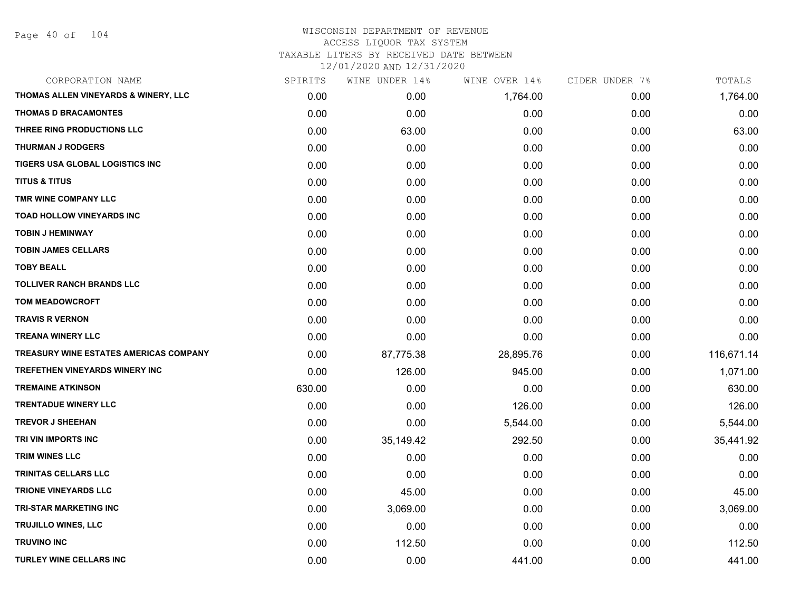Page 40 of 104

| CORPORATION NAME                              | SPIRITS | WINE UNDER 14% | WINE OVER 14% | CIDER UNDER 7% | TOTALS     |
|-----------------------------------------------|---------|----------------|---------------|----------------|------------|
| THOMAS ALLEN VINEYARDS & WINERY, LLC          | 0.00    | 0.00           | 1,764.00      | 0.00           | 1,764.00   |
| <b>THOMAS D BRACAMONTES</b>                   | 0.00    | 0.00           | 0.00          | 0.00           | 0.00       |
| THREE RING PRODUCTIONS LLC                    | 0.00    | 63.00          | 0.00          | 0.00           | 63.00      |
| <b>THURMAN J RODGERS</b>                      | 0.00    | 0.00           | 0.00          | 0.00           | 0.00       |
| TIGERS USA GLOBAL LOGISTICS INC               | 0.00    | 0.00           | 0.00          | 0.00           | 0.00       |
| <b>TITUS &amp; TITUS</b>                      | 0.00    | 0.00           | 0.00          | 0.00           | 0.00       |
| TMR WINE COMPANY LLC                          | 0.00    | 0.00           | 0.00          | 0.00           | 0.00       |
| <b>TOAD HOLLOW VINEYARDS INC</b>              | 0.00    | 0.00           | 0.00          | 0.00           | 0.00       |
| <b>TOBIN J HEMINWAY</b>                       | 0.00    | 0.00           | 0.00          | 0.00           | 0.00       |
| <b>TOBIN JAMES CELLARS</b>                    | 0.00    | 0.00           | 0.00          | 0.00           | 0.00       |
| <b>TOBY BEALL</b>                             | 0.00    | 0.00           | 0.00          | 0.00           | 0.00       |
| <b>TOLLIVER RANCH BRANDS LLC</b>              | 0.00    | 0.00           | 0.00          | 0.00           | 0.00       |
| <b>TOM MEADOWCROFT</b>                        | 0.00    | 0.00           | 0.00          | 0.00           | 0.00       |
| <b>TRAVIS R VERNON</b>                        | 0.00    | 0.00           | 0.00          | 0.00           | 0.00       |
| <b>TREANA WINERY LLC</b>                      | 0.00    | 0.00           | 0.00          | 0.00           | 0.00       |
| <b>TREASURY WINE ESTATES AMERICAS COMPANY</b> | 0.00    | 87,775.38      | 28,895.76     | 0.00           | 116,671.14 |
| TREFETHEN VINEYARDS WINERY INC                | 0.00    | 126.00         | 945.00        | 0.00           | 1,071.00   |
| <b>TREMAINE ATKINSON</b>                      | 630.00  | 0.00           | 0.00          | 0.00           | 630.00     |
| <b>TRENTADUE WINERY LLC</b>                   | 0.00    | 0.00           | 126.00        | 0.00           | 126.00     |
| <b>TREVOR J SHEEHAN</b>                       | 0.00    | 0.00           | 5,544.00      | 0.00           | 5,544.00   |
| TRI VIN IMPORTS INC                           | 0.00    | 35,149.42      | 292.50        | 0.00           | 35,441.92  |
| <b>TRIM WINES LLC</b>                         | 0.00    | 0.00           | 0.00          | 0.00           | 0.00       |
| <b>TRINITAS CELLARS LLC</b>                   | 0.00    | 0.00           | 0.00          | 0.00           | 0.00       |
| <b>TRIONE VINEYARDS LLC</b>                   | 0.00    | 45.00          | 0.00          | 0.00           | 45.00      |
| <b>TRI-STAR MARKETING INC</b>                 | 0.00    | 3,069.00       | 0.00          | 0.00           | 3,069.00   |
| TRUJILLO WINES, LLC                           | 0.00    | 0.00           | 0.00          | 0.00           | 0.00       |
| <b>TRUVINO INC</b>                            | 0.00    | 112.50         | 0.00          | 0.00           | 112.50     |
| <b>TURLEY WINE CELLARS INC</b>                | 0.00    | 0.00           | 441.00        | 0.00           | 441.00     |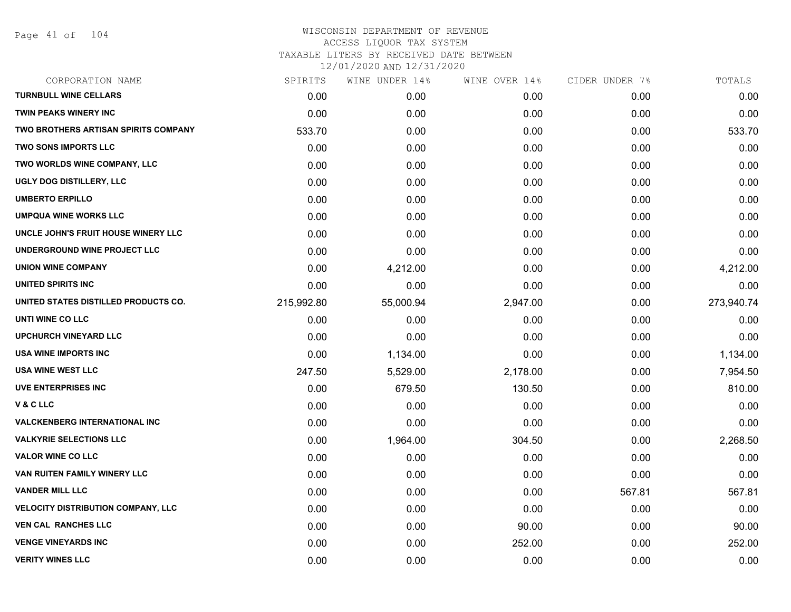Page 41 of 104

| CORPORATION NAME                            | SPIRITS    | WINE UNDER 14% | WINE OVER 14% | CIDER UNDER 7% | TOTALS     |
|---------------------------------------------|------------|----------------|---------------|----------------|------------|
| <b>TURNBULL WINE CELLARS</b>                | 0.00       | 0.00           | 0.00          | 0.00           | 0.00       |
| <b>TWIN PEAKS WINERY INC</b>                | 0.00       | 0.00           | 0.00          | 0.00           | 0.00       |
| <b>TWO BROTHERS ARTISAN SPIRITS COMPANY</b> | 533.70     | 0.00           | 0.00          | 0.00           | 533.70     |
| <b>TWO SONS IMPORTS LLC</b>                 | 0.00       | 0.00           | 0.00          | 0.00           | 0.00       |
| TWO WORLDS WINE COMPANY, LLC                | 0.00       | 0.00           | 0.00          | 0.00           | 0.00       |
| UGLY DOG DISTILLERY, LLC                    | 0.00       | 0.00           | 0.00          | 0.00           | 0.00       |
| <b>UMBERTO ERPILLO</b>                      | 0.00       | 0.00           | 0.00          | 0.00           | 0.00       |
| <b>UMPQUA WINE WORKS LLC</b>                | 0.00       | 0.00           | 0.00          | 0.00           | 0.00       |
| UNCLE JOHN'S FRUIT HOUSE WINERY LLC         | 0.00       | 0.00           | 0.00          | 0.00           | 0.00       |
| UNDERGROUND WINE PROJECT LLC                | 0.00       | 0.00           | 0.00          | 0.00           | 0.00       |
| <b>UNION WINE COMPANY</b>                   | 0.00       | 4,212.00       | 0.00          | 0.00           | 4,212.00   |
| UNITED SPIRITS INC                          | 0.00       | 0.00           | 0.00          | 0.00           | 0.00       |
| UNITED STATES DISTILLED PRODUCTS CO.        | 215,992.80 | 55,000.94      | 2,947.00      | 0.00           | 273,940.74 |
| UNTI WINE CO LLC                            | 0.00       | 0.00           | 0.00          | 0.00           | 0.00       |
| <b>UPCHURCH VINEYARD LLC</b>                | 0.00       | 0.00           | 0.00          | 0.00           | 0.00       |
| <b>USA WINE IMPORTS INC</b>                 | 0.00       | 1,134.00       | 0.00          | 0.00           | 1,134.00   |
| <b>USA WINE WEST LLC</b>                    | 247.50     | 5,529.00       | 2,178.00      | 0.00           | 7,954.50   |
| <b>UVE ENTERPRISES INC</b>                  | 0.00       | 679.50         | 130.50        | 0.00           | 810.00     |
| V & C LLC                                   | 0.00       | 0.00           | 0.00          | 0.00           | 0.00       |
| <b>VALCKENBERG INTERNATIONAL INC</b>        | 0.00       | 0.00           | 0.00          | 0.00           | 0.00       |
| <b>VALKYRIE SELECTIONS LLC</b>              | 0.00       | 1,964.00       | 304.50        | 0.00           | 2,268.50   |
| <b>VALOR WINE CO LLC</b>                    | 0.00       | 0.00           | 0.00          | 0.00           | 0.00       |
| VAN RUITEN FAMILY WINERY LLC                | 0.00       | 0.00           | 0.00          | 0.00           | 0.00       |
| <b>VANDER MILL LLC</b>                      | 0.00       | 0.00           | 0.00          | 567.81         | 567.81     |
| <b>VELOCITY DISTRIBUTION COMPANY, LLC</b>   | 0.00       | 0.00           | 0.00          | 0.00           | 0.00       |
| <b>VEN CAL RANCHES LLC</b>                  | 0.00       | 0.00           | 90.00         | 0.00           | 90.00      |
| <b>VENGE VINEYARDS INC</b>                  | 0.00       | 0.00           | 252.00        | 0.00           | 252.00     |
| <b>VERITY WINES LLC</b>                     | 0.00       | 0.00           | 0.00          | 0.00           | 0.00       |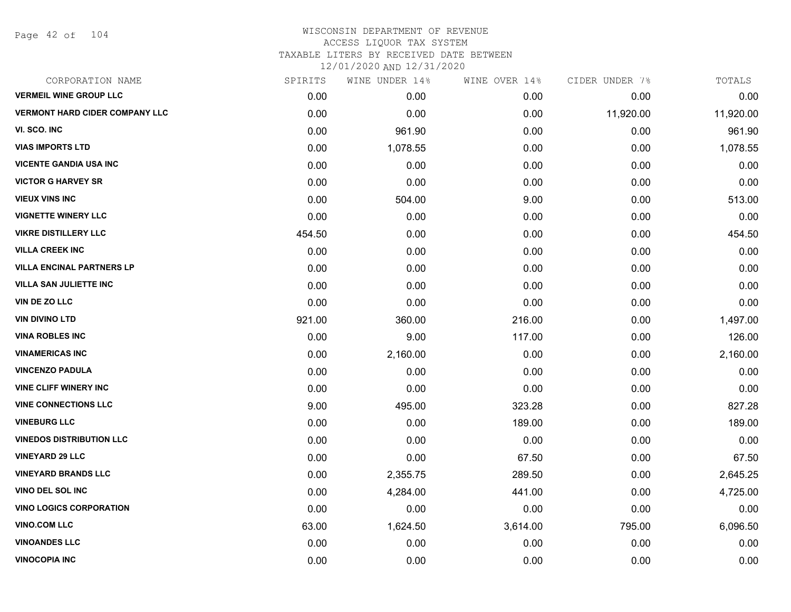Page 42 of 104

| CORPORATION NAME                      | SPIRITS | WINE UNDER 14% | WINE OVER 14% | CIDER UNDER 7% | TOTALS    |
|---------------------------------------|---------|----------------|---------------|----------------|-----------|
| <b>VERMEIL WINE GROUP LLC</b>         | 0.00    | 0.00           | 0.00          | 0.00           | 0.00      |
| <b>VERMONT HARD CIDER COMPANY LLC</b> | 0.00    | 0.00           | 0.00          | 11,920.00      | 11,920.00 |
| VI. SCO. INC                          | 0.00    | 961.90         | 0.00          | 0.00           | 961.90    |
| <b>VIAS IMPORTS LTD</b>               | 0.00    | 1,078.55       | 0.00          | 0.00           | 1,078.55  |
| <b>VICENTE GANDIA USA INC</b>         | 0.00    | 0.00           | 0.00          | 0.00           | 0.00      |
| <b>VICTOR G HARVEY SR</b>             | 0.00    | 0.00           | 0.00          | 0.00           | 0.00      |
| <b>VIEUX VINS INC</b>                 | 0.00    | 504.00         | 9.00          | 0.00           | 513.00    |
| <b>VIGNETTE WINERY LLC</b>            | 0.00    | 0.00           | 0.00          | 0.00           | 0.00      |
| <b>VIKRE DISTILLERY LLC</b>           | 454.50  | 0.00           | 0.00          | 0.00           | 454.50    |
| <b>VILLA CREEK INC</b>                | 0.00    | 0.00           | 0.00          | 0.00           | 0.00      |
| <b>VILLA ENCINAL PARTNERS LP</b>      | 0.00    | 0.00           | 0.00          | 0.00           | 0.00      |
| <b>VILLA SAN JULIETTE INC</b>         | 0.00    | 0.00           | 0.00          | 0.00           | 0.00      |
| <b>VIN DE ZO LLC</b>                  | 0.00    | 0.00           | 0.00          | 0.00           | 0.00      |
| <b>VIN DIVINO LTD</b>                 | 921.00  | 360.00         | 216.00        | 0.00           | 1,497.00  |
| <b>VINA ROBLES INC</b>                | 0.00    | 9.00           | 117.00        | 0.00           | 126.00    |
| <b>VINAMERICAS INC</b>                | 0.00    | 2,160.00       | 0.00          | 0.00           | 2,160.00  |
| <b>VINCENZO PADULA</b>                | 0.00    | 0.00           | 0.00          | 0.00           | 0.00      |
| <b>VINE CLIFF WINERY INC</b>          | 0.00    | 0.00           | 0.00          | 0.00           | 0.00      |
| <b>VINE CONNECTIONS LLC</b>           | 9.00    | 495.00         | 323.28        | 0.00           | 827.28    |
| <b>VINEBURG LLC</b>                   | 0.00    | 0.00           | 189.00        | 0.00           | 189.00    |
| <b>VINEDOS DISTRIBUTION LLC</b>       | 0.00    | 0.00           | 0.00          | 0.00           | 0.00      |
| <b>VINEYARD 29 LLC</b>                | 0.00    | 0.00           | 67.50         | 0.00           | 67.50     |
| <b>VINEYARD BRANDS LLC</b>            | 0.00    | 2,355.75       | 289.50        | 0.00           | 2,645.25  |
| <b>VINO DEL SOL INC</b>               | 0.00    | 4,284.00       | 441.00        | 0.00           | 4,725.00  |
| <b>VINO LOGICS CORPORATION</b>        | 0.00    | 0.00           | 0.00          | 0.00           | 0.00      |
| <b>VINO.COM LLC</b>                   | 63.00   | 1,624.50       | 3,614.00      | 795.00         | 6,096.50  |
| <b>VINOANDES LLC</b>                  | 0.00    | 0.00           | 0.00          | 0.00           | 0.00      |
| <b>VINOCOPIA INC</b>                  | 0.00    | 0.00           | 0.00          | 0.00           | 0.00      |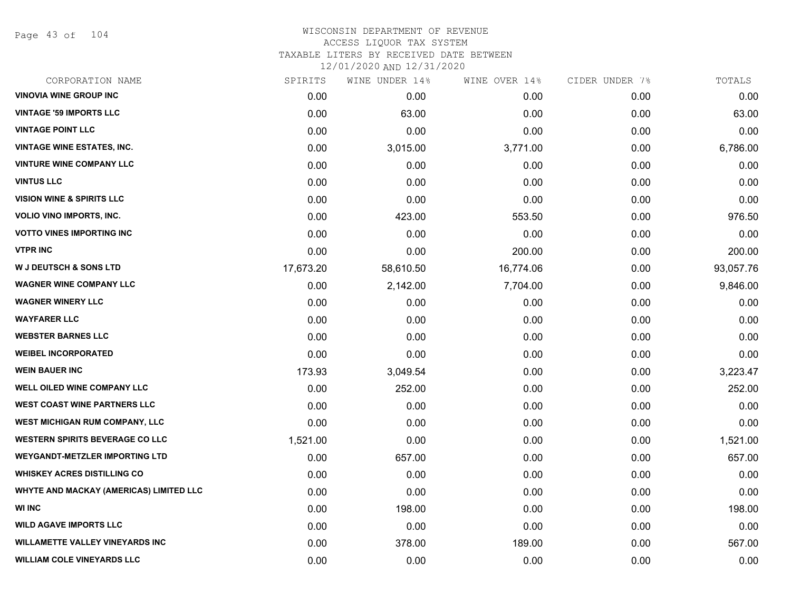Page 43 of 104

# WISCONSIN DEPARTMENT OF REVENUE ACCESS LIQUOR TAX SYSTEM TAXABLE LITERS BY RECEIVED DATE BETWEEN

| CORPORATION NAME                        | SPIRITS   | WINE UNDER 14% | WINE OVER 14% | CIDER UNDER 7% | TOTALS    |
|-----------------------------------------|-----------|----------------|---------------|----------------|-----------|
| <b>VINOVIA WINE GROUP INC</b>           | 0.00      | 0.00           | 0.00          | 0.00           | 0.00      |
| <b>VINTAGE '59 IMPORTS LLC</b>          | 0.00      | 63.00          | 0.00          | 0.00           | 63.00     |
| <b>VINTAGE POINT LLC</b>                | 0.00      | 0.00           | 0.00          | 0.00           | 0.00      |
| <b>VINTAGE WINE ESTATES, INC.</b>       | 0.00      | 3,015.00       | 3,771.00      | 0.00           | 6,786.00  |
| <b>VINTURE WINE COMPANY LLC</b>         | 0.00      | 0.00           | 0.00          | 0.00           | 0.00      |
| <b>VINTUS LLC</b>                       | 0.00      | 0.00           | 0.00          | 0.00           | 0.00      |
| <b>VISION WINE &amp; SPIRITS LLC</b>    | 0.00      | 0.00           | 0.00          | 0.00           | 0.00      |
| <b>VOLIO VINO IMPORTS, INC.</b>         | 0.00      | 423.00         | 553.50        | 0.00           | 976.50    |
| <b>VOTTO VINES IMPORTING INC</b>        | 0.00      | 0.00           | 0.00          | 0.00           | 0.00      |
| <b>VTPR INC</b>                         | 0.00      | 0.00           | 200.00        | 0.00           | 200.00    |
| <b>W J DEUTSCH &amp; SONS LTD</b>       | 17,673.20 | 58,610.50      | 16,774.06     | 0.00           | 93,057.76 |
| <b>WAGNER WINE COMPANY LLC</b>          | 0.00      | 2,142.00       | 7,704.00      | 0.00           | 9,846.00  |
| <b>WAGNER WINERY LLC</b>                | 0.00      | 0.00           | 0.00          | 0.00           | 0.00      |
| <b>WAYFARER LLC</b>                     | 0.00      | 0.00           | 0.00          | 0.00           | 0.00      |
| <b>WEBSTER BARNES LLC</b>               | 0.00      | 0.00           | 0.00          | 0.00           | 0.00      |
| <b>WEIBEL INCORPORATED</b>              | 0.00      | 0.00           | 0.00          | 0.00           | 0.00      |
| <b>WEIN BAUER INC</b>                   | 173.93    | 3,049.54       | 0.00          | 0.00           | 3,223.47  |
| <b>WELL OILED WINE COMPANY LLC</b>      | 0.00      | 252.00         | 0.00          | 0.00           | 252.00    |
| <b>WEST COAST WINE PARTNERS LLC</b>     | 0.00      | 0.00           | 0.00          | 0.00           | 0.00      |
| WEST MICHIGAN RUM COMPANY, LLC          | 0.00      | 0.00           | 0.00          | 0.00           | 0.00      |
| <b>WESTERN SPIRITS BEVERAGE CO LLC</b>  | 1,521.00  | 0.00           | 0.00          | 0.00           | 1,521.00  |
| <b>WEYGANDT-METZLER IMPORTING LTD</b>   | 0.00      | 657.00         | 0.00          | 0.00           | 657.00    |
| <b>WHISKEY ACRES DISTILLING CO</b>      | 0.00      | 0.00           | 0.00          | 0.00           | 0.00      |
| WHYTE AND MACKAY (AMERICAS) LIMITED LLC | 0.00      | 0.00           | 0.00          | 0.00           | 0.00      |
| <b>WI INC</b>                           | 0.00      | 198.00         | 0.00          | 0.00           | 198.00    |
| <b>WILD AGAVE IMPORTS LLC</b>           | 0.00      | 0.00           | 0.00          | 0.00           | 0.00      |
| <b>WILLAMETTE VALLEY VINEYARDS INC</b>  | 0.00      | 378.00         | 189.00        | 0.00           | 567.00    |
| <b>WILLIAM COLE VINEYARDS LLC</b>       | 0.00      | 0.00           | 0.00          | 0.00           | 0.00      |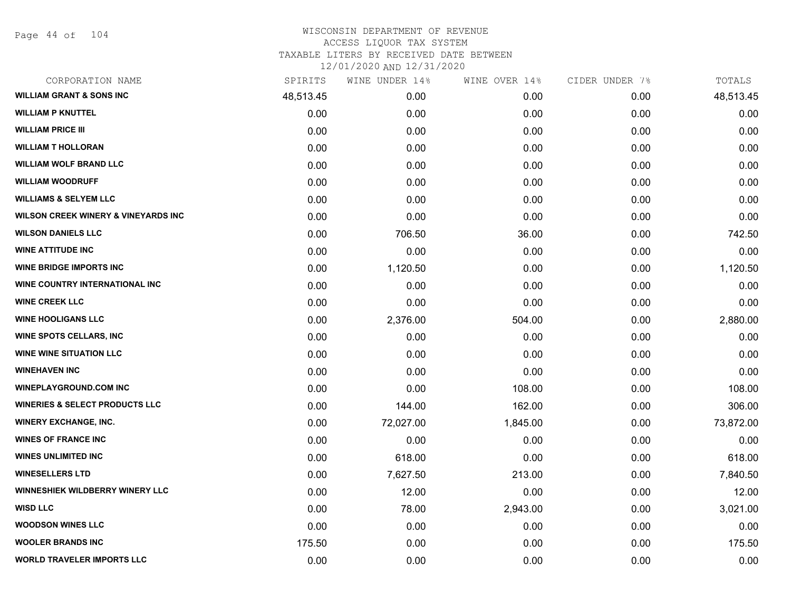Page 44 of 104

| CORPORATION NAME                               | SPIRITS   | WINE UNDER 14% | WINE OVER 14% | CIDER UNDER 7% | TOTALS    |
|------------------------------------------------|-----------|----------------|---------------|----------------|-----------|
| <b>WILLIAM GRANT &amp; SONS INC</b>            | 48,513.45 | 0.00           | 0.00          | 0.00           | 48,513.45 |
| <b>WILLIAM P KNUTTEL</b>                       | 0.00      | 0.00           | 0.00          | 0.00           | 0.00      |
| <b>WILLIAM PRICE III</b>                       | 0.00      | 0.00           | 0.00          | 0.00           | 0.00      |
| <b>WILLIAM T HOLLORAN</b>                      | 0.00      | 0.00           | 0.00          | 0.00           | 0.00      |
| <b>WILLIAM WOLF BRAND LLC</b>                  | 0.00      | 0.00           | 0.00          | 0.00           | 0.00      |
| <b>WILLIAM WOODRUFF</b>                        | 0.00      | 0.00           | 0.00          | 0.00           | 0.00      |
| <b>WILLIAMS &amp; SELYEM LLC</b>               | 0.00      | 0.00           | 0.00          | 0.00           | 0.00      |
| <b>WILSON CREEK WINERY &amp; VINEYARDS INC</b> | 0.00      | 0.00           | 0.00          | 0.00           | 0.00      |
| <b>WILSON DANIELS LLC</b>                      | 0.00      | 706.50         | 36.00         | 0.00           | 742.50    |
| <b>WINE ATTITUDE INC</b>                       | 0.00      | 0.00           | 0.00          | 0.00           | 0.00      |
| <b>WINE BRIDGE IMPORTS INC</b>                 | 0.00      | 1,120.50       | 0.00          | 0.00           | 1,120.50  |
| WINE COUNTRY INTERNATIONAL INC                 | 0.00      | 0.00           | 0.00          | 0.00           | 0.00      |
| <b>WINE CREEK LLC</b>                          | 0.00      | 0.00           | 0.00          | 0.00           | 0.00      |
| <b>WINE HOOLIGANS LLC</b>                      | 0.00      | 2,376.00       | 504.00        | 0.00           | 2,880.00  |
| <b>WINE SPOTS CELLARS, INC</b>                 | 0.00      | 0.00           | 0.00          | 0.00           | 0.00      |
| <b>WINE WINE SITUATION LLC</b>                 | 0.00      | 0.00           | 0.00          | 0.00           | 0.00      |
| <b>WINEHAVEN INC</b>                           | 0.00      | 0.00           | 0.00          | 0.00           | 0.00      |
| <b>WINEPLAYGROUND.COM INC</b>                  | 0.00      | 0.00           | 108.00        | 0.00           | 108.00    |
| <b>WINERIES &amp; SELECT PRODUCTS LLC</b>      | 0.00      | 144.00         | 162.00        | 0.00           | 306.00    |
| <b>WINERY EXCHANGE, INC.</b>                   | 0.00      | 72,027.00      | 1,845.00      | 0.00           | 73,872.00 |
| <b>WINES OF FRANCE INC</b>                     | 0.00      | 0.00           | 0.00          | 0.00           | 0.00      |
| <b>WINES UNLIMITED INC</b>                     | 0.00      | 618.00         | 0.00          | 0.00           | 618.00    |
| <b>WINESELLERS LTD</b>                         | 0.00      | 7,627.50       | 213.00        | 0.00           | 7,840.50  |
| WINNESHIEK WILDBERRY WINERY LLC                | 0.00      | 12.00          | 0.00          | 0.00           | 12.00     |
| <b>WISD LLC</b>                                | 0.00      | 78.00          | 2,943.00      | 0.00           | 3,021.00  |
| <b>WOODSON WINES LLC</b>                       | 0.00      | 0.00           | 0.00          | 0.00           | 0.00      |
| <b>WOOLER BRANDS INC</b>                       | 175.50    | 0.00           | 0.00          | 0.00           | 175.50    |
| <b>WORLD TRAVELER IMPORTS LLC</b>              | 0.00      | 0.00           | 0.00          | 0.00           | 0.00      |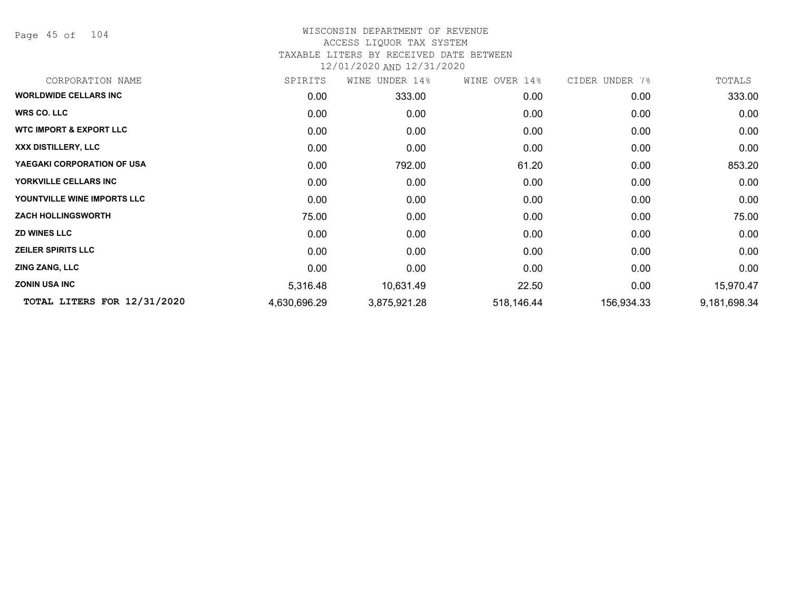Page 45 of 104

### WISCONSIN DEPARTMENT OF REVENUE ACCESS LIQUOR TAX SYSTEM TAXABLE LITERS BY RECEIVED DATE BETWEEN

| CORPORATION NAME                   | SPIRITS           | WINE<br>UNDER 14% | WINE OVER 14% | CIDER UNDER 7% | TOTALS       |
|------------------------------------|-------------------|-------------------|---------------|----------------|--------------|
| <b>WORLDWIDE CELLARS INC</b>       | 0.00              | 333.00            | 0.00          | 0.00           | 333.00       |
| <b>WRS CO. LLC</b>                 | 0.00              | 0.00              | 0.00          | 0.00           | 0.00         |
| <b>WTC IMPORT &amp; EXPORT LLC</b> | 0.00              | 0.00              | 0.00          | 0.00           | 0.00         |
| XXX DISTILLERY, LLC                | 0.00              | 0.00              | 0.00          | 0.00           | 0.00         |
| YAEGAKI CORPORATION OF USA         | 0.00              | 792.00            | 61.20         | 0.00           | 853.20       |
| YORKVILLE CELLARS INC              | 0.00 <sub>1</sub> | 0.00              | 0.00          | 0.00           | 0.00         |
| YOUNTVILLE WINE IMPORTS LLC        | 0.00              | 0.00              | 0.00          | 0.00           | 0.00         |
| <b>ZACH HOLLINGSWORTH</b>          | 75.00             | 0.00              | 0.00          | 0.00           | 75.00        |
| <b>ZD WINES LLC</b>                | 0.00              | 0.00              | 0.00          | 0.00           | 0.00         |
| <b>ZEILER SPIRITS LLC</b>          | 0.00              | 0.00              | 0.00          | 0.00           | 0.00         |
| <b>ZING ZANG, LLC</b>              | 0.00              | 0.00              | 0.00          | 0.00           | 0.00         |
| <b>ZONIN USA INC</b>               | 5,316.48          | 10,631.49         | 22.50         | 0.00           | 15,970.47    |
| TOTAL LITERS FOR 12/31/2020        | 4,630,696.29      | 3,875,921.28      | 518,146.44    | 156,934.33     | 9,181,698.34 |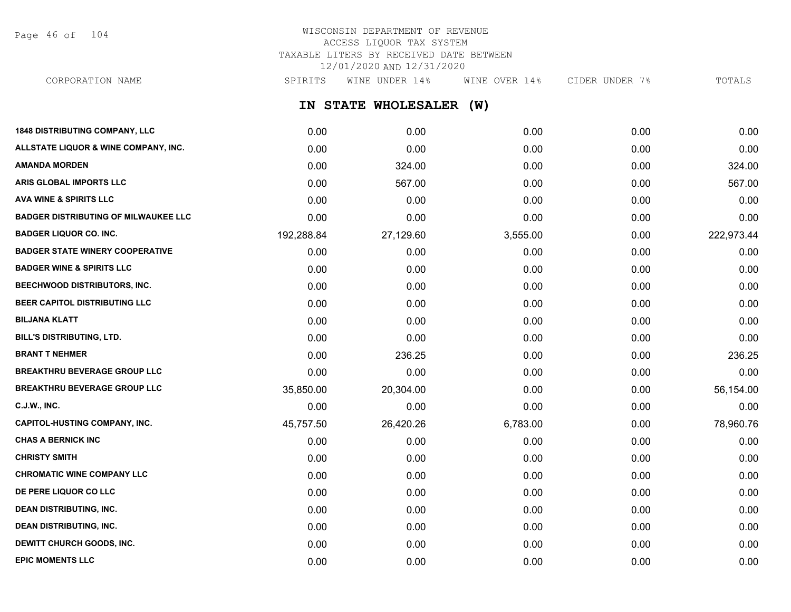Page 46 of 104

# WISCONSIN DEPARTMENT OF REVENUE ACCESS LIQUOR TAX SYSTEM TAXABLE LITERS BY RECEIVED DATE BETWEEN 12/01/2020 AND 12/31/2020

CORPORATION NAME SPIRITS WINE UNDER 14% WINE OVER 14% CIDER UNDER 7% TOTALS

**IN STATE WHOLESALER (W)**

| <b>1848 DISTRIBUTING COMPANY, LLC</b>       | 0.00       | 0.00      | 0.00     | 0.00 | 0.00       |
|---------------------------------------------|------------|-----------|----------|------|------------|
| ALLSTATE LIQUOR & WINE COMPANY, INC.        | 0.00       | 0.00      | 0.00     | 0.00 | 0.00       |
| <b>AMANDA MORDEN</b>                        | 0.00       | 324.00    | 0.00     | 0.00 | 324.00     |
| ARIS GLOBAL IMPORTS LLC                     | 0.00       | 567.00    | 0.00     | 0.00 | 567.00     |
| <b>AVA WINE &amp; SPIRITS LLC</b>           | 0.00       | 0.00      | 0.00     | 0.00 | 0.00       |
| <b>BADGER DISTRIBUTING OF MILWAUKEE LLC</b> | 0.00       | 0.00      | 0.00     | 0.00 | 0.00       |
| <b>BADGER LIQUOR CO. INC.</b>               | 192,288.84 | 27,129.60 | 3,555.00 | 0.00 | 222,973.44 |
| <b>BADGER STATE WINERY COOPERATIVE</b>      | 0.00       | 0.00      | 0.00     | 0.00 | 0.00       |
| <b>BADGER WINE &amp; SPIRITS LLC</b>        | 0.00       | 0.00      | 0.00     | 0.00 | 0.00       |
| BEECHWOOD DISTRIBUTORS, INC.                | 0.00       | 0.00      | 0.00     | 0.00 | 0.00       |
| BEER CAPITOL DISTRIBUTING LLC               | 0.00       | 0.00      | 0.00     | 0.00 | 0.00       |
| <b>BILJANA KLATT</b>                        | 0.00       | 0.00      | 0.00     | 0.00 | 0.00       |
| BILL'S DISTRIBUTING, LTD.                   | 0.00       | 0.00      | 0.00     | 0.00 | 0.00       |
| <b>BRANT T NEHMER</b>                       | 0.00       | 236.25    | 0.00     | 0.00 | 236.25     |
| <b>BREAKTHRU BEVERAGE GROUP LLC</b>         | 0.00       | 0.00      | 0.00     | 0.00 | 0.00       |
| <b>BREAKTHRU BEVERAGE GROUP LLC</b>         | 35,850.00  | 20,304.00 | 0.00     | 0.00 | 56,154.00  |
| <b>C.J.W., INC.</b>                         | 0.00       | 0.00      | 0.00     | 0.00 | 0.00       |
| <b>CAPITOL-HUSTING COMPANY, INC.</b>        | 45,757.50  | 26,420.26 | 6,783.00 | 0.00 | 78,960.76  |
| <b>CHAS A BERNICK INC</b>                   | 0.00       | 0.00      | 0.00     | 0.00 | 0.00       |
| <b>CHRISTY SMITH</b>                        | 0.00       | 0.00      | 0.00     | 0.00 | 0.00       |
| <b>CHROMATIC WINE COMPANY LLC</b>           | 0.00       | 0.00      | 0.00     | 0.00 | 0.00       |
| DE PERE LIQUOR CO LLC                       | 0.00       | 0.00      | 0.00     | 0.00 | 0.00       |
| <b>DEAN DISTRIBUTING, INC.</b>              | 0.00       | 0.00      | 0.00     | 0.00 | 0.00       |
| <b>DEAN DISTRIBUTING, INC.</b>              | 0.00       | 0.00      | 0.00     | 0.00 | 0.00       |
| DEWITT CHURCH GOODS, INC.                   | 0.00       | 0.00      | 0.00     | 0.00 | 0.00       |
| <b>EPIC MOMENTS LLC</b>                     | 0.00       | 0.00      | 0.00     | 0.00 | 0.00       |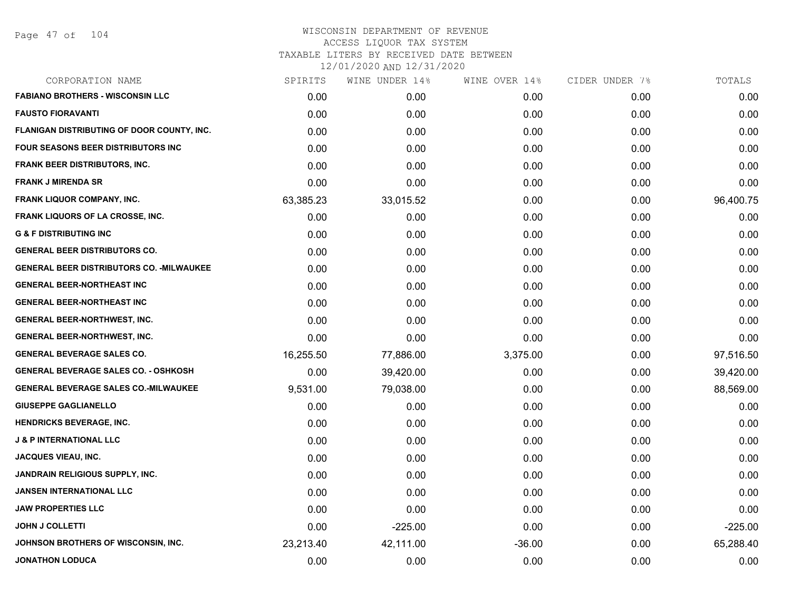| SPIRITS   | WINE UNDER 14% | WINE OVER 14% | CIDER UNDER 7% | TOTALS    |
|-----------|----------------|---------------|----------------|-----------|
| 0.00      | 0.00           | 0.00          | 0.00           | 0.00      |
| 0.00      | 0.00           | 0.00          | 0.00           | 0.00      |
| 0.00      | 0.00           | 0.00          | 0.00           | 0.00      |
| 0.00      | 0.00           | 0.00          | 0.00           | 0.00      |
| 0.00      | 0.00           | 0.00          | 0.00           | 0.00      |
| 0.00      | 0.00           | 0.00          | 0.00           | 0.00      |
| 63,385.23 | 33,015.52      | 0.00          | 0.00           | 96,400.75 |
| 0.00      | 0.00           | 0.00          | 0.00           | 0.00      |
| 0.00      | 0.00           | 0.00          | 0.00           | 0.00      |
| 0.00      | 0.00           | 0.00          | 0.00           | 0.00      |
| 0.00      | 0.00           | 0.00          | 0.00           | 0.00      |
| 0.00      | 0.00           | 0.00          | 0.00           | 0.00      |
| 0.00      | 0.00           | 0.00          | 0.00           | 0.00      |
| 0.00      | 0.00           | 0.00          | 0.00           | 0.00      |
| 0.00      | 0.00           | 0.00          | 0.00           | 0.00      |
| 16,255.50 | 77,886.00      | 3,375.00      | 0.00           | 97,516.50 |
| 0.00      | 39,420.00      | 0.00          | 0.00           | 39,420.00 |
| 9,531.00  | 79,038.00      | 0.00          | 0.00           | 88,569.00 |
| 0.00      | 0.00           | 0.00          | 0.00           | 0.00      |
| 0.00      | 0.00           | 0.00          | 0.00           | 0.00      |
| 0.00      | 0.00           | 0.00          | 0.00           | 0.00      |
| 0.00      | 0.00           | 0.00          | 0.00           | 0.00      |
| 0.00      | 0.00           | 0.00          | 0.00           | 0.00      |
| 0.00      | 0.00           | 0.00          | 0.00           | 0.00      |
| 0.00      | 0.00           | 0.00          | 0.00           | 0.00      |
| 0.00      | $-225.00$      | 0.00          | 0.00           | $-225.00$ |
| 23,213.40 | 42,111.00      | $-36.00$      | 0.00           | 65,288.40 |
| 0.00      | 0.00           | 0.00          | 0.00           | 0.00      |
|           |                |               |                |           |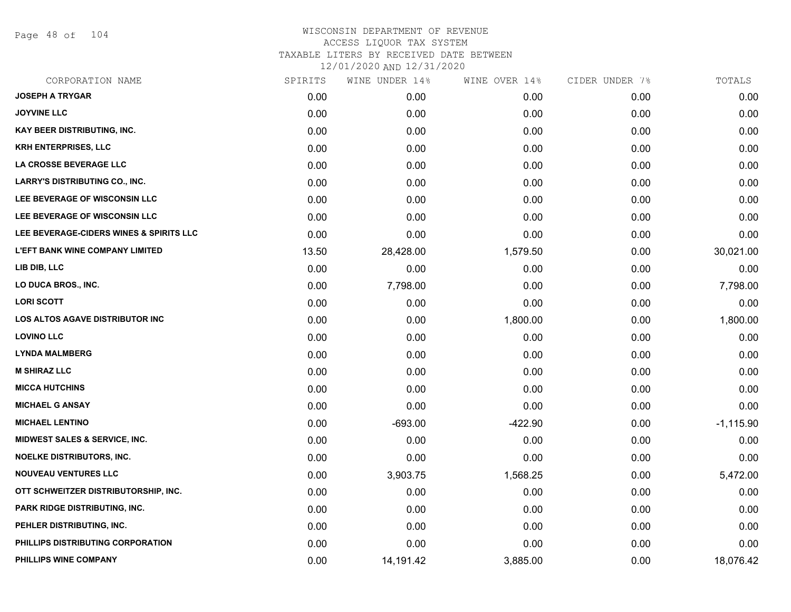Page 48 of 104

| CORPORATION NAME                         | SPIRITS | WINE UNDER 14% | WINE OVER 14% | CIDER UNDER 7% | TOTALS      |
|------------------------------------------|---------|----------------|---------------|----------------|-------------|
| <b>JOSEPH A TRYGAR</b>                   | 0.00    | 0.00           | 0.00          | 0.00           | 0.00        |
| <b>JOYVINE LLC</b>                       | 0.00    | 0.00           | 0.00          | 0.00           | 0.00        |
| <b>KAY BEER DISTRIBUTING, INC.</b>       | 0.00    | 0.00           | 0.00          | 0.00           | 0.00        |
| <b>KRH ENTERPRISES, LLC</b>              | 0.00    | 0.00           | 0.00          | 0.00           | 0.00        |
| LA CROSSE BEVERAGE LLC                   | 0.00    | 0.00           | 0.00          | 0.00           | 0.00        |
| <b>LARRY'S DISTRIBUTING CO., INC.</b>    | 0.00    | 0.00           | 0.00          | 0.00           | 0.00        |
| LEE BEVERAGE OF WISCONSIN LLC            | 0.00    | 0.00           | 0.00          | 0.00           | 0.00        |
| LEE BEVERAGE OF WISCONSIN LLC            | 0.00    | 0.00           | 0.00          | 0.00           | 0.00        |
| LEE BEVERAGE-CIDERS WINES & SPIRITS LLC  | 0.00    | 0.00           | 0.00          | 0.00           | 0.00        |
| <b>L'EFT BANK WINE COMPANY LIMITED</b>   | 13.50   | 28,428.00      | 1,579.50      | 0.00           | 30,021.00   |
| LIB DIB, LLC                             | 0.00    | 0.00           | 0.00          | 0.00           | 0.00        |
| LO DUCA BROS., INC.                      | 0.00    | 7,798.00       | 0.00          | 0.00           | 7,798.00    |
| <b>LORI SCOTT</b>                        | 0.00    | 0.00           | 0.00          | 0.00           | 0.00        |
| <b>LOS ALTOS AGAVE DISTRIBUTOR INC</b>   | 0.00    | 0.00           | 1,800.00      | 0.00           | 1,800.00    |
| <b>LOVINO LLC</b>                        | 0.00    | 0.00           | 0.00          | 0.00           | 0.00        |
| <b>LYNDA MALMBERG</b>                    | 0.00    | 0.00           | 0.00          | 0.00           | 0.00        |
| <b>M SHIRAZ LLC</b>                      | 0.00    | 0.00           | 0.00          | 0.00           | 0.00        |
| <b>MICCA HUTCHINS</b>                    | 0.00    | 0.00           | 0.00          | 0.00           | 0.00        |
| <b>MICHAEL G ANSAY</b>                   | 0.00    | 0.00           | 0.00          | 0.00           | 0.00        |
| <b>MICHAEL LENTINO</b>                   | 0.00    | $-693.00$      | $-422.90$     | 0.00           | $-1,115.90$ |
| <b>MIDWEST SALES &amp; SERVICE, INC.</b> | 0.00    | 0.00           | 0.00          | 0.00           | 0.00        |
| <b>NOELKE DISTRIBUTORS, INC.</b>         | 0.00    | 0.00           | 0.00          | 0.00           | 0.00        |
| <b>NOUVEAU VENTURES LLC</b>              | 0.00    | 3,903.75       | 1,568.25      | 0.00           | 5,472.00    |
| OTT SCHWEITZER DISTRIBUTORSHIP, INC.     | 0.00    | 0.00           | 0.00          | 0.00           | 0.00        |
| <b>PARK RIDGE DISTRIBUTING, INC.</b>     | 0.00    | 0.00           | 0.00          | 0.00           | 0.00        |
| PEHLER DISTRIBUTING, INC.                | 0.00    | 0.00           | 0.00          | 0.00           | 0.00        |
| PHILLIPS DISTRIBUTING CORPORATION        | 0.00    | 0.00           | 0.00          | 0.00           | 0.00        |
| PHILLIPS WINE COMPANY                    | 0.00    | 14,191.42      | 3,885.00      | 0.00           | 18,076.42   |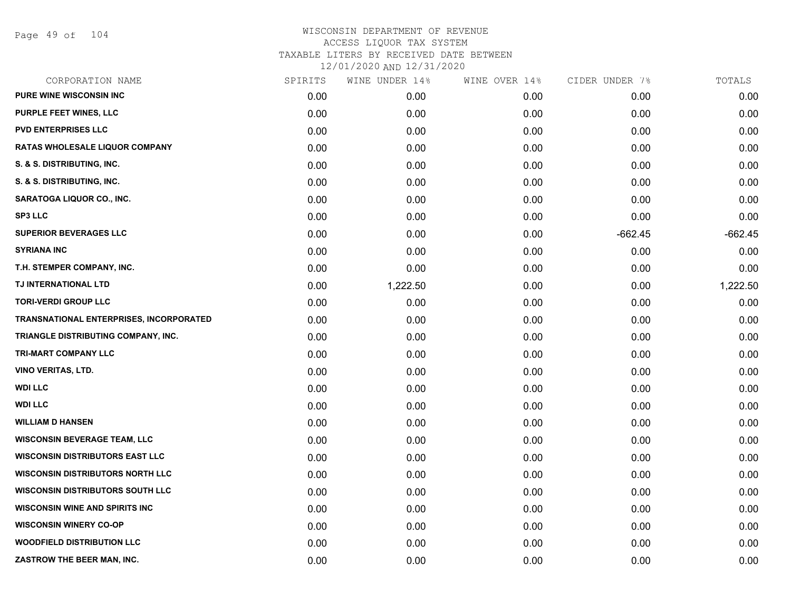Page 49 of 104

| CORPORATION NAME                               | SPIRITS | WINE UNDER 14% | WINE OVER 14% | CIDER UNDER 7% | TOTALS    |
|------------------------------------------------|---------|----------------|---------------|----------------|-----------|
| <b>PURE WINE WISCONSIN INC</b>                 | 0.00    | 0.00           | 0.00          | 0.00           | 0.00      |
| <b>PURPLE FEET WINES, LLC</b>                  | 0.00    | 0.00           | 0.00          | 0.00           | 0.00      |
| <b>PVD ENTERPRISES LLC</b>                     | 0.00    | 0.00           | 0.00          | 0.00           | 0.00      |
| <b>RATAS WHOLESALE LIQUOR COMPANY</b>          | 0.00    | 0.00           | 0.00          | 0.00           | 0.00      |
| S. & S. DISTRIBUTING, INC.                     | 0.00    | 0.00           | 0.00          | 0.00           | 0.00      |
| S. & S. DISTRIBUTING, INC.                     | 0.00    | 0.00           | 0.00          | 0.00           | 0.00      |
| <b>SARATOGA LIQUOR CO., INC.</b>               | 0.00    | 0.00           | 0.00          | 0.00           | 0.00      |
| <b>SP3 LLC</b>                                 | 0.00    | 0.00           | 0.00          | 0.00           | 0.00      |
| <b>SUPERIOR BEVERAGES LLC</b>                  | 0.00    | 0.00           | 0.00          | $-662.45$      | $-662.45$ |
| <b>SYRIANA INC</b>                             | 0.00    | 0.00           | 0.00          | 0.00           | 0.00      |
| T.H. STEMPER COMPANY, INC.                     | 0.00    | 0.00           | 0.00          | 0.00           | 0.00      |
| TJ INTERNATIONAL LTD                           | 0.00    | 1,222.50       | 0.00          | 0.00           | 1,222.50  |
| <b>TORI-VERDI GROUP LLC</b>                    | 0.00    | 0.00           | 0.00          | 0.00           | 0.00      |
| <b>TRANSNATIONAL ENTERPRISES, INCORPORATED</b> | 0.00    | 0.00           | 0.00          | 0.00           | 0.00      |
| TRIANGLE DISTRIBUTING COMPANY, INC.            | 0.00    | 0.00           | 0.00          | 0.00           | 0.00      |
| <b>TRI-MART COMPANY LLC</b>                    | 0.00    | 0.00           | 0.00          | 0.00           | 0.00      |
| <b>VINO VERITAS, LTD.</b>                      | 0.00    | 0.00           | 0.00          | 0.00           | 0.00      |
| <b>WDI LLC</b>                                 | 0.00    | 0.00           | 0.00          | 0.00           | 0.00      |
| <b>WDI LLC</b>                                 | 0.00    | 0.00           | 0.00          | 0.00           | 0.00      |
| <b>WILLIAM D HANSEN</b>                        | 0.00    | 0.00           | 0.00          | 0.00           | 0.00      |
| <b>WISCONSIN BEVERAGE TEAM, LLC</b>            | 0.00    | 0.00           | 0.00          | 0.00           | 0.00      |
| <b>WISCONSIN DISTRIBUTORS EAST LLC</b>         | 0.00    | 0.00           | 0.00          | 0.00           | 0.00      |
| <b>WISCONSIN DISTRIBUTORS NORTH LLC</b>        | 0.00    | 0.00           | 0.00          | 0.00           | 0.00      |
| <b>WISCONSIN DISTRIBUTORS SOUTH LLC</b>        | 0.00    | 0.00           | 0.00          | 0.00           | 0.00      |
| <b>WISCONSIN WINE AND SPIRITS INC</b>          | 0.00    | 0.00           | 0.00          | 0.00           | 0.00      |
| <b>WISCONSIN WINERY CO-OP</b>                  | 0.00    | 0.00           | 0.00          | 0.00           | 0.00      |
| <b>WOODFIELD DISTRIBUTION LLC</b>              | 0.00    | 0.00           | 0.00          | 0.00           | 0.00      |
| ZASTROW THE BEER MAN, INC.                     | 0.00    | 0.00           | 0.00          | 0.00           | 0.00      |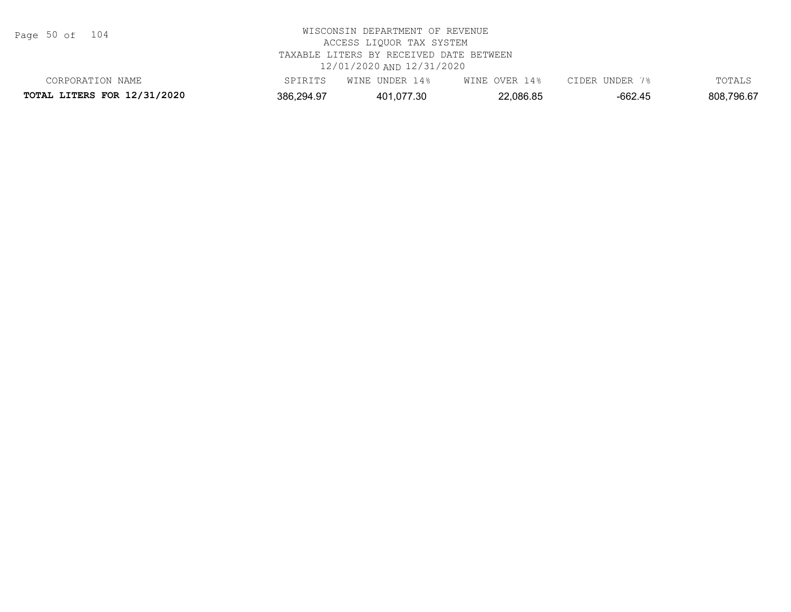Page 50 of 104

| CORPORATION<br>NAME                |            | । 4 %<br>UNDER<br>WINE | 4%<br>WINE<br>OVER . | UNDER<br>CIDER | TOTALS     |
|------------------------------------|------------|------------------------|----------------------|----------------|------------|
| <b>TOTAL LITERS FOR 12/31/2020</b> | 386,294.97 | 401.077.30             | 2,086.85             | -662.45        | 808,796.67 |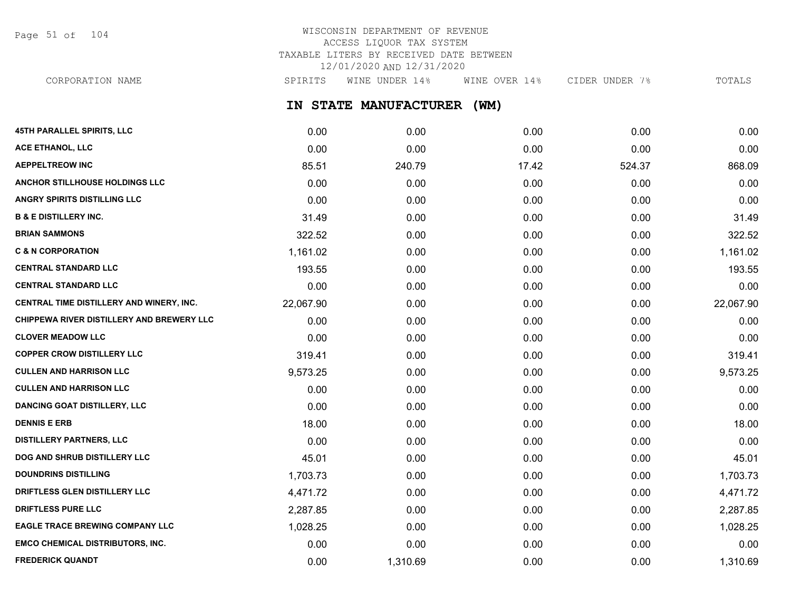Page 51 of 104

# WISCONSIN DEPARTMENT OF REVENUE ACCESS LIQUOR TAX SYSTEM TAXABLE LITERS BY RECEIVED DATE BETWEEN 12/01/2020 AND 12/31/2020

**IN STATE MANUFACTURER (WM) 45TH PARALLEL SPIRITS, LLC** 0.00 0.00 0.00 0.00 0.00 CORPORATION NAME SPIRITS WINE UNDER 14% WINE OVER 14% CIDER UNDER 7% TOTALS

| <b>ACE ETHANOL, LLC</b>                   | 0.00      | 0.00     | 0.00  | 0.00   | 0.00      |
|-------------------------------------------|-----------|----------|-------|--------|-----------|
| <b>AEPPELTREOW INC</b>                    | 85.51     | 240.79   | 17.42 | 524.37 | 868.09    |
| ANCHOR STILLHOUSE HOLDINGS LLC            | 0.00      | 0.00     | 0.00  | 0.00   | 0.00      |
| <b>ANGRY SPIRITS DISTILLING LLC</b>       | 0.00      | 0.00     | 0.00  | 0.00   | 0.00      |
| <b>B &amp; E DISTILLERY INC.</b>          | 31.49     | 0.00     | 0.00  | 0.00   | 31.49     |
| <b>BRIAN SAMMONS</b>                      | 322.52    | 0.00     | 0.00  | 0.00   | 322.52    |
| <b>C &amp; N CORPORATION</b>              | 1,161.02  | 0.00     | 0.00  | 0.00   | 1,161.02  |
| <b>CENTRAL STANDARD LLC</b>               | 193.55    | 0.00     | 0.00  | 0.00   | 193.55    |
| <b>CENTRAL STANDARD LLC</b>               | 0.00      | 0.00     | 0.00  | 0.00   | 0.00      |
| CENTRAL TIME DISTILLERY AND WINERY, INC.  | 22,067.90 | 0.00     | 0.00  | 0.00   | 22,067.90 |
| CHIPPEWA RIVER DISTILLERY AND BREWERY LLC | 0.00      | 0.00     | 0.00  | 0.00   | 0.00      |
| <b>CLOVER MEADOW LLC</b>                  | 0.00      | 0.00     | 0.00  | 0.00   | 0.00      |
| <b>COPPER CROW DISTILLERY LLC</b>         | 319.41    | 0.00     | 0.00  | 0.00   | 319.41    |
| <b>CULLEN AND HARRISON LLC</b>            | 9,573.25  | 0.00     | 0.00  | 0.00   | 9,573.25  |
| <b>CULLEN AND HARRISON LLC</b>            | 0.00      | 0.00     | 0.00  | 0.00   | 0.00      |
| <b>DANCING GOAT DISTILLERY, LLC</b>       | 0.00      | 0.00     | 0.00  | 0.00   | 0.00      |
| <b>DENNIS E ERB</b>                       | 18.00     | 0.00     | 0.00  | 0.00   | 18.00     |
| <b>DISTILLERY PARTNERS, LLC</b>           | 0.00      | 0.00     | 0.00  | 0.00   | 0.00      |
| DOG AND SHRUB DISTILLERY LLC              | 45.01     | 0.00     | 0.00  | 0.00   | 45.01     |
| <b>DOUNDRINS DISTILLING</b>               | 1,703.73  | 0.00     | 0.00  | 0.00   | 1,703.73  |
| DRIFTLESS GLEN DISTILLERY LLC             | 4,471.72  | 0.00     | 0.00  | 0.00   | 4,471.72  |
| <b>DRIFTLESS PURE LLC</b>                 | 2,287.85  | 0.00     | 0.00  | 0.00   | 2,287.85  |
| <b>EAGLE TRACE BREWING COMPANY LLC</b>    | 1,028.25  | 0.00     | 0.00  | 0.00   | 1,028.25  |
| <b>EMCO CHEMICAL DISTRIBUTORS, INC.</b>   | 0.00      | 0.00     | 0.00  | 0.00   | 0.00      |
| <b>FREDERICK QUANDT</b>                   | 0.00      | 1,310.69 | 0.00  | 0.00   | 1,310.69  |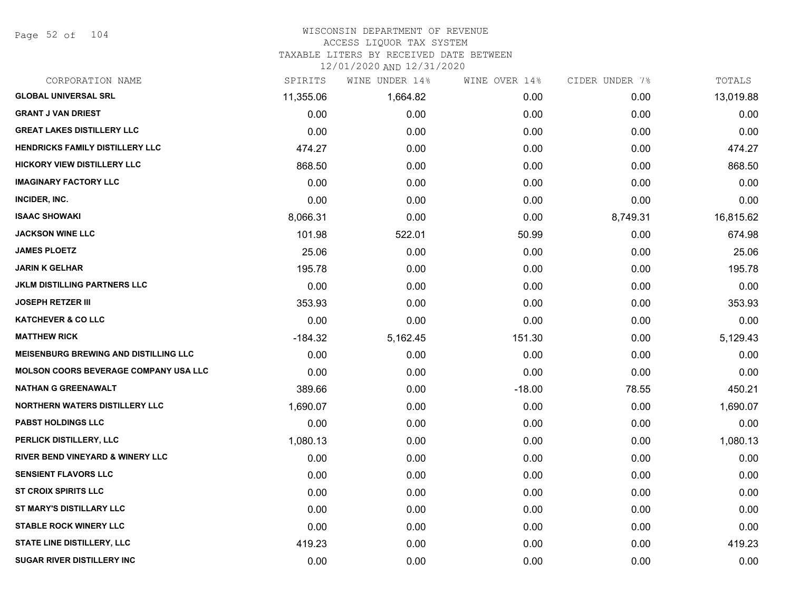Page 52 of 104

#### WISCONSIN DEPARTMENT OF REVENUE ACCESS LIQUOR TAX SYSTEM

TAXABLE LITERS BY RECEIVED DATE BETWEEN

| CORPORATION NAME                             | SPIRITS   | WINE UNDER 14% | WINE OVER 14% | CIDER UNDER 7% | TOTALS    |
|----------------------------------------------|-----------|----------------|---------------|----------------|-----------|
| <b>GLOBAL UNIVERSAL SRL</b>                  | 11,355.06 | 1,664.82       | 0.00          | 0.00           | 13,019.88 |
| <b>GRANT J VAN DRIEST</b>                    | 0.00      | 0.00           | 0.00          | 0.00           | 0.00      |
| <b>GREAT LAKES DISTILLERY LLC</b>            | 0.00      | 0.00           | 0.00          | 0.00           | 0.00      |
| <b>HENDRICKS FAMILY DISTILLERY LLC</b>       | 474.27    | 0.00           | 0.00          | 0.00           | 474.27    |
| <b>HICKORY VIEW DISTILLERY LLC</b>           | 868.50    | 0.00           | 0.00          | 0.00           | 868.50    |
| <b>IMAGINARY FACTORY LLC</b>                 | 0.00      | 0.00           | 0.00          | 0.00           | 0.00      |
| INCIDER, INC.                                | 0.00      | 0.00           | 0.00          | 0.00           | 0.00      |
| <b>ISAAC SHOWAKI</b>                         | 8,066.31  | 0.00           | 0.00          | 8,749.31       | 16,815.62 |
| <b>JACKSON WINE LLC</b>                      | 101.98    | 522.01         | 50.99         | 0.00           | 674.98    |
| <b>JAMES PLOETZ</b>                          | 25.06     | 0.00           | 0.00          | 0.00           | 25.06     |
| <b>JARIN K GELHAR</b>                        | 195.78    | 0.00           | 0.00          | 0.00           | 195.78    |
| <b>JKLM DISTILLING PARTNERS LLC</b>          | 0.00      | 0.00           | 0.00          | 0.00           | 0.00      |
| <b>JOSEPH RETZER III</b>                     | 353.93    | 0.00           | 0.00          | 0.00           | 353.93    |
| <b>KATCHEVER &amp; CO LLC</b>                | 0.00      | 0.00           | 0.00          | 0.00           | 0.00      |
| <b>MATTHEW RICK</b>                          | $-184.32$ | 5,162.45       | 151.30        | 0.00           | 5,129.43  |
| <b>MEISENBURG BREWING AND DISTILLING LLC</b> | 0.00      | 0.00           | 0.00          | 0.00           | 0.00      |
| <b>MOLSON COORS BEVERAGE COMPANY USA LLC</b> | 0.00      | 0.00           | 0.00          | 0.00           | 0.00      |
| <b>NATHAN G GREENAWALT</b>                   | 389.66    | 0.00           | $-18.00$      | 78.55          | 450.21    |
| <b>NORTHERN WATERS DISTILLERY LLC</b>        | 1,690.07  | 0.00           | 0.00          | 0.00           | 1,690.07  |
| <b>PABST HOLDINGS LLC</b>                    | 0.00      | 0.00           | 0.00          | 0.00           | 0.00      |
| PERLICK DISTILLERY, LLC                      | 1,080.13  | 0.00           | 0.00          | 0.00           | 1,080.13  |
| <b>RIVER BEND VINEYARD &amp; WINERY LLC</b>  | 0.00      | 0.00           | 0.00          | 0.00           | 0.00      |
| <b>SENSIENT FLAVORS LLC</b>                  | 0.00      | 0.00           | 0.00          | 0.00           | 0.00      |
| <b>ST CROIX SPIRITS LLC</b>                  | 0.00      | 0.00           | 0.00          | 0.00           | 0.00      |
| ST MARY'S DISTILLARY LLC                     | 0.00      | 0.00           | 0.00          | 0.00           | 0.00      |
| <b>STABLE ROCK WINERY LLC</b>                | 0.00      | 0.00           | 0.00          | 0.00           | 0.00      |
| <b>STATE LINE DISTILLERY, LLC</b>            | 419.23    | 0.00           | 0.00          | 0.00           | 419.23    |
| <b>SUGAR RIVER DISTILLERY INC</b>            | 0.00      | 0.00           | 0.00          | 0.00           | 0.00      |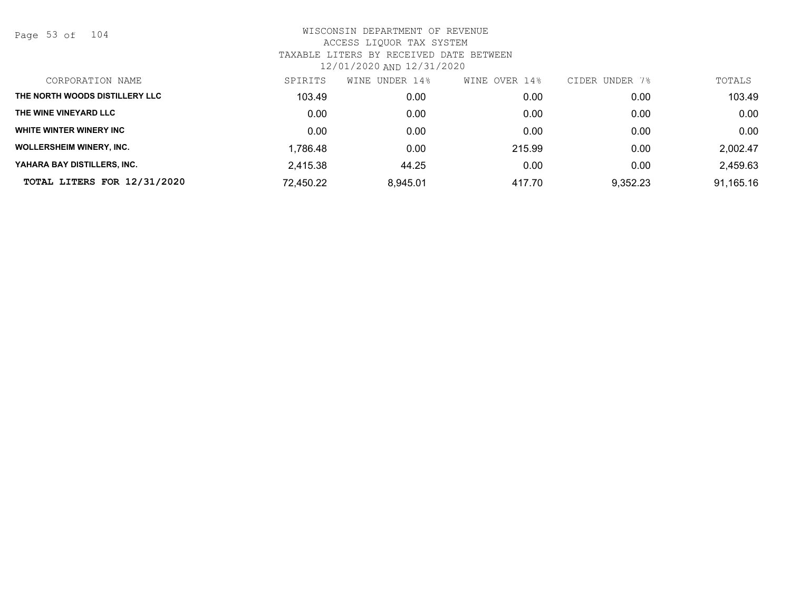Page 53 of 104

| CORPORATION NAME                | SPIRITS   | WINE UNDER 14% | OVER 14%<br>WINE | CIDER UNDER 7% | TOTALS    |
|---------------------------------|-----------|----------------|------------------|----------------|-----------|
| THE NORTH WOODS DISTILLERY LLC  | 103.49    | 0.00           | 0.00             | 0.00           | 103.49    |
| THE WINE VINEYARD LLC           | 0.00      | 0.00           | 0.00             | 0.00           | 0.00      |
| WHITE WINTER WINERY INC         | 0.00      | 0.00           | 0.00             | 0.00           | 0.00      |
| <b>WOLLERSHEIM WINERY, INC.</b> | 1,786.48  | 0.00           | 215.99           | 0.00           | 2,002.47  |
| YAHARA BAY DISTILLERS. INC.     | 2,415.38  | 44.25          | 0.00             | 0.00           | 2,459.63  |
| TOTAL LITERS FOR 12/31/2020     | 72,450.22 | 8,945.01       | 417.70           | 9,352.23       | 91,165.16 |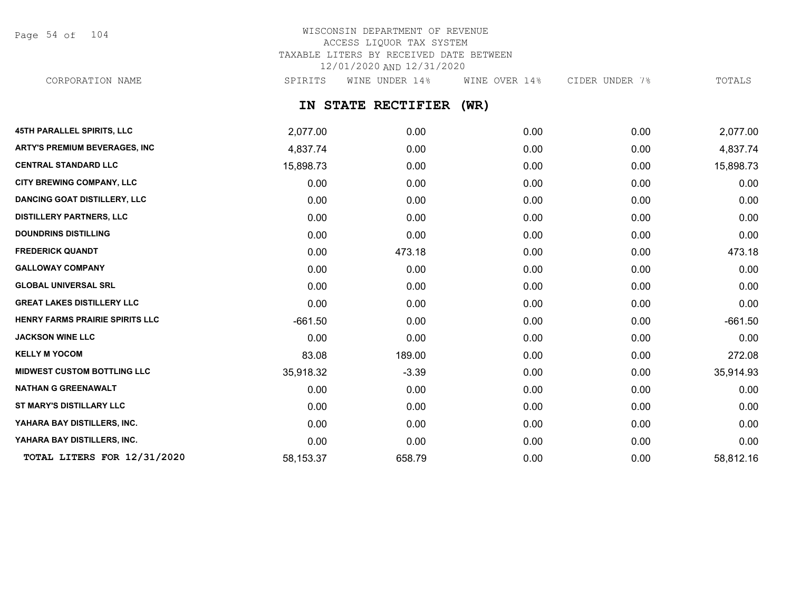Page 54 of 104

# WISCONSIN DEPARTMENT OF REVENUE ACCESS LIQUOR TAX SYSTEM TAXABLE LITERS BY RECEIVED DATE BETWEEN 12/01/2020 AND 12/31/2020

CORPORATION NAME SPIRITS WINE UNDER 14% WINE OVER 14% CIDER UNDER 7% TOTALS

# **IN STATE RECTIFIER (WR)**

| 45TH PARALLEL SPIRITS, LLC             | 2,077.00  | 0.00    | 0.00 | 0.00 | 2,077.00  |
|----------------------------------------|-----------|---------|------|------|-----------|
| <b>ARTY'S PREMIUM BEVERAGES, INC</b>   | 4,837.74  | 0.00    | 0.00 | 0.00 | 4,837.74  |
| <b>CENTRAL STANDARD LLC</b>            | 15,898.73 | 0.00    | 0.00 | 0.00 | 15,898.73 |
| CITY BREWING COMPANY, LLC              | 0.00      | 0.00    | 0.00 | 0.00 | 0.00      |
| <b>DANCING GOAT DISTILLERY, LLC</b>    | 0.00      | 0.00    | 0.00 | 0.00 | 0.00      |
| <b>DISTILLERY PARTNERS, LLC</b>        | 0.00      | 0.00    | 0.00 | 0.00 | 0.00      |
| <b>DOUNDRINS DISTILLING</b>            | 0.00      | 0.00    | 0.00 | 0.00 | 0.00      |
| <b>FREDERICK QUANDT</b>                | 0.00      | 473.18  | 0.00 | 0.00 | 473.18    |
| <b>GALLOWAY COMPANY</b>                | 0.00      | 0.00    | 0.00 | 0.00 | 0.00      |
| <b>GLOBAL UNIVERSAL SRL</b>            | 0.00      | 0.00    | 0.00 | 0.00 | 0.00      |
| <b>GREAT LAKES DISTILLERY LLC</b>      | 0.00      | 0.00    | 0.00 | 0.00 | 0.00      |
| <b>HENRY FARMS PRAIRIE SPIRITS LLC</b> | $-661.50$ | 0.00    | 0.00 | 0.00 | $-661.50$ |
| <b>JACKSON WINE LLC</b>                | 0.00      | 0.00    | 0.00 | 0.00 | 0.00      |
| <b>KELLY M YOCOM</b>                   | 83.08     | 189.00  | 0.00 | 0.00 | 272.08    |
| <b>MIDWEST CUSTOM BOTTLING LLC</b>     | 35,918.32 | $-3.39$ | 0.00 | 0.00 | 35,914.93 |
| <b>NATHAN G GREENAWALT</b>             | 0.00      | 0.00    | 0.00 | 0.00 | 0.00      |
| ST MARY'S DISTILLARY LLC               | 0.00      | 0.00    | 0.00 | 0.00 | 0.00      |
| YAHARA BAY DISTILLERS, INC.            | 0.00      | 0.00    | 0.00 | 0.00 | 0.00      |
| YAHARA BAY DISTILLERS, INC.            | 0.00      | 0.00    | 0.00 | 0.00 | 0.00      |
| TOTAL LITERS FOR 12/31/2020            | 58,153.37 | 658.79  | 0.00 | 0.00 | 58,812.16 |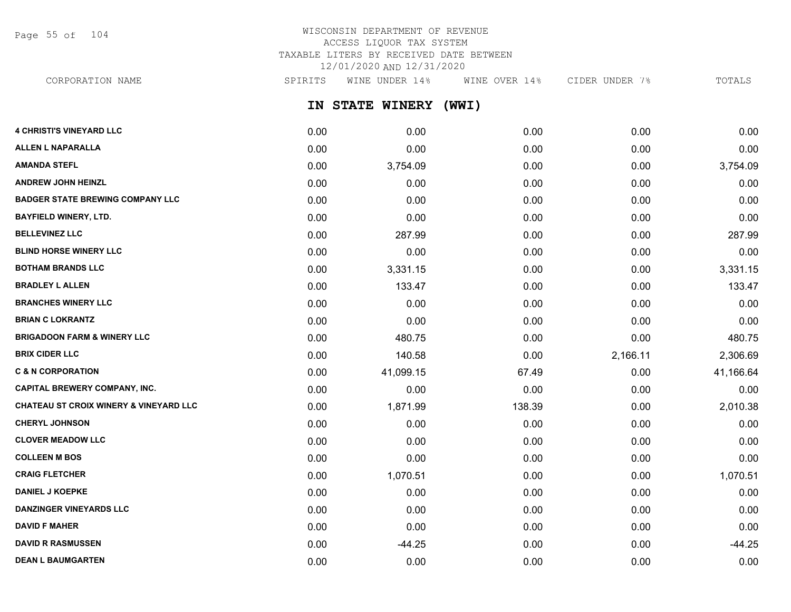Page 55 of 104

# WISCONSIN DEPARTMENT OF REVENUE ACCESS LIQUOR TAX SYSTEM TAXABLE LITERS BY RECEIVED DATE BETWEEN 12/01/2020 AND 12/31/2020

CORPORATION NAME SPIRITS WINE UNDER 14% WINE OVER 14% CIDER UNDER 7% TOTALS

**IN STATE WINERY (WWI)**

| <b>4 CHRISTI'S VINEYARD LLC</b>                   | 0.00 | 0.00      | 0.00   | 0.00     | 0.00      |
|---------------------------------------------------|------|-----------|--------|----------|-----------|
| <b>ALLEN L NAPARALLA</b>                          | 0.00 | 0.00      | 0.00   | 0.00     | 0.00      |
| <b>AMANDA STEFL</b>                               | 0.00 | 3,754.09  | 0.00   | 0.00     | 3,754.09  |
| <b>ANDREW JOHN HEINZL</b>                         | 0.00 | 0.00      | 0.00   | 0.00     | 0.00      |
| <b>BADGER STATE BREWING COMPANY LLC</b>           | 0.00 | 0.00      | 0.00   | 0.00     | 0.00      |
| <b>BAYFIELD WINERY, LTD.</b>                      | 0.00 | 0.00      | 0.00   | 0.00     | 0.00      |
| <b>BELLEVINEZ LLC</b>                             | 0.00 | 287.99    | 0.00   | 0.00     | 287.99    |
| <b>BLIND HORSE WINERY LLC</b>                     | 0.00 | 0.00      | 0.00   | 0.00     | 0.00      |
| <b>BOTHAM BRANDS LLC</b>                          | 0.00 | 3,331.15  | 0.00   | 0.00     | 3,331.15  |
| <b>BRADLEY L ALLEN</b>                            | 0.00 | 133.47    | 0.00   | 0.00     | 133.47    |
| <b>BRANCHES WINERY LLC</b>                        | 0.00 | 0.00      | 0.00   | 0.00     | 0.00      |
| <b>BRIAN C LOKRANTZ</b>                           | 0.00 | 0.00      | 0.00   | 0.00     | 0.00      |
| <b>BRIGADOON FARM &amp; WINERY LLC</b>            | 0.00 | 480.75    | 0.00   | 0.00     | 480.75    |
| <b>BRIX CIDER LLC</b>                             | 0.00 | 140.58    | 0.00   | 2,166.11 | 2,306.69  |
| <b>C &amp; N CORPORATION</b>                      | 0.00 | 41,099.15 | 67.49  | 0.00     | 41,166.64 |
| <b>CAPITAL BREWERY COMPANY, INC.</b>              | 0.00 | 0.00      | 0.00   | 0.00     | 0.00      |
| <b>CHATEAU ST CROIX WINERY &amp; VINEYARD LLC</b> | 0.00 | 1,871.99  | 138.39 | 0.00     | 2,010.38  |
| <b>CHERYL JOHNSON</b>                             | 0.00 | 0.00      | 0.00   | 0.00     | 0.00      |
| <b>CLOVER MEADOW LLC</b>                          | 0.00 | 0.00      | 0.00   | 0.00     | 0.00      |
| <b>COLLEEN M BOS</b>                              | 0.00 | 0.00      | 0.00   | 0.00     | 0.00      |
| <b>CRAIG FLETCHER</b>                             | 0.00 | 1,070.51  | 0.00   | 0.00     | 1,070.51  |
| <b>DANIEL J KOEPKE</b>                            | 0.00 | 0.00      | 0.00   | 0.00     | 0.00      |
| <b>DANZINGER VINEYARDS LLC</b>                    | 0.00 | 0.00      | 0.00   | 0.00     | 0.00      |
| <b>DAVID F MAHER</b>                              | 0.00 | 0.00      | 0.00   | 0.00     | 0.00      |
| <b>DAVID R RASMUSSEN</b>                          | 0.00 | $-44.25$  | 0.00   | 0.00     | $-44.25$  |
| <b>DEAN L BAUMGARTEN</b>                          | 0.00 | 0.00      | 0.00   | 0.00     | 0.00      |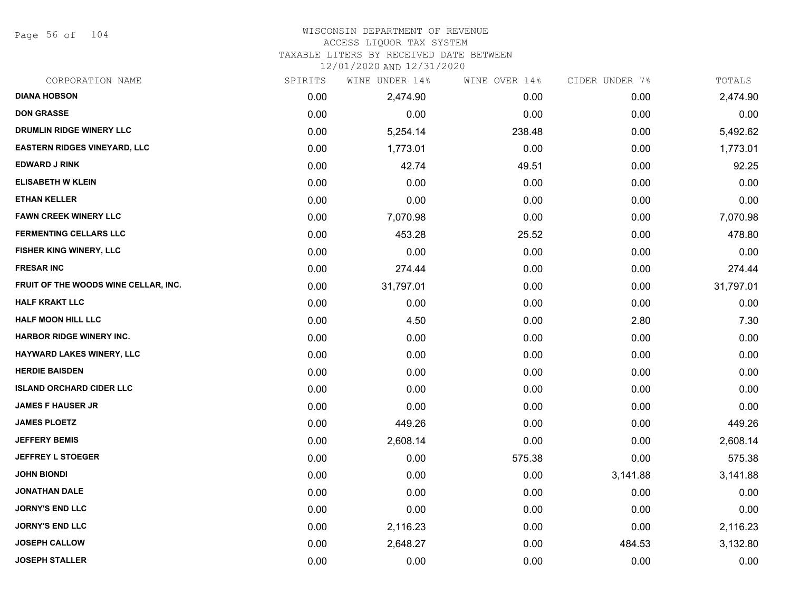Page 56 of 104

#### WISCONSIN DEPARTMENT OF REVENUE ACCESS LIQUOR TAX SYSTEM TAXABLE LITERS BY RECEIVED DATE BETWEEN

| CORPORATION NAME                     | SPIRITS | WINE UNDER 14% | WINE OVER 14% | CIDER UNDER 7% | TOTALS    |
|--------------------------------------|---------|----------------|---------------|----------------|-----------|
| <b>DIANA HOBSON</b>                  | 0.00    | 2,474.90       | 0.00          | 0.00           | 2,474.90  |
| <b>DON GRASSE</b>                    | 0.00    | 0.00           | 0.00          | 0.00           | 0.00      |
| DRUMLIN RIDGE WINERY LLC             | 0.00    | 5,254.14       | 238.48        | 0.00           | 5,492.62  |
| <b>EASTERN RIDGES VINEYARD, LLC</b>  | 0.00    | 1,773.01       | 0.00          | 0.00           | 1,773.01  |
| <b>EDWARD J RINK</b>                 | 0.00    | 42.74          | 49.51         | 0.00           | 92.25     |
| <b>ELISABETH W KLEIN</b>             | 0.00    | 0.00           | 0.00          | 0.00           | 0.00      |
| <b>ETHAN KELLER</b>                  | 0.00    | 0.00           | 0.00          | 0.00           | 0.00      |
| <b>FAWN CREEK WINERY LLC</b>         | 0.00    | 7,070.98       | 0.00          | 0.00           | 7,070.98  |
| <b>FERMENTING CELLARS LLC</b>        | 0.00    | 453.28         | 25.52         | 0.00           | 478.80    |
| FISHER KING WINERY, LLC              | 0.00    | 0.00           | 0.00          | 0.00           | 0.00      |
| <b>FRESAR INC</b>                    | 0.00    | 274.44         | 0.00          | 0.00           | 274.44    |
| FRUIT OF THE WOODS WINE CELLAR, INC. | 0.00    | 31,797.01      | 0.00          | 0.00           | 31,797.01 |
| <b>HALF KRAKT LLC</b>                | 0.00    | 0.00           | 0.00          | 0.00           | 0.00      |
| <b>HALF MOON HILL LLC</b>            | 0.00    | 4.50           | 0.00          | 2.80           | 7.30      |
| HARBOR RIDGE WINERY INC.             | 0.00    | 0.00           | 0.00          | 0.00           | 0.00      |
| HAYWARD LAKES WINERY, LLC            | 0.00    | 0.00           | 0.00          | 0.00           | 0.00      |
| <b>HERDIE BAISDEN</b>                | 0.00    | 0.00           | 0.00          | 0.00           | 0.00      |
| <b>ISLAND ORCHARD CIDER LLC</b>      | 0.00    | 0.00           | 0.00          | 0.00           | 0.00      |
| <b>JAMES F HAUSER JR</b>             | 0.00    | 0.00           | 0.00          | 0.00           | 0.00      |
| <b>JAMES PLOETZ</b>                  | 0.00    | 449.26         | 0.00          | 0.00           | 449.26    |
| <b>JEFFERY BEMIS</b>                 | 0.00    | 2,608.14       | 0.00          | 0.00           | 2,608.14  |
| <b>JEFFREY L STOEGER</b>             | 0.00    | 0.00           | 575.38        | 0.00           | 575.38    |
| <b>JOHN BIONDI</b>                   | 0.00    | 0.00           | 0.00          | 3,141.88       | 3,141.88  |
| <b>JONATHAN DALE</b>                 | 0.00    | 0.00           | 0.00          | 0.00           | 0.00      |
| <b>JORNY'S END LLC</b>               | 0.00    | 0.00           | 0.00          | 0.00           | 0.00      |
| <b>JORNY'S END LLC</b>               | 0.00    | 2,116.23       | 0.00          | 0.00           | 2,116.23  |
| <b>JOSEPH CALLOW</b>                 | 0.00    | 2,648.27       | 0.00          | 484.53         | 3,132.80  |
| <b>JOSEPH STALLER</b>                | 0.00    | 0.00           | 0.00          | 0.00           | 0.00      |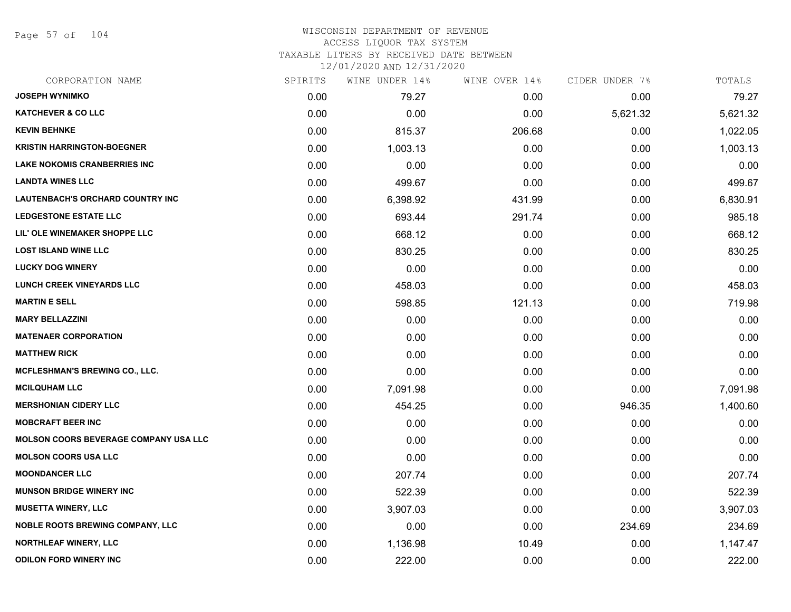Page 57 of 104

| CORPORATION NAME                             | SPIRITS | WINE UNDER 14% | WINE OVER 14% | CIDER UNDER 7% | TOTALS   |
|----------------------------------------------|---------|----------------|---------------|----------------|----------|
| <b>JOSEPH WYNIMKO</b>                        | 0.00    | 79.27          | 0.00          | 0.00           | 79.27    |
| <b>KATCHEVER &amp; CO LLC</b>                | 0.00    | 0.00           | 0.00          | 5,621.32       | 5,621.32 |
| <b>KEVIN BEHNKE</b>                          | 0.00    | 815.37         | 206.68        | 0.00           | 1,022.05 |
| <b>KRISTIN HARRINGTON-BOEGNER</b>            | 0.00    | 1,003.13       | 0.00          | 0.00           | 1,003.13 |
| <b>LAKE NOKOMIS CRANBERRIES INC</b>          | 0.00    | 0.00           | 0.00          | 0.00           | 0.00     |
| <b>LANDTA WINES LLC</b>                      | 0.00    | 499.67         | 0.00          | 0.00           | 499.67   |
| <b>LAUTENBACH'S ORCHARD COUNTRY INC</b>      | 0.00    | 6,398.92       | 431.99        | 0.00           | 6,830.91 |
| <b>LEDGESTONE ESTATE LLC</b>                 | 0.00    | 693.44         | 291.74        | 0.00           | 985.18   |
| LIL' OLE WINEMAKER SHOPPE LLC                | 0.00    | 668.12         | 0.00          | 0.00           | 668.12   |
| <b>LOST ISLAND WINE LLC</b>                  | 0.00    | 830.25         | 0.00          | 0.00           | 830.25   |
| <b>LUCKY DOG WINERY</b>                      | 0.00    | 0.00           | 0.00          | 0.00           | 0.00     |
| <b>LUNCH CREEK VINEYARDS LLC</b>             | 0.00    | 458.03         | 0.00          | 0.00           | 458.03   |
| <b>MARTIN E SELL</b>                         | 0.00    | 598.85         | 121.13        | 0.00           | 719.98   |
| <b>MARY BELLAZZINI</b>                       | 0.00    | 0.00           | 0.00          | 0.00           | 0.00     |
| <b>MATENAER CORPORATION</b>                  | 0.00    | 0.00           | 0.00          | 0.00           | 0.00     |
| <b>MATTHEW RICK</b>                          | 0.00    | 0.00           | 0.00          | 0.00           | 0.00     |
| <b>MCFLESHMAN'S BREWING CO., LLC.</b>        | 0.00    | 0.00           | 0.00          | 0.00           | 0.00     |
| <b>MCILQUHAM LLC</b>                         | 0.00    | 7,091.98       | 0.00          | 0.00           | 7,091.98 |
| <b>MERSHONIAN CIDERY LLC</b>                 | 0.00    | 454.25         | 0.00          | 946.35         | 1,400.60 |
| <b>MOBCRAFT BEER INC</b>                     | 0.00    | 0.00           | 0.00          | 0.00           | 0.00     |
| <b>MOLSON COORS BEVERAGE COMPANY USA LLC</b> | 0.00    | 0.00           | 0.00          | 0.00           | 0.00     |
| <b>MOLSON COORS USA LLC</b>                  | 0.00    | 0.00           | 0.00          | 0.00           | 0.00     |
| <b>MOONDANCER LLC</b>                        | 0.00    | 207.74         | 0.00          | 0.00           | 207.74   |
| <b>MUNSON BRIDGE WINERY INC</b>              | 0.00    | 522.39         | 0.00          | 0.00           | 522.39   |
| <b>MUSETTA WINERY, LLC</b>                   | 0.00    | 3,907.03       | 0.00          | 0.00           | 3,907.03 |
| <b>NOBLE ROOTS BREWING COMPANY, LLC</b>      | 0.00    | 0.00           | 0.00          | 234.69         | 234.69   |
| <b>NORTHLEAF WINERY, LLC</b>                 | 0.00    | 1,136.98       | 10.49         | 0.00           | 1,147.47 |
| <b>ODILON FORD WINERY INC</b>                | 0.00    | 222.00         | 0.00          | 0.00           | 222.00   |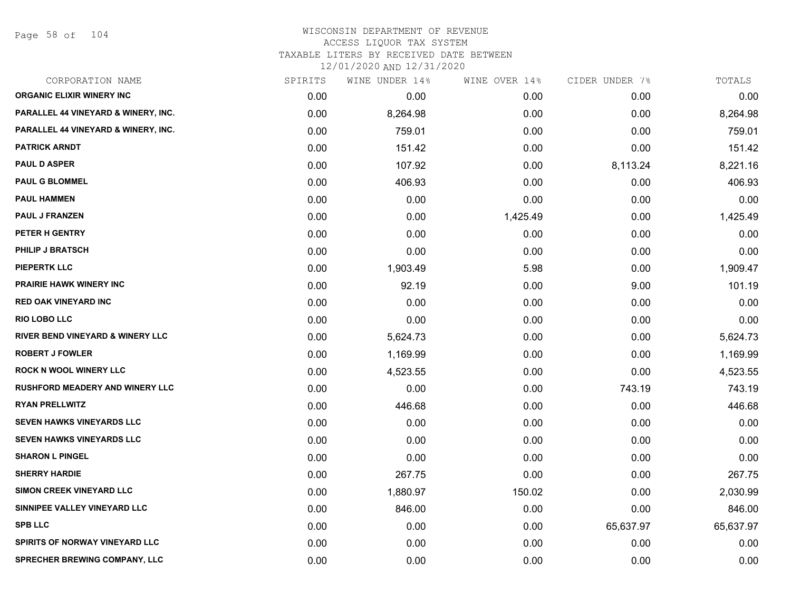Page 58 of 104

| CORPORATION NAME                            | SPIRITS | WINE UNDER 14% | WINE OVER 14% | CIDER UNDER 7% | TOTALS    |
|---------------------------------------------|---------|----------------|---------------|----------------|-----------|
| <b>ORGANIC ELIXIR WINERY INC</b>            | 0.00    | 0.00           | 0.00          | 0.00           | 0.00      |
| PARALLEL 44 VINEYARD & WINERY, INC.         | 0.00    | 8,264.98       | 0.00          | 0.00           | 8,264.98  |
| PARALLEL 44 VINEYARD & WINERY, INC.         | 0.00    | 759.01         | 0.00          | 0.00           | 759.01    |
| <b>PATRICK ARNDT</b>                        | 0.00    | 151.42         | 0.00          | 0.00           | 151.42    |
| <b>PAUL D ASPER</b>                         | 0.00    | 107.92         | 0.00          | 8,113.24       | 8,221.16  |
| <b>PAUL G BLOMMEL</b>                       | 0.00    | 406.93         | 0.00          | 0.00           | 406.93    |
| <b>PAUL HAMMEN</b>                          | 0.00    | 0.00           | 0.00          | 0.00           | 0.00      |
| PAUL J FRANZEN                              | 0.00    | 0.00           | 1,425.49      | 0.00           | 1,425.49  |
| PETER H GENTRY                              | 0.00    | 0.00           | 0.00          | 0.00           | 0.00      |
| <b>PHILIP J BRATSCH</b>                     | 0.00    | 0.00           | 0.00          | 0.00           | 0.00      |
| <b>PIEPERTK LLC</b>                         | 0.00    | 1,903.49       | 5.98          | 0.00           | 1,909.47  |
| <b>PRAIRIE HAWK WINERY INC</b>              | 0.00    | 92.19          | 0.00          | 9.00           | 101.19    |
| <b>RED OAK VINEYARD INC</b>                 | 0.00    | 0.00           | 0.00          | 0.00           | 0.00      |
| <b>RIO LOBO LLC</b>                         | 0.00    | 0.00           | 0.00          | 0.00           | 0.00      |
| <b>RIVER BEND VINEYARD &amp; WINERY LLC</b> | 0.00    | 5,624.73       | 0.00          | 0.00           | 5,624.73  |
| <b>ROBERT J FOWLER</b>                      | 0.00    | 1,169.99       | 0.00          | 0.00           | 1,169.99  |
| <b>ROCK N WOOL WINERY LLC</b>               | 0.00    | 4,523.55       | 0.00          | 0.00           | 4,523.55  |
| <b>RUSHFORD MEADERY AND WINERY LLC</b>      | 0.00    | 0.00           | 0.00          | 743.19         | 743.19    |
| <b>RYAN PRELLWITZ</b>                       | 0.00    | 446.68         | 0.00          | 0.00           | 446.68    |
| <b>SEVEN HAWKS VINEYARDS LLC</b>            | 0.00    | 0.00           | 0.00          | 0.00           | 0.00      |
| SEVEN HAWKS VINEYARDS LLC                   | 0.00    | 0.00           | 0.00          | 0.00           | 0.00      |
| <b>SHARON L PINGEL</b>                      | 0.00    | 0.00           | 0.00          | 0.00           | 0.00      |
| <b>SHERRY HARDIE</b>                        | 0.00    | 267.75         | 0.00          | 0.00           | 267.75    |
| SIMON CREEK VINEYARD LLC                    | 0.00    | 1,880.97       | 150.02        | 0.00           | 2,030.99  |
| SINNIPEE VALLEY VINEYARD LLC                | 0.00    | 846.00         | 0.00          | 0.00           | 846.00    |
| <b>SPB LLC</b>                              | 0.00    | 0.00           | 0.00          | 65,637.97      | 65,637.97 |
| <b>SPIRITS OF NORWAY VINEYARD LLC</b>       | 0.00    | 0.00           | 0.00          | 0.00           | 0.00      |
| <b>SPRECHER BREWING COMPANY, LLC</b>        | 0.00    | 0.00           | 0.00          | 0.00           | 0.00      |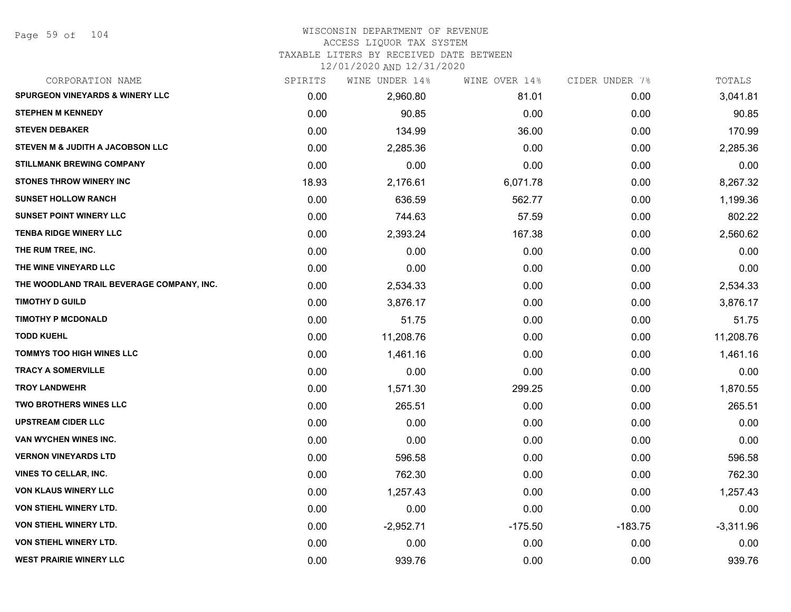# WISCONSIN DEPARTMENT OF REVENUE ACCESS LIQUOR TAX SYSTEM

TAXABLE LITERS BY RECEIVED DATE BETWEEN

| CORPORATION NAME                           | SPIRITS | WINE UNDER 14% | WINE OVER 14% | CIDER UNDER 7% | TOTALS      |
|--------------------------------------------|---------|----------------|---------------|----------------|-------------|
| <b>SPURGEON VINEYARDS &amp; WINERY LLC</b> | 0.00    | 2,960.80       | 81.01         | 0.00           | 3,041.81    |
| <b>STEPHEN M KENNEDY</b>                   | 0.00    | 90.85          | 0.00          | 0.00           | 90.85       |
| <b>STEVEN DEBAKER</b>                      | 0.00    | 134.99         | 36.00         | 0.00           | 170.99      |
| STEVEN M & JUDITH A JACOBSON LLC           | 0.00    | 2,285.36       | 0.00          | 0.00           | 2,285.36    |
| <b>STILLMANK BREWING COMPANY</b>           | 0.00    | 0.00           | 0.00          | 0.00           | 0.00        |
| <b>STONES THROW WINERY INC</b>             | 18.93   | 2,176.61       | 6,071.78      | 0.00           | 8,267.32    |
| <b>SUNSET HOLLOW RANCH</b>                 | 0.00    | 636.59         | 562.77        | 0.00           | 1,199.36    |
| <b>SUNSET POINT WINERY LLC</b>             | 0.00    | 744.63         | 57.59         | 0.00           | 802.22      |
| <b>TENBA RIDGE WINERY LLC</b>              | 0.00    | 2,393.24       | 167.38        | 0.00           | 2,560.62    |
| THE RUM TREE, INC.                         | 0.00    | 0.00           | 0.00          | 0.00           | 0.00        |
| THE WINE VINEYARD LLC                      | 0.00    | 0.00           | 0.00          | 0.00           | 0.00        |
| THE WOODLAND TRAIL BEVERAGE COMPANY, INC.  | 0.00    | 2,534.33       | 0.00          | 0.00           | 2,534.33    |
| <b>TIMOTHY D GUILD</b>                     | 0.00    | 3,876.17       | 0.00          | 0.00           | 3,876.17    |
| <b>TIMOTHY P MCDONALD</b>                  | 0.00    | 51.75          | 0.00          | 0.00           | 51.75       |
| <b>TODD KUEHL</b>                          | 0.00    | 11,208.76      | 0.00          | 0.00           | 11,208.76   |
| <b>TOMMYS TOO HIGH WINES LLC</b>           | 0.00    | 1,461.16       | 0.00          | 0.00           | 1,461.16    |
| <b>TRACY A SOMERVILLE</b>                  | 0.00    | 0.00           | 0.00          | 0.00           | 0.00        |
| <b>TROY LANDWEHR</b>                       | 0.00    | 1,571.30       | 299.25        | 0.00           | 1,870.55    |
| <b>TWO BROTHERS WINES LLC</b>              | 0.00    | 265.51         | 0.00          | 0.00           | 265.51      |
| <b>UPSTREAM CIDER LLC</b>                  | 0.00    | 0.00           | 0.00          | 0.00           | 0.00        |
| VAN WYCHEN WINES INC.                      | 0.00    | 0.00           | 0.00          | 0.00           | 0.00        |
| <b>VERNON VINEYARDS LTD</b>                | 0.00    | 596.58         | 0.00          | 0.00           | 596.58      |
| <b>VINES TO CELLAR, INC.</b>               | 0.00    | 762.30         | 0.00          | 0.00           | 762.30      |
| <b>VON KLAUS WINERY LLC</b>                | 0.00    | 1,257.43       | 0.00          | 0.00           | 1,257.43    |
| <b>VON STIEHL WINERY LTD.</b>              | 0.00    | 0.00           | 0.00          | 0.00           | 0.00        |
| <b>VON STIEHL WINERY LTD.</b>              | 0.00    | $-2,952.71$    | $-175.50$     | $-183.75$      | $-3,311.96$ |
| VON STIEHL WINERY LTD.                     | 0.00    | 0.00           | 0.00          | 0.00           | 0.00        |
| <b>WEST PRAIRIE WINERY LLC</b>             | 0.00    | 939.76         | 0.00          | 0.00           | 939.76      |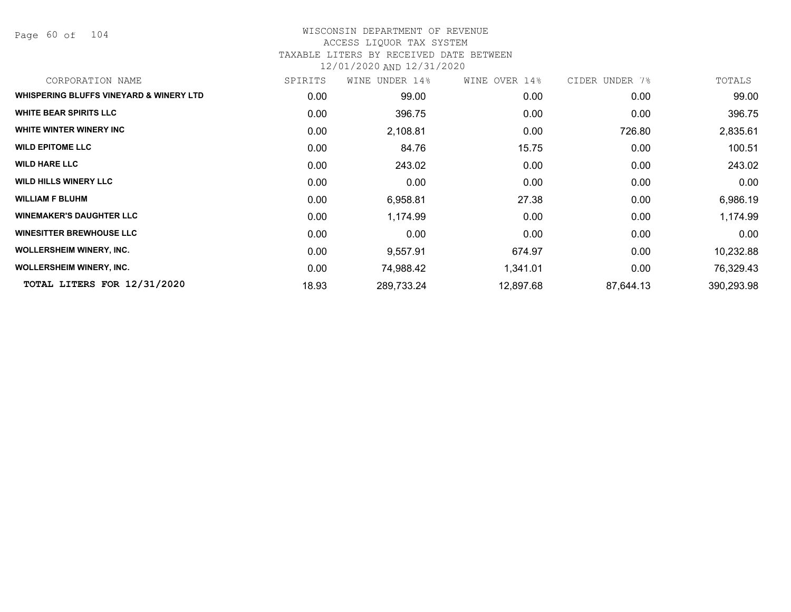Page 60 of 104

# WISCONSIN DEPARTMENT OF REVENUE ACCESS LIQUOR TAX SYSTEM TAXABLE LITERS BY RECEIVED DATE BETWEEN

| CORPORATION NAME                                   | SPIRITS | WINE UNDER 14% | WINE OVER 14% | CIDER UNDER 7% | TOTALS     |
|----------------------------------------------------|---------|----------------|---------------|----------------|------------|
| <b>WHISPERING BLUFFS VINEYARD &amp; WINERY LTD</b> | 0.00    | 99.00          | 0.00          | 0.00           | 99.00      |
| <b>WHITE BEAR SPIRITS LLC</b>                      | 0.00    | 396.75         | 0.00          | 0.00           | 396.75     |
| WHITE WINTER WINERY INC                            | 0.00    | 2,108.81       | 0.00          | 726.80         | 2,835.61   |
| <b>WILD EPITOME LLC</b>                            | 0.00    | 84.76          | 15.75         | 0.00           | 100.51     |
| <b>WILD HARE LLC</b>                               | 0.00    | 243.02         | 0.00          | 0.00           | 243.02     |
| <b>WILD HILLS WINERY LLC</b>                       | 0.00    | 0.00           | 0.00          | 0.00           | 0.00       |
| <b>WILLIAM F BLUHM</b>                             | 0.00    | 6,958.81       | 27.38         | 0.00           | 6,986.19   |
| <b>WINEMAKER'S DAUGHTER LLC</b>                    | 0.00    | 1,174.99       | 0.00          | 0.00           | 1,174.99   |
| <b>WINESITTER BREWHOUSE LLC</b>                    | 0.00    | 0.00           | 0.00          | 0.00           | 0.00       |
| <b>WOLLERSHEIM WINERY, INC.</b>                    | 0.00    | 9,557.91       | 674.97        | 0.00           | 10,232.88  |
| <b>WOLLERSHEIM WINERY, INC.</b>                    | 0.00    | 74,988.42      | 1,341.01      | 0.00           | 76,329.43  |
| TOTAL LITERS FOR 12/31/2020                        | 18.93   | 289,733.24     | 12,897.68     | 87,644.13      | 390,293.98 |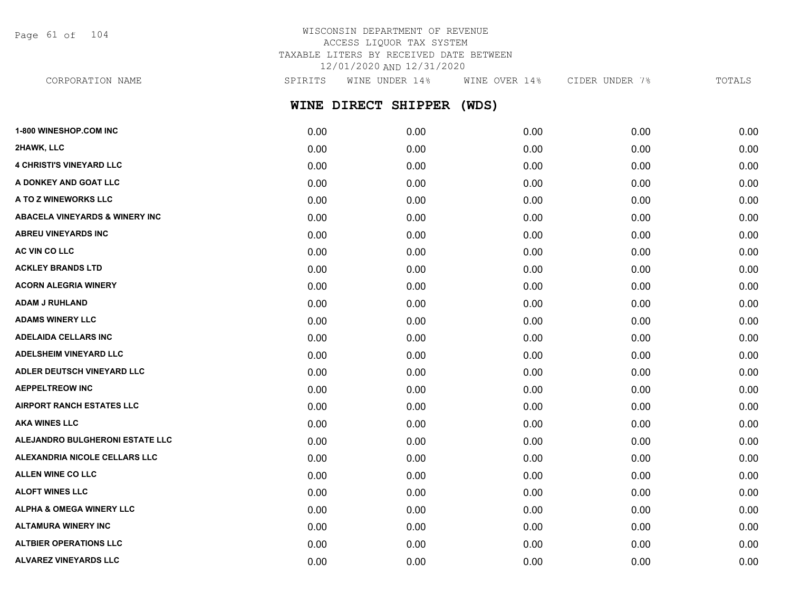Page 61 of 104

# WISCONSIN DEPARTMENT OF REVENUE ACCESS LIQUOR TAX SYSTEM TAXABLE LITERS BY RECEIVED DATE BETWEEN 12/01/2020 AND 12/31/2020

**WINE DIRECT SHIPPER (WDS)** CORPORATION NAME SPIRITS WINE UNDER 14% WINE OVER 14% CIDER UNDER 7% TOTALS

| 1-800 WINESHOP.COM INC                    | 0.00 | 0.00 | 0.00 | 0.00 | 0.00 |
|-------------------------------------------|------|------|------|------|------|
| 2HAWK, LLC                                | 0.00 | 0.00 | 0.00 | 0.00 | 0.00 |
| <b>4 CHRISTI'S VINEYARD LLC</b>           | 0.00 | 0.00 | 0.00 | 0.00 | 0.00 |
| A DONKEY AND GOAT LLC                     | 0.00 | 0.00 | 0.00 | 0.00 | 0.00 |
| A TO Z WINEWORKS LLC                      | 0.00 | 0.00 | 0.00 | 0.00 | 0.00 |
| <b>ABACELA VINEYARDS &amp; WINERY INC</b> | 0.00 | 0.00 | 0.00 | 0.00 | 0.00 |
| <b>ABREU VINEYARDS INC</b>                | 0.00 | 0.00 | 0.00 | 0.00 | 0.00 |
| AC VIN CO LLC                             | 0.00 | 0.00 | 0.00 | 0.00 | 0.00 |
| <b>ACKLEY BRANDS LTD</b>                  | 0.00 | 0.00 | 0.00 | 0.00 | 0.00 |
| <b>ACORN ALEGRIA WINERY</b>               | 0.00 | 0.00 | 0.00 | 0.00 | 0.00 |
| <b>ADAM J RUHLAND</b>                     | 0.00 | 0.00 | 0.00 | 0.00 | 0.00 |
| <b>ADAMS WINERY LLC</b>                   | 0.00 | 0.00 | 0.00 | 0.00 | 0.00 |
| <b>ADELAIDA CELLARS INC</b>               | 0.00 | 0.00 | 0.00 | 0.00 | 0.00 |
| <b>ADELSHEIM VINEYARD LLC</b>             | 0.00 | 0.00 | 0.00 | 0.00 | 0.00 |
| ADLER DEUTSCH VINEYARD LLC                | 0.00 | 0.00 | 0.00 | 0.00 | 0.00 |
| <b>AEPPELTREOW INC</b>                    | 0.00 | 0.00 | 0.00 | 0.00 | 0.00 |
| <b>AIRPORT RANCH ESTATES LLC</b>          | 0.00 | 0.00 | 0.00 | 0.00 | 0.00 |
| <b>AKA WINES LLC</b>                      | 0.00 | 0.00 | 0.00 | 0.00 | 0.00 |
| ALEJANDRO BULGHERONI ESTATE LLC           | 0.00 | 0.00 | 0.00 | 0.00 | 0.00 |
| ALEXANDRIA NICOLE CELLARS LLC             | 0.00 | 0.00 | 0.00 | 0.00 | 0.00 |
| <b>ALLEN WINE CO LLC</b>                  | 0.00 | 0.00 | 0.00 | 0.00 | 0.00 |
| <b>ALOFT WINES LLC</b>                    | 0.00 | 0.00 | 0.00 | 0.00 | 0.00 |
| <b>ALPHA &amp; OMEGA WINERY LLC</b>       | 0.00 | 0.00 | 0.00 | 0.00 | 0.00 |
| <b>ALTAMURA WINERY INC</b>                | 0.00 | 0.00 | 0.00 | 0.00 | 0.00 |
| <b>ALTBIER OPERATIONS LLC</b>             | 0.00 | 0.00 | 0.00 | 0.00 | 0.00 |
| ALVAREZ VINEYARDS LLC                     | 0.00 | 0.00 | 0.00 | 0.00 | 0.00 |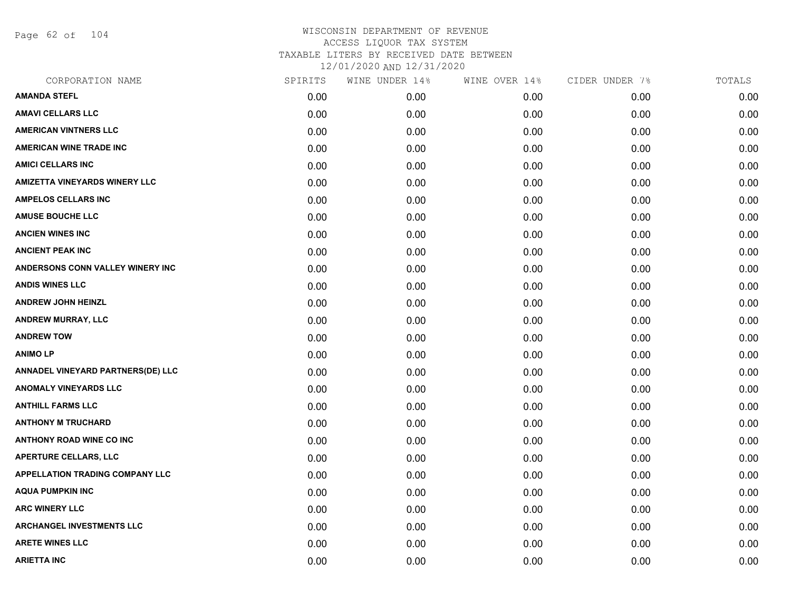Page 62 of 104

| CORPORATION NAME                       | SPIRITS | WINE UNDER 14% | WINE OVER 14% | CIDER UNDER 7% | TOTALS |
|----------------------------------------|---------|----------------|---------------|----------------|--------|
| <b>AMANDA STEFL</b>                    | 0.00    | 0.00           | 0.00          | 0.00           | 0.00   |
| <b>AMAVI CELLARS LLC</b>               | 0.00    | 0.00           | 0.00          | 0.00           | 0.00   |
| <b>AMERICAN VINTNERS LLC</b>           | 0.00    | 0.00           | 0.00          | 0.00           | 0.00   |
| <b>AMERICAN WINE TRADE INC</b>         | 0.00    | 0.00           | 0.00          | 0.00           | 0.00   |
| <b>AMICI CELLARS INC</b>               | 0.00    | 0.00           | 0.00          | 0.00           | 0.00   |
| <b>AMIZETTA VINEYARDS WINERY LLC</b>   | 0.00    | 0.00           | 0.00          | 0.00           | 0.00   |
| <b>AMPELOS CELLARS INC</b>             | 0.00    | 0.00           | 0.00          | 0.00           | 0.00   |
| <b>AMUSE BOUCHE LLC</b>                | 0.00    | 0.00           | 0.00          | 0.00           | 0.00   |
| <b>ANCIEN WINES INC</b>                | 0.00    | 0.00           | 0.00          | 0.00           | 0.00   |
| <b>ANCIENT PEAK INC</b>                | 0.00    | 0.00           | 0.00          | 0.00           | 0.00   |
| ANDERSONS CONN VALLEY WINERY INC       | 0.00    | 0.00           | 0.00          | 0.00           | 0.00   |
| <b>ANDIS WINES LLC</b>                 | 0.00    | 0.00           | 0.00          | 0.00           | 0.00   |
| <b>ANDREW JOHN HEINZL</b>              | 0.00    | 0.00           | 0.00          | 0.00           | 0.00   |
| <b>ANDREW MURRAY, LLC</b>              | 0.00    | 0.00           | 0.00          | 0.00           | 0.00   |
| <b>ANDREW TOW</b>                      | 0.00    | 0.00           | 0.00          | 0.00           | 0.00   |
| <b>ANIMOLP</b>                         | 0.00    | 0.00           | 0.00          | 0.00           | 0.00   |
| ANNADEL VINEYARD PARTNERS(DE) LLC      | 0.00    | 0.00           | 0.00          | 0.00           | 0.00   |
| <b>ANOMALY VINEYARDS LLC</b>           | 0.00    | 0.00           | 0.00          | 0.00           | 0.00   |
| <b>ANTHILL FARMS LLC</b>               | 0.00    | 0.00           | 0.00          | 0.00           | 0.00   |
| <b>ANTHONY M TRUCHARD</b>              | 0.00    | 0.00           | 0.00          | 0.00           | 0.00   |
| <b>ANTHONY ROAD WINE CO INC</b>        | 0.00    | 0.00           | 0.00          | 0.00           | 0.00   |
| <b>APERTURE CELLARS, LLC</b>           | 0.00    | 0.00           | 0.00          | 0.00           | 0.00   |
| <b>APPELLATION TRADING COMPANY LLC</b> | 0.00    | 0.00           | 0.00          | 0.00           | 0.00   |
| <b>AQUA PUMPKIN INC</b>                | 0.00    | 0.00           | 0.00          | 0.00           | 0.00   |
| <b>ARC WINERY LLC</b>                  | 0.00    | 0.00           | 0.00          | 0.00           | 0.00   |
| <b>ARCHANGEL INVESTMENTS LLC</b>       | 0.00    | 0.00           | 0.00          | 0.00           | 0.00   |
| <b>ARETE WINES LLC</b>                 | 0.00    | 0.00           | 0.00          | 0.00           | 0.00   |
| <b>ARIETTA INC</b>                     | 0.00    | 0.00           | 0.00          | 0.00           | 0.00   |
|                                        |         |                |               |                |        |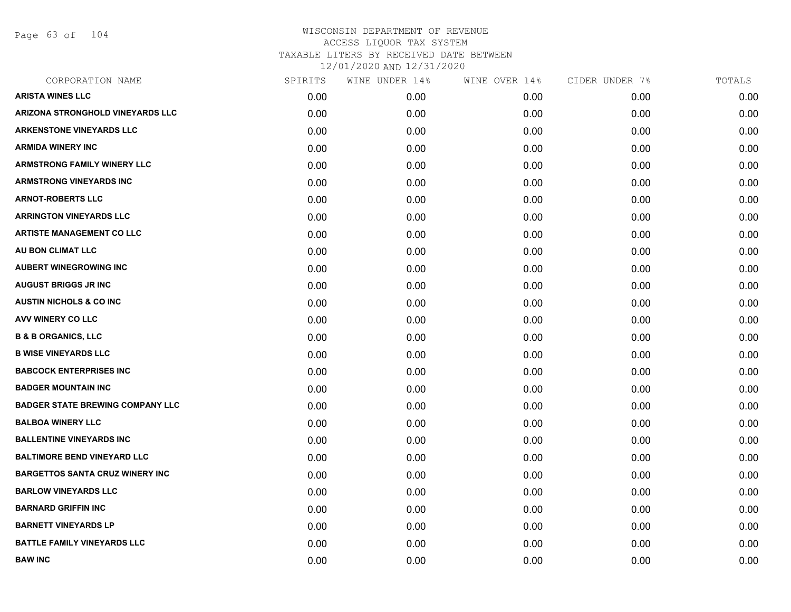Page 63 of 104

| CORPORATION NAME                        | SPIRITS | WINE UNDER 14% | WINE OVER 14% | CIDER UNDER 7% | TOTALS |
|-----------------------------------------|---------|----------------|---------------|----------------|--------|
| <b>ARISTA WINES LLC</b>                 | 0.00    | 0.00           | 0.00          | 0.00           | 0.00   |
| ARIZONA STRONGHOLD VINEYARDS LLC        | 0.00    | 0.00           | 0.00          | 0.00           | 0.00   |
| <b>ARKENSTONE VINEYARDS LLC</b>         | 0.00    | 0.00           | 0.00          | 0.00           | 0.00   |
| <b>ARMIDA WINERY INC</b>                | 0.00    | 0.00           | 0.00          | 0.00           | 0.00   |
| <b>ARMSTRONG FAMILY WINERY LLC</b>      | 0.00    | 0.00           | 0.00          | 0.00           | 0.00   |
| ARMSTRONG VINEYARDS INC                 | 0.00    | 0.00           | 0.00          | 0.00           | 0.00   |
| <b>ARNOT-ROBERTS LLC</b>                | 0.00    | 0.00           | 0.00          | 0.00           | 0.00   |
| <b>ARRINGTON VINEYARDS LLC</b>          | 0.00    | 0.00           | 0.00          | 0.00           | 0.00   |
| <b>ARTISTE MANAGEMENT CO LLC</b>        | 0.00    | 0.00           | 0.00          | 0.00           | 0.00   |
| AU BON CLIMAT LLC                       | 0.00    | 0.00           | 0.00          | 0.00           | 0.00   |
| <b>AUBERT WINEGROWING INC</b>           | 0.00    | 0.00           | 0.00          | 0.00           | 0.00   |
| <b>AUGUST BRIGGS JR INC</b>             | 0.00    | 0.00           | 0.00          | 0.00           | 0.00   |
| <b>AUSTIN NICHOLS &amp; CO INC</b>      | 0.00    | 0.00           | 0.00          | 0.00           | 0.00   |
| AVV WINERY CO LLC                       | 0.00    | 0.00           | 0.00          | 0.00           | 0.00   |
| <b>B &amp; B ORGANICS, LLC</b>          | 0.00    | 0.00           | 0.00          | 0.00           | 0.00   |
| <b>B WISE VINEYARDS LLC</b>             | 0.00    | 0.00           | 0.00          | 0.00           | 0.00   |
| <b>BABCOCK ENTERPRISES INC</b>          | 0.00    | 0.00           | 0.00          | 0.00           | 0.00   |
| <b>BADGER MOUNTAIN INC</b>              | 0.00    | 0.00           | 0.00          | 0.00           | 0.00   |
| <b>BADGER STATE BREWING COMPANY LLC</b> | 0.00    | 0.00           | 0.00          | 0.00           | 0.00   |
| <b>BALBOA WINERY LLC</b>                | 0.00    | 0.00           | 0.00          | 0.00           | 0.00   |
| <b>BALLENTINE VINEYARDS INC</b>         | 0.00    | 0.00           | 0.00          | 0.00           | 0.00   |
| <b>BALTIMORE BEND VINEYARD LLC</b>      | 0.00    | 0.00           | 0.00          | 0.00           | 0.00   |
| <b>BARGETTOS SANTA CRUZ WINERY INC</b>  | 0.00    | 0.00           | 0.00          | 0.00           | 0.00   |
| <b>BARLOW VINEYARDS LLC</b>             | 0.00    | 0.00           | 0.00          | 0.00           | 0.00   |
| <b>BARNARD GRIFFIN INC</b>              | 0.00    | 0.00           | 0.00          | 0.00           | 0.00   |
| <b>BARNETT VINEYARDS LP</b>             | 0.00    | 0.00           | 0.00          | 0.00           | 0.00   |
| <b>BATTLE FAMILY VINEYARDS LLC</b>      | 0.00    | 0.00           | 0.00          | 0.00           | 0.00   |
| <b>BAW INC</b>                          | 0.00    | 0.00           | 0.00          | 0.00           | 0.00   |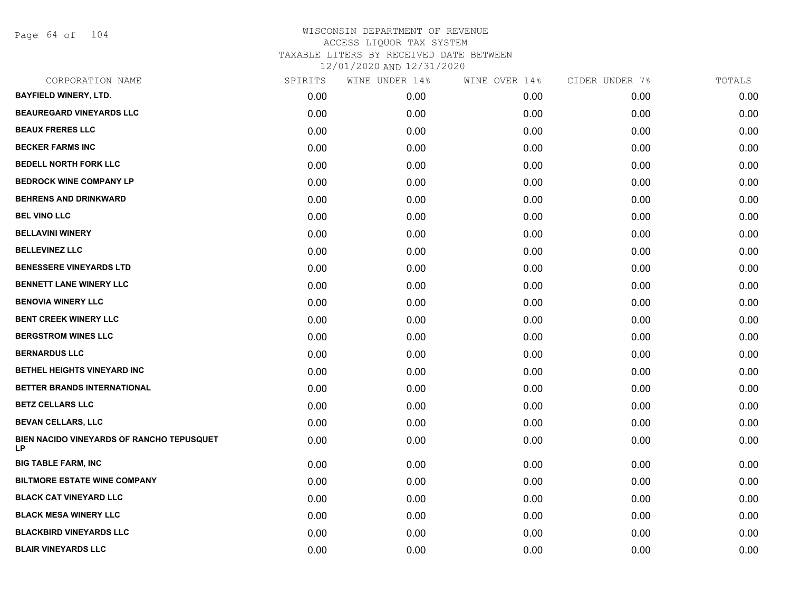Page 64 of 104

| CORPORATION NAME                                       | SPIRITS | WINE UNDER 14% | WINE OVER 14% | CIDER UNDER 7% | TOTALS |
|--------------------------------------------------------|---------|----------------|---------------|----------------|--------|
| <b>BAYFIELD WINERY, LTD.</b>                           | 0.00    | 0.00           | 0.00          | 0.00           | 0.00   |
| <b>BEAUREGARD VINEYARDS LLC</b>                        | 0.00    | 0.00           | 0.00          | 0.00           | 0.00   |
| <b>BEAUX FRERES LLC</b>                                | 0.00    | 0.00           | 0.00          | 0.00           | 0.00   |
| <b>BECKER FARMS INC</b>                                | 0.00    | 0.00           | 0.00          | 0.00           | 0.00   |
| <b>BEDELL NORTH FORK LLC</b>                           | 0.00    | 0.00           | 0.00          | 0.00           | 0.00   |
| <b>BEDROCK WINE COMPANY LP</b>                         | 0.00    | 0.00           | 0.00          | 0.00           | 0.00   |
| <b>BEHRENS AND DRINKWARD</b>                           | 0.00    | 0.00           | 0.00          | 0.00           | 0.00   |
| <b>BEL VINO LLC</b>                                    | 0.00    | 0.00           | 0.00          | 0.00           | 0.00   |
| <b>BELLAVINI WINERY</b>                                | 0.00    | 0.00           | 0.00          | 0.00           | 0.00   |
| <b>BELLEVINEZ LLC</b>                                  | 0.00    | 0.00           | 0.00          | 0.00           | 0.00   |
| <b>BENESSERE VINEYARDS LTD</b>                         | 0.00    | 0.00           | 0.00          | 0.00           | 0.00   |
| <b>BENNETT LANE WINERY LLC</b>                         | 0.00    | 0.00           | 0.00          | 0.00           | 0.00   |
| <b>BENOVIA WINERY LLC</b>                              | 0.00    | 0.00           | 0.00          | 0.00           | 0.00   |
| <b>BENT CREEK WINERY LLC</b>                           | 0.00    | 0.00           | 0.00          | 0.00           | 0.00   |
| <b>BERGSTROM WINES LLC</b>                             | 0.00    | 0.00           | 0.00          | 0.00           | 0.00   |
| <b>BERNARDUS LLC</b>                                   | 0.00    | 0.00           | 0.00          | 0.00           | 0.00   |
| <b>BETHEL HEIGHTS VINEYARD INC</b>                     | 0.00    | 0.00           | 0.00          | 0.00           | 0.00   |
| BETTER BRANDS INTERNATIONAL                            | 0.00    | 0.00           | 0.00          | 0.00           | 0.00   |
| <b>BETZ CELLARS LLC</b>                                | 0.00    | 0.00           | 0.00          | 0.00           | 0.00   |
| <b>BEVAN CELLARS, LLC</b>                              | 0.00    | 0.00           | 0.00          | 0.00           | 0.00   |
| BIEN NACIDO VINEYARDS OF RANCHO TEPUSQUET<br><b>LP</b> | 0.00    | 0.00           | 0.00          | 0.00           | 0.00   |
| <b>BIG TABLE FARM, INC</b>                             | 0.00    | 0.00           | 0.00          | 0.00           | 0.00   |
| <b>BILTMORE ESTATE WINE COMPANY</b>                    | 0.00    | 0.00           | 0.00          | 0.00           | 0.00   |
| <b>BLACK CAT VINEYARD LLC</b>                          | 0.00    | 0.00           | 0.00          | 0.00           | 0.00   |
| <b>BLACK MESA WINERY LLC</b>                           | 0.00    | 0.00           | 0.00          | 0.00           | 0.00   |
| <b>BLACKBIRD VINEYARDS LLC</b>                         | 0.00    | 0.00           | 0.00          | 0.00           | 0.00   |
| <b>BLAIR VINEYARDS LLC</b>                             | 0.00    | 0.00           | 0.00          | 0.00           | 0.00   |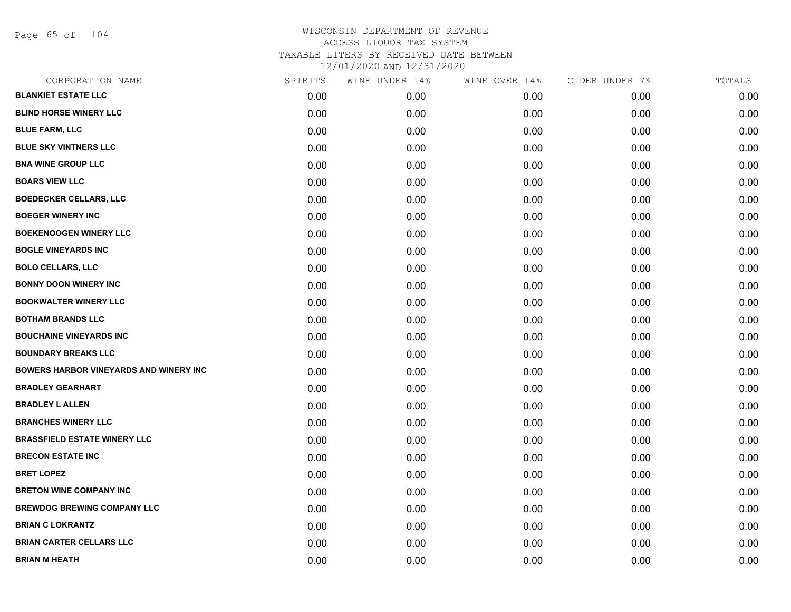Page 65 of 104

| CORPORATION NAME                              | SPIRITS | WINE UNDER 14% | WINE OVER 14% | CIDER UNDER 7% | TOTALS |
|-----------------------------------------------|---------|----------------|---------------|----------------|--------|
| <b>BLANKIET ESTATE LLC</b>                    | 0.00    | 0.00           | 0.00          | 0.00           | 0.00   |
| <b>BLIND HORSE WINERY LLC</b>                 | 0.00    | 0.00           | 0.00          | 0.00           | 0.00   |
| <b>BLUE FARM, LLC</b>                         | 0.00    | 0.00           | 0.00          | 0.00           | 0.00   |
| <b>BLUE SKY VINTNERS LLC</b>                  | 0.00    | 0.00           | 0.00          | 0.00           | 0.00   |
| <b>BNA WINE GROUP LLC</b>                     | 0.00    | 0.00           | 0.00          | 0.00           | 0.00   |
| <b>BOARS VIEW LLC</b>                         | 0.00    | 0.00           | 0.00          | 0.00           | 0.00   |
| <b>BOEDECKER CELLARS, LLC</b>                 | 0.00    | 0.00           | 0.00          | 0.00           | 0.00   |
| <b>BOEGER WINERY INC</b>                      | 0.00    | 0.00           | 0.00          | 0.00           | 0.00   |
| <b>BOEKENOOGEN WINERY LLC</b>                 | 0.00    | 0.00           | 0.00          | 0.00           | 0.00   |
| <b>BOGLE VINEYARDS INC</b>                    | 0.00    | 0.00           | 0.00          | 0.00           | 0.00   |
| <b>BOLO CELLARS, LLC</b>                      | 0.00    | 0.00           | 0.00          | 0.00           | 0.00   |
| <b>BONNY DOON WINERY INC</b>                  | 0.00    | 0.00           | 0.00          | 0.00           | 0.00   |
| <b>BOOKWALTER WINERY LLC</b>                  | 0.00    | 0.00           | 0.00          | 0.00           | 0.00   |
| <b>BOTHAM BRANDS LLC</b>                      | 0.00    | 0.00           | 0.00          | 0.00           | 0.00   |
| <b>BOUCHAINE VINEYARDS INC</b>                | 0.00    | 0.00           | 0.00          | 0.00           | 0.00   |
| <b>BOUNDARY BREAKS LLC</b>                    | 0.00    | 0.00           | 0.00          | 0.00           | 0.00   |
| <b>BOWERS HARBOR VINEYARDS AND WINERY INC</b> | 0.00    | 0.00           | 0.00          | 0.00           | 0.00   |
| <b>BRADLEY GEARHART</b>                       | 0.00    | 0.00           | 0.00          | 0.00           | 0.00   |
| <b>BRADLEY L ALLEN</b>                        | 0.00    | 0.00           | 0.00          | 0.00           | 0.00   |
| <b>BRANCHES WINERY LLC</b>                    | 0.00    | 0.00           | 0.00          | 0.00           | 0.00   |
| <b>BRASSFIELD ESTATE WINERY LLC</b>           | 0.00    | 0.00           | 0.00          | 0.00           | 0.00   |
| <b>BRECON ESTATE INC</b>                      | 0.00    | 0.00           | 0.00          | 0.00           | 0.00   |
| <b>BRET LOPEZ</b>                             | 0.00    | 0.00           | 0.00          | 0.00           | 0.00   |
| <b>BRETON WINE COMPANY INC</b>                | 0.00    | 0.00           | 0.00          | 0.00           | 0.00   |
| <b>BREWDOG BREWING COMPANY LLC</b>            | 0.00    | 0.00           | 0.00          | 0.00           | 0.00   |
| <b>BRIAN C LOKRANTZ</b>                       | 0.00    | 0.00           | 0.00          | 0.00           | 0.00   |
| <b>BRIAN CARTER CELLARS LLC</b>               | 0.00    | 0.00           | 0.00          | 0.00           | 0.00   |
| <b>BRIAN M HEATH</b>                          | 0.00    | 0.00           | 0.00          | 0.00           | 0.00   |
|                                               |         |                |               |                |        |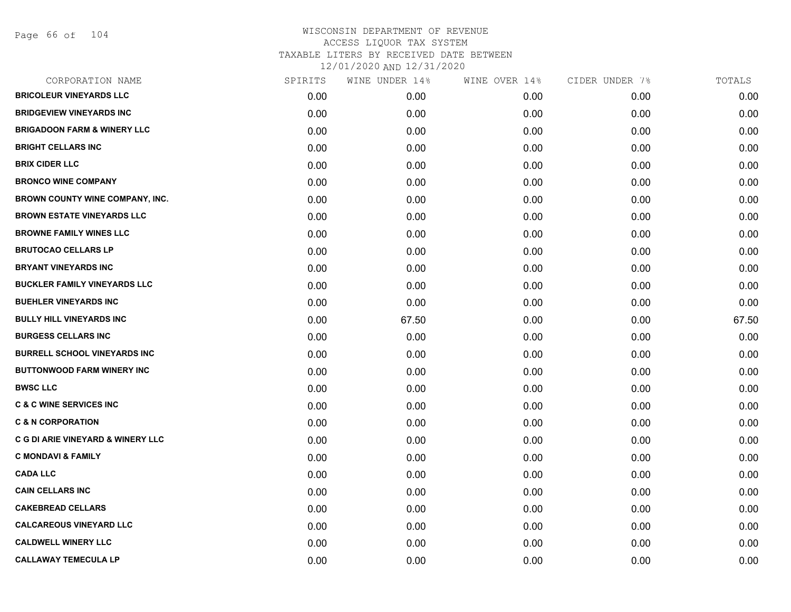Page 66 of 104

| CORPORATION NAME                             | SPIRITS | WINE UNDER 14% | WINE OVER 14% | CIDER UNDER 7% | TOTALS |
|----------------------------------------------|---------|----------------|---------------|----------------|--------|
| <b>BRICOLEUR VINEYARDS LLC</b>               | 0.00    | 0.00           | 0.00          | 0.00           | 0.00   |
| <b>BRIDGEVIEW VINEYARDS INC</b>              | 0.00    | 0.00           | 0.00          | 0.00           | 0.00   |
| <b>BRIGADOON FARM &amp; WINERY LLC</b>       | 0.00    | 0.00           | 0.00          | 0.00           | 0.00   |
| <b>BRIGHT CELLARS INC</b>                    | 0.00    | 0.00           | 0.00          | 0.00           | 0.00   |
| <b>BRIX CIDER LLC</b>                        | 0.00    | 0.00           | 0.00          | 0.00           | 0.00   |
| <b>BRONCO WINE COMPANY</b>                   | 0.00    | 0.00           | 0.00          | 0.00           | 0.00   |
| BROWN COUNTY WINE COMPANY, INC.              | 0.00    | 0.00           | 0.00          | 0.00           | 0.00   |
| <b>BROWN ESTATE VINEYARDS LLC</b>            | 0.00    | 0.00           | 0.00          | 0.00           | 0.00   |
| <b>BROWNE FAMILY WINES LLC</b>               | 0.00    | 0.00           | 0.00          | 0.00           | 0.00   |
| <b>BRUTOCAO CELLARS LP</b>                   | 0.00    | 0.00           | 0.00          | 0.00           | 0.00   |
| <b>BRYANT VINEYARDS INC</b>                  | 0.00    | 0.00           | 0.00          | 0.00           | 0.00   |
| <b>BUCKLER FAMILY VINEYARDS LLC</b>          | 0.00    | 0.00           | 0.00          | 0.00           | 0.00   |
| <b>BUEHLER VINEYARDS INC</b>                 | 0.00    | 0.00           | 0.00          | 0.00           | 0.00   |
| <b>BULLY HILL VINEYARDS INC</b>              | 0.00    | 67.50          | 0.00          | 0.00           | 67.50  |
| <b>BURGESS CELLARS INC</b>                   | 0.00    | 0.00           | 0.00          | 0.00           | 0.00   |
| <b>BURRELL SCHOOL VINEYARDS INC</b>          | 0.00    | 0.00           | 0.00          | 0.00           | 0.00   |
| <b>BUTTONWOOD FARM WINERY INC</b>            | 0.00    | 0.00           | 0.00          | 0.00           | 0.00   |
| <b>BWSC LLC</b>                              | 0.00    | 0.00           | 0.00          | 0.00           | 0.00   |
| <b>C &amp; C WINE SERVICES INC</b>           | 0.00    | 0.00           | 0.00          | 0.00           | 0.00   |
| <b>C &amp; N CORPORATION</b>                 | 0.00    | 0.00           | 0.00          | 0.00           | 0.00   |
| <b>C G DI ARIE VINEYARD &amp; WINERY LLC</b> | 0.00    | 0.00           | 0.00          | 0.00           | 0.00   |
| <b>C MONDAVI &amp; FAMILY</b>                | 0.00    | 0.00           | 0.00          | 0.00           | 0.00   |
| <b>CADA LLC</b>                              | 0.00    | 0.00           | 0.00          | 0.00           | 0.00   |
| <b>CAIN CELLARS INC</b>                      | 0.00    | 0.00           | 0.00          | 0.00           | 0.00   |
| <b>CAKEBREAD CELLARS</b>                     | 0.00    | 0.00           | 0.00          | 0.00           | 0.00   |
| <b>CALCAREOUS VINEYARD LLC</b>               | 0.00    | 0.00           | 0.00          | 0.00           | 0.00   |
| <b>CALDWELL WINERY LLC</b>                   | 0.00    | 0.00           | 0.00          | 0.00           | 0.00   |
| <b>CALLAWAY TEMECULA LP</b>                  | 0.00    | 0.00           | 0.00          | 0.00           | 0.00   |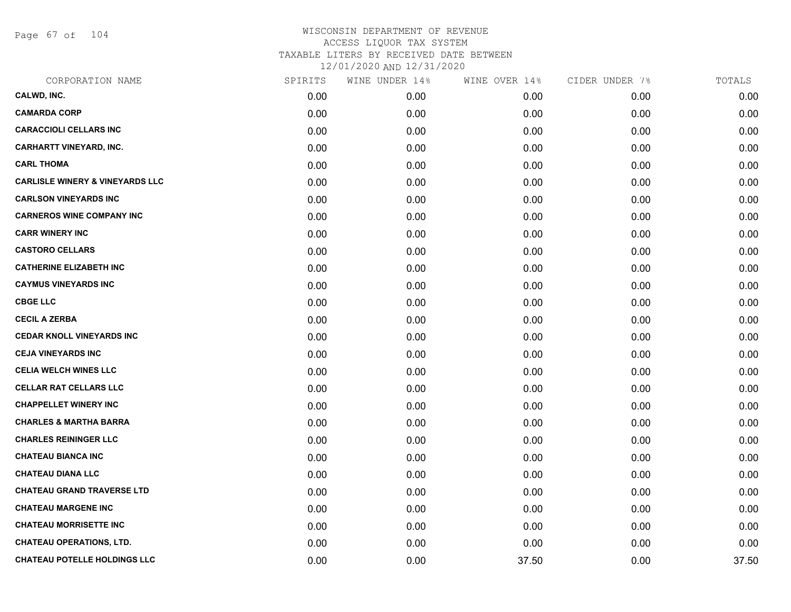Page 67 of 104

| CORPORATION NAME                           | SPIRITS | WINE UNDER 14% | WINE OVER 14% | CIDER UNDER 7% | TOTALS |
|--------------------------------------------|---------|----------------|---------------|----------------|--------|
| CALWD, INC.                                | 0.00    | 0.00           | 0.00          | 0.00           | 0.00   |
| <b>CAMARDA CORP</b>                        | 0.00    | 0.00           | 0.00          | 0.00           | 0.00   |
| <b>CARACCIOLI CELLARS INC</b>              | 0.00    | 0.00           | 0.00          | 0.00           | 0.00   |
| <b>CARHARTT VINEYARD, INC.</b>             | 0.00    | 0.00           | 0.00          | 0.00           | 0.00   |
| <b>CARL THOMA</b>                          | 0.00    | 0.00           | 0.00          | 0.00           | 0.00   |
| <b>CARLISLE WINERY &amp; VINEYARDS LLC</b> | 0.00    | 0.00           | 0.00          | 0.00           | 0.00   |
| <b>CARLSON VINEYARDS INC</b>               | 0.00    | 0.00           | 0.00          | 0.00           | 0.00   |
| <b>CARNEROS WINE COMPANY INC</b>           | 0.00    | 0.00           | 0.00          | 0.00           | 0.00   |
| <b>CARR WINERY INC</b>                     | 0.00    | 0.00           | 0.00          | 0.00           | 0.00   |
| <b>CASTORO CELLARS</b>                     | 0.00    | 0.00           | 0.00          | 0.00           | 0.00   |
| <b>CATHERINE ELIZABETH INC</b>             | 0.00    | 0.00           | 0.00          | 0.00           | 0.00   |
| <b>CAYMUS VINEYARDS INC</b>                | 0.00    | 0.00           | 0.00          | 0.00           | 0.00   |
| <b>CBGE LLC</b>                            | 0.00    | 0.00           | 0.00          | 0.00           | 0.00   |
| <b>CECIL A ZERBA</b>                       | 0.00    | 0.00           | 0.00          | 0.00           | 0.00   |
| <b>CEDAR KNOLL VINEYARDS INC</b>           | 0.00    | 0.00           | 0.00          | 0.00           | 0.00   |
| <b>CEJA VINEYARDS INC</b>                  | 0.00    | 0.00           | 0.00          | 0.00           | 0.00   |
| <b>CELIA WELCH WINES LLC</b>               | 0.00    | 0.00           | 0.00          | 0.00           | 0.00   |
| <b>CELLAR RAT CELLARS LLC</b>              | 0.00    | 0.00           | 0.00          | 0.00           | 0.00   |
| <b>CHAPPELLET WINERY INC</b>               | 0.00    | 0.00           | 0.00          | 0.00           | 0.00   |
| <b>CHARLES &amp; MARTHA BARRA</b>          | 0.00    | 0.00           | 0.00          | 0.00           | 0.00   |
| <b>CHARLES REININGER LLC</b>               | 0.00    | 0.00           | 0.00          | 0.00           | 0.00   |
| <b>CHATEAU BIANCA INC</b>                  | 0.00    | 0.00           | 0.00          | 0.00           | 0.00   |
| <b>CHATEAU DIANA LLC</b>                   | 0.00    | 0.00           | 0.00          | 0.00           | 0.00   |
| <b>CHATEAU GRAND TRAVERSE LTD</b>          | 0.00    | 0.00           | 0.00          | 0.00           | 0.00   |
| <b>CHATEAU MARGENE INC</b>                 | 0.00    | 0.00           | 0.00          | 0.00           | 0.00   |
| <b>CHATEAU MORRISETTE INC</b>              | 0.00    | 0.00           | 0.00          | 0.00           | 0.00   |
| <b>CHATEAU OPERATIONS, LTD.</b>            | 0.00    | 0.00           | 0.00          | 0.00           | 0.00   |
| <b>CHATEAU POTELLE HOLDINGS LLC</b>        | 0.00    | 0.00           | 37.50         | 0.00           | 37.50  |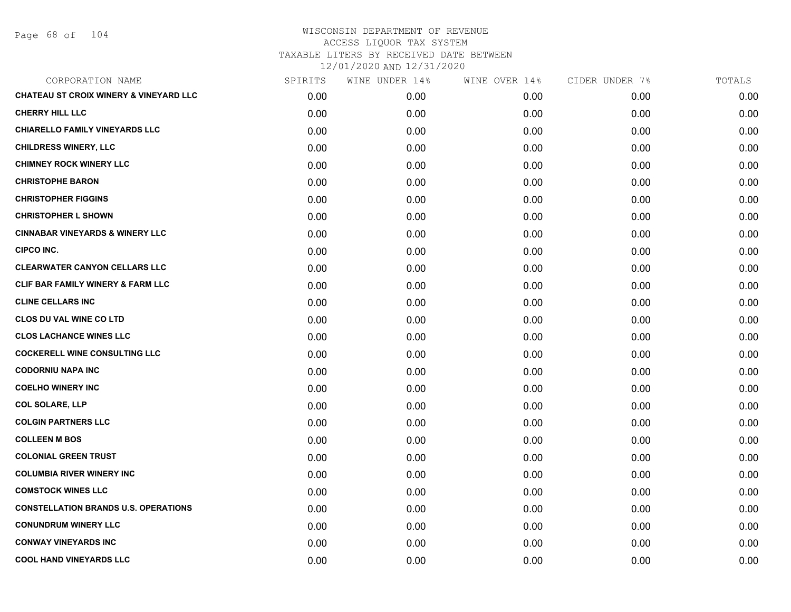Page 68 of 104

| CORPORATION NAME                                  | SPIRITS | WINE UNDER 14% | WINE OVER 14% | CIDER UNDER 7% | TOTALS |
|---------------------------------------------------|---------|----------------|---------------|----------------|--------|
| <b>CHATEAU ST CROIX WINERY &amp; VINEYARD LLC</b> | 0.00    | 0.00           | 0.00          | 0.00           | 0.00   |
| <b>CHERRY HILL LLC</b>                            | 0.00    | 0.00           | 0.00          | 0.00           | 0.00   |
| <b>CHIARELLO FAMILY VINEYARDS LLC</b>             | 0.00    | 0.00           | 0.00          | 0.00           | 0.00   |
| <b>CHILDRESS WINERY, LLC</b>                      | 0.00    | 0.00           | 0.00          | 0.00           | 0.00   |
| <b>CHIMNEY ROCK WINERY LLC</b>                    | 0.00    | 0.00           | 0.00          | 0.00           | 0.00   |
| <b>CHRISTOPHE BARON</b>                           | 0.00    | 0.00           | 0.00          | 0.00           | 0.00   |
| <b>CHRISTOPHER FIGGINS</b>                        | 0.00    | 0.00           | 0.00          | 0.00           | 0.00   |
| <b>CHRISTOPHER L SHOWN</b>                        | 0.00    | 0.00           | 0.00          | 0.00           | 0.00   |
| <b>CINNABAR VINEYARDS &amp; WINERY LLC</b>        | 0.00    | 0.00           | 0.00          | 0.00           | 0.00   |
| <b>CIPCO INC.</b>                                 | 0.00    | 0.00           | 0.00          | 0.00           | 0.00   |
| <b>CLEARWATER CANYON CELLARS LLC</b>              | 0.00    | 0.00           | 0.00          | 0.00           | 0.00   |
| CLIF BAR FAMILY WINERY & FARM LLC                 | 0.00    | 0.00           | 0.00          | 0.00           | 0.00   |
| <b>CLINE CELLARS INC</b>                          | 0.00    | 0.00           | 0.00          | 0.00           | 0.00   |
| <b>CLOS DU VAL WINE CO LTD</b>                    | 0.00    | 0.00           | 0.00          | 0.00           | 0.00   |
| <b>CLOS LACHANCE WINES LLC</b>                    | 0.00    | 0.00           | 0.00          | 0.00           | 0.00   |
| <b>COCKERELL WINE CONSULTING LLC</b>              | 0.00    | 0.00           | 0.00          | 0.00           | 0.00   |
| <b>CODORNIU NAPA INC</b>                          | 0.00    | 0.00           | 0.00          | 0.00           | 0.00   |
| <b>COELHO WINERY INC</b>                          | 0.00    | 0.00           | 0.00          | 0.00           | 0.00   |
| <b>COL SOLARE, LLP</b>                            | 0.00    | 0.00           | 0.00          | 0.00           | 0.00   |
| <b>COLGIN PARTNERS LLC</b>                        | 0.00    | 0.00           | 0.00          | 0.00           | 0.00   |
| <b>COLLEEN M BOS</b>                              | 0.00    | 0.00           | 0.00          | 0.00           | 0.00   |
| <b>COLONIAL GREEN TRUST</b>                       | 0.00    | 0.00           | 0.00          | 0.00           | 0.00   |
| <b>COLUMBIA RIVER WINERY INC</b>                  | 0.00    | 0.00           | 0.00          | 0.00           | 0.00   |
| <b>COMSTOCK WINES LLC</b>                         | 0.00    | 0.00           | 0.00          | 0.00           | 0.00   |
| <b>CONSTELLATION BRANDS U.S. OPERATIONS</b>       | 0.00    | 0.00           | 0.00          | 0.00           | 0.00   |
| <b>CONUNDRUM WINERY LLC</b>                       | 0.00    | 0.00           | 0.00          | 0.00           | 0.00   |
| <b>CONWAY VINEYARDS INC</b>                       | 0.00    | 0.00           | 0.00          | 0.00           | 0.00   |
| <b>COOL HAND VINEYARDS LLC</b>                    | 0.00    | 0.00           | 0.00          | 0.00           | 0.00   |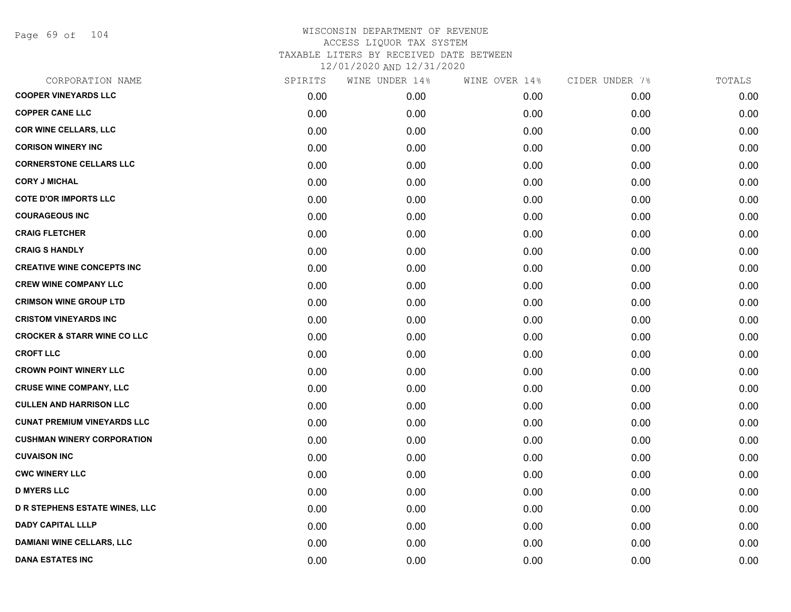Page 69 of 104

| CORPORATION NAME                       | SPIRITS | WINE UNDER 14% | WINE OVER 14% | CIDER UNDER 7% | TOTALS |
|----------------------------------------|---------|----------------|---------------|----------------|--------|
| <b>COOPER VINEYARDS LLC</b>            | 0.00    | 0.00           | 0.00          | 0.00           | 0.00   |
| <b>COPPER CANE LLC</b>                 | 0.00    | 0.00           | 0.00          | 0.00           | 0.00   |
| <b>COR WINE CELLARS, LLC</b>           | 0.00    | 0.00           | 0.00          | 0.00           | 0.00   |
| <b>CORISON WINERY INC</b>              | 0.00    | 0.00           | 0.00          | 0.00           | 0.00   |
| <b>CORNERSTONE CELLARS LLC</b>         | 0.00    | 0.00           | 0.00          | 0.00           | 0.00   |
| <b>CORY J MICHAL</b>                   | 0.00    | 0.00           | 0.00          | 0.00           | 0.00   |
| <b>COTE D'OR IMPORTS LLC</b>           | 0.00    | 0.00           | 0.00          | 0.00           | 0.00   |
| <b>COURAGEOUS INC</b>                  | 0.00    | 0.00           | 0.00          | 0.00           | 0.00   |
| <b>CRAIG FLETCHER</b>                  | 0.00    | 0.00           | 0.00          | 0.00           | 0.00   |
| <b>CRAIG S HANDLY</b>                  | 0.00    | 0.00           | 0.00          | 0.00           | 0.00   |
| <b>CREATIVE WINE CONCEPTS INC</b>      | 0.00    | 0.00           | 0.00          | 0.00           | 0.00   |
| <b>CREW WINE COMPANY LLC</b>           | 0.00    | 0.00           | 0.00          | 0.00           | 0.00   |
| <b>CRIMSON WINE GROUP LTD</b>          | 0.00    | 0.00           | 0.00          | 0.00           | 0.00   |
| <b>CRISTOM VINEYARDS INC</b>           | 0.00    | 0.00           | 0.00          | 0.00           | 0.00   |
| <b>CROCKER &amp; STARR WINE CO LLC</b> | 0.00    | 0.00           | 0.00          | 0.00           | 0.00   |
| <b>CROFT LLC</b>                       | 0.00    | 0.00           | 0.00          | 0.00           | 0.00   |
| <b>CROWN POINT WINERY LLC</b>          | 0.00    | 0.00           | 0.00          | 0.00           | 0.00   |
| <b>CRUSE WINE COMPANY, LLC</b>         | 0.00    | 0.00           | 0.00          | 0.00           | 0.00   |
| <b>CULLEN AND HARRISON LLC</b>         | 0.00    | 0.00           | 0.00          | 0.00           | 0.00   |
| <b>CUNAT PREMIUM VINEYARDS LLC</b>     | 0.00    | 0.00           | 0.00          | 0.00           | 0.00   |
| <b>CUSHMAN WINERY CORPORATION</b>      | 0.00    | 0.00           | 0.00          | 0.00           | 0.00   |
| <b>CUVAISON INC</b>                    | 0.00    | 0.00           | 0.00          | 0.00           | 0.00   |
| <b>CWC WINERY LLC</b>                  | 0.00    | 0.00           | 0.00          | 0.00           | 0.00   |
| <b>D MYERS LLC</b>                     | 0.00    | 0.00           | 0.00          | 0.00           | 0.00   |
| <b>D R STEPHENS ESTATE WINES, LLC</b>  | 0.00    | 0.00           | 0.00          | 0.00           | 0.00   |
| <b>DADY CAPITAL LLLP</b>               | 0.00    | 0.00           | 0.00          | 0.00           | 0.00   |
| <b>DAMIANI WINE CELLARS, LLC</b>       | 0.00    | 0.00           | 0.00          | 0.00           | 0.00   |
| <b>DANA ESTATES INC</b>                | 0.00    | 0.00           | 0.00          | 0.00           | 0.00   |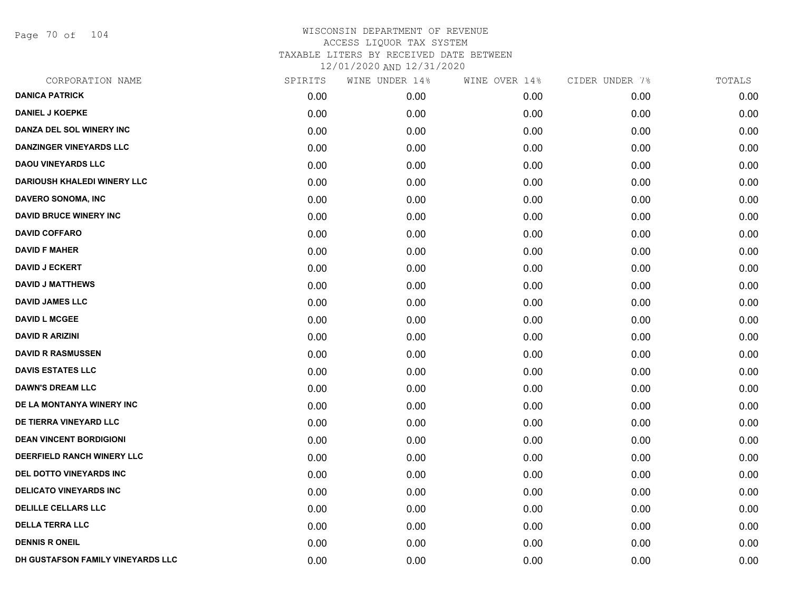Page 70 of 104

| CORPORATION NAME                   | SPIRITS | WINE UNDER 14% | WINE OVER 14% | CIDER UNDER 7% | TOTALS |
|------------------------------------|---------|----------------|---------------|----------------|--------|
| <b>DANICA PATRICK</b>              | 0.00    | 0.00           | 0.00          | 0.00           | 0.00   |
| <b>DANIEL J KOEPKE</b>             | 0.00    | 0.00           | 0.00          | 0.00           | 0.00   |
| DANZA DEL SOL WINERY INC           | 0.00    | 0.00           | 0.00          | 0.00           | 0.00   |
| <b>DANZINGER VINEYARDS LLC</b>     | 0.00    | 0.00           | 0.00          | 0.00           | 0.00   |
| <b>DAOU VINEYARDS LLC</b>          | 0.00    | 0.00           | 0.00          | 0.00           | 0.00   |
| <b>DARIOUSH KHALEDI WINERY LLC</b> | 0.00    | 0.00           | 0.00          | 0.00           | 0.00   |
| DAVERO SONOMA, INC                 | 0.00    | 0.00           | 0.00          | 0.00           | 0.00   |
| <b>DAVID BRUCE WINERY INC</b>      | 0.00    | 0.00           | 0.00          | 0.00           | 0.00   |
| <b>DAVID COFFARO</b>               | 0.00    | 0.00           | 0.00          | 0.00           | 0.00   |
| <b>DAVID F MAHER</b>               | 0.00    | 0.00           | 0.00          | 0.00           | 0.00   |
| <b>DAVID J ECKERT</b>              | 0.00    | 0.00           | 0.00          | 0.00           | 0.00   |
| <b>DAVID J MATTHEWS</b>            | 0.00    | 0.00           | 0.00          | 0.00           | 0.00   |
| <b>DAVID JAMES LLC</b>             | 0.00    | 0.00           | 0.00          | 0.00           | 0.00   |
| <b>DAVID L MCGEE</b>               | 0.00    | 0.00           | 0.00          | 0.00           | 0.00   |
| <b>DAVID R ARIZINI</b>             | 0.00    | 0.00           | 0.00          | 0.00           | 0.00   |
| <b>DAVID R RASMUSSEN</b>           | 0.00    | 0.00           | 0.00          | 0.00           | 0.00   |
| <b>DAVIS ESTATES LLC</b>           | 0.00    | 0.00           | 0.00          | 0.00           | 0.00   |
| <b>DAWN'S DREAM LLC</b>            | 0.00    | 0.00           | 0.00          | 0.00           | 0.00   |
| DE LA MONTANYA WINERY INC          | 0.00    | 0.00           | 0.00          | 0.00           | 0.00   |
| DE TIERRA VINEYARD LLC             | 0.00    | 0.00           | 0.00          | 0.00           | 0.00   |
| <b>DEAN VINCENT BORDIGIONI</b>     | 0.00    | 0.00           | 0.00          | 0.00           | 0.00   |
| DEERFIELD RANCH WINERY LLC         | 0.00    | 0.00           | 0.00          | 0.00           | 0.00   |
| DEL DOTTO VINEYARDS INC            | 0.00    | 0.00           | 0.00          | 0.00           | 0.00   |
| <b>DELICATO VINEYARDS INC</b>      | 0.00    | 0.00           | 0.00          | 0.00           | 0.00   |
| <b>DELILLE CELLARS LLC</b>         | 0.00    | 0.00           | 0.00          | 0.00           | 0.00   |
| <b>DELLA TERRA LLC</b>             | 0.00    | 0.00           | 0.00          | 0.00           | 0.00   |
| <b>DENNIS R ONEIL</b>              | 0.00    | 0.00           | 0.00          | 0.00           | 0.00   |
| DH GUSTAFSON FAMILY VINEYARDS LLC  | 0.00    | 0.00           | 0.00          | 0.00           | 0.00   |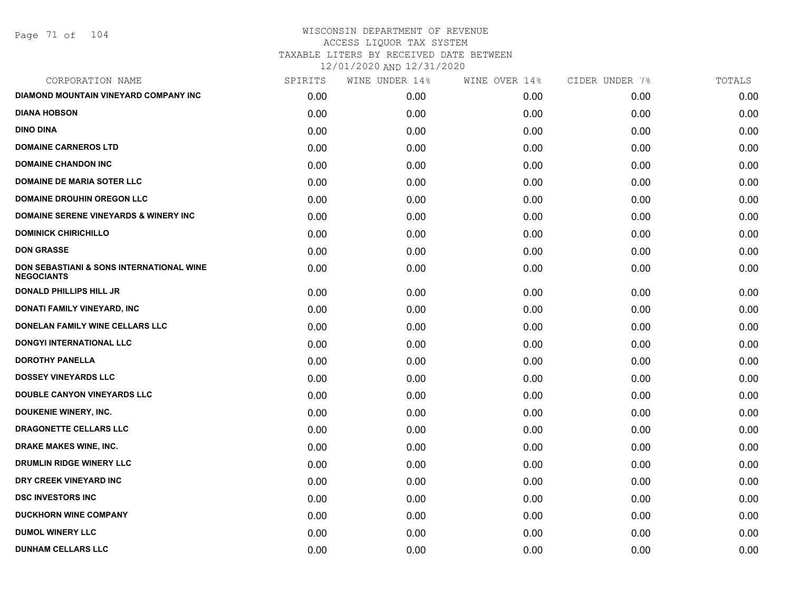Page 71 of 104

| CORPORATION NAME                                                         | SPIRITS | WINE UNDER 14% | WINE OVER 14% | CIDER UNDER 7% | TOTALS |
|--------------------------------------------------------------------------|---------|----------------|---------------|----------------|--------|
| DIAMOND MOUNTAIN VINEYARD COMPANY INC                                    | 0.00    | 0.00           | 0.00          | 0.00           | 0.00   |
| <b>DIANA HOBSON</b>                                                      | 0.00    | 0.00           | 0.00          | 0.00           | 0.00   |
| <b>DINO DINA</b>                                                         | 0.00    | 0.00           | 0.00          | 0.00           | 0.00   |
| <b>DOMAINE CARNEROS LTD</b>                                              | 0.00    | 0.00           | 0.00          | 0.00           | 0.00   |
| <b>DOMAINE CHANDON INC</b>                                               | 0.00    | 0.00           | 0.00          | 0.00           | 0.00   |
| DOMAINE DE MARIA SOTER LLC                                               | 0.00    | 0.00           | 0.00          | 0.00           | 0.00   |
| <b>DOMAINE DROUHIN OREGON LLC</b>                                        | 0.00    | 0.00           | 0.00          | 0.00           | 0.00   |
| <b>DOMAINE SERENE VINEYARDS &amp; WINERY INC</b>                         | 0.00    | 0.00           | 0.00          | 0.00           | 0.00   |
| <b>DOMINICK CHIRICHILLO</b>                                              | 0.00    | 0.00           | 0.00          | 0.00           | 0.00   |
| <b>DON GRASSE</b>                                                        | 0.00    | 0.00           | 0.00          | 0.00           | 0.00   |
| <b>DON SEBASTIANI &amp; SONS INTERNATIONAL WINE</b><br><b>NEGOCIANTS</b> | 0.00    | 0.00           | 0.00          | 0.00           | 0.00   |
| <b>DONALD PHILLIPS HILL JR</b>                                           | 0.00    | 0.00           | 0.00          | 0.00           | 0.00   |
| DONATI FAMILY VINEYARD, INC                                              | 0.00    | 0.00           | 0.00          | 0.00           | 0.00   |
| DONELAN FAMILY WINE CELLARS LLC                                          | 0.00    | 0.00           | 0.00          | 0.00           | 0.00   |
| <b>DONGYI INTERNATIONAL LLC</b>                                          | 0.00    | 0.00           | 0.00          | 0.00           | 0.00   |
| <b>DOROTHY PANELLA</b>                                                   | 0.00    | 0.00           | 0.00          | 0.00           | 0.00   |
| <b>DOSSEY VINEYARDS LLC</b>                                              | 0.00    | 0.00           | 0.00          | 0.00           | 0.00   |
| <b>DOUBLE CANYON VINEYARDS LLC</b>                                       | 0.00    | 0.00           | 0.00          | 0.00           | 0.00   |
| <b>DOUKENIE WINERY, INC.</b>                                             | 0.00    | 0.00           | 0.00          | 0.00           | 0.00   |
| DRAGONETTE CELLARS LLC                                                   | 0.00    | 0.00           | 0.00          | 0.00           | 0.00   |
| <b>DRAKE MAKES WINE, INC.</b>                                            | 0.00    | 0.00           | 0.00          | 0.00           | 0.00   |
| DRUMLIN RIDGE WINERY LLC                                                 | 0.00    | 0.00           | 0.00          | 0.00           | 0.00   |
| DRY CREEK VINEYARD INC                                                   | 0.00    | 0.00           | 0.00          | 0.00           | 0.00   |
| <b>DSC INVESTORS INC</b>                                                 | 0.00    | 0.00           | 0.00          | 0.00           | 0.00   |
| <b>DUCKHORN WINE COMPANY</b>                                             | 0.00    | 0.00           | 0.00          | 0.00           | 0.00   |
| <b>DUMOL WINERY LLC</b>                                                  | 0.00    | 0.00           | 0.00          | 0.00           | 0.00   |
| <b>DUNHAM CELLARS LLC</b>                                                | 0.00    | 0.00           | 0.00          | 0.00           | 0.00   |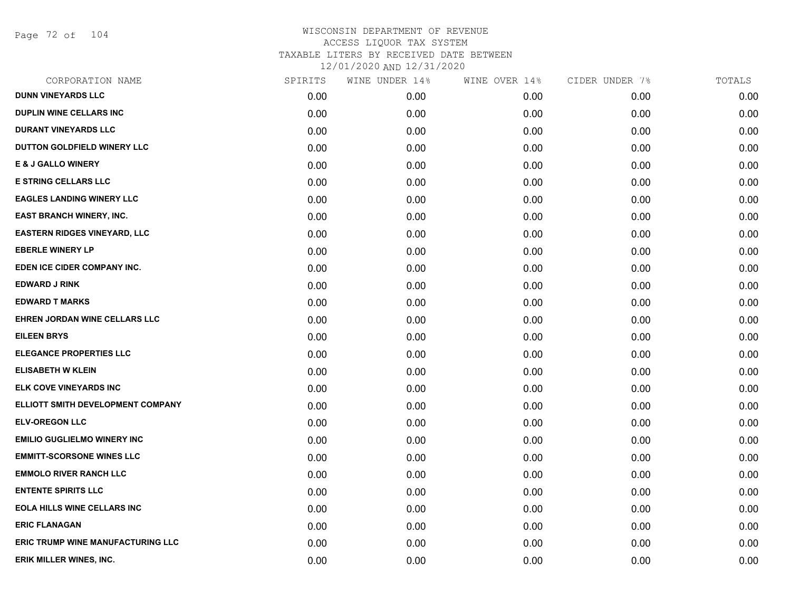Page 72 of 104

| CORPORATION NAME                    | SPIRITS | WINE UNDER 14% | WINE OVER 14% | CIDER UNDER 7% | TOTALS |
|-------------------------------------|---------|----------------|---------------|----------------|--------|
| <b>DUNN VINEYARDS LLC</b>           | 0.00    | 0.00           | 0.00          | 0.00           | 0.00   |
| DUPLIN WINE CELLARS INC             | 0.00    | 0.00           | 0.00          | 0.00           | 0.00   |
| <b>DURANT VINEYARDS LLC</b>         | 0.00    | 0.00           | 0.00          | 0.00           | 0.00   |
| DUTTON GOLDFIELD WINERY LLC         | 0.00    | 0.00           | 0.00          | 0.00           | 0.00   |
| <b>E &amp; J GALLO WINERY</b>       | 0.00    | 0.00           | 0.00          | 0.00           | 0.00   |
| <b>E STRING CELLARS LLC</b>         | 0.00    | 0.00           | 0.00          | 0.00           | 0.00   |
| <b>EAGLES LANDING WINERY LLC</b>    | 0.00    | 0.00           | 0.00          | 0.00           | 0.00   |
| <b>EAST BRANCH WINERY, INC.</b>     | 0.00    | 0.00           | 0.00          | 0.00           | 0.00   |
| <b>EASTERN RIDGES VINEYARD, LLC</b> | 0.00    | 0.00           | 0.00          | 0.00           | 0.00   |
| <b>EBERLE WINERY LP</b>             | 0.00    | 0.00           | 0.00          | 0.00           | 0.00   |
| EDEN ICE CIDER COMPANY INC.         | 0.00    | 0.00           | 0.00          | 0.00           | 0.00   |
| <b>EDWARD J RINK</b>                | 0.00    | 0.00           | 0.00          | 0.00           | 0.00   |
| <b>EDWARD T MARKS</b>               | 0.00    | 0.00           | 0.00          | 0.00           | 0.00   |
| EHREN JORDAN WINE CELLARS LLC       | 0.00    | 0.00           | 0.00          | 0.00           | 0.00   |
| <b>EILEEN BRYS</b>                  | 0.00    | 0.00           | 0.00          | 0.00           | 0.00   |
| <b>ELEGANCE PROPERTIES LLC</b>      | 0.00    | 0.00           | 0.00          | 0.00           | 0.00   |
| <b>ELISABETH W KLEIN</b>            | 0.00    | 0.00           | 0.00          | 0.00           | 0.00   |
| ELK COVE VINEYARDS INC              | 0.00    | 0.00           | 0.00          | 0.00           | 0.00   |
| ELLIOTT SMITH DEVELOPMENT COMPANY   | 0.00    | 0.00           | 0.00          | 0.00           | 0.00   |
| <b>ELV-OREGON LLC</b>               | 0.00    | 0.00           | 0.00          | 0.00           | 0.00   |
| <b>EMILIO GUGLIELMO WINERY INC</b>  | 0.00    | 0.00           | 0.00          | 0.00           | 0.00   |
| <b>EMMITT-SCORSONE WINES LLC</b>    | 0.00    | 0.00           | 0.00          | 0.00           | 0.00   |
| <b>EMMOLO RIVER RANCH LLC</b>       | 0.00    | 0.00           | 0.00          | 0.00           | 0.00   |
| <b>ENTENTE SPIRITS LLC</b>          | 0.00    | 0.00           | 0.00          | 0.00           | 0.00   |
| <b>EOLA HILLS WINE CELLARS INC</b>  | 0.00    | 0.00           | 0.00          | 0.00           | 0.00   |
| <b>ERIC FLANAGAN</b>                | 0.00    | 0.00           | 0.00          | 0.00           | 0.00   |
| ERIC TRUMP WINE MANUFACTURING LLC   | 0.00    | 0.00           | 0.00          | 0.00           | 0.00   |
| ERIK MILLER WINES, INC.             | 0.00    | 0.00           | 0.00          | 0.00           | 0.00   |
|                                     |         |                |               |                |        |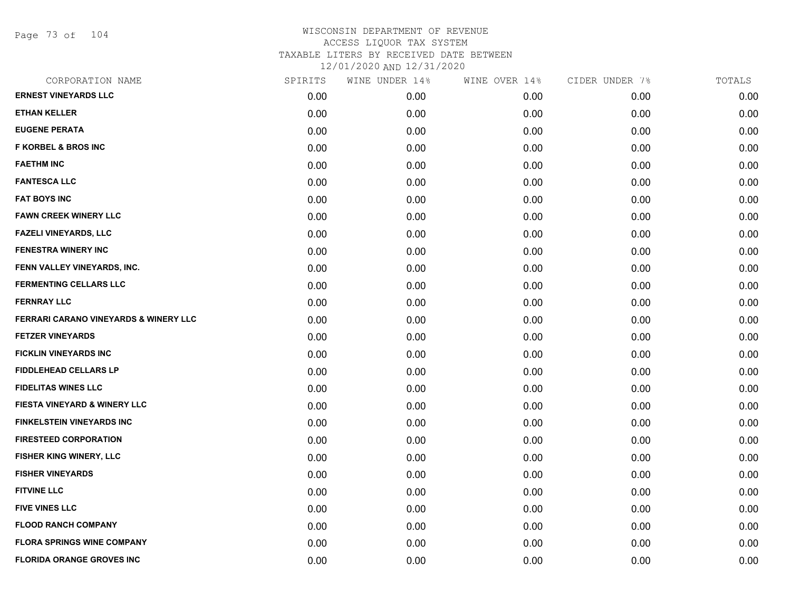Page 73 of 104

| CORPORATION NAME                                 | SPIRITS | WINE UNDER 14% | WINE OVER 14% | CIDER UNDER 7% | TOTALS |
|--------------------------------------------------|---------|----------------|---------------|----------------|--------|
| <b>ERNEST VINEYARDS LLC</b>                      | 0.00    | 0.00           | 0.00          | 0.00           | 0.00   |
| <b>ETHAN KELLER</b>                              | 0.00    | 0.00           | 0.00          | 0.00           | 0.00   |
| <b>EUGENE PERATA</b>                             | 0.00    | 0.00           | 0.00          | 0.00           | 0.00   |
| <b>F KORBEL &amp; BROS INC</b>                   | 0.00    | 0.00           | 0.00          | 0.00           | 0.00   |
| <b>FAETHM INC</b>                                | 0.00    | 0.00           | 0.00          | 0.00           | 0.00   |
| <b>FANTESCA LLC</b>                              | 0.00    | 0.00           | 0.00          | 0.00           | 0.00   |
| <b>FAT BOYS INC</b>                              | 0.00    | 0.00           | 0.00          | 0.00           | 0.00   |
| <b>FAWN CREEK WINERY LLC</b>                     | 0.00    | 0.00           | 0.00          | 0.00           | 0.00   |
| FAZELI VINEYARDS, LLC                            | 0.00    | 0.00           | 0.00          | 0.00           | 0.00   |
| <b>FENESTRA WINERY INC</b>                       | 0.00    | 0.00           | 0.00          | 0.00           | 0.00   |
| FENN VALLEY VINEYARDS, INC.                      | 0.00    | 0.00           | 0.00          | 0.00           | 0.00   |
| <b>FERMENTING CELLARS LLC</b>                    | 0.00    | 0.00           | 0.00          | 0.00           | 0.00   |
| <b>FERNRAY LLC</b>                               | 0.00    | 0.00           | 0.00          | 0.00           | 0.00   |
| <b>FERRARI CARANO VINEYARDS &amp; WINERY LLC</b> | 0.00    | 0.00           | 0.00          | 0.00           | 0.00   |
| <b>FETZER VINEYARDS</b>                          | 0.00    | 0.00           | 0.00          | 0.00           | 0.00   |
| <b>FICKLIN VINEYARDS INC</b>                     | 0.00    | 0.00           | 0.00          | 0.00           | 0.00   |
| <b>FIDDLEHEAD CELLARS LP</b>                     | 0.00    | 0.00           | 0.00          | 0.00           | 0.00   |
| <b>FIDELITAS WINES LLC</b>                       | 0.00    | 0.00           | 0.00          | 0.00           | 0.00   |
| FIESTA VINEYARD & WINERY LLC                     | 0.00    | 0.00           | 0.00          | 0.00           | 0.00   |
| <b>FINKELSTEIN VINEYARDS INC</b>                 | 0.00    | 0.00           | 0.00          | 0.00           | 0.00   |
| <b>FIRESTEED CORPORATION</b>                     | 0.00    | 0.00           | 0.00          | 0.00           | 0.00   |
| <b>FISHER KING WINERY, LLC</b>                   | 0.00    | 0.00           | 0.00          | 0.00           | 0.00   |
| <b>FISHER VINEYARDS</b>                          | 0.00    | 0.00           | 0.00          | 0.00           | 0.00   |
| <b>FITVINE LLC</b>                               | 0.00    | 0.00           | 0.00          | 0.00           | 0.00   |
| <b>FIVE VINES LLC</b>                            | 0.00    | 0.00           | 0.00          | 0.00           | 0.00   |
| <b>FLOOD RANCH COMPANY</b>                       | 0.00    | 0.00           | 0.00          | 0.00           | 0.00   |
| <b>FLORA SPRINGS WINE COMPANY</b>                | 0.00    | 0.00           | 0.00          | 0.00           | 0.00   |
| <b>FLORIDA ORANGE GROVES INC</b>                 | 0.00    | 0.00           | 0.00          | 0.00           | 0.00   |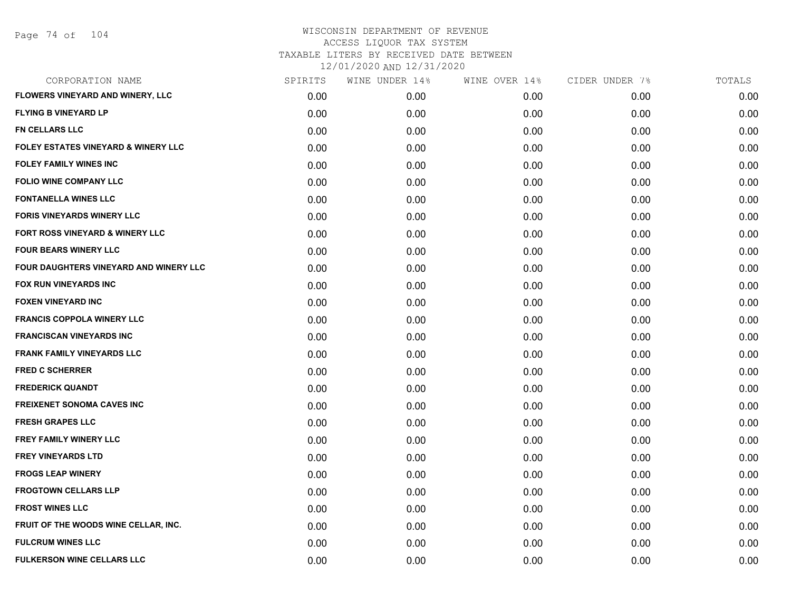| CORPORATION NAME                               | SPIRITS | WINE UNDER 14% | WINE OVER 14% | CIDER UNDER 7% | TOTALS |
|------------------------------------------------|---------|----------------|---------------|----------------|--------|
| FLOWERS VINEYARD AND WINERY, LLC               | 0.00    | 0.00           | 0.00          | 0.00           | 0.00   |
| <b>FLYING B VINEYARD LP</b>                    | 0.00    | 0.00           | 0.00          | 0.00           | 0.00   |
| <b>FN CELLARS LLC</b>                          | 0.00    | 0.00           | 0.00          | 0.00           | 0.00   |
| <b>FOLEY ESTATES VINEYARD &amp; WINERY LLC</b> | 0.00    | 0.00           | 0.00          | 0.00           | 0.00   |
| <b>FOLEY FAMILY WINES INC</b>                  | 0.00    | 0.00           | 0.00          | 0.00           | 0.00   |
| <b>FOLIO WINE COMPANY LLC</b>                  | 0.00    | 0.00           | 0.00          | 0.00           | 0.00   |
| <b>FONTANELLA WINES LLC</b>                    | 0.00    | 0.00           | 0.00          | 0.00           | 0.00   |
| <b>FORIS VINEYARDS WINERY LLC</b>              | 0.00    | 0.00           | 0.00          | 0.00           | 0.00   |
| FORT ROSS VINEYARD & WINERY LLC                | 0.00    | 0.00           | 0.00          | 0.00           | 0.00   |
| <b>FOUR BEARS WINERY LLC</b>                   | 0.00    | 0.00           | 0.00          | 0.00           | 0.00   |
| FOUR DAUGHTERS VINEYARD AND WINERY LLC         | 0.00    | 0.00           | 0.00          | 0.00           | 0.00   |
| FOX RUN VINEYARDS INC                          | 0.00    | 0.00           | 0.00          | 0.00           | 0.00   |
| <b>FOXEN VINEYARD INC</b>                      | 0.00    | 0.00           | 0.00          | 0.00           | 0.00   |
| <b>FRANCIS COPPOLA WINERY LLC</b>              | 0.00    | 0.00           | 0.00          | 0.00           | 0.00   |
| <b>FRANCISCAN VINEYARDS INC</b>                | 0.00    | 0.00           | 0.00          | 0.00           | 0.00   |
| <b>FRANK FAMILY VINEYARDS LLC</b>              | 0.00    | 0.00           | 0.00          | 0.00           | 0.00   |
| <b>FRED C SCHERRER</b>                         | 0.00    | 0.00           | 0.00          | 0.00           | 0.00   |
| <b>FREDERICK QUANDT</b>                        | 0.00    | 0.00           | 0.00          | 0.00           | 0.00   |
| <b>FREIXENET SONOMA CAVES INC</b>              | 0.00    | 0.00           | 0.00          | 0.00           | 0.00   |
| <b>FRESH GRAPES LLC</b>                        | 0.00    | 0.00           | 0.00          | 0.00           | 0.00   |
| <b>FREY FAMILY WINERY LLC</b>                  | 0.00    | 0.00           | 0.00          | 0.00           | 0.00   |
| <b>FREY VINEYARDS LTD</b>                      | 0.00    | 0.00           | 0.00          | 0.00           | 0.00   |
| <b>FROGS LEAP WINERY</b>                       | 0.00    | 0.00           | 0.00          | 0.00           | 0.00   |
| <b>FROGTOWN CELLARS LLP</b>                    | 0.00    | 0.00           | 0.00          | 0.00           | 0.00   |
| <b>FROST WINES LLC</b>                         | 0.00    | 0.00           | 0.00          | 0.00           | 0.00   |
| FRUIT OF THE WOODS WINE CELLAR, INC.           | 0.00    | 0.00           | 0.00          | 0.00           | 0.00   |
| <b>FULCRUM WINES LLC</b>                       | 0.00    | 0.00           | 0.00          | 0.00           | 0.00   |
| <b>FULKERSON WINE CELLARS LLC</b>              | 0.00    | 0.00           | 0.00          | 0.00           | 0.00   |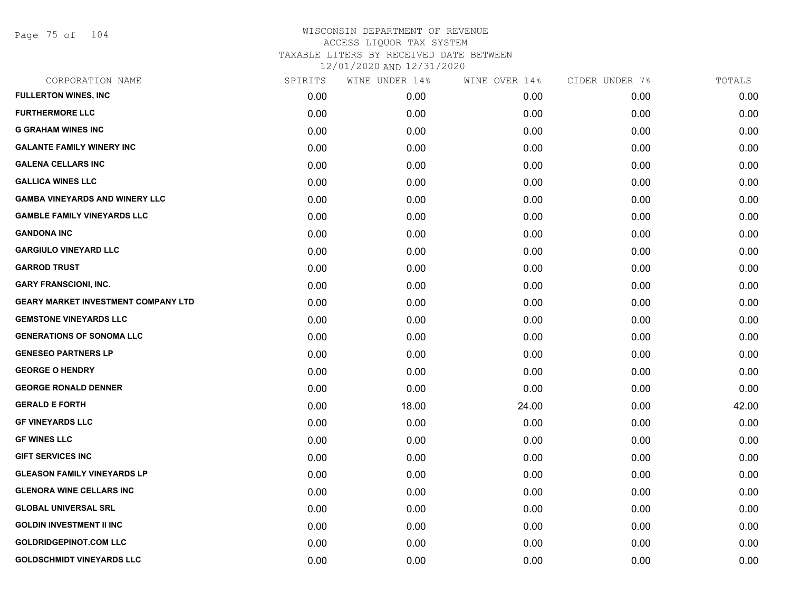Page 75 of 104

| CORPORATION NAME                           | SPIRITS | WINE UNDER 14% | WINE OVER 14% | CIDER UNDER 7% | TOTALS |
|--------------------------------------------|---------|----------------|---------------|----------------|--------|
| <b>FULLERTON WINES, INC</b>                | 0.00    | 0.00           | 0.00          | 0.00           | 0.00   |
| <b>FURTHERMORE LLC</b>                     | 0.00    | 0.00           | 0.00          | 0.00           | 0.00   |
| <b>G GRAHAM WINES INC</b>                  | 0.00    | 0.00           | 0.00          | 0.00           | 0.00   |
| <b>GALANTE FAMILY WINERY INC</b>           | 0.00    | 0.00           | 0.00          | 0.00           | 0.00   |
| <b>GALENA CELLARS INC</b>                  | 0.00    | 0.00           | 0.00          | 0.00           | 0.00   |
| <b>GALLICA WINES LLC</b>                   | 0.00    | 0.00           | 0.00          | 0.00           | 0.00   |
| <b>GAMBA VINEYARDS AND WINERY LLC</b>      | 0.00    | 0.00           | 0.00          | 0.00           | 0.00   |
| <b>GAMBLE FAMILY VINEYARDS LLC</b>         | 0.00    | 0.00           | 0.00          | 0.00           | 0.00   |
| <b>GANDONA INC</b>                         | 0.00    | 0.00           | 0.00          | 0.00           | 0.00   |
| <b>GARGIULO VINEYARD LLC</b>               | 0.00    | 0.00           | 0.00          | 0.00           | 0.00   |
| <b>GARROD TRUST</b>                        | 0.00    | 0.00           | 0.00          | 0.00           | 0.00   |
| <b>GARY FRANSCIONI, INC.</b>               | 0.00    | 0.00           | 0.00          | 0.00           | 0.00   |
| <b>GEARY MARKET INVESTMENT COMPANY LTD</b> | 0.00    | 0.00           | 0.00          | 0.00           | 0.00   |
| <b>GEMSTONE VINEYARDS LLC</b>              | 0.00    | 0.00           | 0.00          | 0.00           | 0.00   |
| <b>GENERATIONS OF SONOMA LLC</b>           | 0.00    | 0.00           | 0.00          | 0.00           | 0.00   |
| <b>GENESEO PARTNERS LP</b>                 | 0.00    | 0.00           | 0.00          | 0.00           | 0.00   |
| <b>GEORGE O HENDRY</b>                     | 0.00    | 0.00           | 0.00          | 0.00           | 0.00   |
| <b>GEORGE RONALD DENNER</b>                | 0.00    | 0.00           | 0.00          | 0.00           | 0.00   |
| <b>GERALD E FORTH</b>                      | 0.00    | 18.00          | 24.00         | 0.00           | 42.00  |
| <b>GF VINEYARDS LLC</b>                    | 0.00    | 0.00           | 0.00          | 0.00           | 0.00   |
| <b>GF WINES LLC</b>                        | 0.00    | 0.00           | 0.00          | 0.00           | 0.00   |
| <b>GIFT SERVICES INC</b>                   | 0.00    | 0.00           | 0.00          | 0.00           | 0.00   |
| <b>GLEASON FAMILY VINEYARDS LP</b>         | 0.00    | 0.00           | 0.00          | 0.00           | 0.00   |
| <b>GLENORA WINE CELLARS INC</b>            | 0.00    | 0.00           | 0.00          | 0.00           | 0.00   |
| <b>GLOBAL UNIVERSAL SRL</b>                | 0.00    | 0.00           | 0.00          | 0.00           | 0.00   |
| <b>GOLDIN INVESTMENT II INC</b>            | 0.00    | 0.00           | 0.00          | 0.00           | 0.00   |
| <b>GOLDRIDGEPINOT.COM LLC</b>              | 0.00    | 0.00           | 0.00          | 0.00           | 0.00   |
| <b>GOLDSCHMIDT VINEYARDS LLC</b>           | 0.00    | 0.00           | 0.00          | 0.00           | 0.00   |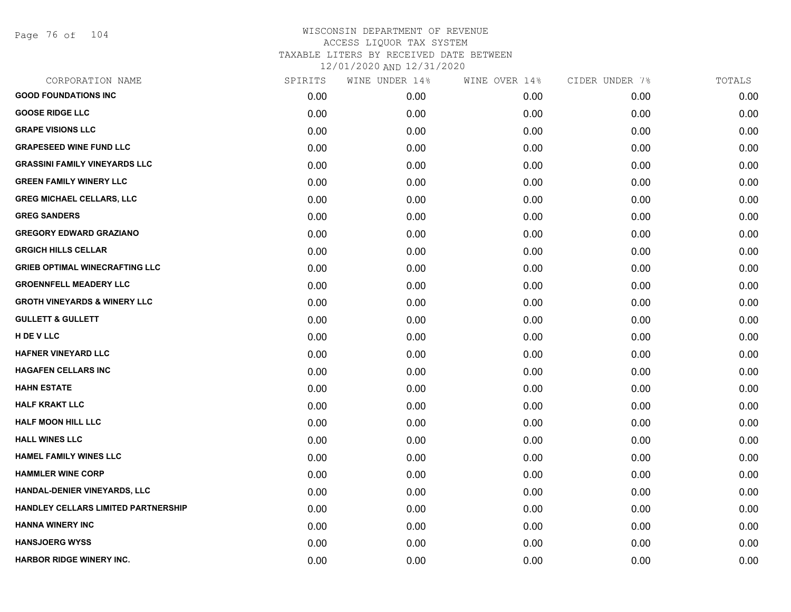Page 76 of 104

| CORPORATION NAME                        | SPIRITS | WINE UNDER 14% | WINE OVER 14% | CIDER UNDER 7% | TOTALS |
|-----------------------------------------|---------|----------------|---------------|----------------|--------|
| <b>GOOD FOUNDATIONS INC</b>             | 0.00    | 0.00           | 0.00          | 0.00           | 0.00   |
| <b>GOOSE RIDGE LLC</b>                  | 0.00    | 0.00           | 0.00          | 0.00           | 0.00   |
| <b>GRAPE VISIONS LLC</b>                | 0.00    | 0.00           | 0.00          | 0.00           | 0.00   |
| <b>GRAPESEED WINE FUND LLC</b>          | 0.00    | 0.00           | 0.00          | 0.00           | 0.00   |
| <b>GRASSINI FAMILY VINEYARDS LLC</b>    | 0.00    | 0.00           | 0.00          | 0.00           | 0.00   |
| <b>GREEN FAMILY WINERY LLC</b>          | 0.00    | 0.00           | 0.00          | 0.00           | 0.00   |
| <b>GREG MICHAEL CELLARS, LLC</b>        | 0.00    | 0.00           | 0.00          | 0.00           | 0.00   |
| <b>GREG SANDERS</b>                     | 0.00    | 0.00           | 0.00          | 0.00           | 0.00   |
| <b>GREGORY EDWARD GRAZIANO</b>          | 0.00    | 0.00           | 0.00          | 0.00           | 0.00   |
| <b>GRGICH HILLS CELLAR</b>              | 0.00    | 0.00           | 0.00          | 0.00           | 0.00   |
| <b>GRIEB OPTIMAL WINECRAFTING LLC</b>   | 0.00    | 0.00           | 0.00          | 0.00           | 0.00   |
| <b>GROENNFELL MEADERY LLC</b>           | 0.00    | 0.00           | 0.00          | 0.00           | 0.00   |
| <b>GROTH VINEYARDS &amp; WINERY LLC</b> | 0.00    | 0.00           | 0.00          | 0.00           | 0.00   |
| <b>GULLETT &amp; GULLETT</b>            | 0.00    | 0.00           | 0.00          | 0.00           | 0.00   |
| H DE V LLC                              | 0.00    | 0.00           | 0.00          | 0.00           | 0.00   |
| <b>HAFNER VINEYARD LLC</b>              | 0.00    | 0.00           | 0.00          | 0.00           | 0.00   |
| <b>HAGAFEN CELLARS INC</b>              | 0.00    | 0.00           | 0.00          | 0.00           | 0.00   |
| <b>HAHN ESTATE</b>                      | 0.00    | 0.00           | 0.00          | 0.00           | 0.00   |
| <b>HALF KRAKT LLC</b>                   | 0.00    | 0.00           | 0.00          | 0.00           | 0.00   |
| <b>HALF MOON HILL LLC</b>               | 0.00    | 0.00           | 0.00          | 0.00           | 0.00   |
| <b>HALL WINES LLC</b>                   | 0.00    | 0.00           | 0.00          | 0.00           | 0.00   |
| <b>HAMEL FAMILY WINES LLC</b>           | 0.00    | 0.00           | 0.00          | 0.00           | 0.00   |
| <b>HAMMLER WINE CORP</b>                | 0.00    | 0.00           | 0.00          | 0.00           | 0.00   |
| HANDAL-DENIER VINEYARDS, LLC            | 0.00    | 0.00           | 0.00          | 0.00           | 0.00   |
| HANDLEY CELLARS LIMITED PARTNERSHIP     | 0.00    | 0.00           | 0.00          | 0.00           | 0.00   |
| <b>HANNA WINERY INC</b>                 | 0.00    | 0.00           | 0.00          | 0.00           | 0.00   |
| <b>HANSJOERG WYSS</b>                   | 0.00    | 0.00           | 0.00          | 0.00           | 0.00   |
| <b>HARBOR RIDGE WINERY INC.</b>         | 0.00    | 0.00           | 0.00          | 0.00           | 0.00   |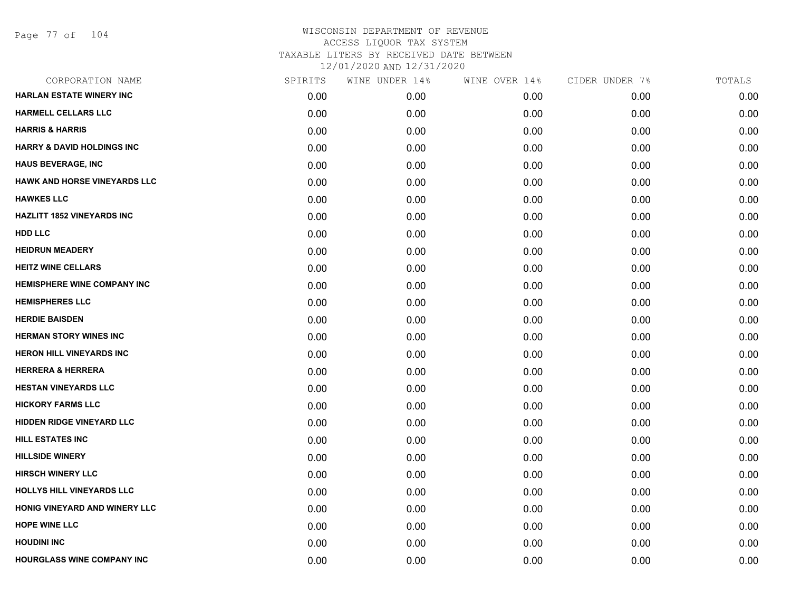| CORPORATION NAME                      | SPIRITS | WINE UNDER 14% | WINE OVER 14% | CIDER UNDER 7% | TOTALS |
|---------------------------------------|---------|----------------|---------------|----------------|--------|
| <b>HARLAN ESTATE WINERY INC</b>       | 0.00    | 0.00           | 0.00          | 0.00           | 0.00   |
| <b>HARMELL CELLARS LLC</b>            | 0.00    | 0.00           | 0.00          | 0.00           | 0.00   |
| <b>HARRIS &amp; HARRIS</b>            | 0.00    | 0.00           | 0.00          | 0.00           | 0.00   |
| <b>HARRY &amp; DAVID HOLDINGS INC</b> | 0.00    | 0.00           | 0.00          | 0.00           | 0.00   |
| <b>HAUS BEVERAGE, INC</b>             | 0.00    | 0.00           | 0.00          | 0.00           | 0.00   |
| <b>HAWK AND HORSE VINEYARDS LLC</b>   | 0.00    | 0.00           | 0.00          | 0.00           | 0.00   |
| <b>HAWKES LLC</b>                     | 0.00    | 0.00           | 0.00          | 0.00           | 0.00   |
| <b>HAZLITT 1852 VINEYARDS INC</b>     | 0.00    | 0.00           | 0.00          | 0.00           | 0.00   |
| <b>HDD LLC</b>                        | 0.00    | 0.00           | 0.00          | 0.00           | 0.00   |
| <b>HEIDRUN MEADERY</b>                | 0.00    | 0.00           | 0.00          | 0.00           | 0.00   |
| <b>HEITZ WINE CELLARS</b>             | 0.00    | 0.00           | 0.00          | 0.00           | 0.00   |
| <b>HEMISPHERE WINE COMPANY INC</b>    | 0.00    | 0.00           | 0.00          | 0.00           | 0.00   |
| <b>HEMISPHERES LLC</b>                | 0.00    | 0.00           | 0.00          | 0.00           | 0.00   |
| <b>HERDIE BAISDEN</b>                 | 0.00    | 0.00           | 0.00          | 0.00           | 0.00   |
| <b>HERMAN STORY WINES INC</b>         | 0.00    | 0.00           | 0.00          | 0.00           | 0.00   |
| <b>HERON HILL VINEYARDS INC</b>       | 0.00    | 0.00           | 0.00          | 0.00           | 0.00   |
| <b>HERRERA &amp; HERRERA</b>          | 0.00    | 0.00           | 0.00          | 0.00           | 0.00   |
| <b>HESTAN VINEYARDS LLC</b>           | 0.00    | 0.00           | 0.00          | 0.00           | 0.00   |
| <b>HICKORY FARMS LLC</b>              | 0.00    | 0.00           | 0.00          | 0.00           | 0.00   |
| HIDDEN RIDGE VINEYARD LLC             | 0.00    | 0.00           | 0.00          | 0.00           | 0.00   |
| <b>HILL ESTATES INC</b>               | 0.00    | 0.00           | 0.00          | 0.00           | 0.00   |
| <b>HILLSIDE WINERY</b>                | 0.00    | 0.00           | 0.00          | 0.00           | 0.00   |
| <b>HIRSCH WINERY LLC</b>              | 0.00    | 0.00           | 0.00          | 0.00           | 0.00   |
| <b>HOLLYS HILL VINEYARDS LLC</b>      | 0.00    | 0.00           | 0.00          | 0.00           | 0.00   |
| HONIG VINEYARD AND WINERY LLC         | 0.00    | 0.00           | 0.00          | 0.00           | 0.00   |
| <b>HOPE WINE LLC</b>                  | 0.00    | 0.00           | 0.00          | 0.00           | 0.00   |
| <b>HOUDINI INC</b>                    | 0.00    | 0.00           | 0.00          | 0.00           | 0.00   |
| <b>HOURGLASS WINE COMPANY INC</b>     | 0.00    | 0.00           | 0.00          | 0.00           | 0.00   |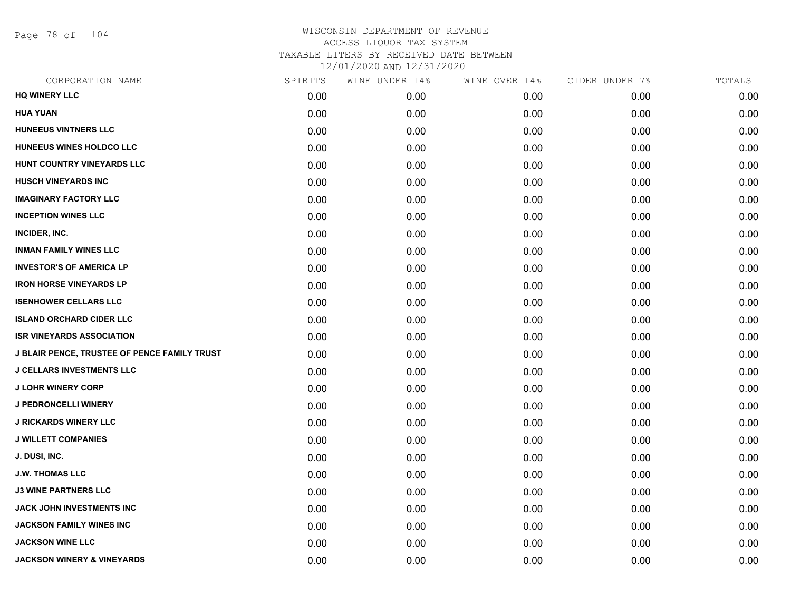Page 78 of 104

| CORPORATION NAME                                    | SPIRITS | WINE UNDER 14% | WINE OVER 14% | CIDER UNDER 7% | TOTALS |
|-----------------------------------------------------|---------|----------------|---------------|----------------|--------|
| <b>HQ WINERY LLC</b>                                | 0.00    | 0.00           | 0.00          | 0.00           | 0.00   |
| <b>HUA YUAN</b>                                     | 0.00    | 0.00           | 0.00          | 0.00           | 0.00   |
| HUNEEUS VINTNERS LLC                                | 0.00    | 0.00           | 0.00          | 0.00           | 0.00   |
| HUNEEUS WINES HOLDCO LLC                            | 0.00    | 0.00           | 0.00          | 0.00           | 0.00   |
| HUNT COUNTRY VINEYARDS LLC                          | 0.00    | 0.00           | 0.00          | 0.00           | 0.00   |
| <b>HUSCH VINEYARDS INC</b>                          | 0.00    | 0.00           | 0.00          | 0.00           | 0.00   |
| <b>IMAGINARY FACTORY LLC</b>                        | 0.00    | 0.00           | 0.00          | 0.00           | 0.00   |
| <b>INCEPTION WINES LLC</b>                          | 0.00    | 0.00           | 0.00          | 0.00           | 0.00   |
| INCIDER, INC.                                       | 0.00    | 0.00           | 0.00          | 0.00           | 0.00   |
| <b>INMAN FAMILY WINES LLC</b>                       | 0.00    | 0.00           | 0.00          | 0.00           | 0.00   |
| <b>INVESTOR'S OF AMERICA LP</b>                     | 0.00    | 0.00           | 0.00          | 0.00           | 0.00   |
| <b>IRON HORSE VINEYARDS LP</b>                      | 0.00    | 0.00           | 0.00          | 0.00           | 0.00   |
| <b>ISENHOWER CELLARS LLC</b>                        | 0.00    | 0.00           | 0.00          | 0.00           | 0.00   |
| <b>ISLAND ORCHARD CIDER LLC</b>                     | 0.00    | 0.00           | 0.00          | 0.00           | 0.00   |
| <b>ISR VINEYARDS ASSOCIATION</b>                    | 0.00    | 0.00           | 0.00          | 0.00           | 0.00   |
| <b>J BLAIR PENCE, TRUSTEE OF PENCE FAMILY TRUST</b> | 0.00    | 0.00           | 0.00          | 0.00           | 0.00   |
| <b>J CELLARS INVESTMENTS LLC</b>                    | 0.00    | 0.00           | 0.00          | 0.00           | 0.00   |
| <b>J LOHR WINERY CORP</b>                           | 0.00    | 0.00           | 0.00          | 0.00           | 0.00   |
| <b>J PEDRONCELLI WINERY</b>                         | 0.00    | 0.00           | 0.00          | 0.00           | 0.00   |
| <b>J RICKARDS WINERY LLC</b>                        | 0.00    | 0.00           | 0.00          | 0.00           | 0.00   |
| <b>J WILLETT COMPANIES</b>                          | 0.00    | 0.00           | 0.00          | 0.00           | 0.00   |
| J. DUSI, INC.                                       | 0.00    | 0.00           | 0.00          | 0.00           | 0.00   |
| <b>J.W. THOMAS LLC</b>                              | 0.00    | 0.00           | 0.00          | 0.00           | 0.00   |
| <b>J3 WINE PARTNERS LLC</b>                         | 0.00    | 0.00           | 0.00          | 0.00           | 0.00   |
| <b>JACK JOHN INVESTMENTS INC</b>                    | 0.00    | 0.00           | 0.00          | 0.00           | 0.00   |
| <b>JACKSON FAMILY WINES INC</b>                     | 0.00    | 0.00           | 0.00          | 0.00           | 0.00   |
| <b>JACKSON WINE LLC</b>                             | 0.00    | 0.00           | 0.00          | 0.00           | 0.00   |
| <b>JACKSON WINERY &amp; VINEYARDS</b>               | 0.00    | 0.00           | 0.00          | 0.00           | 0.00   |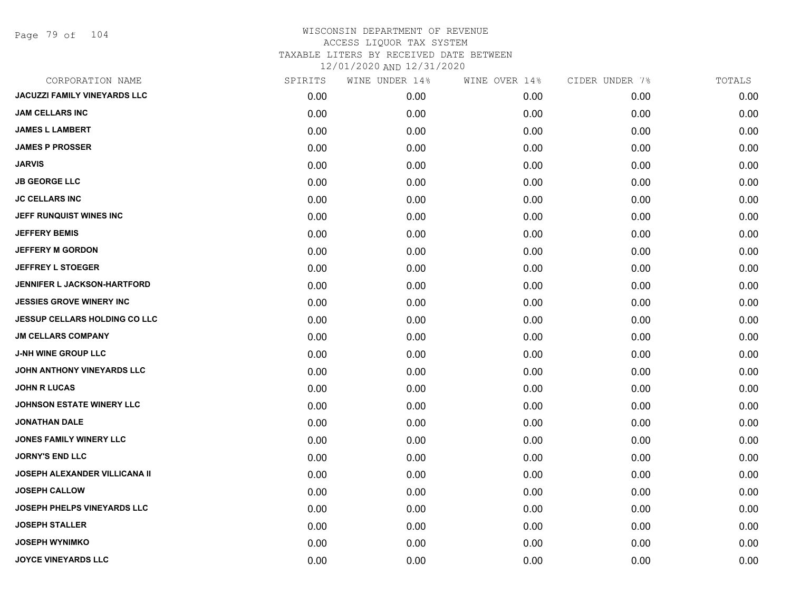Page 79 of 104

| CORPORATION NAME                     | SPIRITS | WINE UNDER 14% | WINE OVER 14% | CIDER UNDER 7% | TOTALS |
|--------------------------------------|---------|----------------|---------------|----------------|--------|
| <b>JACUZZI FAMILY VINEYARDS LLC</b>  | 0.00    | 0.00           | 0.00          | 0.00           | 0.00   |
| <b>JAM CELLARS INC</b>               | 0.00    | 0.00           | 0.00          | 0.00           | 0.00   |
| <b>JAMES L LAMBERT</b>               | 0.00    | 0.00           | 0.00          | 0.00           | 0.00   |
| <b>JAMES P PROSSER</b>               | 0.00    | 0.00           | 0.00          | 0.00           | 0.00   |
| JARVIS                               | 0.00    | 0.00           | 0.00          | 0.00           | 0.00   |
| <b>JB GEORGE LLC</b>                 | 0.00    | 0.00           | 0.00          | 0.00           | 0.00   |
| <b>JC CELLARS INC</b>                | 0.00    | 0.00           | 0.00          | 0.00           | 0.00   |
| JEFF RUNQUIST WINES INC              | 0.00    | 0.00           | 0.00          | 0.00           | 0.00   |
| <b>JEFFERY BEMIS</b>                 | 0.00    | 0.00           | 0.00          | 0.00           | 0.00   |
| <b>JEFFERY M GORDON</b>              | 0.00    | 0.00           | 0.00          | 0.00           | 0.00   |
| <b>JEFFREY L STOEGER</b>             | 0.00    | 0.00           | 0.00          | 0.00           | 0.00   |
| <b>JENNIFER L JACKSON-HARTFORD</b>   | 0.00    | 0.00           | 0.00          | 0.00           | 0.00   |
| <b>JESSIES GROVE WINERY INC</b>      | 0.00    | 0.00           | 0.00          | 0.00           | 0.00   |
| <b>JESSUP CELLARS HOLDING CO LLC</b> | 0.00    | 0.00           | 0.00          | 0.00           | 0.00   |
| <b>JM CELLARS COMPANY</b>            | 0.00    | 0.00           | 0.00          | 0.00           | 0.00   |
| <b>J-NH WINE GROUP LLC</b>           | 0.00    | 0.00           | 0.00          | 0.00           | 0.00   |
| JOHN ANTHONY VINEYARDS LLC           | 0.00    | 0.00           | 0.00          | 0.00           | 0.00   |
| <b>JOHN R LUCAS</b>                  | 0.00    | 0.00           | 0.00          | 0.00           | 0.00   |
| <b>JOHNSON ESTATE WINERY LLC</b>     | 0.00    | 0.00           | 0.00          | 0.00           | 0.00   |
| JONATHAN DALE                        | 0.00    | 0.00           | 0.00          | 0.00           | 0.00   |
| <b>JONES FAMILY WINERY LLC</b>       | 0.00    | 0.00           | 0.00          | 0.00           | 0.00   |
| <b>JORNY'S END LLC</b>               | 0.00    | 0.00           | 0.00          | 0.00           | 0.00   |
| JOSEPH ALEXANDER VILLICANA II        | 0.00    | 0.00           | 0.00          | 0.00           | 0.00   |
| <b>JOSEPH CALLOW</b>                 | 0.00    | 0.00           | 0.00          | 0.00           | 0.00   |
| <b>JOSEPH PHELPS VINEYARDS LLC</b>   | 0.00    | 0.00           | 0.00          | 0.00           | 0.00   |
| <b>JOSEPH STALLER</b>                | 0.00    | 0.00           | 0.00          | 0.00           | 0.00   |
| <b>JOSEPH WYNIMKO</b>                | 0.00    | 0.00           | 0.00          | 0.00           | 0.00   |
| JOYCE VINEYARDS LLC                  | 0.00    | 0.00           | 0.00          | 0.00           | 0.00   |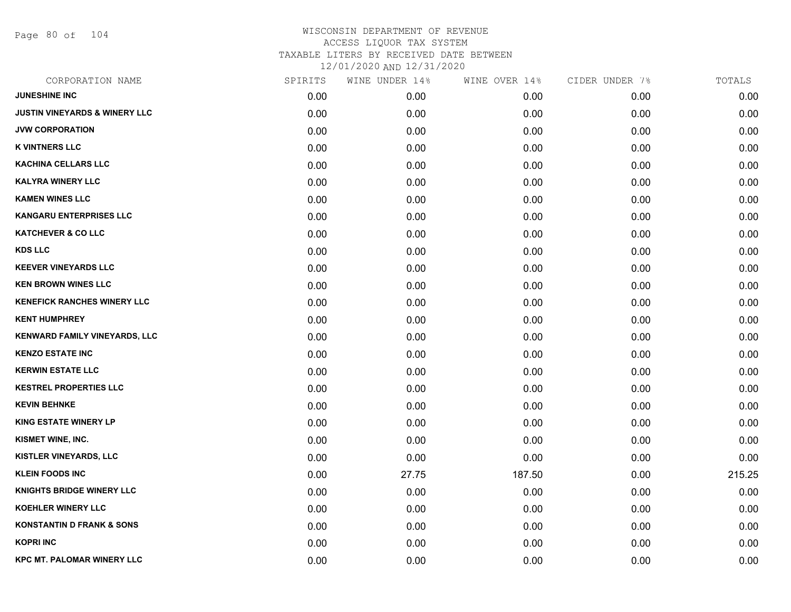Page 80 of 104

| CORPORATION NAME                         | SPIRITS | WINE UNDER 14% | WINE OVER 14% | CIDER UNDER 7% | TOTALS |
|------------------------------------------|---------|----------------|---------------|----------------|--------|
| <b>JUNESHINE INC</b>                     | 0.00    | 0.00           | 0.00          | 0.00           | 0.00   |
| <b>JUSTIN VINEYARDS &amp; WINERY LLC</b> | 0.00    | 0.00           | 0.00          | 0.00           | 0.00   |
| <b>JVW CORPORATION</b>                   | 0.00    | 0.00           | 0.00          | 0.00           | 0.00   |
| <b>K VINTNERS LLC</b>                    | 0.00    | 0.00           | 0.00          | 0.00           | 0.00   |
| KACHINA CELLARS LLC                      | 0.00    | 0.00           | 0.00          | 0.00           | 0.00   |
| <b>KALYRA WINERY LLC</b>                 | 0.00    | 0.00           | 0.00          | 0.00           | 0.00   |
| <b>KAMEN WINES LLC</b>                   | 0.00    | 0.00           | 0.00          | 0.00           | 0.00   |
| <b>KANGARU ENTERPRISES LLC</b>           | 0.00    | 0.00           | 0.00          | 0.00           | 0.00   |
| <b>KATCHEVER &amp; CO LLC</b>            | 0.00    | 0.00           | 0.00          | 0.00           | 0.00   |
| <b>KDS LLC</b>                           | 0.00    | 0.00           | 0.00          | 0.00           | 0.00   |
| <b>KEEVER VINEYARDS LLC</b>              | 0.00    | 0.00           | 0.00          | 0.00           | 0.00   |
| <b>KEN BROWN WINES LLC</b>               | 0.00    | 0.00           | 0.00          | 0.00           | 0.00   |
| <b>KENEFICK RANCHES WINERY LLC</b>       | 0.00    | 0.00           | 0.00          | 0.00           | 0.00   |
| <b>KENT HUMPHREY</b>                     | 0.00    | 0.00           | 0.00          | 0.00           | 0.00   |
| KENWARD FAMILY VINEYARDS, LLC            | 0.00    | 0.00           | 0.00          | 0.00           | 0.00   |
| <b>KENZO ESTATE INC</b>                  | 0.00    | 0.00           | 0.00          | 0.00           | 0.00   |
| <b>KERWIN ESTATE LLC</b>                 | 0.00    | 0.00           | 0.00          | 0.00           | 0.00   |
| <b>KESTREL PROPERTIES LLC</b>            | 0.00    | 0.00           | 0.00          | 0.00           | 0.00   |
| <b>KEVIN BEHNKE</b>                      | 0.00    | 0.00           | 0.00          | 0.00           | 0.00   |
| <b>KING ESTATE WINERY LP</b>             | 0.00    | 0.00           | 0.00          | 0.00           | 0.00   |
| KISMET WINE, INC.                        | 0.00    | 0.00           | 0.00          | 0.00           | 0.00   |
| KISTLER VINEYARDS, LLC                   | 0.00    | 0.00           | 0.00          | 0.00           | 0.00   |
| <b>KLEIN FOODS INC</b>                   | 0.00    | 27.75          | 187.50        | 0.00           | 215.25 |
| <b>KNIGHTS BRIDGE WINERY LLC</b>         | 0.00    | 0.00           | 0.00          | 0.00           | 0.00   |
| <b>KOEHLER WINERY LLC</b>                | 0.00    | 0.00           | 0.00          | 0.00           | 0.00   |
| <b>KONSTANTIN D FRANK &amp; SONS</b>     | 0.00    | 0.00           | 0.00          | 0.00           | 0.00   |
| <b>KOPRI INC</b>                         | 0.00    | 0.00           | 0.00          | 0.00           | 0.00   |
| <b>KPC MT. PALOMAR WINERY LLC</b>        | 0.00    | 0.00           | 0.00          | 0.00           | 0.00   |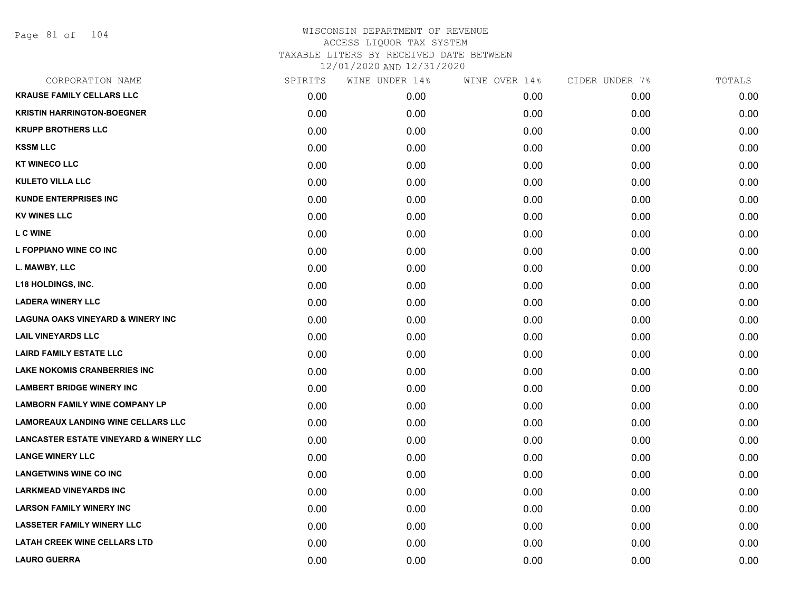| CORPORATION NAME                                  | SPIRITS | WINE UNDER 14% | WINE OVER 14% | CIDER UNDER 7% | TOTALS |
|---------------------------------------------------|---------|----------------|---------------|----------------|--------|
| <b>KRAUSE FAMILY CELLARS LLC</b>                  | 0.00    | 0.00           | 0.00          | 0.00           | 0.00   |
| <b>KRISTIN HARRINGTON-BOEGNER</b>                 | 0.00    | 0.00           | 0.00          | 0.00           | 0.00   |
| <b>KRUPP BROTHERS LLC</b>                         | 0.00    | 0.00           | 0.00          | 0.00           | 0.00   |
| <b>KSSM LLC</b>                                   | 0.00    | 0.00           | 0.00          | 0.00           | 0.00   |
| <b>KT WINECO LLC</b>                              | 0.00    | 0.00           | 0.00          | 0.00           | 0.00   |
| <b>KULETO VILLA LLC</b>                           | 0.00    | 0.00           | 0.00          | 0.00           | 0.00   |
| <b>KUNDE ENTERPRISES INC</b>                      | 0.00    | 0.00           | 0.00          | 0.00           | 0.00   |
| <b>KV WINES LLC</b>                               | 0.00    | 0.00           | 0.00          | 0.00           | 0.00   |
| <b>L C WINE</b>                                   | 0.00    | 0.00           | 0.00          | 0.00           | 0.00   |
| L FOPPIANO WINE CO INC                            | 0.00    | 0.00           | 0.00          | 0.00           | 0.00   |
| L. MAWBY, LLC                                     | 0.00    | 0.00           | 0.00          | 0.00           | 0.00   |
| <b>L18 HOLDINGS, INC.</b>                         | 0.00    | 0.00           | 0.00          | 0.00           | 0.00   |
| <b>LADERA WINERY LLC</b>                          | 0.00    | 0.00           | 0.00          | 0.00           | 0.00   |
| <b>LAGUNA OAKS VINEYARD &amp; WINERY INC</b>      | 0.00    | 0.00           | 0.00          | 0.00           | 0.00   |
| <b>LAIL VINEYARDS LLC</b>                         | 0.00    | 0.00           | 0.00          | 0.00           | 0.00   |
| <b>LAIRD FAMILY ESTATE LLC</b>                    | 0.00    | 0.00           | 0.00          | 0.00           | 0.00   |
| <b>LAKE NOKOMIS CRANBERRIES INC</b>               | 0.00    | 0.00           | 0.00          | 0.00           | 0.00   |
| <b>LAMBERT BRIDGE WINERY INC</b>                  | 0.00    | 0.00           | 0.00          | 0.00           | 0.00   |
| <b>LAMBORN FAMILY WINE COMPANY LP</b>             | 0.00    | 0.00           | 0.00          | 0.00           | 0.00   |
| <b>LAMOREAUX LANDING WINE CELLARS LLC</b>         | 0.00    | 0.00           | 0.00          | 0.00           | 0.00   |
| <b>LANCASTER ESTATE VINEYARD &amp; WINERY LLC</b> | 0.00    | 0.00           | 0.00          | 0.00           | 0.00   |
| <b>LANGE WINERY LLC</b>                           | 0.00    | 0.00           | 0.00          | 0.00           | 0.00   |
| <b>LANGETWINS WINE CO INC</b>                     | 0.00    | 0.00           | 0.00          | 0.00           | 0.00   |
| <b>LARKMEAD VINEYARDS INC</b>                     | 0.00    | 0.00           | 0.00          | 0.00           | 0.00   |
| <b>LARSON FAMILY WINERY INC</b>                   | 0.00    | 0.00           | 0.00          | 0.00           | 0.00   |
| <b>LASSETER FAMILY WINERY LLC</b>                 | 0.00    | 0.00           | 0.00          | 0.00           | 0.00   |
| <b>LATAH CREEK WINE CELLARS LTD</b>               | 0.00    | 0.00           | 0.00          | 0.00           | 0.00   |
| <b>LAURO GUERRA</b>                               | 0.00    | 0.00           | 0.00          | 0.00           | 0.00   |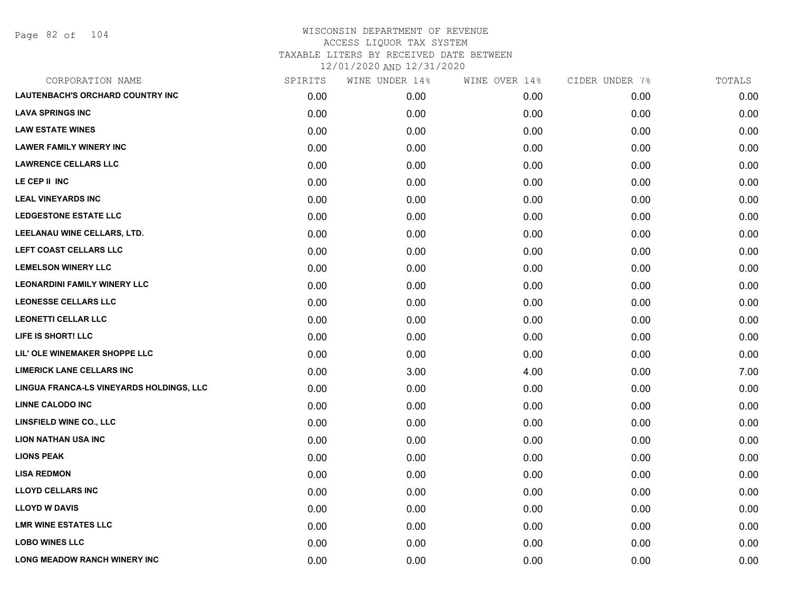Page 82 of 104

| CORPORATION NAME                         | SPIRITS | WINE UNDER 14% | WINE OVER 14% | CIDER UNDER 7% | TOTALS |
|------------------------------------------|---------|----------------|---------------|----------------|--------|
| <b>LAUTENBACH'S ORCHARD COUNTRY INC</b>  | 0.00    | 0.00           | 0.00          | 0.00           | 0.00   |
| <b>LAVA SPRINGS INC</b>                  | 0.00    | 0.00           | 0.00          | 0.00           | 0.00   |
| <b>LAW ESTATE WINES</b>                  | 0.00    | 0.00           | 0.00          | 0.00           | 0.00   |
| <b>LAWER FAMILY WINERY INC</b>           | 0.00    | 0.00           | 0.00          | 0.00           | 0.00   |
| <b>LAWRENCE CELLARS LLC</b>              | 0.00    | 0.00           | 0.00          | 0.00           | 0.00   |
| LE CEP II INC                            | 0.00    | 0.00           | 0.00          | 0.00           | 0.00   |
| <b>LEAL VINEYARDS INC</b>                | 0.00    | 0.00           | 0.00          | 0.00           | 0.00   |
| <b>LEDGESTONE ESTATE LLC</b>             | 0.00    | 0.00           | 0.00          | 0.00           | 0.00   |
| LEELANAU WINE CELLARS, LTD.              | 0.00    | 0.00           | 0.00          | 0.00           | 0.00   |
| LEFT COAST CELLARS LLC                   | 0.00    | 0.00           | 0.00          | 0.00           | 0.00   |
| <b>LEMELSON WINERY LLC</b>               | 0.00    | 0.00           | 0.00          | 0.00           | 0.00   |
| <b>LEONARDINI FAMILY WINERY LLC</b>      | 0.00    | 0.00           | 0.00          | 0.00           | 0.00   |
| <b>LEONESSE CELLARS LLC</b>              | 0.00    | 0.00           | 0.00          | 0.00           | 0.00   |
| <b>LEONETTI CELLAR LLC</b>               | 0.00    | 0.00           | 0.00          | 0.00           | 0.00   |
| LIFE IS SHORT! LLC                       | 0.00    | 0.00           | 0.00          | 0.00           | 0.00   |
| LIL' OLE WINEMAKER SHOPPE LLC            | 0.00    | 0.00           | 0.00          | 0.00           | 0.00   |
| <b>LIMERICK LANE CELLARS INC</b>         | 0.00    | 3.00           | 4.00          | 0.00           | 7.00   |
| LINGUA FRANCA-LS VINEYARDS HOLDINGS, LLC | 0.00    | 0.00           | 0.00          | 0.00           | 0.00   |
| <b>LINNE CALODO INC</b>                  | 0.00    | 0.00           | 0.00          | 0.00           | 0.00   |
| <b>LINSFIELD WINE CO., LLC</b>           | 0.00    | 0.00           | 0.00          | 0.00           | 0.00   |
| <b>LION NATHAN USA INC</b>               | 0.00    | 0.00           | 0.00          | 0.00           | 0.00   |
| <b>LIONS PEAK</b>                        | 0.00    | 0.00           | 0.00          | 0.00           | 0.00   |
| <b>LISA REDMON</b>                       | 0.00    | 0.00           | 0.00          | 0.00           | 0.00   |
| <b>LLOYD CELLARS INC</b>                 | 0.00    | 0.00           | 0.00          | 0.00           | 0.00   |
| <b>LLOYD W DAVIS</b>                     | 0.00    | 0.00           | 0.00          | 0.00           | 0.00   |
| <b>LMR WINE ESTATES LLC</b>              | 0.00    | 0.00           | 0.00          | 0.00           | 0.00   |
| <b>LOBO WINES LLC</b>                    | 0.00    | 0.00           | 0.00          | 0.00           | 0.00   |
| <b>LONG MEADOW RANCH WINERY INC</b>      | 0.00    | 0.00           | 0.00          | 0.00           | 0.00   |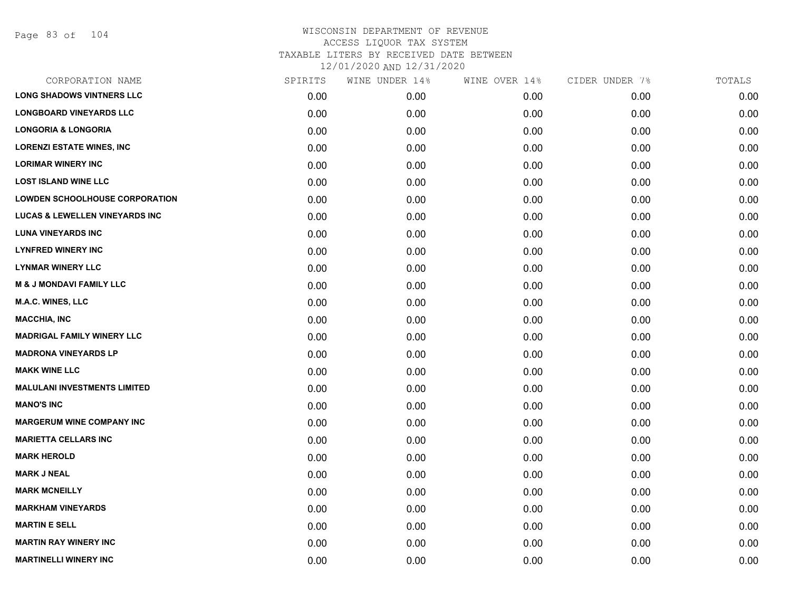Page 83 of 104

| CORPORATION NAME                          | SPIRITS | WINE UNDER 14% | WINE OVER 14% | CIDER UNDER 7% | TOTALS |
|-------------------------------------------|---------|----------------|---------------|----------------|--------|
| <b>LONG SHADOWS VINTNERS LLC</b>          | 0.00    | 0.00           | 0.00          | 0.00           | 0.00   |
| <b>LONGBOARD VINEYARDS LLC</b>            | 0.00    | 0.00           | 0.00          | 0.00           | 0.00   |
| <b>LONGORIA &amp; LONGORIA</b>            | 0.00    | 0.00           | 0.00          | 0.00           | 0.00   |
| <b>LORENZI ESTATE WINES, INC</b>          | 0.00    | 0.00           | 0.00          | 0.00           | 0.00   |
| <b>LORIMAR WINERY INC</b>                 | 0.00    | 0.00           | 0.00          | 0.00           | 0.00   |
| <b>LOST ISLAND WINE LLC</b>               | 0.00    | 0.00           | 0.00          | 0.00           | 0.00   |
| <b>LOWDEN SCHOOLHOUSE CORPORATION</b>     | 0.00    | 0.00           | 0.00          | 0.00           | 0.00   |
| <b>LUCAS &amp; LEWELLEN VINEYARDS INC</b> | 0.00    | 0.00           | 0.00          | 0.00           | 0.00   |
| <b>LUNA VINEYARDS INC</b>                 | 0.00    | 0.00           | 0.00          | 0.00           | 0.00   |
| <b>LYNFRED WINERY INC</b>                 | 0.00    | 0.00           | 0.00          | 0.00           | 0.00   |
| <b>LYNMAR WINERY LLC</b>                  | 0.00    | 0.00           | 0.00          | 0.00           | 0.00   |
| <b>M &amp; J MONDAVI FAMILY LLC</b>       | 0.00    | 0.00           | 0.00          | 0.00           | 0.00   |
| <b>M.A.C. WINES, LLC</b>                  | 0.00    | 0.00           | 0.00          | 0.00           | 0.00   |
| <b>MACCHIA, INC</b>                       | 0.00    | 0.00           | 0.00          | 0.00           | 0.00   |
| <b>MADRIGAL FAMILY WINERY LLC</b>         | 0.00    | 0.00           | 0.00          | 0.00           | 0.00   |
| <b>MADRONA VINEYARDS LP</b>               | 0.00    | 0.00           | 0.00          | 0.00           | 0.00   |
| <b>MAKK WINE LLC</b>                      | 0.00    | 0.00           | 0.00          | 0.00           | 0.00   |
| <b>MALULANI INVESTMENTS LIMITED</b>       | 0.00    | 0.00           | 0.00          | 0.00           | 0.00   |
| <b>MANO'S INC</b>                         | 0.00    | 0.00           | 0.00          | 0.00           | 0.00   |
| <b>MARGERUM WINE COMPANY INC</b>          | 0.00    | 0.00           | 0.00          | 0.00           | 0.00   |
| <b>MARIETTA CELLARS INC</b>               | 0.00    | 0.00           | 0.00          | 0.00           | 0.00   |
| <b>MARK HEROLD</b>                        | 0.00    | 0.00           | 0.00          | 0.00           | 0.00   |
| <b>MARK J NEAL</b>                        | 0.00    | 0.00           | 0.00          | 0.00           | 0.00   |
| <b>MARK MCNEILLY</b>                      | 0.00    | 0.00           | 0.00          | 0.00           | 0.00   |
| <b>MARKHAM VINEYARDS</b>                  | 0.00    | 0.00           | 0.00          | 0.00           | 0.00   |
| <b>MARTIN E SELL</b>                      | 0.00    | 0.00           | 0.00          | 0.00           | 0.00   |
| <b>MARTIN RAY WINERY INC</b>              | 0.00    | 0.00           | 0.00          | 0.00           | 0.00   |
| <b>MARTINELLI WINERY INC</b>              | 0.00    | 0.00           | 0.00          | 0.00           | 0.00   |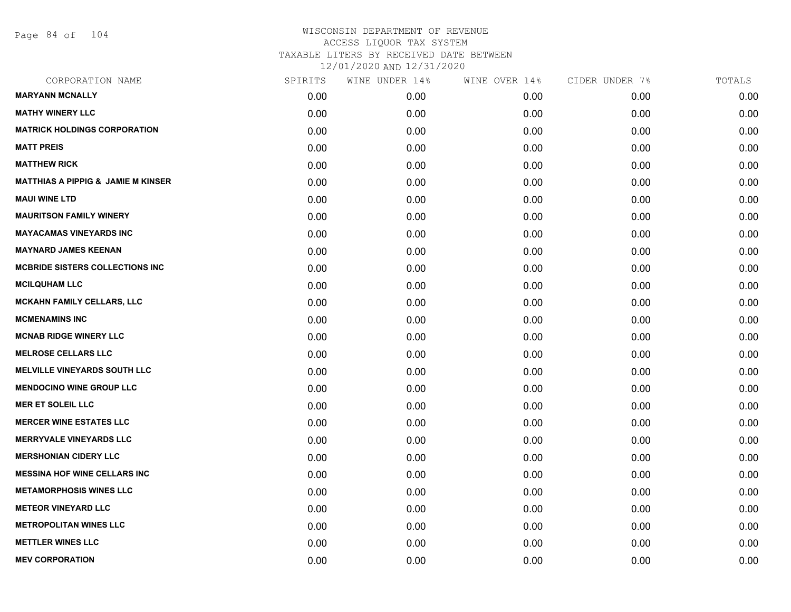Page 84 of 104

| CORPORATION NAME                              | SPIRITS | WINE UNDER 14% | WINE OVER 14% | CIDER UNDER 7% | TOTALS |
|-----------------------------------------------|---------|----------------|---------------|----------------|--------|
| <b>MARYANN MCNALLY</b>                        | 0.00    | 0.00           | 0.00          | 0.00           | 0.00   |
| <b>MATHY WINERY LLC</b>                       | 0.00    | 0.00           | 0.00          | 0.00           | 0.00   |
| <b>MATRICK HOLDINGS CORPORATION</b>           | 0.00    | 0.00           | 0.00          | 0.00           | 0.00   |
| <b>MATT PREIS</b>                             | 0.00    | 0.00           | 0.00          | 0.00           | 0.00   |
| <b>MATTHEW RICK</b>                           | 0.00    | 0.00           | 0.00          | 0.00           | 0.00   |
| <b>MATTHIAS A PIPPIG &amp; JAMIE M KINSER</b> | 0.00    | 0.00           | 0.00          | 0.00           | 0.00   |
| <b>MAUI WINE LTD</b>                          | 0.00    | 0.00           | 0.00          | 0.00           | 0.00   |
| <b>MAURITSON FAMILY WINERY</b>                | 0.00    | 0.00           | 0.00          | 0.00           | 0.00   |
| <b>MAYACAMAS VINEYARDS INC</b>                | 0.00    | 0.00           | 0.00          | 0.00           | 0.00   |
| <b>MAYNARD JAMES KEENAN</b>                   | 0.00    | 0.00           | 0.00          | 0.00           | 0.00   |
| <b>MCBRIDE SISTERS COLLECTIONS INC</b>        | 0.00    | 0.00           | 0.00          | 0.00           | 0.00   |
| <b>MCILQUHAM LLC</b>                          | 0.00    | 0.00           | 0.00          | 0.00           | 0.00   |
| <b>MCKAHN FAMILY CELLARS, LLC</b>             | 0.00    | 0.00           | 0.00          | 0.00           | 0.00   |
| <b>MCMENAMINS INC</b>                         | 0.00    | 0.00           | 0.00          | 0.00           | 0.00   |
| <b>MCNAB RIDGE WINERY LLC</b>                 | 0.00    | 0.00           | 0.00          | 0.00           | 0.00   |
| <b>MELROSE CELLARS LLC</b>                    | 0.00    | 0.00           | 0.00          | 0.00           | 0.00   |
| <b>MELVILLE VINEYARDS SOUTH LLC</b>           | 0.00    | 0.00           | 0.00          | 0.00           | 0.00   |
| <b>MENDOCINO WINE GROUP LLC</b>               | 0.00    | 0.00           | 0.00          | 0.00           | 0.00   |
| <b>MER ET SOLEIL LLC</b>                      | 0.00    | 0.00           | 0.00          | 0.00           | 0.00   |
| <b>MERCER WINE ESTATES LLC</b>                | 0.00    | 0.00           | 0.00          | 0.00           | 0.00   |
| <b>MERRYVALE VINEYARDS LLC</b>                | 0.00    | 0.00           | 0.00          | 0.00           | 0.00   |
| <b>MERSHONIAN CIDERY LLC</b>                  | 0.00    | 0.00           | 0.00          | 0.00           | 0.00   |
| <b>MESSINA HOF WINE CELLARS INC</b>           | 0.00    | 0.00           | 0.00          | 0.00           | 0.00   |
| <b>METAMORPHOSIS WINES LLC</b>                | 0.00    | 0.00           | 0.00          | 0.00           | 0.00   |
| <b>METEOR VINEYARD LLC</b>                    | 0.00    | 0.00           | 0.00          | 0.00           | 0.00   |
| <b>METROPOLITAN WINES LLC</b>                 | 0.00    | 0.00           | 0.00          | 0.00           | 0.00   |
| <b>METTLER WINES LLC</b>                      | 0.00    | 0.00           | 0.00          | 0.00           | 0.00   |
| <b>MEV CORPORATION</b>                        | 0.00    | 0.00           | 0.00          | 0.00           | 0.00   |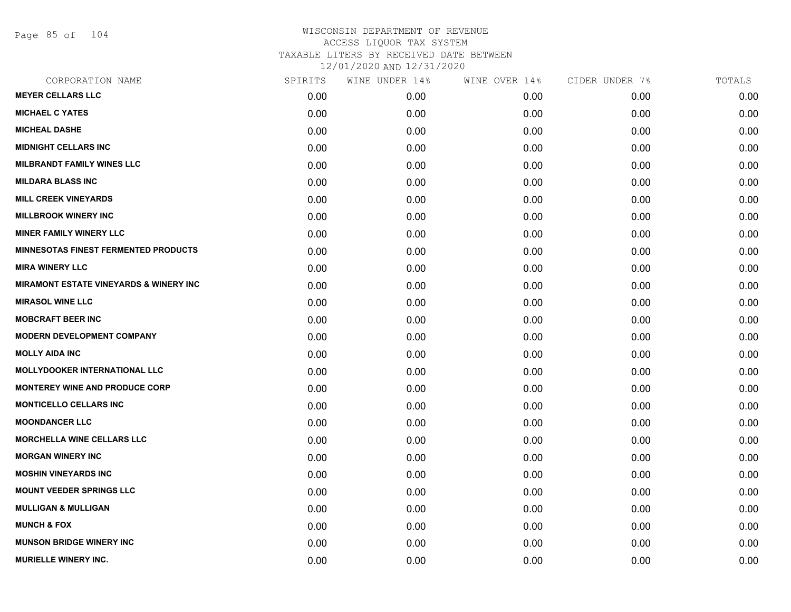Page 85 of 104

| CORPORATION NAME                            | SPIRITS | WINE UNDER 14% | WINE OVER 14% | CIDER UNDER 7% | TOTALS |
|---------------------------------------------|---------|----------------|---------------|----------------|--------|
| <b>MEYER CELLARS LLC</b>                    | 0.00    | 0.00           | 0.00          | 0.00           | 0.00   |
| <b>MICHAEL C YATES</b>                      | 0.00    | 0.00           | 0.00          | 0.00           | 0.00   |
| <b>MICHEAL DASHE</b>                        | 0.00    | 0.00           | 0.00          | 0.00           | 0.00   |
| <b>MIDNIGHT CELLARS INC</b>                 | 0.00    | 0.00           | 0.00          | 0.00           | 0.00   |
| <b>MILBRANDT FAMILY WINES LLC</b>           | 0.00    | 0.00           | 0.00          | 0.00           | 0.00   |
| <b>MILDARA BLASS INC</b>                    | 0.00    | 0.00           | 0.00          | 0.00           | 0.00   |
| <b>MILL CREEK VINEYARDS</b>                 | 0.00    | 0.00           | 0.00          | 0.00           | 0.00   |
| <b>MILLBROOK WINERY INC</b>                 | 0.00    | 0.00           | 0.00          | 0.00           | 0.00   |
| <b>MINER FAMILY WINERY LLC</b>              | 0.00    | 0.00           | 0.00          | 0.00           | 0.00   |
| <b>MINNESOTAS FINEST FERMENTED PRODUCTS</b> | 0.00    | 0.00           | 0.00          | 0.00           | 0.00   |
| <b>MIRA WINERY LLC</b>                      | 0.00    | 0.00           | 0.00          | 0.00           | 0.00   |
| MIRAMONT ESTATE VINEYARDS & WINERY INC      | 0.00    | 0.00           | 0.00          | 0.00           | 0.00   |
| <b>MIRASOL WINE LLC</b>                     | 0.00    | 0.00           | 0.00          | 0.00           | 0.00   |
| <b>MOBCRAFT BEER INC</b>                    | 0.00    | 0.00           | 0.00          | 0.00           | 0.00   |
| <b>MODERN DEVELOPMENT COMPANY</b>           | 0.00    | 0.00           | 0.00          | 0.00           | 0.00   |
| <b>MOLLY AIDA INC</b>                       | 0.00    | 0.00           | 0.00          | 0.00           | 0.00   |
| <b>MOLLYDOOKER INTERNATIONAL LLC</b>        | 0.00    | 0.00           | 0.00          | 0.00           | 0.00   |
| <b>MONTEREY WINE AND PRODUCE CORP</b>       | 0.00    | 0.00           | 0.00          | 0.00           | 0.00   |
| <b>MONTICELLO CELLARS INC</b>               | 0.00    | 0.00           | 0.00          | 0.00           | 0.00   |
| <b>MOONDANCER LLC</b>                       | 0.00    | 0.00           | 0.00          | 0.00           | 0.00   |
| <b>MORCHELLA WINE CELLARS LLC</b>           | 0.00    | 0.00           | 0.00          | 0.00           | 0.00   |
| <b>MORGAN WINERY INC</b>                    | 0.00    | 0.00           | 0.00          | 0.00           | 0.00   |
| <b>MOSHIN VINEYARDS INC</b>                 | 0.00    | 0.00           | 0.00          | 0.00           | 0.00   |
| <b>MOUNT VEEDER SPRINGS LLC</b>             | 0.00    | 0.00           | 0.00          | 0.00           | 0.00   |
| <b>MULLIGAN &amp; MULLIGAN</b>              | 0.00    | 0.00           | 0.00          | 0.00           | 0.00   |
| <b>MUNCH &amp; FOX</b>                      | 0.00    | 0.00           | 0.00          | 0.00           | 0.00   |
| <b>MUNSON BRIDGE WINERY INC</b>             | 0.00    | 0.00           | 0.00          | 0.00           | 0.00   |
| <b>MURIELLE WINERY INC.</b>                 | 0.00    | 0.00           | 0.00          | 0.00           | 0.00   |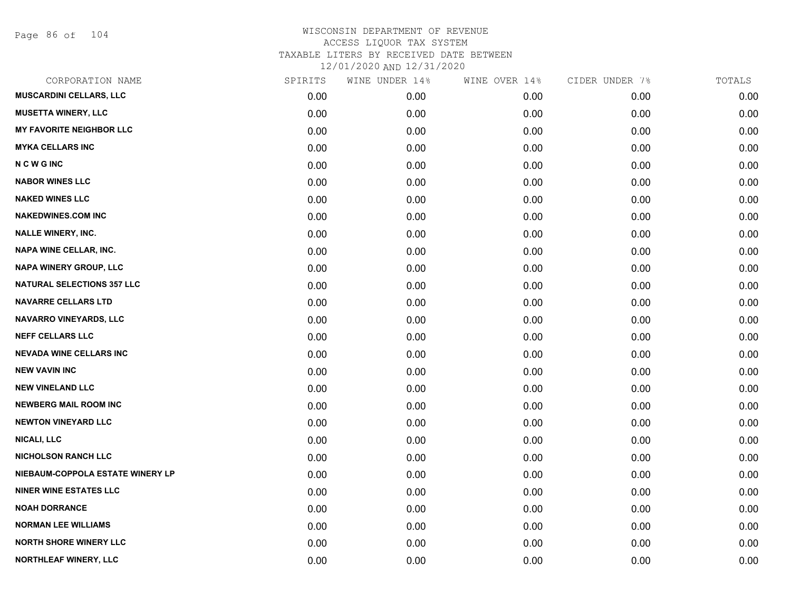Page 86 of 104

| CORPORATION NAME                  | SPIRITS | WINE UNDER 14% | WINE OVER 14% | CIDER UNDER 7% | TOTALS |
|-----------------------------------|---------|----------------|---------------|----------------|--------|
| <b>MUSCARDINI CELLARS, LLC</b>    | 0.00    | 0.00           | 0.00          | 0.00           | 0.00   |
| <b>MUSETTA WINERY, LLC</b>        | 0.00    | 0.00           | 0.00          | 0.00           | 0.00   |
| <b>MY FAVORITE NEIGHBOR LLC</b>   | 0.00    | 0.00           | 0.00          | 0.00           | 0.00   |
| <b>MYKA CELLARS INC</b>           | 0.00    | 0.00           | 0.00          | 0.00           | 0.00   |
| <b>NCWGINC</b>                    | 0.00    | 0.00           | 0.00          | 0.00           | 0.00   |
| <b>NABOR WINES LLC</b>            | 0.00    | 0.00           | 0.00          | 0.00           | 0.00   |
| <b>NAKED WINES LLC</b>            | 0.00    | 0.00           | 0.00          | 0.00           | 0.00   |
| <b>NAKEDWINES.COM INC</b>         | 0.00    | 0.00           | 0.00          | 0.00           | 0.00   |
| <b>NALLE WINERY, INC.</b>         | 0.00    | 0.00           | 0.00          | 0.00           | 0.00   |
| NAPA WINE CELLAR, INC.            | 0.00    | 0.00           | 0.00          | 0.00           | 0.00   |
| NAPA WINERY GROUP, LLC            | 0.00    | 0.00           | 0.00          | 0.00           | 0.00   |
| <b>NATURAL SELECTIONS 357 LLC</b> | 0.00    | 0.00           | 0.00          | 0.00           | 0.00   |
| <b>NAVARRE CELLARS LTD</b>        | 0.00    | 0.00           | 0.00          | 0.00           | 0.00   |
| <b>NAVARRO VINEYARDS, LLC</b>     | 0.00    | 0.00           | 0.00          | 0.00           | 0.00   |
| <b>NEFF CELLARS LLC</b>           | 0.00    | 0.00           | 0.00          | 0.00           | 0.00   |
| <b>NEVADA WINE CELLARS INC</b>    | 0.00    | 0.00           | 0.00          | 0.00           | 0.00   |
| <b>NEW VAVIN INC</b>              | 0.00    | 0.00           | 0.00          | 0.00           | 0.00   |
| <b>NEW VINELAND LLC</b>           | 0.00    | 0.00           | 0.00          | 0.00           | 0.00   |
| <b>NEWBERG MAIL ROOM INC</b>      | 0.00    | 0.00           | 0.00          | 0.00           | 0.00   |
| <b>NEWTON VINEYARD LLC</b>        | 0.00    | 0.00           | 0.00          | 0.00           | 0.00   |
| <b>NICALI, LLC</b>                | 0.00    | 0.00           | 0.00          | 0.00           | 0.00   |
| <b>NICHOLSON RANCH LLC</b>        | 0.00    | 0.00           | 0.00          | 0.00           | 0.00   |
| NIEBAUM-COPPOLA ESTATE WINERY LP  | 0.00    | 0.00           | 0.00          | 0.00           | 0.00   |
| <b>NINER WINE ESTATES LLC</b>     | 0.00    | 0.00           | 0.00          | 0.00           | 0.00   |
| <b>NOAH DORRANCE</b>              | 0.00    | 0.00           | 0.00          | 0.00           | 0.00   |
| <b>NORMAN LEE WILLIAMS</b>        | 0.00    | 0.00           | 0.00          | 0.00           | 0.00   |
| <b>NORTH SHORE WINERY LLC</b>     | 0.00    | 0.00           | 0.00          | 0.00           | 0.00   |
| NORTHLEAF WINERY, LLC             | 0.00    | 0.00           | 0.00          | 0.00           | 0.00   |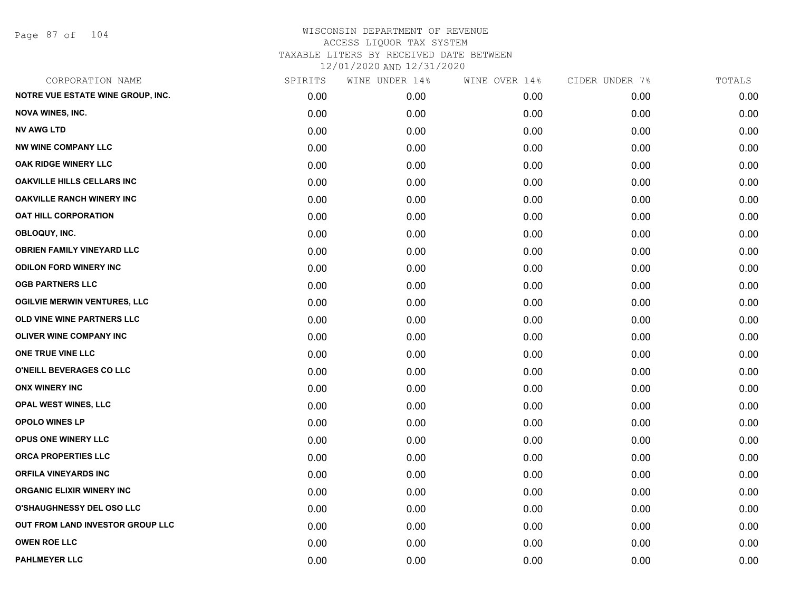Page 87 of 104

| CORPORATION NAME                    | SPIRITS | WINE UNDER 14% | WINE OVER 14% | CIDER UNDER 7% | TOTALS |
|-------------------------------------|---------|----------------|---------------|----------------|--------|
| NOTRE VUE ESTATE WINE GROUP, INC.   | 0.00    | 0.00           | 0.00          | 0.00           | 0.00   |
| <b>NOVA WINES, INC.</b>             | 0.00    | 0.00           | 0.00          | 0.00           | 0.00   |
| <b>NV AWG LTD</b>                   | 0.00    | 0.00           | 0.00          | 0.00           | 0.00   |
| <b>NW WINE COMPANY LLC</b>          | 0.00    | 0.00           | 0.00          | 0.00           | 0.00   |
| <b>OAK RIDGE WINERY LLC</b>         | 0.00    | 0.00           | 0.00          | 0.00           | 0.00   |
| <b>OAKVILLE HILLS CELLARS INC</b>   | 0.00    | 0.00           | 0.00          | 0.00           | 0.00   |
| <b>OAKVILLE RANCH WINERY INC</b>    | 0.00    | 0.00           | 0.00          | 0.00           | 0.00   |
| <b>OAT HILL CORPORATION</b>         | 0.00    | 0.00           | 0.00          | 0.00           | 0.00   |
| OBLOQUY, INC.                       | 0.00    | 0.00           | 0.00          | 0.00           | 0.00   |
| <b>OBRIEN FAMILY VINEYARD LLC</b>   | 0.00    | 0.00           | 0.00          | 0.00           | 0.00   |
| <b>ODILON FORD WINERY INC</b>       | 0.00    | 0.00           | 0.00          | 0.00           | 0.00   |
| <b>OGB PARTNERS LLC</b>             | 0.00    | 0.00           | 0.00          | 0.00           | 0.00   |
| <b>OGILVIE MERWIN VENTURES, LLC</b> | 0.00    | 0.00           | 0.00          | 0.00           | 0.00   |
| OLD VINE WINE PARTNERS LLC          | 0.00    | 0.00           | 0.00          | 0.00           | 0.00   |
| <b>OLIVER WINE COMPANY INC</b>      | 0.00    | 0.00           | 0.00          | 0.00           | 0.00   |
| ONE TRUE VINE LLC                   | 0.00    | 0.00           | 0.00          | 0.00           | 0.00   |
| O'NEILL BEVERAGES CO LLC            | 0.00    | 0.00           | 0.00          | 0.00           | 0.00   |
| <b>ONX WINERY INC</b>               | 0.00    | 0.00           | 0.00          | 0.00           | 0.00   |
| <b>OPAL WEST WINES, LLC</b>         | 0.00    | 0.00           | 0.00          | 0.00           | 0.00   |
| OPOLO WINES LP                      | 0.00    | 0.00           | 0.00          | 0.00           | 0.00   |
| OPUS ONE WINERY LLC                 | 0.00    | 0.00           | 0.00          | 0.00           | 0.00   |
| ORCA PROPERTIES LLC                 | 0.00    | 0.00           | 0.00          | 0.00           | 0.00   |
| ORFILA VINEYARDS INC                | 0.00    | 0.00           | 0.00          | 0.00           | 0.00   |
| <b>ORGANIC ELIXIR WINERY INC</b>    | 0.00    | 0.00           | 0.00          | 0.00           | 0.00   |
| O'SHAUGHNESSY DEL OSO LLC           | 0.00    | 0.00           | 0.00          | 0.00           | 0.00   |
| OUT FROM LAND INVESTOR GROUP LLC    | 0.00    | 0.00           | 0.00          | 0.00           | 0.00   |
| <b>OWEN ROE LLC</b>                 | 0.00    | 0.00           | 0.00          | 0.00           | 0.00   |
| <b>PAHLMEYER LLC</b>                | 0.00    | 0.00           | 0.00          | 0.00           | 0.00   |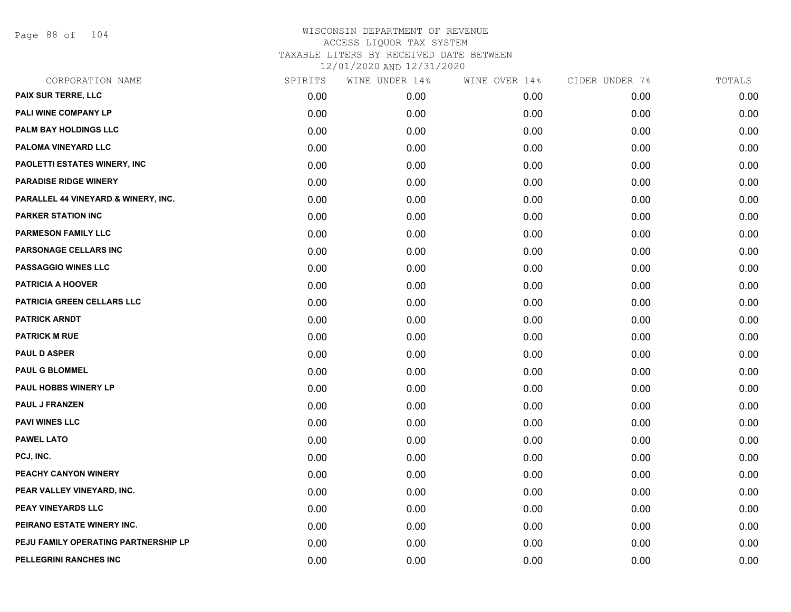Page 88 of 104

| CORPORATION NAME                     | SPIRITS | WINE UNDER 14% | WINE OVER 14% | CIDER UNDER 7% | TOTALS |
|--------------------------------------|---------|----------------|---------------|----------------|--------|
| PAIX SUR TERRE, LLC                  | 0.00    | 0.00           | 0.00          | 0.00           | 0.00   |
| PALI WINE COMPANY LP                 | 0.00    | 0.00           | 0.00          | 0.00           | 0.00   |
| PALM BAY HOLDINGS LLC                | 0.00    | 0.00           | 0.00          | 0.00           | 0.00   |
| PALOMA VINEYARD LLC                  | 0.00    | 0.00           | 0.00          | 0.00           | 0.00   |
| PAOLETTI ESTATES WINERY, INC         | 0.00    | 0.00           | 0.00          | 0.00           | 0.00   |
| <b>PARADISE RIDGE WINERY</b>         | 0.00    | 0.00           | 0.00          | 0.00           | 0.00   |
| PARALLEL 44 VINEYARD & WINERY, INC.  | 0.00    | 0.00           | 0.00          | 0.00           | 0.00   |
| <b>PARKER STATION INC</b>            | 0.00    | 0.00           | 0.00          | 0.00           | 0.00   |
| <b>PARMESON FAMILY LLC</b>           | 0.00    | 0.00           | 0.00          | 0.00           | 0.00   |
| PARSONAGE CELLARS INC                | 0.00    | 0.00           | 0.00          | 0.00           | 0.00   |
| <b>PASSAGGIO WINES LLC</b>           | 0.00    | 0.00           | 0.00          | 0.00           | 0.00   |
| <b>PATRICIA A HOOVER</b>             | 0.00    | 0.00           | 0.00          | 0.00           | 0.00   |
| PATRICIA GREEN CELLARS LLC           | 0.00    | 0.00           | 0.00          | 0.00           | 0.00   |
| <b>PATRICK ARNDT</b>                 | 0.00    | 0.00           | 0.00          | 0.00           | 0.00   |
| <b>PATRICK M RUE</b>                 | 0.00    | 0.00           | 0.00          | 0.00           | 0.00   |
| <b>PAUL D ASPER</b>                  | 0.00    | 0.00           | 0.00          | 0.00           | 0.00   |
| <b>PAUL G BLOMMEL</b>                | 0.00    | 0.00           | 0.00          | 0.00           | 0.00   |
| <b>PAUL HOBBS WINERY LP</b>          | 0.00    | 0.00           | 0.00          | 0.00           | 0.00   |
| <b>PAUL J FRANZEN</b>                | 0.00    | 0.00           | 0.00          | 0.00           | 0.00   |
| <b>PAVI WINES LLC</b>                | 0.00    | 0.00           | 0.00          | 0.00           | 0.00   |
| <b>PAWEL LATO</b>                    | 0.00    | 0.00           | 0.00          | 0.00           | 0.00   |
| PCJ, INC.                            | 0.00    | 0.00           | 0.00          | 0.00           | 0.00   |
| PEACHY CANYON WINERY                 | 0.00    | 0.00           | 0.00          | 0.00           | 0.00   |
| PEAR VALLEY VINEYARD, INC.           | 0.00    | 0.00           | 0.00          | 0.00           | 0.00   |
| PEAY VINEYARDS LLC                   | 0.00    | 0.00           | 0.00          | 0.00           | 0.00   |
| PEIRANO ESTATE WINERY INC.           | 0.00    | 0.00           | 0.00          | 0.00           | 0.00   |
| PEJU FAMILY OPERATING PARTNERSHIP LP | 0.00    | 0.00           | 0.00          | 0.00           | 0.00   |
| PELLEGRINI RANCHES INC               | 0.00    | 0.00           | 0.00          | 0.00           | 0.00   |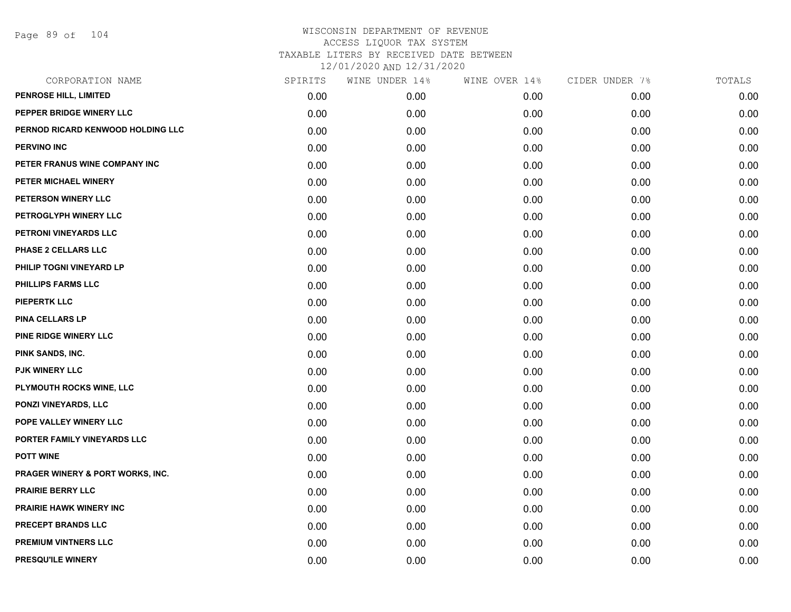Page 89 of 104

| CORPORATION NAME                  | SPIRITS | WINE UNDER 14% | WINE OVER 14% | CIDER UNDER 7% | TOTALS |
|-----------------------------------|---------|----------------|---------------|----------------|--------|
| PENROSE HILL, LIMITED             | 0.00    | 0.00           | 0.00          | 0.00           | 0.00   |
| PEPPER BRIDGE WINERY LLC          | 0.00    | 0.00           | 0.00          | 0.00           | 0.00   |
| PERNOD RICARD KENWOOD HOLDING LLC | 0.00    | 0.00           | 0.00          | 0.00           | 0.00   |
| <b>PERVINO INC</b>                | 0.00    | 0.00           | 0.00          | 0.00           | 0.00   |
| PETER FRANUS WINE COMPANY INC     | 0.00    | 0.00           | 0.00          | 0.00           | 0.00   |
| PETER MICHAEL WINERY              | 0.00    | 0.00           | 0.00          | 0.00           | 0.00   |
| PETERSON WINERY LLC               | 0.00    | 0.00           | 0.00          | 0.00           | 0.00   |
| PETROGLYPH WINERY LLC             | 0.00    | 0.00           | 0.00          | 0.00           | 0.00   |
| PETRONI VINEYARDS LLC             | 0.00    | 0.00           | 0.00          | 0.00           | 0.00   |
| PHASE 2 CELLARS LLC               | 0.00    | 0.00           | 0.00          | 0.00           | 0.00   |
| PHILIP TOGNI VINEYARD LP          | 0.00    | 0.00           | 0.00          | 0.00           | 0.00   |
| PHILLIPS FARMS LLC                | 0.00    | 0.00           | 0.00          | 0.00           | 0.00   |
| <b>PIEPERTK LLC</b>               | 0.00    | 0.00           | 0.00          | 0.00           | 0.00   |
| <b>PINA CELLARS LP</b>            | 0.00    | 0.00           | 0.00          | 0.00           | 0.00   |
| PINE RIDGE WINERY LLC             | 0.00    | 0.00           | 0.00          | 0.00           | 0.00   |
| PINK SANDS, INC.                  | 0.00    | 0.00           | 0.00          | 0.00           | 0.00   |
| PJK WINERY LLC                    | 0.00    | 0.00           | 0.00          | 0.00           | 0.00   |
| PLYMOUTH ROCKS WINE, LLC          | 0.00    | 0.00           | 0.00          | 0.00           | 0.00   |
| PONZI VINEYARDS, LLC              | 0.00    | 0.00           | 0.00          | 0.00           | 0.00   |
| POPE VALLEY WINERY LLC            | 0.00    | 0.00           | 0.00          | 0.00           | 0.00   |
| PORTER FAMILY VINEYARDS LLC       | 0.00    | 0.00           | 0.00          | 0.00           | 0.00   |
| <b>POTT WINE</b>                  | 0.00    | 0.00           | 0.00          | 0.00           | 0.00   |
| PRAGER WINERY & PORT WORKS, INC.  | 0.00    | 0.00           | 0.00          | 0.00           | 0.00   |
| <b>PRAIRIE BERRY LLC</b>          | 0.00    | 0.00           | 0.00          | 0.00           | 0.00   |
| <b>PRAIRIE HAWK WINERY INC</b>    | 0.00    | 0.00           | 0.00          | 0.00           | 0.00   |
| PRECEPT BRANDS LLC                | 0.00    | 0.00           | 0.00          | 0.00           | 0.00   |
| <b>PREMIUM VINTNERS LLC</b>       | 0.00    | 0.00           | 0.00          | 0.00           | 0.00   |
| PRESQU'ILE WINERY                 | 0.00    | 0.00           | 0.00          | 0.00           | 0.00   |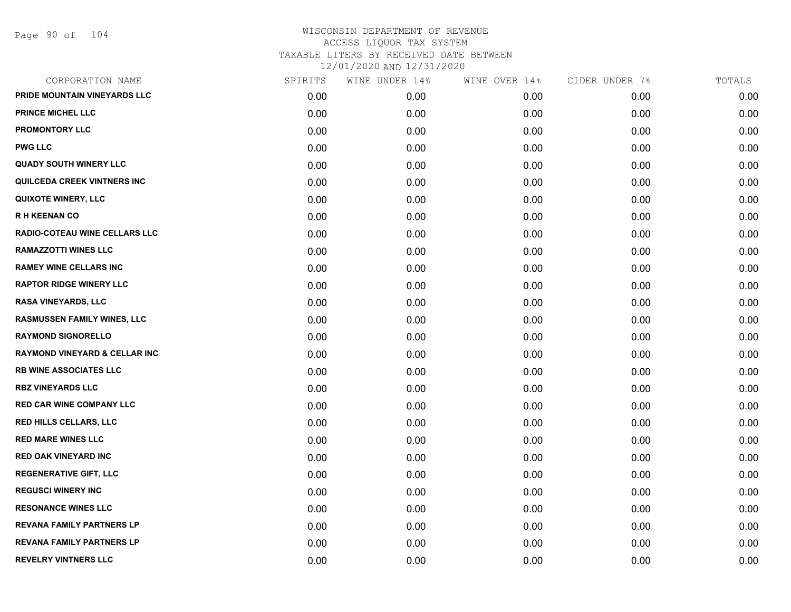| PRIDE MOUNTAIN VINEYARDS LLC<br>0.00<br>0.00<br>0.00<br>0.00<br><b>PRINCE MICHEL LLC</b><br>0.00<br>0.00<br>0.00<br>0.00<br><b>PROMONTORY LLC</b><br>0.00<br>0.00<br>0.00<br>0.00<br><b>PWG LLC</b><br>0.00<br>0.00<br>0.00<br>0.00<br><b>QUADY SOUTH WINERY LLC</b><br>0.00<br>0.00<br>0.00<br>0.00<br>QUILCEDA CREEK VINTNERS INC<br>0.00<br>0.00<br>0.00<br>0.00<br><b>QUIXOTE WINERY, LLC</b><br>0.00<br>0.00<br>0.00<br>0.00<br><b>RH KEENAN CO</b><br>0.00<br>0.00<br>0.00<br>0.00<br>RADIO-COTEAU WINE CELLARS LLC<br>0.00<br>0.00<br>0.00<br>0.00<br><b>RAMAZZOTTI WINES LLC</b><br>0.00<br>0.00<br>0.00<br>0.00<br><b>RAMEY WINE CELLARS INC</b><br>0.00<br>0.00<br>0.00<br>0.00<br><b>RAPTOR RIDGE WINERY LLC</b><br>0.00<br>0.00<br>0.00<br>0.00<br><b>RASA VINEYARDS, LLC</b><br>0.00<br>0.00<br>0.00<br>0.00<br><b>RASMUSSEN FAMILY WINES, LLC</b><br>0.00<br>0.00<br>0.00<br>0.00<br><b>RAYMOND SIGNORELLO</b><br>0.00<br>0.00<br>0.00<br>0.00<br><b>RAYMOND VINEYARD &amp; CELLAR INC</b><br>0.00<br>0.00<br>0.00<br>0.00<br><b>RB WINE ASSOCIATES LLC</b><br>0.00<br>0.00<br>0.00<br>0.00<br><b>RBZ VINEYARDS LLC</b><br>0.00<br>0.00<br>0.00<br>0.00<br><b>RED CAR WINE COMPANY LLC</b><br>0.00<br>0.00<br>0.00<br>0.00<br><b>RED HILLS CELLARS, LLC</b><br>0.00<br>0.00<br>0.00<br>0.00<br><b>RED MARE WINES LLC</b><br>0.00<br>0.00<br>0.00<br>0.00<br><b>RED OAK VINEYARD INC</b><br>0.00<br>0.00<br>0.00<br>0.00<br><b>REGENERATIVE GIFT, LLC</b><br>0.00<br>0.00<br>0.00<br>0.00<br><b>REGUSCI WINERY INC</b><br>0.00<br>0.00<br>0.00<br>0.00<br><b>RESONANCE WINES LLC</b><br>0.00<br>0.00<br>0.00<br>0.00<br><b>REVANA FAMILY PARTNERS LP</b><br>0.00<br>0.00<br>0.00<br>0.00<br><b>REVANA FAMILY PARTNERS LP</b><br>0.00<br>0.00<br>0.00<br>0.00<br><b>REVELRY VINTNERS LLC</b><br>0.00<br>0.00<br>0.00<br>0.00 | CORPORATION NAME | SPIRITS | WINE UNDER 14% | WINE OVER 14% | CIDER UNDER 7% | TOTALS |
|------------------------------------------------------------------------------------------------------------------------------------------------------------------------------------------------------------------------------------------------------------------------------------------------------------------------------------------------------------------------------------------------------------------------------------------------------------------------------------------------------------------------------------------------------------------------------------------------------------------------------------------------------------------------------------------------------------------------------------------------------------------------------------------------------------------------------------------------------------------------------------------------------------------------------------------------------------------------------------------------------------------------------------------------------------------------------------------------------------------------------------------------------------------------------------------------------------------------------------------------------------------------------------------------------------------------------------------------------------------------------------------------------------------------------------------------------------------------------------------------------------------------------------------------------------------------------------------------------------------------------------------------------------------------------------------------------------------------------------------------------------------------------------------------------------------------------------------|------------------|---------|----------------|---------------|----------------|--------|
|                                                                                                                                                                                                                                                                                                                                                                                                                                                                                                                                                                                                                                                                                                                                                                                                                                                                                                                                                                                                                                                                                                                                                                                                                                                                                                                                                                                                                                                                                                                                                                                                                                                                                                                                                                                                                                          |                  |         |                |               |                | 0.00   |
|                                                                                                                                                                                                                                                                                                                                                                                                                                                                                                                                                                                                                                                                                                                                                                                                                                                                                                                                                                                                                                                                                                                                                                                                                                                                                                                                                                                                                                                                                                                                                                                                                                                                                                                                                                                                                                          |                  |         |                |               |                | 0.00   |
|                                                                                                                                                                                                                                                                                                                                                                                                                                                                                                                                                                                                                                                                                                                                                                                                                                                                                                                                                                                                                                                                                                                                                                                                                                                                                                                                                                                                                                                                                                                                                                                                                                                                                                                                                                                                                                          |                  |         |                |               |                | 0.00   |
|                                                                                                                                                                                                                                                                                                                                                                                                                                                                                                                                                                                                                                                                                                                                                                                                                                                                                                                                                                                                                                                                                                                                                                                                                                                                                                                                                                                                                                                                                                                                                                                                                                                                                                                                                                                                                                          |                  |         |                |               |                | 0.00   |
|                                                                                                                                                                                                                                                                                                                                                                                                                                                                                                                                                                                                                                                                                                                                                                                                                                                                                                                                                                                                                                                                                                                                                                                                                                                                                                                                                                                                                                                                                                                                                                                                                                                                                                                                                                                                                                          |                  |         |                |               |                | 0.00   |
|                                                                                                                                                                                                                                                                                                                                                                                                                                                                                                                                                                                                                                                                                                                                                                                                                                                                                                                                                                                                                                                                                                                                                                                                                                                                                                                                                                                                                                                                                                                                                                                                                                                                                                                                                                                                                                          |                  |         |                |               |                | 0.00   |
|                                                                                                                                                                                                                                                                                                                                                                                                                                                                                                                                                                                                                                                                                                                                                                                                                                                                                                                                                                                                                                                                                                                                                                                                                                                                                                                                                                                                                                                                                                                                                                                                                                                                                                                                                                                                                                          |                  |         |                |               |                | 0.00   |
|                                                                                                                                                                                                                                                                                                                                                                                                                                                                                                                                                                                                                                                                                                                                                                                                                                                                                                                                                                                                                                                                                                                                                                                                                                                                                                                                                                                                                                                                                                                                                                                                                                                                                                                                                                                                                                          |                  |         |                |               |                | 0.00   |
|                                                                                                                                                                                                                                                                                                                                                                                                                                                                                                                                                                                                                                                                                                                                                                                                                                                                                                                                                                                                                                                                                                                                                                                                                                                                                                                                                                                                                                                                                                                                                                                                                                                                                                                                                                                                                                          |                  |         |                |               |                | 0.00   |
|                                                                                                                                                                                                                                                                                                                                                                                                                                                                                                                                                                                                                                                                                                                                                                                                                                                                                                                                                                                                                                                                                                                                                                                                                                                                                                                                                                                                                                                                                                                                                                                                                                                                                                                                                                                                                                          |                  |         |                |               |                | 0.00   |
|                                                                                                                                                                                                                                                                                                                                                                                                                                                                                                                                                                                                                                                                                                                                                                                                                                                                                                                                                                                                                                                                                                                                                                                                                                                                                                                                                                                                                                                                                                                                                                                                                                                                                                                                                                                                                                          |                  |         |                |               |                | 0.00   |
|                                                                                                                                                                                                                                                                                                                                                                                                                                                                                                                                                                                                                                                                                                                                                                                                                                                                                                                                                                                                                                                                                                                                                                                                                                                                                                                                                                                                                                                                                                                                                                                                                                                                                                                                                                                                                                          |                  |         |                |               |                | 0.00   |
|                                                                                                                                                                                                                                                                                                                                                                                                                                                                                                                                                                                                                                                                                                                                                                                                                                                                                                                                                                                                                                                                                                                                                                                                                                                                                                                                                                                                                                                                                                                                                                                                                                                                                                                                                                                                                                          |                  |         |                |               |                | 0.00   |
|                                                                                                                                                                                                                                                                                                                                                                                                                                                                                                                                                                                                                                                                                                                                                                                                                                                                                                                                                                                                                                                                                                                                                                                                                                                                                                                                                                                                                                                                                                                                                                                                                                                                                                                                                                                                                                          |                  |         |                |               |                | 0.00   |
|                                                                                                                                                                                                                                                                                                                                                                                                                                                                                                                                                                                                                                                                                                                                                                                                                                                                                                                                                                                                                                                                                                                                                                                                                                                                                                                                                                                                                                                                                                                                                                                                                                                                                                                                                                                                                                          |                  |         |                |               |                | 0.00   |
|                                                                                                                                                                                                                                                                                                                                                                                                                                                                                                                                                                                                                                                                                                                                                                                                                                                                                                                                                                                                                                                                                                                                                                                                                                                                                                                                                                                                                                                                                                                                                                                                                                                                                                                                                                                                                                          |                  |         |                |               |                | 0.00   |
|                                                                                                                                                                                                                                                                                                                                                                                                                                                                                                                                                                                                                                                                                                                                                                                                                                                                                                                                                                                                                                                                                                                                                                                                                                                                                                                                                                                                                                                                                                                                                                                                                                                                                                                                                                                                                                          |                  |         |                |               |                | 0.00   |
|                                                                                                                                                                                                                                                                                                                                                                                                                                                                                                                                                                                                                                                                                                                                                                                                                                                                                                                                                                                                                                                                                                                                                                                                                                                                                                                                                                                                                                                                                                                                                                                                                                                                                                                                                                                                                                          |                  |         |                |               |                | 0.00   |
|                                                                                                                                                                                                                                                                                                                                                                                                                                                                                                                                                                                                                                                                                                                                                                                                                                                                                                                                                                                                                                                                                                                                                                                                                                                                                                                                                                                                                                                                                                                                                                                                                                                                                                                                                                                                                                          |                  |         |                |               |                | 0.00   |
|                                                                                                                                                                                                                                                                                                                                                                                                                                                                                                                                                                                                                                                                                                                                                                                                                                                                                                                                                                                                                                                                                                                                                                                                                                                                                                                                                                                                                                                                                                                                                                                                                                                                                                                                                                                                                                          |                  |         |                |               |                | 0.00   |
|                                                                                                                                                                                                                                                                                                                                                                                                                                                                                                                                                                                                                                                                                                                                                                                                                                                                                                                                                                                                                                                                                                                                                                                                                                                                                                                                                                                                                                                                                                                                                                                                                                                                                                                                                                                                                                          |                  |         |                |               |                | 0.00   |
|                                                                                                                                                                                                                                                                                                                                                                                                                                                                                                                                                                                                                                                                                                                                                                                                                                                                                                                                                                                                                                                                                                                                                                                                                                                                                                                                                                                                                                                                                                                                                                                                                                                                                                                                                                                                                                          |                  |         |                |               |                | 0.00   |
|                                                                                                                                                                                                                                                                                                                                                                                                                                                                                                                                                                                                                                                                                                                                                                                                                                                                                                                                                                                                                                                                                                                                                                                                                                                                                                                                                                                                                                                                                                                                                                                                                                                                                                                                                                                                                                          |                  |         |                |               |                | 0.00   |
|                                                                                                                                                                                                                                                                                                                                                                                                                                                                                                                                                                                                                                                                                                                                                                                                                                                                                                                                                                                                                                                                                                                                                                                                                                                                                                                                                                                                                                                                                                                                                                                                                                                                                                                                                                                                                                          |                  |         |                |               |                | 0.00   |
|                                                                                                                                                                                                                                                                                                                                                                                                                                                                                                                                                                                                                                                                                                                                                                                                                                                                                                                                                                                                                                                                                                                                                                                                                                                                                                                                                                                                                                                                                                                                                                                                                                                                                                                                                                                                                                          |                  |         |                |               |                | 0.00   |
|                                                                                                                                                                                                                                                                                                                                                                                                                                                                                                                                                                                                                                                                                                                                                                                                                                                                                                                                                                                                                                                                                                                                                                                                                                                                                                                                                                                                                                                                                                                                                                                                                                                                                                                                                                                                                                          |                  |         |                |               |                | 0.00   |
|                                                                                                                                                                                                                                                                                                                                                                                                                                                                                                                                                                                                                                                                                                                                                                                                                                                                                                                                                                                                                                                                                                                                                                                                                                                                                                                                                                                                                                                                                                                                                                                                                                                                                                                                                                                                                                          |                  |         |                |               |                | 0.00   |
|                                                                                                                                                                                                                                                                                                                                                                                                                                                                                                                                                                                                                                                                                                                                                                                                                                                                                                                                                                                                                                                                                                                                                                                                                                                                                                                                                                                                                                                                                                                                                                                                                                                                                                                                                                                                                                          |                  |         |                |               |                | 0.00   |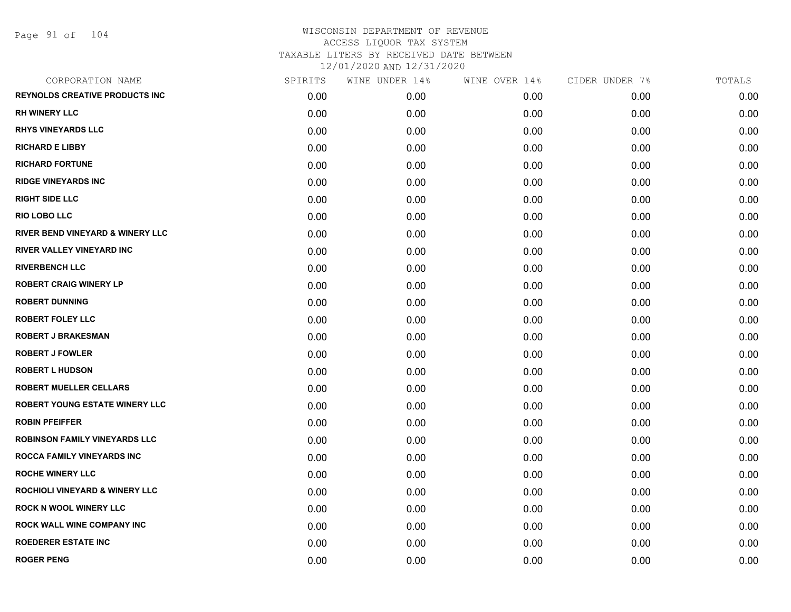Page 91 of 104

| CORPORATION NAME                            | SPIRITS | WINE UNDER 14% | WINE OVER 14% | CIDER UNDER 7% | TOTALS |
|---------------------------------------------|---------|----------------|---------------|----------------|--------|
| <b>REYNOLDS CREATIVE PRODUCTS INC</b>       | 0.00    | 0.00           | 0.00          | 0.00           | 0.00   |
| <b>RH WINERY LLC</b>                        | 0.00    | 0.00           | 0.00          | 0.00           | 0.00   |
| <b>RHYS VINEYARDS LLC</b>                   | 0.00    | 0.00           | 0.00          | 0.00           | 0.00   |
| <b>RICHARD E LIBBY</b>                      | 0.00    | 0.00           | 0.00          | 0.00           | 0.00   |
| <b>RICHARD FORTUNE</b>                      | 0.00    | 0.00           | 0.00          | 0.00           | 0.00   |
| <b>RIDGE VINEYARDS INC</b>                  | 0.00    | 0.00           | 0.00          | 0.00           | 0.00   |
| <b>RIGHT SIDE LLC</b>                       | 0.00    | 0.00           | 0.00          | 0.00           | 0.00   |
| <b>RIO LOBO LLC</b>                         | 0.00    | 0.00           | 0.00          | 0.00           | 0.00   |
| <b>RIVER BEND VINEYARD &amp; WINERY LLC</b> | 0.00    | 0.00           | 0.00          | 0.00           | 0.00   |
| <b>RIVER VALLEY VINEYARD INC</b>            | 0.00    | 0.00           | 0.00          | 0.00           | 0.00   |
| <b>RIVERBENCH LLC</b>                       | 0.00    | 0.00           | 0.00          | 0.00           | 0.00   |
| <b>ROBERT CRAIG WINERY LP</b>               | 0.00    | 0.00           | 0.00          | 0.00           | 0.00   |
| <b>ROBERT DUNNING</b>                       | 0.00    | 0.00           | 0.00          | 0.00           | 0.00   |
| <b>ROBERT FOLEY LLC</b>                     | 0.00    | 0.00           | 0.00          | 0.00           | 0.00   |
| <b>ROBERT J BRAKESMAN</b>                   | 0.00    | 0.00           | 0.00          | 0.00           | 0.00   |
| <b>ROBERT J FOWLER</b>                      | 0.00    | 0.00           | 0.00          | 0.00           | 0.00   |
| <b>ROBERT L HUDSON</b>                      | 0.00    | 0.00           | 0.00          | 0.00           | 0.00   |
| <b>ROBERT MUELLER CELLARS</b>               | 0.00    | 0.00           | 0.00          | 0.00           | 0.00   |
| <b>ROBERT YOUNG ESTATE WINERY LLC</b>       | 0.00    | 0.00           | 0.00          | 0.00           | 0.00   |
| <b>ROBIN PFEIFFER</b>                       | 0.00    | 0.00           | 0.00          | 0.00           | 0.00   |
| <b>ROBINSON FAMILY VINEYARDS LLC</b>        | 0.00    | 0.00           | 0.00          | 0.00           | 0.00   |
| ROCCA FAMILY VINEYARDS INC                  | 0.00    | 0.00           | 0.00          | 0.00           | 0.00   |
| <b>ROCHE WINERY LLC</b>                     | 0.00    | 0.00           | 0.00          | 0.00           | 0.00   |
| <b>ROCHIOLI VINEYARD &amp; WINERY LLC</b>   | 0.00    | 0.00           | 0.00          | 0.00           | 0.00   |
| <b>ROCK N WOOL WINERY LLC</b>               | 0.00    | 0.00           | 0.00          | 0.00           | 0.00   |
| <b>ROCK WALL WINE COMPANY INC</b>           | 0.00    | 0.00           | 0.00          | 0.00           | 0.00   |
| <b>ROEDERER ESTATE INC</b>                  | 0.00    | 0.00           | 0.00          | 0.00           | 0.00   |
| <b>ROGER PENG</b>                           | 0.00    | 0.00           | 0.00          | 0.00           | 0.00   |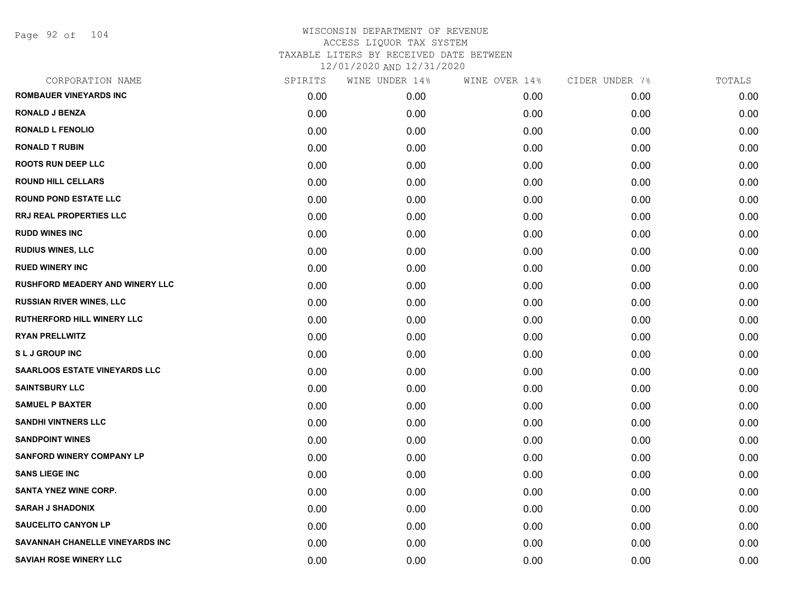Page 92 of 104

| CORPORATION NAME                       | SPIRITS | WINE UNDER 14% | WINE OVER 14% | CIDER UNDER 7% | TOTALS |
|----------------------------------------|---------|----------------|---------------|----------------|--------|
| <b>ROMBAUER VINEYARDS INC</b>          | 0.00    | 0.00           | 0.00          | 0.00           | 0.00   |
| <b>RONALD J BENZA</b>                  | 0.00    | 0.00           | 0.00          | 0.00           | 0.00   |
| <b>RONALD L FENOLIO</b>                | 0.00    | 0.00           | 0.00          | 0.00           | 0.00   |
| <b>RONALD T RUBIN</b>                  | 0.00    | 0.00           | 0.00          | 0.00           | 0.00   |
| <b>ROOTS RUN DEEP LLC</b>              | 0.00    | 0.00           | 0.00          | 0.00           | 0.00   |
| <b>ROUND HILL CELLARS</b>              | 0.00    | 0.00           | 0.00          | 0.00           | 0.00   |
| <b>ROUND POND ESTATE LLC</b>           | 0.00    | 0.00           | 0.00          | 0.00           | 0.00   |
| <b>RRJ REAL PROPERTIES LLC</b>         | 0.00    | 0.00           | 0.00          | 0.00           | 0.00   |
| <b>RUDD WINES INC</b>                  | 0.00    | 0.00           | 0.00          | 0.00           | 0.00   |
| <b>RUDIUS WINES, LLC</b>               | 0.00    | 0.00           | 0.00          | 0.00           | 0.00   |
| <b>RUED WINERY INC</b>                 | 0.00    | 0.00           | 0.00          | 0.00           | 0.00   |
| <b>RUSHFORD MEADERY AND WINERY LLC</b> | 0.00    | 0.00           | 0.00          | 0.00           | 0.00   |
| <b>RUSSIAN RIVER WINES, LLC</b>        | 0.00    | 0.00           | 0.00          | 0.00           | 0.00   |
| <b>RUTHERFORD HILL WINERY LLC</b>      | 0.00    | 0.00           | 0.00          | 0.00           | 0.00   |
| <b>RYAN PRELLWITZ</b>                  | 0.00    | 0.00           | 0.00          | 0.00           | 0.00   |
| <b>SLJ GROUP INC</b>                   | 0.00    | 0.00           | 0.00          | 0.00           | 0.00   |
| <b>SAARLOOS ESTATE VINEYARDS LLC</b>   | 0.00    | 0.00           | 0.00          | 0.00           | 0.00   |
| <b>SAINTSBURY LLC</b>                  | 0.00    | 0.00           | 0.00          | 0.00           | 0.00   |
| <b>SAMUEL P BAXTER</b>                 | 0.00    | 0.00           | 0.00          | 0.00           | 0.00   |
| <b>SANDHI VINTNERS LLC</b>             | 0.00    | 0.00           | 0.00          | 0.00           | 0.00   |
| <b>SANDPOINT WINES</b>                 | 0.00    | 0.00           | 0.00          | 0.00           | 0.00   |
| <b>SANFORD WINERY COMPANY LP</b>       | 0.00    | 0.00           | 0.00          | 0.00           | 0.00   |
| <b>SANS LIEGE INC</b>                  | 0.00    | 0.00           | 0.00          | 0.00           | 0.00   |
| <b>SANTA YNEZ WINE CORP.</b>           | 0.00    | 0.00           | 0.00          | 0.00           | 0.00   |
| <b>SARAH J SHADONIX</b>                | 0.00    | 0.00           | 0.00          | 0.00           | 0.00   |
| <b>SAUCELITO CANYON LP</b>             | 0.00    | 0.00           | 0.00          | 0.00           | 0.00   |
| SAVANNAH CHANELLE VINEYARDS INC        | 0.00    | 0.00           | 0.00          | 0.00           | 0.00   |
| <b>SAVIAH ROSE WINERY LLC</b>          | 0.00    | 0.00           | 0.00          | 0.00           | 0.00   |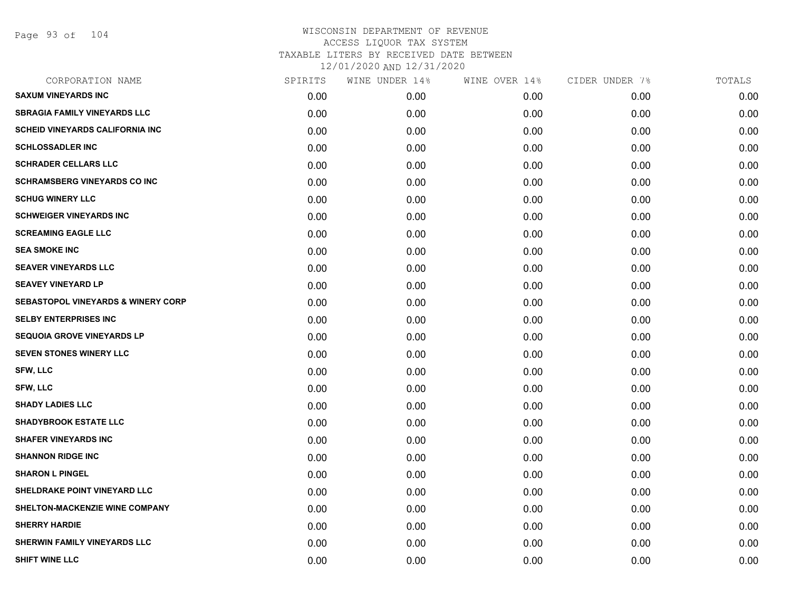Page 93 of 104

| CORPORATION NAME                              | SPIRITS | WINE UNDER 14% | WINE OVER 14% | CIDER UNDER 7% | TOTALS |
|-----------------------------------------------|---------|----------------|---------------|----------------|--------|
| <b>SAXUM VINEYARDS INC</b>                    | 0.00    | 0.00           | 0.00          | 0.00           | 0.00   |
| <b>SBRAGIA FAMILY VINEYARDS LLC</b>           | 0.00    | 0.00           | 0.00          | 0.00           | 0.00   |
| <b>SCHEID VINEYARDS CALIFORNIA INC</b>        | 0.00    | 0.00           | 0.00          | 0.00           | 0.00   |
| <b>SCHLOSSADLER INC</b>                       | 0.00    | 0.00           | 0.00          | 0.00           | 0.00   |
| <b>SCHRADER CELLARS LLC</b>                   | 0.00    | 0.00           | 0.00          | 0.00           | 0.00   |
| <b>SCHRAMSBERG VINEYARDS CO INC</b>           | 0.00    | 0.00           | 0.00          | 0.00           | 0.00   |
| <b>SCHUG WINERY LLC</b>                       | 0.00    | 0.00           | 0.00          | 0.00           | 0.00   |
| <b>SCHWEIGER VINEYARDS INC</b>                | 0.00    | 0.00           | 0.00          | 0.00           | 0.00   |
| <b>SCREAMING EAGLE LLC</b>                    | 0.00    | 0.00           | 0.00          | 0.00           | 0.00   |
| <b>SEA SMOKE INC</b>                          | 0.00    | 0.00           | 0.00          | 0.00           | 0.00   |
| <b>SEAVER VINEYARDS LLC</b>                   | 0.00    | 0.00           | 0.00          | 0.00           | 0.00   |
| <b>SEAVEY VINEYARD LP</b>                     | 0.00    | 0.00           | 0.00          | 0.00           | 0.00   |
| <b>SEBASTOPOL VINEYARDS &amp; WINERY CORP</b> | 0.00    | 0.00           | 0.00          | 0.00           | 0.00   |
| <b>SELBY ENTERPRISES INC</b>                  | 0.00    | 0.00           | 0.00          | 0.00           | 0.00   |
| <b>SEQUOIA GROVE VINEYARDS LP</b>             | 0.00    | 0.00           | 0.00          | 0.00           | 0.00   |
| SEVEN STONES WINERY LLC                       | 0.00    | 0.00           | 0.00          | 0.00           | 0.00   |
| <b>SFW, LLC</b>                               | 0.00    | 0.00           | 0.00          | 0.00           | 0.00   |
| <b>SFW, LLC</b>                               | 0.00    | 0.00           | 0.00          | 0.00           | 0.00   |
| <b>SHADY LADIES LLC</b>                       | 0.00    | 0.00           | 0.00          | 0.00           | 0.00   |
| <b>SHADYBROOK ESTATE LLC</b>                  | 0.00    | 0.00           | 0.00          | 0.00           | 0.00   |
| <b>SHAFER VINEYARDS INC</b>                   | 0.00    | 0.00           | 0.00          | 0.00           | 0.00   |
| <b>SHANNON RIDGE INC</b>                      | 0.00    | 0.00           | 0.00          | 0.00           | 0.00   |
| <b>SHARON L PINGEL</b>                        | 0.00    | 0.00           | 0.00          | 0.00           | 0.00   |
| SHELDRAKE POINT VINEYARD LLC                  | 0.00    | 0.00           | 0.00          | 0.00           | 0.00   |
| SHELTON-MACKENZIE WINE COMPANY                | 0.00    | 0.00           | 0.00          | 0.00           | 0.00   |
| <b>SHERRY HARDIE</b>                          | 0.00    | 0.00           | 0.00          | 0.00           | 0.00   |
| SHERWIN FAMILY VINEYARDS LLC                  | 0.00    | 0.00           | 0.00          | 0.00           | 0.00   |
| <b>SHIFT WINE LLC</b>                         | 0.00    | 0.00           | 0.00          | 0.00           | 0.00   |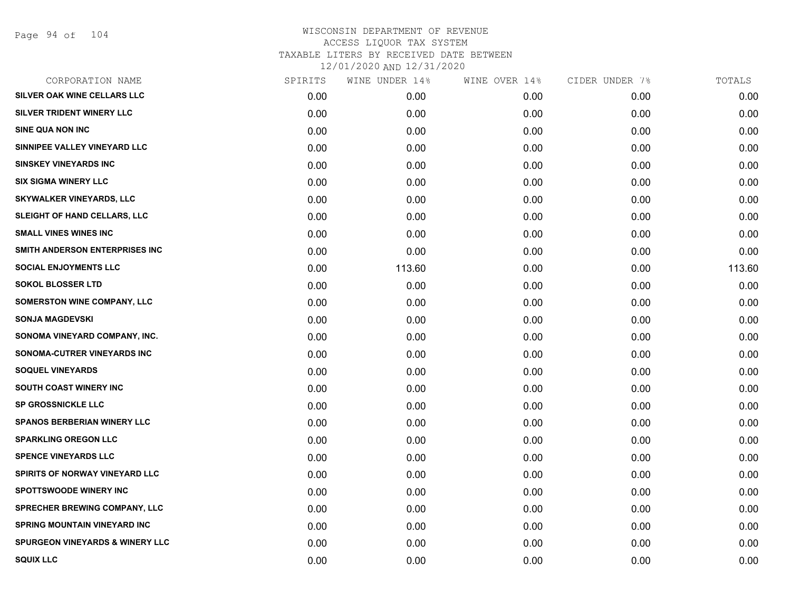| SPIRITS | WINE UNDER 14% | WINE OVER 14% | CIDER UNDER 7% | TOTALS |
|---------|----------------|---------------|----------------|--------|
| 0.00    | 0.00           | 0.00          | 0.00           | 0.00   |
| 0.00    | 0.00           | 0.00          | 0.00           | 0.00   |
| 0.00    | 0.00           | 0.00          | 0.00           | 0.00   |
| 0.00    | 0.00           | 0.00          | 0.00           | 0.00   |
| 0.00    | 0.00           | 0.00          | 0.00           | 0.00   |
| 0.00    | 0.00           | 0.00          | 0.00           | 0.00   |
| 0.00    | 0.00           | 0.00          | 0.00           | 0.00   |
| 0.00    | 0.00           | 0.00          | 0.00           | 0.00   |
| 0.00    | 0.00           | 0.00          | 0.00           | 0.00   |
| 0.00    | 0.00           | 0.00          | 0.00           | 0.00   |
| 0.00    | 113.60         | 0.00          | 0.00           | 113.60 |
| 0.00    | 0.00           | 0.00          | 0.00           | 0.00   |
| 0.00    | 0.00           | 0.00          | 0.00           | 0.00   |
| 0.00    | 0.00           | 0.00          | 0.00           | 0.00   |
| 0.00    | 0.00           | 0.00          | 0.00           | 0.00   |
| 0.00    | 0.00           | 0.00          | 0.00           | 0.00   |
| 0.00    | 0.00           | 0.00          | 0.00           | 0.00   |
| 0.00    | 0.00           | 0.00          | 0.00           | 0.00   |
| 0.00    | 0.00           | 0.00          | 0.00           | 0.00   |
| 0.00    | 0.00           | 0.00          | 0.00           | 0.00   |
| 0.00    | 0.00           | 0.00          | 0.00           | 0.00   |
| 0.00    | 0.00           | 0.00          | 0.00           | 0.00   |
| 0.00    | 0.00           | 0.00          | 0.00           | 0.00   |
| 0.00    | 0.00           | 0.00          | 0.00           | 0.00   |
| 0.00    | 0.00           | 0.00          | 0.00           | 0.00   |
| 0.00    | 0.00           | 0.00          | 0.00           | 0.00   |
| 0.00    | 0.00           | 0.00          | 0.00           | 0.00   |
| 0.00    | 0.00           | 0.00          | 0.00           | 0.00   |
|         |                |               |                |        |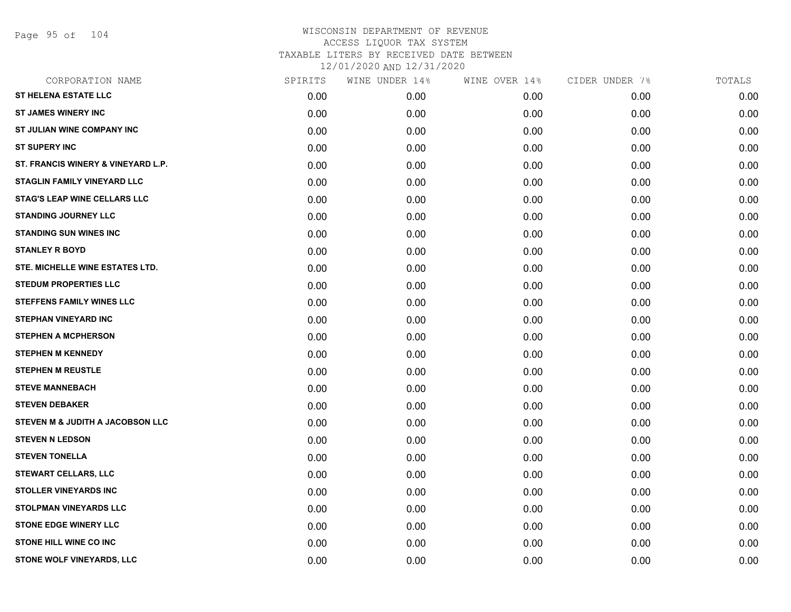Page 95 of 104

| CORPORATION NAME                    | SPIRITS | WINE UNDER 14% | WINE OVER 14% | CIDER UNDER 7% | TOTALS |
|-------------------------------------|---------|----------------|---------------|----------------|--------|
| <b>ST HELENA ESTATE LLC</b>         | 0.00    | 0.00           | 0.00          | 0.00           | 0.00   |
| <b>ST JAMES WINERY INC</b>          | 0.00    | 0.00           | 0.00          | 0.00           | 0.00   |
| ST JULIAN WINE COMPANY INC          | 0.00    | 0.00           | 0.00          | 0.00           | 0.00   |
| <b>ST SUPERY INC</b>                | 0.00    | 0.00           | 0.00          | 0.00           | 0.00   |
| ST. FRANCIS WINERY & VINEYARD L.P.  | 0.00    | 0.00           | 0.00          | 0.00           | 0.00   |
| <b>STAGLIN FAMILY VINEYARD LLC</b>  | 0.00    | 0.00           | 0.00          | 0.00           | 0.00   |
| <b>STAG'S LEAP WINE CELLARS LLC</b> | 0.00    | 0.00           | 0.00          | 0.00           | 0.00   |
| <b>STANDING JOURNEY LLC</b>         | 0.00    | 0.00           | 0.00          | 0.00           | 0.00   |
| <b>STANDING SUN WINES INC</b>       | 0.00    | 0.00           | 0.00          | 0.00           | 0.00   |
| <b>STANLEY R BOYD</b>               | 0.00    | 0.00           | 0.00          | 0.00           | 0.00   |
| STE. MICHELLE WINE ESTATES LTD.     | 0.00    | 0.00           | 0.00          | 0.00           | 0.00   |
| <b>STEDUM PROPERTIES LLC</b>        | 0.00    | 0.00           | 0.00          | 0.00           | 0.00   |
| <b>STEFFENS FAMILY WINES LLC</b>    | 0.00    | 0.00           | 0.00          | 0.00           | 0.00   |
| <b>STEPHAN VINEYARD INC</b>         | 0.00    | 0.00           | 0.00          | 0.00           | 0.00   |
| <b>STEPHEN A MCPHERSON</b>          | 0.00    | 0.00           | 0.00          | 0.00           | 0.00   |
| <b>STEPHEN M KENNEDY</b>            | 0.00    | 0.00           | 0.00          | 0.00           | 0.00   |
| <b>STEPHEN M REUSTLE</b>            | 0.00    | 0.00           | 0.00          | 0.00           | 0.00   |
| <b>STEVE MANNEBACH</b>              | 0.00    | 0.00           | 0.00          | 0.00           | 0.00   |
| <b>STEVEN DEBAKER</b>               | 0.00    | 0.00           | 0.00          | 0.00           | 0.00   |
| STEVEN M & JUDITH A JACOBSON LLC    | 0.00    | 0.00           | 0.00          | 0.00           | 0.00   |
| <b>STEVEN N LEDSON</b>              | 0.00    | 0.00           | 0.00          | 0.00           | 0.00   |
| <b>STEVEN TONELLA</b>               | 0.00    | 0.00           | 0.00          | 0.00           | 0.00   |
| <b>STEWART CELLARS, LLC</b>         | 0.00    | 0.00           | 0.00          | 0.00           | 0.00   |
| <b>STOLLER VINEYARDS INC</b>        | 0.00    | 0.00           | 0.00          | 0.00           | 0.00   |
| <b>STOLPMAN VINEYARDS LLC</b>       | 0.00    | 0.00           | 0.00          | 0.00           | 0.00   |
| <b>STONE EDGE WINERY LLC</b>        | 0.00    | 0.00           | 0.00          | 0.00           | 0.00   |
| <b>STONE HILL WINE CO INC</b>       | 0.00    | 0.00           | 0.00          | 0.00           | 0.00   |
| STONE WOLF VINEYARDS, LLC           | 0.00    | 0.00           | 0.00          | 0.00           | 0.00   |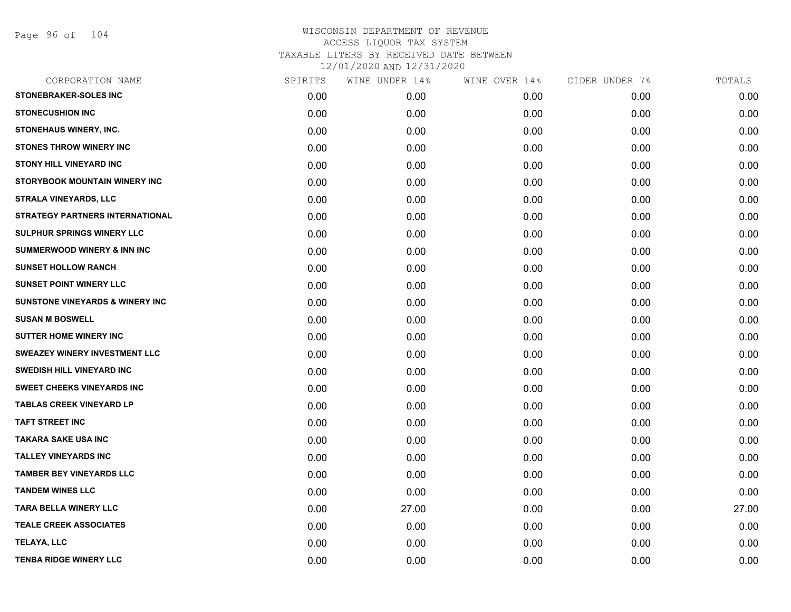Page 96 of 104

| CORPORATION NAME                           | SPIRITS | WINE UNDER 14% | WINE OVER 14% | CIDER UNDER 7% | TOTALS |
|--------------------------------------------|---------|----------------|---------------|----------------|--------|
| <b>STONEBRAKER-SOLES INC</b>               | 0.00    | 0.00           | 0.00          | 0.00           | 0.00   |
| <b>STONECUSHION INC</b>                    | 0.00    | 0.00           | 0.00          | 0.00           | 0.00   |
| STONEHAUS WINERY, INC.                     | 0.00    | 0.00           | 0.00          | 0.00           | 0.00   |
| <b>STONES THROW WINERY INC</b>             | 0.00    | 0.00           | 0.00          | 0.00           | 0.00   |
| <b>STONY HILL VINEYARD INC</b>             | 0.00    | 0.00           | 0.00          | 0.00           | 0.00   |
| STORYBOOK MOUNTAIN WINERY INC              | 0.00    | 0.00           | 0.00          | 0.00           | 0.00   |
| <b>STRALA VINEYARDS, LLC</b>               | 0.00    | 0.00           | 0.00          | 0.00           | 0.00   |
| STRATEGY PARTNERS INTERNATIONAL            | 0.00    | 0.00           | 0.00          | 0.00           | 0.00   |
| SULPHUR SPRINGS WINERY LLC                 | 0.00    | 0.00           | 0.00          | 0.00           | 0.00   |
| <b>SUMMERWOOD WINERY &amp; INN INC</b>     | 0.00    | 0.00           | 0.00          | 0.00           | 0.00   |
| <b>SUNSET HOLLOW RANCH</b>                 | 0.00    | 0.00           | 0.00          | 0.00           | 0.00   |
| <b>SUNSET POINT WINERY LLC</b>             | 0.00    | 0.00           | 0.00          | 0.00           | 0.00   |
| <b>SUNSTONE VINEYARDS &amp; WINERY INC</b> | 0.00    | 0.00           | 0.00          | 0.00           | 0.00   |
| <b>SUSAN M BOSWELL</b>                     | 0.00    | 0.00           | 0.00          | 0.00           | 0.00   |
| <b>SUTTER HOME WINERY INC.</b>             | 0.00    | 0.00           | 0.00          | 0.00           | 0.00   |
| SWEAZEY WINERY INVESTMENT LLC              | 0.00    | 0.00           | 0.00          | 0.00           | 0.00   |
| <b>SWEDISH HILL VINEYARD INC</b>           | 0.00    | 0.00           | 0.00          | 0.00           | 0.00   |
| <b>SWEET CHEEKS VINEYARDS INC</b>          | 0.00    | 0.00           | 0.00          | 0.00           | 0.00   |
| <b>TABLAS CREEK VINEYARD LP</b>            | 0.00    | 0.00           | 0.00          | 0.00           | 0.00   |
| <b>TAFT STREET INC</b>                     | 0.00    | 0.00           | 0.00          | 0.00           | 0.00   |
| <b>TAKARA SAKE USA INC</b>                 | 0.00    | 0.00           | 0.00          | 0.00           | 0.00   |
| <b>TALLEY VINEYARDS INC</b>                | 0.00    | 0.00           | 0.00          | 0.00           | 0.00   |
| <b>TAMBER BEY VINEYARDS LLC</b>            | 0.00    | 0.00           | 0.00          | 0.00           | 0.00   |
| <b>TANDEM WINES LLC</b>                    | 0.00    | 0.00           | 0.00          | 0.00           | 0.00   |
| <b>TARA BELLA WINERY LLC</b>               | 0.00    | 27.00          | 0.00          | 0.00           | 27.00  |
| <b>TEALE CREEK ASSOCIATES</b>              | 0.00    | 0.00           | 0.00          | 0.00           | 0.00   |
| <b>TELAYA, LLC</b>                         | 0.00    | 0.00           | 0.00          | 0.00           | 0.00   |
| <b>TENBA RIDGE WINERY LLC</b>              | 0.00    | 0.00           | 0.00          | 0.00           | 0.00   |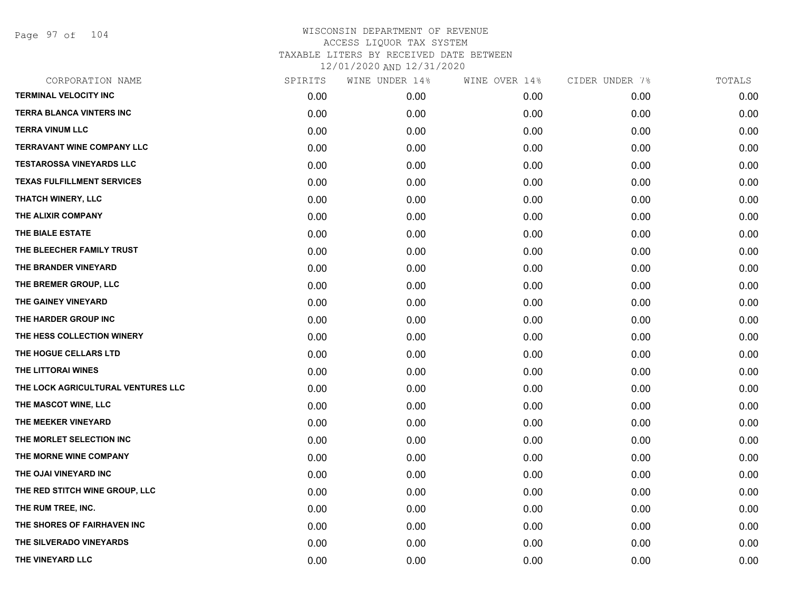Page 97 of 104

|      | WINE UNDER 14% | WINE OVER 14% | CIDER UNDER 7% | TOTALS |
|------|----------------|---------------|----------------|--------|
| 0.00 | 0.00           | 0.00          | 0.00           | 0.00   |
| 0.00 | 0.00           | 0.00          | 0.00           | 0.00   |
| 0.00 | 0.00           | 0.00          | 0.00           | 0.00   |
| 0.00 | 0.00           | 0.00          | 0.00           | 0.00   |
| 0.00 | 0.00           | 0.00          | 0.00           | 0.00   |
| 0.00 | 0.00           | 0.00          | 0.00           | 0.00   |
| 0.00 | 0.00           | 0.00          | 0.00           | 0.00   |
| 0.00 | 0.00           | 0.00          | 0.00           | 0.00   |
| 0.00 | 0.00           | 0.00          | 0.00           | 0.00   |
| 0.00 | 0.00           | 0.00          | 0.00           | 0.00   |
| 0.00 | 0.00           | 0.00          | 0.00           | 0.00   |
| 0.00 | 0.00           | 0.00          | 0.00           | 0.00   |
| 0.00 | 0.00           | 0.00          | 0.00           | 0.00   |
| 0.00 | 0.00           | 0.00          | 0.00           | 0.00   |
| 0.00 | 0.00           | 0.00          | 0.00           | 0.00   |
| 0.00 | 0.00           | 0.00          | 0.00           | 0.00   |
| 0.00 | 0.00           | 0.00          | 0.00           | 0.00   |
| 0.00 | 0.00           | 0.00          | 0.00           | 0.00   |
| 0.00 | 0.00           | 0.00          | 0.00           | 0.00   |
| 0.00 | 0.00           | 0.00          | 0.00           | 0.00   |
| 0.00 | 0.00           | 0.00          | 0.00           | 0.00   |
| 0.00 | 0.00           | 0.00          | 0.00           | 0.00   |
| 0.00 | 0.00           | 0.00          | 0.00           | 0.00   |
| 0.00 | 0.00           | 0.00          | 0.00           | 0.00   |
| 0.00 | 0.00           | 0.00          | 0.00           | 0.00   |
| 0.00 | 0.00           | 0.00          | 0.00           | 0.00   |
| 0.00 | 0.00           | 0.00          | 0.00           | 0.00   |
| 0.00 | 0.00           | 0.00          | 0.00           | 0.00   |
|      | SPIRITS        |               |                |        |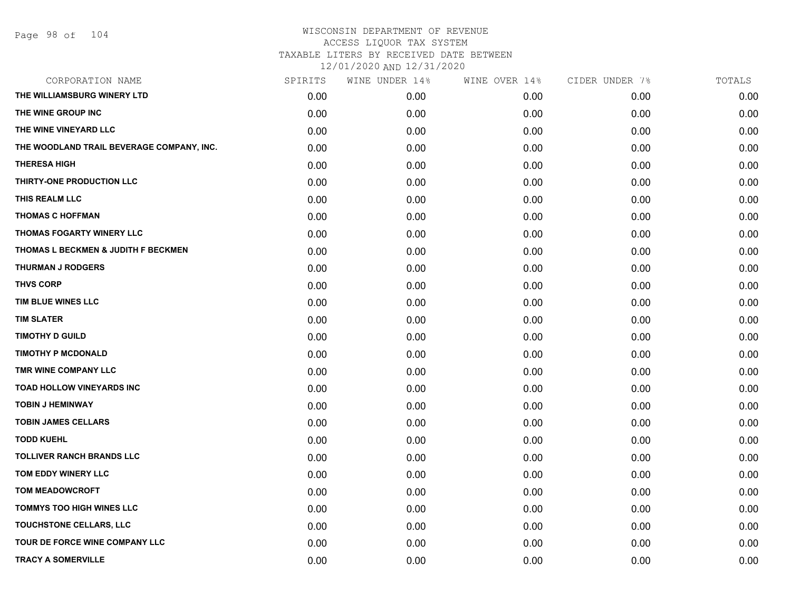| CORPORATION NAME                          | SPIRITS | WINE UNDER 14% | WINE OVER 14% | CIDER UNDER 7% | TOTALS |
|-------------------------------------------|---------|----------------|---------------|----------------|--------|
| THE WILLIAMSBURG WINERY LTD               | 0.00    | 0.00           | 0.00          | 0.00           | 0.00   |
| THE WINE GROUP INC                        | 0.00    | 0.00           | 0.00          | 0.00           | 0.00   |
| THE WINE VINEYARD LLC                     | 0.00    | 0.00           | 0.00          | 0.00           | 0.00   |
| THE WOODLAND TRAIL BEVERAGE COMPANY, INC. | 0.00    | 0.00           | 0.00          | 0.00           | 0.00   |
| <b>THERESA HIGH</b>                       | 0.00    | 0.00           | 0.00          | 0.00           | 0.00   |
| THIRTY-ONE PRODUCTION LLC                 | 0.00    | 0.00           | 0.00          | 0.00           | 0.00   |
| THIS REALM LLC                            | 0.00    | 0.00           | 0.00          | 0.00           | 0.00   |
| <b>THOMAS C HOFFMAN</b>                   | 0.00    | 0.00           | 0.00          | 0.00           | 0.00   |
| THOMAS FOGARTY WINERY LLC                 | 0.00    | 0.00           | 0.00          | 0.00           | 0.00   |
| THOMAS L BECKMEN & JUDITH F BECKMEN       | 0.00    | 0.00           | 0.00          | 0.00           | 0.00   |
| <b>THURMAN J RODGERS</b>                  | 0.00    | 0.00           | 0.00          | 0.00           | 0.00   |
| <b>THVS CORP</b>                          | 0.00    | 0.00           | 0.00          | 0.00           | 0.00   |
| TIM BLUE WINES LLC                        | 0.00    | 0.00           | 0.00          | 0.00           | 0.00   |
| <b>TIM SLATER</b>                         | 0.00    | 0.00           | 0.00          | 0.00           | 0.00   |
| <b>TIMOTHY D GUILD</b>                    | 0.00    | 0.00           | 0.00          | 0.00           | 0.00   |
| <b>TIMOTHY P MCDONALD</b>                 | 0.00    | 0.00           | 0.00          | 0.00           | 0.00   |
| TMR WINE COMPANY LLC                      | 0.00    | 0.00           | 0.00          | 0.00           | 0.00   |
| <b>TOAD HOLLOW VINEYARDS INC</b>          | 0.00    | 0.00           | 0.00          | 0.00           | 0.00   |
| <b>TOBIN J HEMINWAY</b>                   | 0.00    | 0.00           | 0.00          | 0.00           | 0.00   |
| <b>TOBIN JAMES CELLARS</b>                | 0.00    | 0.00           | 0.00          | 0.00           | 0.00   |
| <b>TODD KUEHL</b>                         | 0.00    | 0.00           | 0.00          | 0.00           | 0.00   |
| <b>TOLLIVER RANCH BRANDS LLC</b>          | 0.00    | 0.00           | 0.00          | 0.00           | 0.00   |
| TOM EDDY WINERY LLC                       | 0.00    | 0.00           | 0.00          | 0.00           | 0.00   |
| <b>TOM MEADOWCROFT</b>                    | 0.00    | 0.00           | 0.00          | 0.00           | 0.00   |
| TOMMYS TOO HIGH WINES LLC                 | 0.00    | 0.00           | 0.00          | 0.00           | 0.00   |
| TOUCHSTONE CELLARS, LLC                   | 0.00    | 0.00           | 0.00          | 0.00           | 0.00   |
| <b>TOUR DE FORCE WINE COMPANY LLC</b>     | 0.00    | 0.00           | 0.00          | 0.00           | 0.00   |
| <b>TRACY A SOMERVILLE</b>                 | 0.00    | 0.00           | 0.00          | 0.00           | 0.00   |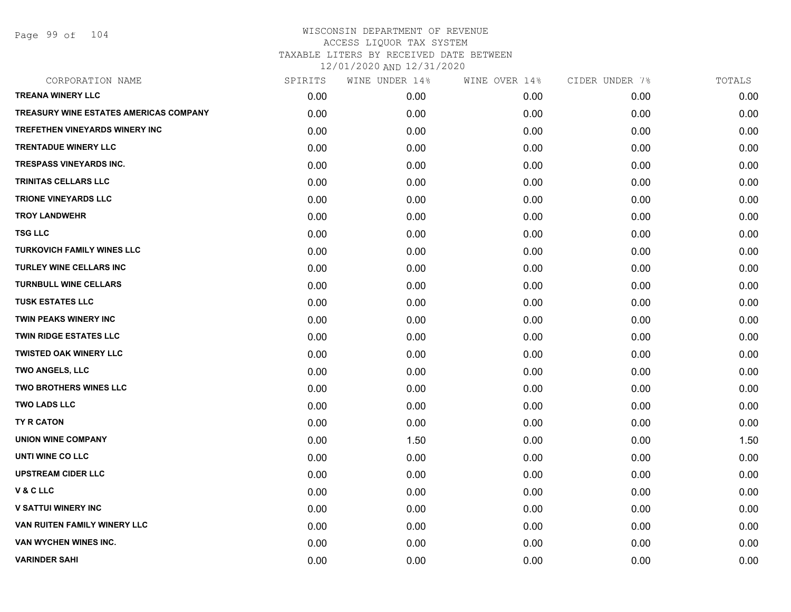Page 99 of 104

| CORPORATION NAME                       | SPIRITS | WINE UNDER 14% | WINE OVER 14% | CIDER UNDER 7% | TOTALS |
|----------------------------------------|---------|----------------|---------------|----------------|--------|
| <b>TREANA WINERY LLC</b>               | 0.00    | 0.00           | 0.00          | 0.00           | 0.00   |
| TREASURY WINE ESTATES AMERICAS COMPANY | 0.00    | 0.00           | 0.00          | 0.00           | 0.00   |
| TREFETHEN VINEYARDS WINERY INC         | 0.00    | 0.00           | 0.00          | 0.00           | 0.00   |
| <b>TRENTADUE WINERY LLC</b>            | 0.00    | 0.00           | 0.00          | 0.00           | 0.00   |
| <b>TRESPASS VINEYARDS INC.</b>         | 0.00    | 0.00           | 0.00          | 0.00           | 0.00   |
| <b>TRINITAS CELLARS LLC</b>            | 0.00    | 0.00           | 0.00          | 0.00           | 0.00   |
| <b>TRIONE VINEYARDS LLC</b>            | 0.00    | 0.00           | 0.00          | 0.00           | 0.00   |
| <b>TROY LANDWEHR</b>                   | 0.00    | 0.00           | 0.00          | 0.00           | 0.00   |
| <b>TSG LLC</b>                         | 0.00    | 0.00           | 0.00          | 0.00           | 0.00   |
| <b>TURKOVICH FAMILY WINES LLC</b>      | 0.00    | 0.00           | 0.00          | 0.00           | 0.00   |
| <b>TURLEY WINE CELLARS INC</b>         | 0.00    | 0.00           | 0.00          | 0.00           | 0.00   |
| <b>TURNBULL WINE CELLARS</b>           | 0.00    | 0.00           | 0.00          | 0.00           | 0.00   |
| <b>TUSK ESTATES LLC</b>                | 0.00    | 0.00           | 0.00          | 0.00           | 0.00   |
| <b>TWIN PEAKS WINERY INC</b>           | 0.00    | 0.00           | 0.00          | 0.00           | 0.00   |
| TWIN RIDGE ESTATES LLC                 | 0.00    | 0.00           | 0.00          | 0.00           | 0.00   |
| <b>TWISTED OAK WINERY LLC</b>          | 0.00    | 0.00           | 0.00          | 0.00           | 0.00   |
| <b>TWO ANGELS, LLC</b>                 | 0.00    | 0.00           | 0.00          | 0.00           | 0.00   |
| <b>TWO BROTHERS WINES LLC</b>          | 0.00    | 0.00           | 0.00          | 0.00           | 0.00   |
| <b>TWO LADS LLC</b>                    | 0.00    | 0.00           | 0.00          | 0.00           | 0.00   |
| TY R CATON                             | 0.00    | 0.00           | 0.00          | 0.00           | 0.00   |
| <b>UNION WINE COMPANY</b>              | 0.00    | 1.50           | 0.00          | 0.00           | 1.50   |
| <b>UNTI WINE CO LLC</b>                | 0.00    | 0.00           | 0.00          | 0.00           | 0.00   |
| <b>UPSTREAM CIDER LLC</b>              | 0.00    | 0.00           | 0.00          | 0.00           | 0.00   |
| <b>V&amp;CLLC</b>                      | 0.00    | 0.00           | 0.00          | 0.00           | 0.00   |
| <b>V SATTUI WINERY INC</b>             | 0.00    | 0.00           | 0.00          | 0.00           | 0.00   |
| VAN RUITEN FAMILY WINERY LLC           | 0.00    | 0.00           | 0.00          | 0.00           | 0.00   |
| VAN WYCHEN WINES INC.                  | 0.00    | 0.00           | 0.00          | 0.00           | 0.00   |
| <b>VARINDER SAHI</b>                   | 0.00    | 0.00           | 0.00          | 0.00           | 0.00   |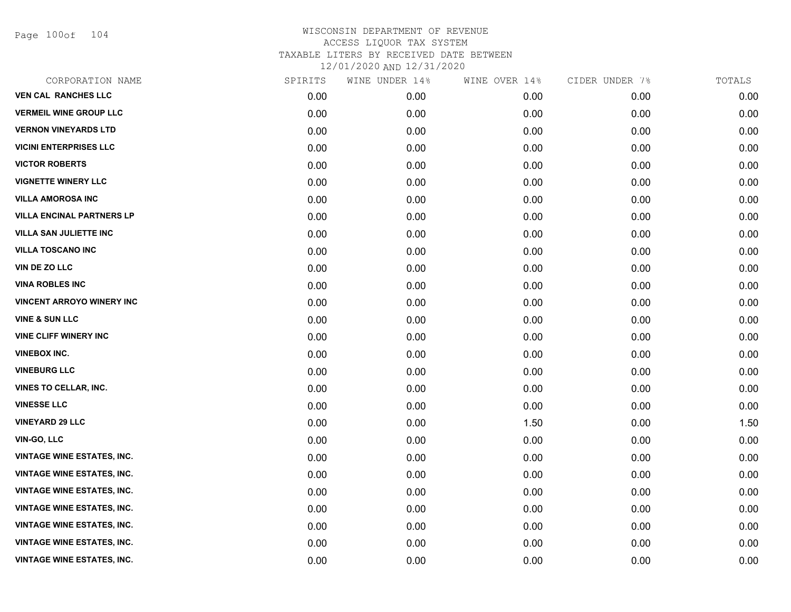Page 100of 104

| CORPORATION NAME                  | SPIRITS | WINE UNDER 14% | WINE OVER 14% | CIDER UNDER 7% | TOTALS |
|-----------------------------------|---------|----------------|---------------|----------------|--------|
| <b>VEN CAL RANCHES LLC</b>        | 0.00    | 0.00           | 0.00          | 0.00           | 0.00   |
| <b>VERMEIL WINE GROUP LLC</b>     | 0.00    | 0.00           | 0.00          | 0.00           | 0.00   |
| <b>VERNON VINEYARDS LTD</b>       | 0.00    | 0.00           | 0.00          | 0.00           | 0.00   |
| <b>VICINI ENTERPRISES LLC</b>     | 0.00    | 0.00           | 0.00          | 0.00           | 0.00   |
| <b>VICTOR ROBERTS</b>             | 0.00    | 0.00           | 0.00          | 0.00           | 0.00   |
| <b>VIGNETTE WINERY LLC</b>        | 0.00    | 0.00           | 0.00          | 0.00           | 0.00   |
| <b>VILLA AMOROSA INC</b>          | 0.00    | 0.00           | 0.00          | 0.00           | 0.00   |
| <b>VILLA ENCINAL PARTNERS LP</b>  | 0.00    | 0.00           | 0.00          | 0.00           | 0.00   |
| <b>VILLA SAN JULIETTE INC</b>     | 0.00    | 0.00           | 0.00          | 0.00           | 0.00   |
| <b>VILLA TOSCANO INC</b>          | 0.00    | 0.00           | 0.00          | 0.00           | 0.00   |
| <b>VIN DE ZO LLC</b>              | 0.00    | 0.00           | 0.00          | 0.00           | 0.00   |
| <b>VINA ROBLES INC</b>            | 0.00    | 0.00           | 0.00          | 0.00           | 0.00   |
| <b>VINCENT ARROYO WINERY INC</b>  | 0.00    | 0.00           | 0.00          | 0.00           | 0.00   |
| <b>VINE &amp; SUN LLC</b>         | 0.00    | 0.00           | 0.00          | 0.00           | 0.00   |
| <b>VINE CLIFF WINERY INC</b>      | 0.00    | 0.00           | 0.00          | 0.00           | 0.00   |
| <b>VINEBOX INC.</b>               | 0.00    | 0.00           | 0.00          | 0.00           | 0.00   |
| <b>VINEBURG LLC</b>               | 0.00    | 0.00           | 0.00          | 0.00           | 0.00   |
| <b>VINES TO CELLAR, INC.</b>      | 0.00    | 0.00           | 0.00          | 0.00           | 0.00   |
| <b>VINESSE LLC</b>                | 0.00    | 0.00           | 0.00          | 0.00           | 0.00   |
| <b>VINEYARD 29 LLC</b>            | 0.00    | 0.00           | 1.50          | 0.00           | 1.50   |
| VIN-GO, LLC                       | 0.00    | 0.00           | 0.00          | 0.00           | 0.00   |
| <b>VINTAGE WINE ESTATES, INC.</b> | 0.00    | 0.00           | 0.00          | 0.00           | 0.00   |
| <b>VINTAGE WINE ESTATES, INC.</b> | 0.00    | 0.00           | 0.00          | 0.00           | 0.00   |
| <b>VINTAGE WINE ESTATES, INC.</b> | 0.00    | 0.00           | 0.00          | 0.00           | 0.00   |
| <b>VINTAGE WINE ESTATES, INC.</b> | 0.00    | 0.00           | 0.00          | 0.00           | 0.00   |
| VINTAGE WINE ESTATES, INC.        | 0.00    | 0.00           | 0.00          | 0.00           | 0.00   |
| <b>VINTAGE WINE ESTATES, INC.</b> | 0.00    | 0.00           | 0.00          | 0.00           | 0.00   |
| <b>VINTAGE WINE ESTATES, INC.</b> | 0.00    | 0.00           | 0.00          | 0.00           | 0.00   |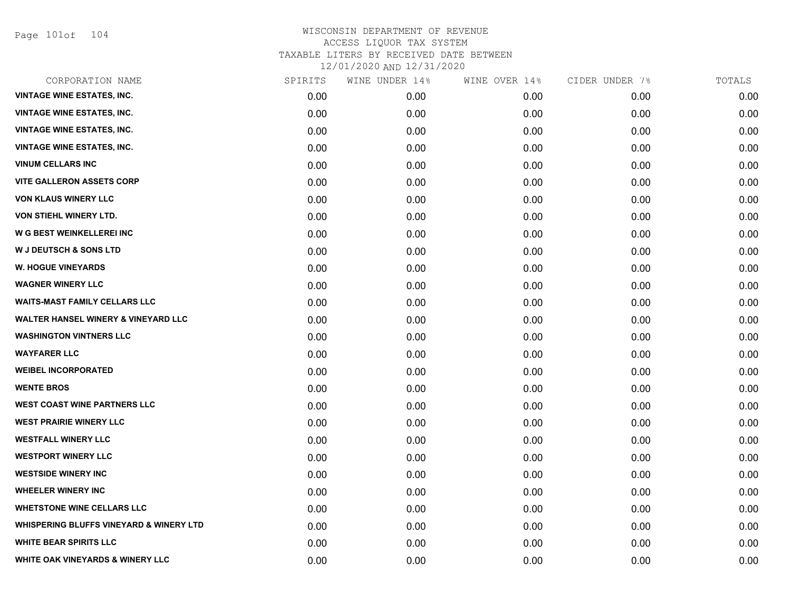Page 101of 104

| CORPORATION NAME                                   | SPIRITS | WINE UNDER 14% | WINE OVER 14% | CIDER UNDER 7% | TOTALS |
|----------------------------------------------------|---------|----------------|---------------|----------------|--------|
| <b>VINTAGE WINE ESTATES, INC.</b>                  | 0.00    | 0.00           | 0.00          | 0.00           | 0.00   |
| <b>VINTAGE WINE ESTATES, INC.</b>                  | 0.00    | 0.00           | 0.00          | 0.00           | 0.00   |
| <b>VINTAGE WINE ESTATES, INC.</b>                  | 0.00    | 0.00           | 0.00          | 0.00           | 0.00   |
| <b>VINTAGE WINE ESTATES, INC.</b>                  | 0.00    | 0.00           | 0.00          | 0.00           | 0.00   |
| <b>VINUM CELLARS INC</b>                           | 0.00    | 0.00           | 0.00          | 0.00           | 0.00   |
| <b>VITE GALLERON ASSETS CORP</b>                   | 0.00    | 0.00           | 0.00          | 0.00           | 0.00   |
| <b>VON KLAUS WINERY LLC</b>                        | 0.00    | 0.00           | 0.00          | 0.00           | 0.00   |
| VON STIEHL WINERY LTD.                             | 0.00    | 0.00           | 0.00          | 0.00           | 0.00   |
| W G BEST WEINKELLEREI INC                          | 0.00    | 0.00           | 0.00          | 0.00           | 0.00   |
| <b>W J DEUTSCH &amp; SONS LTD</b>                  | 0.00    | 0.00           | 0.00          | 0.00           | 0.00   |
| <b>W. HOGUE VINEYARDS</b>                          | 0.00    | 0.00           | 0.00          | 0.00           | 0.00   |
| <b>WAGNER WINERY LLC</b>                           | 0.00    | 0.00           | 0.00          | 0.00           | 0.00   |
| <b>WAITS-MAST FAMILY CELLARS LLC</b>               | 0.00    | 0.00           | 0.00          | 0.00           | 0.00   |
| <b>WALTER HANSEL WINERY &amp; VINEYARD LLC</b>     | 0.00    | 0.00           | 0.00          | 0.00           | 0.00   |
| <b>WASHINGTON VINTNERS LLC</b>                     | 0.00    | 0.00           | 0.00          | 0.00           | 0.00   |
| <b>WAYFARER LLC</b>                                | 0.00    | 0.00           | 0.00          | 0.00           | 0.00   |
| <b>WEIBEL INCORPORATED</b>                         | 0.00    | 0.00           | 0.00          | 0.00           | 0.00   |
| <b>WENTE BROS</b>                                  | 0.00    | 0.00           | 0.00          | 0.00           | 0.00   |
| <b>WEST COAST WINE PARTNERS LLC</b>                | 0.00    | 0.00           | 0.00          | 0.00           | 0.00   |
| <b>WEST PRAIRIE WINERY LLC</b>                     | 0.00    | 0.00           | 0.00          | 0.00           | 0.00   |
| <b>WESTFALL WINERY LLC</b>                         | 0.00    | 0.00           | 0.00          | 0.00           | 0.00   |
| <b>WESTPORT WINERY LLC</b>                         | 0.00    | 0.00           | 0.00          | 0.00           | 0.00   |
| <b>WESTSIDE WINERY INC</b>                         | 0.00    | 0.00           | 0.00          | 0.00           | 0.00   |
| <b>WHEELER WINERY INC</b>                          | 0.00    | 0.00           | 0.00          | 0.00           | 0.00   |
| <b>WHETSTONE WINE CELLARS LLC</b>                  | 0.00    | 0.00           | 0.00          | 0.00           | 0.00   |
| <b>WHISPERING BLUFFS VINEYARD &amp; WINERY LTD</b> | 0.00    | 0.00           | 0.00          | 0.00           | 0.00   |
| <b>WHITE BEAR SPIRITS LLC</b>                      | 0.00    | 0.00           | 0.00          | 0.00           | 0.00   |
| <b>WHITE OAK VINEYARDS &amp; WINERY LLC</b>        | 0.00    | 0.00           | 0.00          | 0.00           | 0.00   |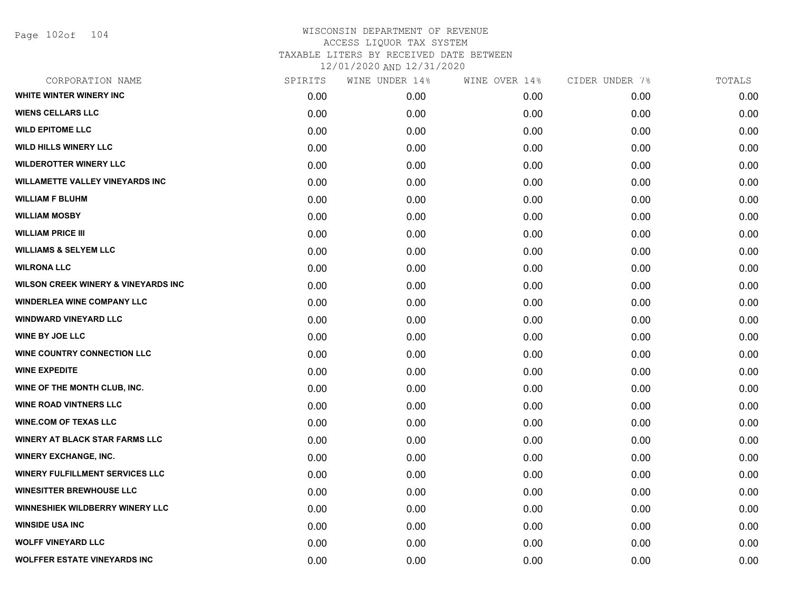Page 102of 104

| CORPORATION NAME                               | SPIRITS | WINE UNDER 14% | WINE OVER 14% | CIDER UNDER 7% | TOTALS |
|------------------------------------------------|---------|----------------|---------------|----------------|--------|
| WHITE WINTER WINERY INC                        | 0.00    | 0.00           | 0.00          | 0.00           | 0.00   |
| <b>WIENS CELLARS LLC</b>                       | 0.00    | 0.00           | 0.00          | 0.00           | 0.00   |
| <b>WILD EPITOME LLC</b>                        | 0.00    | 0.00           | 0.00          | 0.00           | 0.00   |
| <b>WILD HILLS WINERY LLC</b>                   | 0.00    | 0.00           | 0.00          | 0.00           | 0.00   |
| <b>WILDEROTTER WINERY LLC</b>                  | 0.00    | 0.00           | 0.00          | 0.00           | 0.00   |
| <b>WILLAMETTE VALLEY VINEYARDS INC</b>         | 0.00    | 0.00           | 0.00          | 0.00           | 0.00   |
| <b>WILLIAM F BLUHM</b>                         | 0.00    | 0.00           | 0.00          | 0.00           | 0.00   |
| <b>WILLIAM MOSBY</b>                           | 0.00    | 0.00           | 0.00          | 0.00           | 0.00   |
| <b>WILLIAM PRICE III</b>                       | 0.00    | 0.00           | 0.00          | 0.00           | 0.00   |
| <b>WILLIAMS &amp; SELYEM LLC</b>               | 0.00    | 0.00           | 0.00          | 0.00           | 0.00   |
| <b>WILRONA LLC</b>                             | 0.00    | 0.00           | 0.00          | 0.00           | 0.00   |
| <b>WILSON CREEK WINERY &amp; VINEYARDS INC</b> | 0.00    | 0.00           | 0.00          | 0.00           | 0.00   |
| <b>WINDERLEA WINE COMPANY LLC</b>              | 0.00    | 0.00           | 0.00          | 0.00           | 0.00   |
| <b>WINDWARD VINEYARD LLC</b>                   | 0.00    | 0.00           | 0.00          | 0.00           | 0.00   |
| <b>WINE BY JOE LLC</b>                         | 0.00    | 0.00           | 0.00          | 0.00           | 0.00   |
| WINE COUNTRY CONNECTION LLC                    | 0.00    | 0.00           | 0.00          | 0.00           | 0.00   |
| <b>WINE EXPEDITE</b>                           | 0.00    | 0.00           | 0.00          | 0.00           | 0.00   |
| WINE OF THE MONTH CLUB, INC.                   | 0.00    | 0.00           | 0.00          | 0.00           | 0.00   |
| <b>WINE ROAD VINTNERS LLC</b>                  | 0.00    | 0.00           | 0.00          | 0.00           | 0.00   |
| <b>WINE.COM OF TEXAS LLC</b>                   | 0.00    | 0.00           | 0.00          | 0.00           | 0.00   |
| <b>WINERY AT BLACK STAR FARMS LLC</b>          | 0.00    | 0.00           | 0.00          | 0.00           | 0.00   |
| <b>WINERY EXCHANGE, INC.</b>                   | 0.00    | 0.00           | 0.00          | 0.00           | 0.00   |
| <b>WINERY FULFILLMENT SERVICES LLC</b>         | 0.00    | 0.00           | 0.00          | 0.00           | 0.00   |
| <b>WINESITTER BREWHOUSE LLC</b>                | 0.00    | 0.00           | 0.00          | 0.00           | 0.00   |
| <b>WINNESHIEK WILDBERRY WINERY LLC</b>         | 0.00    | 0.00           | 0.00          | 0.00           | 0.00   |
| <b>WINSIDE USA INC</b>                         | 0.00    | 0.00           | 0.00          | 0.00           | 0.00   |
| <b>WOLFF VINEYARD LLC</b>                      | 0.00    | 0.00           | 0.00          | 0.00           | 0.00   |
| <b>WOLFFER ESTATE VINEYARDS INC</b>            | 0.00    | 0.00           | 0.00          | 0.00           | 0.00   |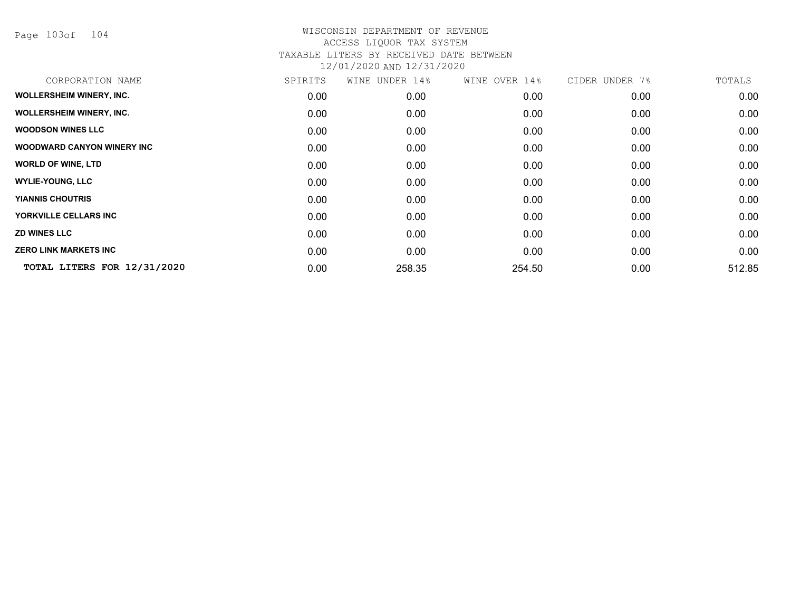Page 103of 104

| CORPORATION NAME                | SPIRITS | WINE UNDER 14% | WINE OVER 14% | CIDER UNDER 7% | TOTALS |
|---------------------------------|---------|----------------|---------------|----------------|--------|
| <b>WOLLERSHEIM WINERY, INC.</b> | 0.00    | 0.00           | 0.00          | 0.00           | 0.00   |
| <b>WOLLERSHEIM WINERY, INC.</b> | 0.00    | 0.00           | 0.00          | 0.00           | 0.00   |
| <b>WOODSON WINES LLC</b>        | 0.00    | 0.00           | 0.00          | 0.00           | 0.00   |
| WOODWARD CANYON WINERY INC      | 0.00    | 0.00           | 0.00          | 0.00           | 0.00   |
| <b>WORLD OF WINE, LTD</b>       | 0.00    | 0.00           | 0.00          | 0.00           | 0.00   |
| <b>WYLIE-YOUNG, LLC</b>         | 0.00    | 0.00           | 0.00          | 0.00           | 0.00   |
| <b>YIANNIS CHOUTRIS</b>         | 0.00    | 0.00           | 0.00          | 0.00           | 0.00   |
| YORKVILLE CELLARS INC           | 0.00    | 0.00           | 0.00          | 0.00           | 0.00   |
| <b>ZD WINES LLC</b>             | 0.00    | 0.00           | 0.00          | 0.00           | 0.00   |
| <b>ZERO LINK MARKETS INC</b>    | 0.00    | 0.00           | 0.00          | 0.00           | 0.00   |
| TOTAL LITERS FOR 12/31/2020     | 0.00    | 258.35         | 254.50        | 0.00           | 512.85 |